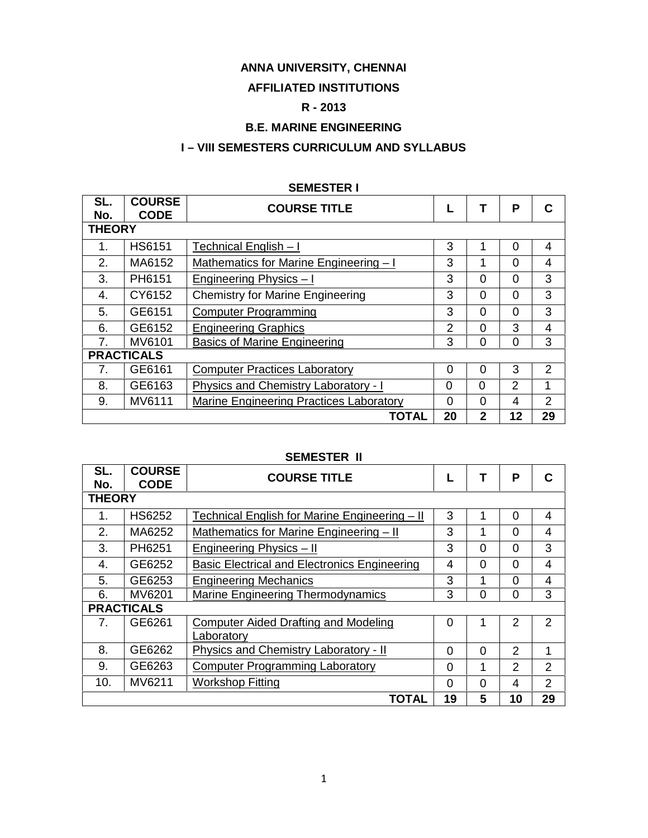# **ANNA UNIVERSITY, CHENNAI**

## **AFFILIATED INSTITUTIONS**

# **R - 2013**

# **B.E. MARINE ENGINEERING**

# **I – VIII SEMESTERS CURRICULUM AND SYLLABUS**

|                |                              | ULIVILV I LI\ I                         |                |                |          |                |
|----------------|------------------------------|-----------------------------------------|----------------|----------------|----------|----------------|
| SL.<br>No.     | <b>COURSE</b><br><b>CODE</b> | <b>COURSE TITLE</b>                     |                | Т              | P        | C              |
| <b>THEORY</b>  |                              |                                         |                |                |          |                |
| 1.             | <b>HS6151</b>                | Technical English - I                   | 3              |                | $\Omega$ | 4              |
| 2.             | MA6152                       | Mathematics for Marine Engineering - I  | 3              | 1              | $\Omega$ | 4              |
| 3.             | PH6151                       | Engineering Physics - I                 | 3              | $\Omega$       | $\Omega$ | 3              |
| 4.             | CY6152                       | <b>Chemistry for Marine Engineering</b> | 3              | $\Omega$       | $\Omega$ | 3              |
| 5.             | GE6151                       | <b>Computer Programming</b>             | 3              | $\Omega$       | $\Omega$ | 3              |
| 6.             | GE6152                       | <b>Engineering Graphics</b>             | $\overline{2}$ | $\Omega$       | 3        | 4              |
| 7 <sup>1</sup> | MV6101                       | <b>Basics of Marine Engineering</b>     | 3              | $\Omega$       | $\Omega$ | 3              |
|                | <b>PRACTICALS</b>            |                                         |                |                |          |                |
| 7.             | GE6161                       | <b>Computer Practices Laboratory</b>    | 0              | $\Omega$       | 3        | $\overline{2}$ |
| 8.             | GE6163                       | Physics and Chemistry Laboratory - I    | 0              | $\Omega$       | 2        | 1              |
| 9.             | MV6111                       | Marine Engineering Practices Laboratory | $\overline{0}$ | $\Omega$       | 4        | 2              |
|                |                              | <b>TOTAL</b>                            | 20             | $\overline{2}$ | 12       | 29             |

### **SEMESTER I**

### **SEMESTER II**

| SL.<br>No.    | <b>COURSE</b><br><b>CODE</b> | <b>COURSE TITLE</b>                                 |                |                | Р  | C              |
|---------------|------------------------------|-----------------------------------------------------|----------------|----------------|----|----------------|
| <b>THEORY</b> |                              |                                                     |                |                |    |                |
| 1.            | <b>HS6252</b>                | Technical English for Marine Engineering - II       | 3              |                | 0  | 4              |
| 2.            | MA6252                       | Mathematics for Marine Engineering - II             | 3              |                | 0  | 4              |
| 3.            | PH6251                       | Engineering Physics - II                            | 3              | $\Omega$       | 0  | 3              |
| 4.            | GE6252                       | <b>Basic Electrical and Electronics Engineering</b> | 4              | $\Omega$       | 0  | 4              |
| 5.            | GE6253                       | <b>Engineering Mechanics</b>                        | 3              |                | O  | 4              |
| 6.            | MV6201                       | <b>Marine Engineering Thermodynamics</b>            | 3              | $\overline{0}$ | 0  | 3              |
|               | <b>PRACTICALS</b>            |                                                     |                |                |    |                |
| 7.            | GE6261                       | <b>Computer Aided Drafting and Modeling</b>         | $\overline{0}$ |                | 2  | 2              |
|               |                              | Laboratory                                          |                |                |    |                |
| 8.            | GE6262                       | Physics and Chemistry Laboratory - II               | $\Omega$       | $\Omega$       | 2  | 1              |
| 9.            | GE6263                       | <b>Computer Programming Laboratory</b>              | $\Omega$       | 1              | 2  | $\overline{2}$ |
| 10.           | MV6211                       | <b>Workshop Fitting</b>                             | $\Omega$       | $\Omega$       | 4  | 2              |
|               |                              | <b>TOTAL</b>                                        | 19             | 5              | 10 | 29             |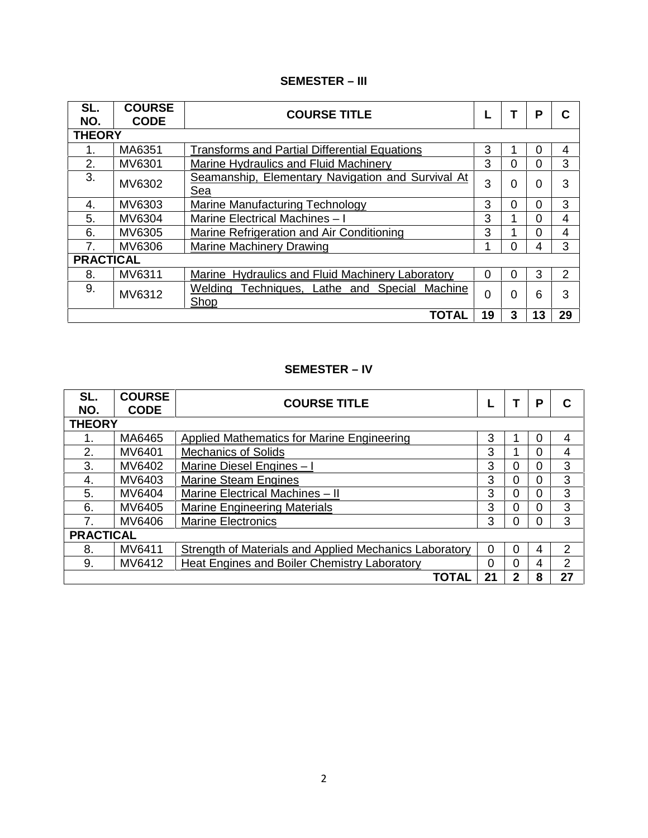# **SEMESTER – III**

| SL.<br>NO.       | <b>COURSE</b><br><b>CODE</b> | <b>COURSE TITLE</b>                                      |          |   | P        | C  |
|------------------|------------------------------|----------------------------------------------------------|----------|---|----------|----|
| <b>THEORY</b>    |                              |                                                          |          |   |          |    |
|                  | MA6351                       | <b>Transforms and Partial Differential Equations</b>     | 3        |   | 0        | 4  |
| 2.               | MV6301                       | Marine Hydraulics and Fluid Machinery                    | 3        | 0 | 0        | 3  |
| 3.               | MV6302                       | Seamanship, Elementary Navigation and Survival At<br>Sea | 3        | 0 | $\Omega$ | 3  |
| 4.               | MV6303                       | Marine Manufacturing Technology                          | 3        | 0 | 0        | 3  |
| 5.               | MV6304                       | Marine Electrical Machines - I                           | 3        |   | 0        | 4  |
| 6.               | MV6305                       | Marine Refrigeration and Air Conditioning                | 3        |   | $\Omega$ | 4  |
| 7.               | MV6306                       | Marine Machinery Drawing                                 |          | 0 | 4        | 3  |
| <b>PRACTICAL</b> |                              |                                                          |          |   |          |    |
| 8.               | MV6311                       | Marine Hydraulics and Fluid Machinery Laboratory         | $\Omega$ | 0 | 3        | 2  |
| 9.               | MV6312                       | Techniques, Lathe and Special Machine<br>Welding<br>Shop | $\Omega$ | 0 | 6        | 3  |
|                  |                              | <b>TOTAL</b>                                             | 19       | 3 | 13       | 29 |

# **SEMESTER – IV**

| SL.<br>NO.       | <b>COURSE</b><br><b>CODE</b> | <b>COURSE TITLE</b>                                           |    |          | Р | С              |
|------------------|------------------------------|---------------------------------------------------------------|----|----------|---|----------------|
| <b>THEORY</b>    |                              |                                                               |    |          |   |                |
|                  | MA6465                       | Applied Mathematics for Marine Engineering                    | 3  |          | 0 | 4              |
| 2.               | MV6401                       | <b>Mechanics of Solids</b>                                    | 3  |          | 0 | 4              |
| 3.               | MV6402                       | Marine Diesel Engines - I                                     | 3  | 0        | 0 | 3              |
| 4.               | MV6403                       | <b>Marine Steam Engines</b>                                   | 3  | 0        | 0 | 3              |
| 5.               | MV6404                       | Marine Electrical Machines - II                               | 3  | $\Omega$ | 0 | 3              |
| 6.               | MV6405                       | <b>Marine Engineering Materials</b>                           | 3  | 0        | 0 | 3              |
| 7 <sub>1</sub>   | MV6406                       | <b>Marine Electronics</b>                                     | 3  | 0        | 0 | 3              |
| <b>PRACTICAL</b> |                              |                                                               |    |          |   |                |
| 8.               | MV6411                       | <b>Strength of Materials and Applied Mechanics Laboratory</b> | 0  | 0        | 4 | 2              |
| 9.               | MV6412                       | Heat Engines and Boiler Chemistry Laboratory                  | 0  | 0        | 4 | $\overline{2}$ |
|                  |                              | <b>TOTAL</b>                                                  | 21 | 2        | 8 | 27             |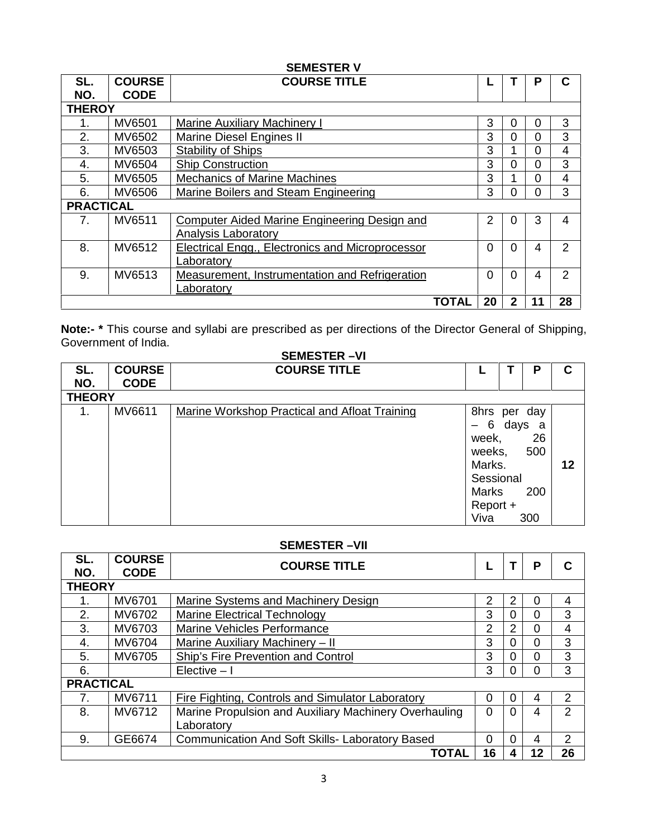|                  |               | <b>SEMESTER V</b>                                |              |          |          |          |                |
|------------------|---------------|--------------------------------------------------|--------------|----------|----------|----------|----------------|
| SL.              | <b>COURSE</b> | <b>COURSE TITLE</b>                              |              |          |          | Р        | C              |
| NO.              | <b>CODE</b>   |                                                  |              |          |          |          |                |
| <b>THEROY</b>    |               |                                                  |              |          |          |          |                |
|                  | MV6501        | <b>Marine Auxiliary Machinery I</b>              |              | 3        | 0        | 0        | 3              |
| 2.               | MV6502        | Marine Diesel Engines II                         |              | 3        | 0        | $\Omega$ | 3              |
| 3.               | MV6503        | <b>Stability of Ships</b>                        |              | 3        |          | $\Omega$ | 4              |
| 4.               | MV6504        | <b>Ship Construction</b>                         |              | 3        | 0        | 0        | 3              |
| 5.               | MV6505        | <b>Mechanics of Marine Machines</b>              |              | 3        |          | $\Omega$ | 4              |
| 6.               | MV6506        | Marine Boilers and Steam Engineering             |              | 3        | 0        | 0        | 3              |
| <b>PRACTICAL</b> |               |                                                  |              |          |          |          |                |
| 7.               | MV6511        | Computer Aided Marine Engineering Design and     |              | 2        | 0        | 3        | 4              |
|                  |               | Analysis Laboratory                              |              |          |          |          |                |
| 8.               | MV6512        | Electrical Engg., Electronics and Microprocessor |              | $\Omega$ | $\Omega$ | 4        | 2              |
|                  |               | Laboratory                                       |              |          |          |          |                |
| 9.               | MV6513        | Measurement, Instrumentation and Refrigeration   |              | $\Omega$ | $\Omega$ | 4        | $\overline{2}$ |
|                  |               | Laboratory                                       |              |          |          |          |                |
|                  |               |                                                  | <b>TOTAL</b> | 20       | 2        | 11       | 28             |

**Note:- \*** This course and syllabi are prescribed as per directions of the Director General of Shipping, Government of India. **SEMESTER –VI**

|               |               | SEMESTER -VI                                  |                                                                                                                      |                                   |    |
|---------------|---------------|-----------------------------------------------|----------------------------------------------------------------------------------------------------------------------|-----------------------------------|----|
| SL.           | <b>COURSE</b> | <b>COURSE TITLE</b>                           |                                                                                                                      | Ρ                                 | C  |
| NO.           | <b>CODE</b>   |                                               |                                                                                                                      |                                   |    |
| <b>THEORY</b> |               |                                               |                                                                                                                      |                                   |    |
| 1.            | MV6611        | Marine Workshop Practical and Afloat Training | 8hrs per day<br>6<br>$\overline{\phantom{0}}$<br>week,<br>weeks,<br>Marks.<br>Sessional<br>Marks<br>Report +<br>Viva | days a<br>26<br>500<br>200<br>300 | 12 |

### **SEMESTER –VII**

| SL.<br>NO.       | <b>COURSE</b><br><b>CODE</b> | <b>COURSE TITLE</b>                                    |                |          | Р  | C  |
|------------------|------------------------------|--------------------------------------------------------|----------------|----------|----|----|
| <b>THEORY</b>    |                              |                                                        |                |          |    |    |
| 1.               | MV6701                       | Marine Systems and Machinery Design                    | $\overline{2}$ | 2        | 0  | 4  |
| 2.               | MV6702                       | <b>Marine Electrical Technology</b>                    | 3              | 0        | 0  | 3  |
| 3.               | MV6703                       | Marine Vehicles Performance                            | 2              | 2        | 0  | 4  |
| 4.               | MV6704                       | Marine Auxiliary Machinery - II                        | 3              | 0        | 0  | 3  |
| 5.               | MV6705                       | Ship's Fire Prevention and Control                     | 3              |          | 0  | 3  |
| 6.               |                              | Elective $-1$                                          | 3              | 0        | 0  | 3  |
| <b>PRACTICAL</b> |                              |                                                        |                |          |    |    |
| 7.               | MV6711                       | Fire Fighting, Controls and Simulator Laboratory       | $\Omega$       | $\Omega$ | 4  | 2  |
| 8.               | MV6712                       | Marine Propulsion and Auxiliary Machinery Overhauling  | $\overline{0}$ | 0        | 4  | 2  |
|                  |                              | Laboratory                                             |                |          |    |    |
| 9.               | GE6674                       | <b>Communication And Soft Skills- Laboratory Based</b> | 0              | 0        | 4  | 2  |
|                  |                              | <b>TOTAL</b>                                           | 16             |          | 12 | 26 |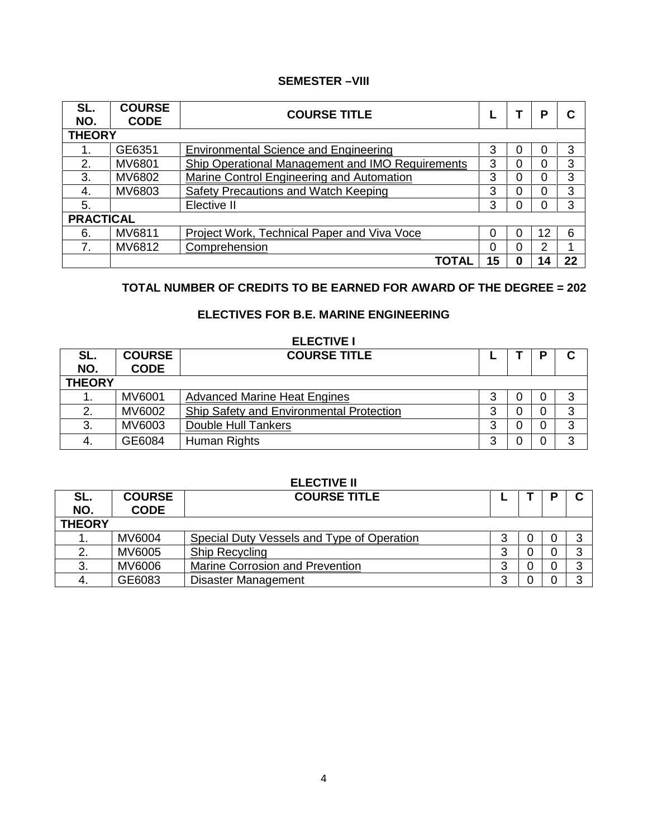### **SEMESTER –VIII**

| SL.                  | <b>COURSE</b> | <b>COURSE TITLE</b>                              |    |   | P  | С  |
|----------------------|---------------|--------------------------------------------------|----|---|----|----|
| NO.<br><b>THEORY</b> | <b>CODE</b>   |                                                  |    |   |    |    |
|                      | GE6351        | <b>Environmental Science and Engineering</b>     | 3  | 0 |    | 3  |
| 2.                   | MV6801        | Ship Operational Management and IMO Requirements | 3  | 0 | 0  | 3  |
| 3.                   | MV6802        | Marine Control Engineering and Automation        | 3  | 0 | 0  | 3  |
| 4.                   | MV6803        | Safety Precautions and Watch Keeping             | 3  | 0 |    | 3  |
| 5.                   |               | Elective II                                      | 3  | 0 |    | 3  |
| <b>PRACTICAL</b>     |               |                                                  |    |   |    |    |
| 6.                   | MV6811        | Project Work, Technical Paper and Viva Voce      | 0  | 0 | 12 | 6  |
| 7.                   | MV6812        | Comprehension                                    | 0  | 0 | 2  |    |
|                      |               | <b>TOTAL</b>                                     | 15 | O | 14 | 22 |

# **TOTAL NUMBER OF CREDITS TO BE EARNED FOR AWARD OF THE DEGREE = 202**

### **ELECTIVES FOR B.E. MARINE ENGINEERING**

|               |               | <b>ELECTIVE I</b>                        |   |   |   |
|---------------|---------------|------------------------------------------|---|---|---|
| SL.           | <b>COURSE</b> | <b>COURSE TITLE</b>                      |   | Р | С |
| NO.           | <b>CODE</b>   |                                          |   |   |   |
| <b>THEORY</b> |               |                                          |   |   |   |
|               | MV6001        | <b>Advanced Marine Heat Engines</b>      | 3 | 0 | 3 |
| 2.            | MV6002        | Ship Safety and Environmental Protection | 3 |   | 3 |
| 3.            | MV6003        | Double Hull Tankers                      | 3 |   | 3 |
|               | GE6084        | Human Rights                             | 3 |   | 3 |

# **ELECTIVE II**

| SL.           | <b>COURSE</b> | <b>COURSE TITLE</b>                        |  | C      |
|---------------|---------------|--------------------------------------------|--|--------|
| NO.           | <b>CODE</b>   |                                            |  |        |
| <b>THEORY</b> |               |                                            |  |        |
|               | MV6004        | Special Duty Vessels and Type of Operation |  |        |
|               | MV6005        | Ship Recycling                             |  | ົ      |
| Ő.            | MV6006        | Marine Corrosion and Prevention            |  | ◠<br>ບ |
|               | GE6083        | <b>Disaster Management</b>                 |  | ⌒      |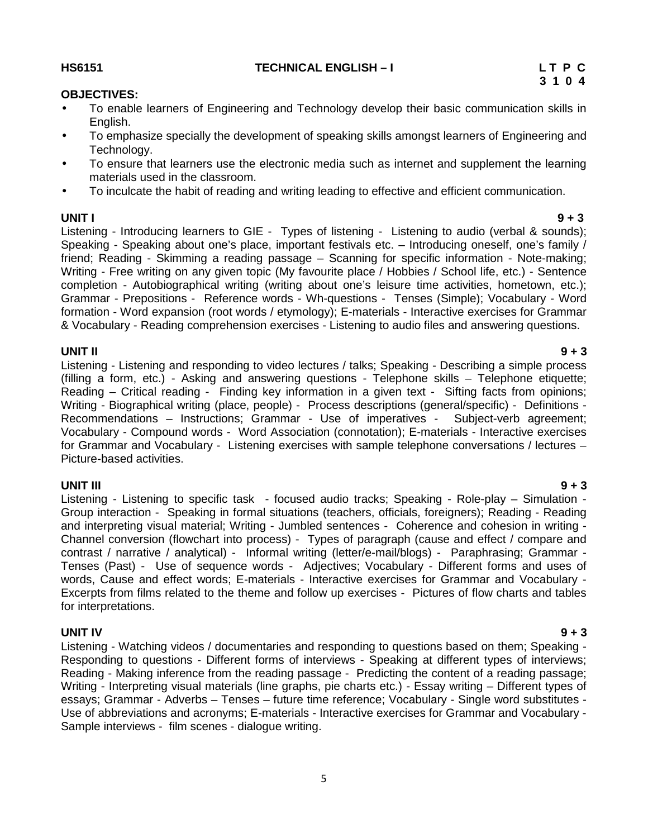# 5

### **HS6151 TECHNICAL ENGLISH – I L T P C**

### **OBJECTIVES:**

- To enable learners of Engineering and Technology develop their basic communication skills in English.
- To emphasize specially the development of speaking skills amongst learners of Engineering and Technology.
- To ensure that learners use the electronic media such as internet and supplement the learning materials used in the classroom.
- To inculcate the habit of reading and writing leading to effective and efficient communication.

**UNIT I 9 + 3** Listening - Introducing learners to GIE - Types of listening - Listening to audio (verbal & sounds); Speaking - Speaking about one's place, important festivals etc. – Introducing oneself, one's family / friend; Reading - Skimming a reading passage – Scanning for specific information - Note-making; Writing - Free writing on any given topic (My favourite place / Hobbies / School life, etc.) - Sentence completion - Autobiographical writing (writing about one's leisure time activities, hometown, etc.); Grammar - Prepositions - Reference words - Wh-questions - Tenses (Simple); Vocabulary - Word formation - Word expansion (root words / etymology); E-materials - Interactive exercises for Grammar & Vocabulary - Reading comprehension exercises - Listening to audio files and answering questions.

**UNIT II 9 + 3** Listening - Listening and responding to video lectures / talks; Speaking - Describing a simple process (filling a form, etc.) - Asking and answering questions - Telephone skills – Telephone etiquette; Reading – Critical reading - Finding key information in a given text - Sifting facts from opinions; Writing - Biographical writing (place, people) - Process descriptions (general/specific) - Definitions - Recommendations – Instructions; Grammar - Use of imperatives - Subject-verb agreement; Vocabulary - Compound words - Word Association (connotation); E-materials - Interactive exercises for Grammar and Vocabulary - Listening exercises with sample telephone conversations / lectures – Picture-based activities.

**UNIT III 9 + 3** Listening - Listening to specific task -focused audio tracks; Speaking - Role-play – Simulation - Group interaction - Speaking in formal situations (teachers, officials, foreigners); Reading - Reading and interpreting visual material; Writing - Jumbled sentences - Coherence and cohesion in writing - Channel conversion (flowchart into process) - Types of paragraph (cause and effect / compare and contrast / narrative / analytical) - Informal writing (letter/e-mail/blogs) - Paraphrasing; Grammar - Tenses (Past) - Use of sequence words - Adjectives; Vocabulary - Different forms and uses of words, Cause and effect words; E-materials - Interactive exercises for Grammar and Vocabulary - Excerpts from films related to the theme and follow up exercises - Pictures of flow charts and tables for interpretations.

**UNIT IV 9 + 3** Listening - Watching videos / documentaries and responding to questions based on them; Speaking - Responding to questions - Different forms of interviews - Speaking at different types of interviews; Reading - Making inference from the reading passage - Predicting the content of a reading passage; Writing - Interpreting visual materials (line graphs, pie charts etc.) - Essay writing – Different types of essays; Grammar - Adverbs – Tenses – future time reference; Vocabulary - Single word substitutes - Use of abbreviations and acronyms; E-materials - Interactive exercises for Grammar and Vocabulary - Sample interviews - film scenes - dialogue writing.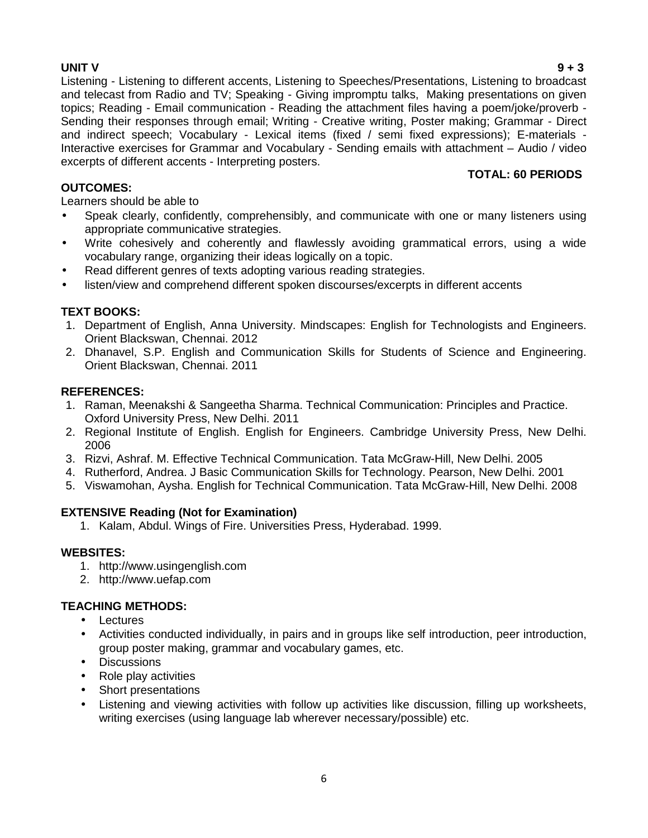**UNIT V 9 + 3** Listening - Listening to different accents, Listening to Speeches/Presentations, Listening to broadcast and telecast from Radio and TV; Speaking - Giving impromptu talks, Making presentations on given topics; Reading - Email communication - Reading the attachment files having a poem/joke/proverb - Sending their responses through email; Writing - Creative writing, Poster making; Grammar - Direct and indirect speech; Vocabulary - Lexical items (fixed / semi fixed expressions); E-materials - Interactive exercises for Grammar and Vocabulary - Sending emails with attachment – Audio / video excerpts of different accents - Interpreting posters.

# **TOTAL: 60 PERIODS**

Learners should be able to

- Speak clearly, confidently, comprehensibly, and communicate with one or many listeners using appropriate communicative strategies.
- Write cohesively and coherently and flawlessly avoiding grammatical errors, using a wide vocabulary range, organizing their ideas logically on a topic.
- Read different genres of texts adopting various reading strategies.
- listen/view and comprehend different spoken discourses/excerpts in different accents

# **TEXT BOOKS:**

**OUTCOMES:**

- 1. Department of English, Anna University. Mindscapes: English for Technologists and Engineers. Orient Blackswan, Chennai. 2012
- 2. Dhanavel, S.P. English and Communication Skills for Students of Science and Engineering. Orient Blackswan, Chennai. 2011

### **REFERENCES:**

- 1. Raman, Meenakshi & Sangeetha Sharma. Technical Communication: Principles and Practice. Oxford University Press, New Delhi. 2011
- 2. Regional Institute of English. English for Engineers. Cambridge University Press, New Delhi. 2006
- 3. Rizvi, Ashraf. M. Effective Technical Communication. Tata McGraw-Hill, New Delhi. 2005
- 4. Rutherford, Andrea. J Basic Communication Skills for Technology. Pearson, New Delhi. 2001
- 5. Viswamohan, Aysha. English for Technical Communication. Tata McGraw-Hill, New Delhi. 2008

# **EXTENSIVE Reading (Not for Examination)**

1. Kalam, Abdul. Wings of Fire. Universities Press, Hyderabad. 1999.

### **WEBSITES:**

- 1. http://www.usingenglish.com
- 2. http://www.uefap.com

### **TEACHING METHODS:**

- Lectures
- Activities conducted individually, in pairs and in groups like self introduction, peer introduction, group poster making, grammar and vocabulary games, etc.
- Discussions
- Role play activities
- Short presentations
- Listening and viewing activities with follow up activities like discussion, filling up worksheets, writing exercises (using language lab wherever necessary/possible) etc.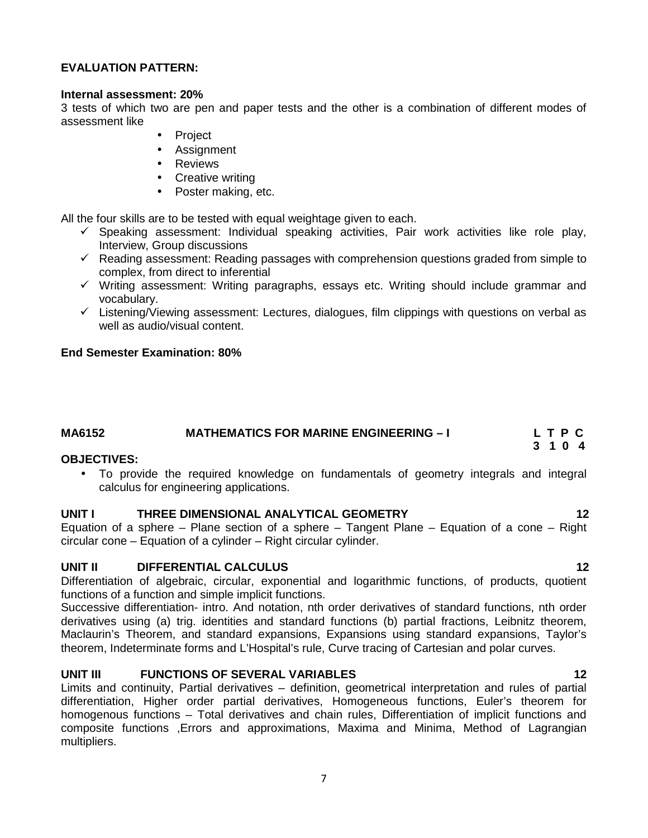### **EVALUATION PATTERN:**

### **Internal assessment: 20%**

3 tests of which two are pen and paper tests and the other is a combination of different modes of assessment like

- Project
- Assignment
- Reviews
- Creative writing
- Poster making, etc.

All the four skills are to be tested with equal weightage given to each.

- $\checkmark$  Speaking assessment: Individual speaking activities, Pair work activities like role play, Interview, Group discussions
- $\checkmark$  Reading assessment: Reading passages with comprehension questions graded from simple to complex, from direct to inferential
- $\checkmark$  Writing assessment: Writing paragraphs, essays etc. Writing should include grammar and vocabulary.
- $\checkmark$  Listening/Viewing assessment: Lectures, dialogues, film clippings with questions on verbal as well as audio/visual content.

### **End Semester Examination: 80%**

### **MA6152 MATHEMATICS FOR MARINE ENGINEERING – I L T P C 3 1 0 4**

### **OBJECTIVES:**

 To provide the required knowledge on fundamentals of geometry integrals and integral calculus for engineering applications.

### **UNIT I THREE DIMENSIONAL ANALYTICAL GEOMETRY 12**

Equation of a sphere – Plane section of a sphere – Tangent Plane – Equation of a cone – Right circular cone – Equation of a cylinder – Right circular cylinder.

### **UNIT II DIFFERENTIAL CALCULUS 12**

Differentiation of algebraic, circular, exponential and logarithmic functions, of products, quotient functions of a function and simple implicit functions.

Successive differentiation- intro. And notation, nth order derivatives of standard functions, nth order derivatives using (a) trig. identities and standard functions (b) partial fractions, Leibnitz theorem, Maclaurin's Theorem, and standard expansions, Expansions using standard expansions, Taylor's theorem, Indeterminate forms and L'Hospital's rule, Curve tracing of Cartesian and polar curves.

### **UNIT III FUNCTIONS OF SEVERAL VARIABLES 12**

Limits and continuity, Partial derivatives – definition, geometrical interpretation and rules of partial differentiation, Higher order partial derivatives, Homogeneous functions, Euler's theorem for homogenous functions – Total derivatives and chain rules, Differentiation of implicit functions and composite functions ,Errors and approximations, Maxima and Minima, Method of Lagrangian multipliers.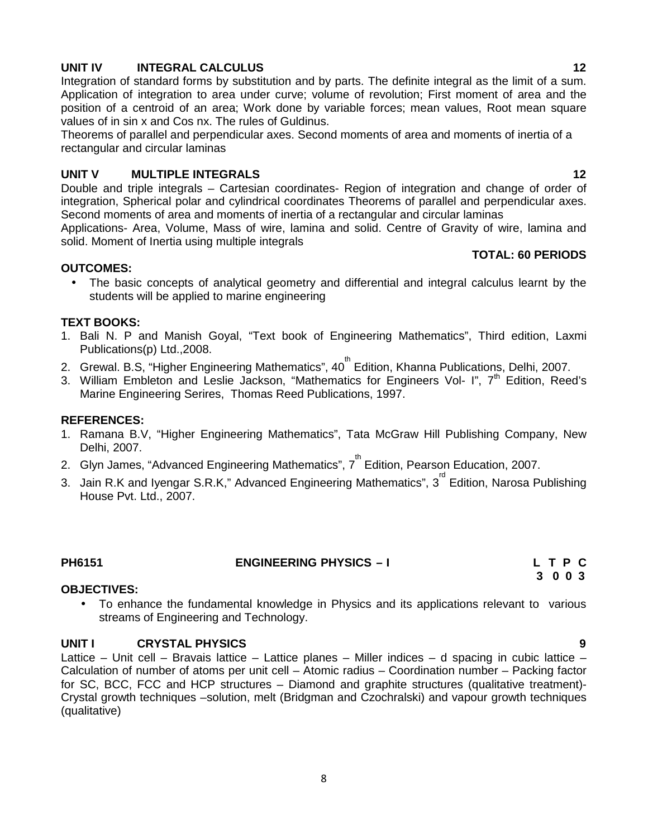### **UNIT IV INTEGRAL CALCULUS 12**

Integration of standard forms by substitution and by parts. The definite integral as the limit of a sum. Application of integration to area under curve; volume of revolution; First moment of area and the position of a centroid of an area; Work done by variable forces; mean values, Root mean square values of in sin x and Cos nx. The rules of Guldinus.

Theorems of parallel and perpendicular axes. Second moments of area and moments of inertia of a rectangular and circular laminas

### **UNIT V MULTIPLE INTEGRALS 12**

Double and triple integrals – Cartesian coordinates- Region of integration and change of order of integration, Spherical polar and cylindrical coordinates Theorems of parallel and perpendicular axes. Second moments of area and moments of inertia of a rectangular and circular laminas

Applications- Area, Volume, Mass of wire, lamina and solid. Centre of Gravity of wire, lamina and solid. Moment of Inertia using multiple integrals

### **OUTCOMES:**

 The basic concepts of analytical geometry and differential and integral calculus learnt by the students will be applied to marine engineering

### **TEXT BOOKS:**

- 1. Bali N. P and Manish Goyal, "Text book of Engineering Mathematics", Third edition, Laxmi Publications(p) Ltd.,2008.
- 2. Grewal. B.S, "Higher Engineering Mathematics", 40<sup>th</sup> Edition, Khanna Publications, Delhi, 2007.
- 3. William Embleton and Leslie Jackson, "Mathematics for Engineers Vol- I",  $7<sup>th</sup>$  Edition, Reed's Marine Engineering Serires, Thomas Reed Publications, 1997.

### **REFERENCES:**

- 1. Ramana B.V, "Higher Engineering Mathematics", Tata McGraw Hill Publishing Company, New Delhi, 2007.
- 2. Glyn James, "Advanced Engineering Mathematics", 7<sup>th</sup> Edition, Pearson Education, 2007.
- 3. Jain R.K and Iyengar S.R.K," Advanced Engineering Mathematics", 3 $^{\text{rd}}$  Edition, Narosa Publishing House Pvt. Ltd., 2007.

**PH6151 ENGINEERING PHYSICS – I L T P C**

### **OBJECTIVES:**

 To enhance the fundamental knowledge in Physics and its applications relevant to various streams of Engineering and Technology.

### **UNIT I CRYSTAL PHYSICS 9**

Lattice – Unit cell – Bravais lattice – Lattice planes – Miller indices – d spacing in cubic lattice – Calculation of number of atoms per unit cell – Atomic radius – Coordination number – Packing factor for SC, BCC, FCC and HCP structures – Diamond and graphite structures (qualitative treatment)- Crystal growth techniques –solution, melt (Bridgman and Czochralski) and vapour growth techniques (qualitative)

**TOTAL: 60 PERIODS**

**3 0 0 3**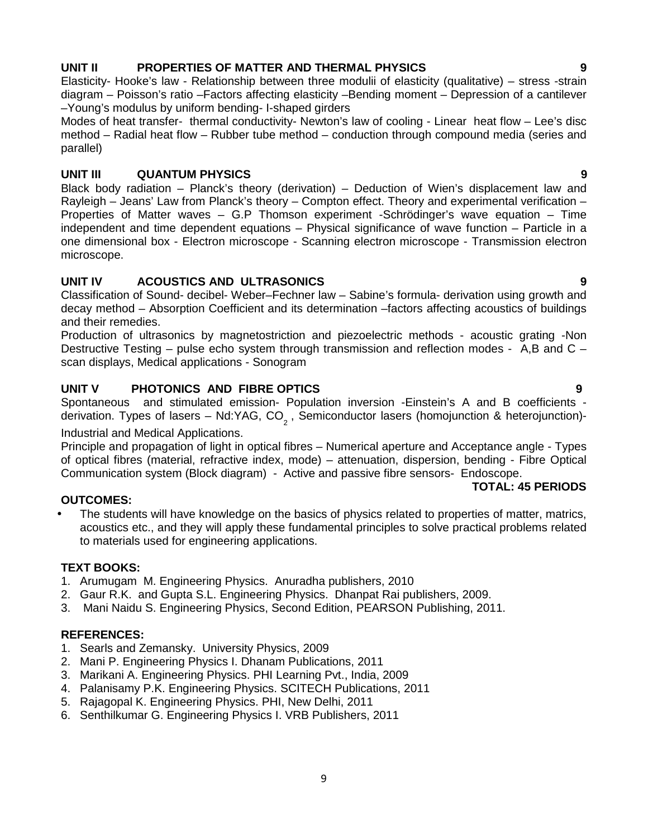### 9

### **UNIT II PROPERTIES OF MATTER AND THERMAL PHYSICS 9**

Elasticity- Hooke's law - Relationship between three modulii of elasticity (qualitative) – stress -strain diagram – Poisson's ratio –Factors affecting elasticity –Bending moment – Depression of a cantilever –Young's modulus by uniform bending- I-shaped girders

Modes of heat transfer- thermal conductivity- Newton's law of cooling - Linear heat flow – Lee's disc method – Radial heat flow – Rubber tube method – conduction through compound media (series and parallel)

### **UNIT III QUANTUM PHYSICS 9**

Black body radiation – Planck's theory (derivation) – Deduction of Wien's displacement law and Rayleigh – Jeans' Law from Planck's theory – Compton effect. Theory and experimental verification – Properties of Matter waves – G.P Thomson experiment -Schrödinger's wave equation – Time independent and time dependent equations – Physical significance of wave function – Particle in a one dimensional box - Electron microscope - Scanning electron microscope - Transmission electron microscope.

### **UNIT IV ACOUSTICS AND ULTRASONICS 9**

Classification of Sound- decibel- Weber–Fechner law – Sabine's formula- derivation using growth and decay method – Absorption Coefficient and its determination –factors affecting acoustics of buildings and their remedies.

Production of ultrasonics by magnetostriction and piezoelectric methods - acoustic grating -Non Destructive Testing – pulse echo system through transmission and reflection modes - A,B and C – scan displays, Medical applications - Sonogram

### **UNIT V PHOTONICS AND FIBRE OPTICS 9**

Spontaneous and stimulated emission- Population inversion -Einstein's A and B coefficients derivation. Types of lasers – Nd:YAG, CO<sub>2</sub>, Semiconductor lasers (homojunction & heterojunction)-

### Industrial and Medical Applications.

Principle and propagation of light in optical fibres – Numerical aperture and Acceptance angle - Types of optical fibres (material, refractive index, mode) – attenuation, dispersion, bending - Fibre Optical Communication system (Block diagram) - Active and passive fibre sensors- Endoscope.

### **OUTCOMES:**

 The students will have knowledge on the basics of physics related to properties of matter, matrics, acoustics etc., and they will apply these fundamental principles to solve practical problems related to materials used for engineering applications.

### **TEXT BOOKS:**

- 1. Arumugam M. Engineering Physics. Anuradha publishers, 2010
- 2. Gaur R.K. and Gupta S.L. Engineering Physics. Dhanpat Rai publishers, 2009.
- 3. Mani Naidu S. Engineering Physics, Second Edition, PEARSON Publishing, 2011.

### **REFERENCES:**

- 1. Searls and Zemansky. University Physics, 2009
- 2. Mani P. Engineering Physics I. Dhanam Publications, 2011
- 3. Marikani A. Engineering Physics. PHI Learning Pvt., India, 2009
- 4. Palanisamy P.K. Engineering Physics. SCITECH Publications, 2011
- 5. Rajagopal K. Engineering Physics. PHI, New Delhi, 2011
- 6. Senthilkumar G. Engineering Physics I. VRB Publishers, 2011

### **TOTAL: 45 PERIODS**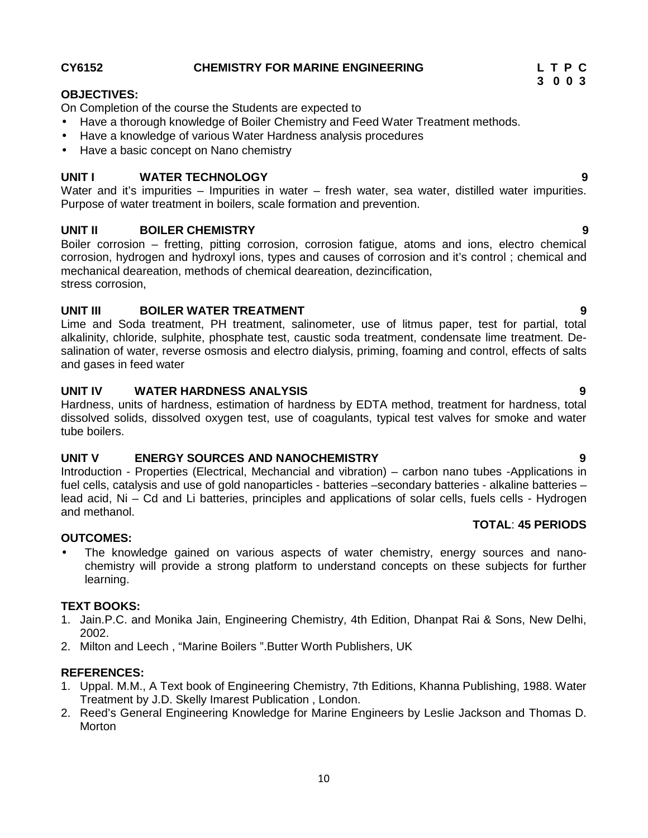### **UNIT II BOILER CHEMISTRY 9**

**UNIT I WATER TECHNOLOGY 9** Water and it's impurities – Impurities in water – fresh water, sea water, distilled water impurities.

Boiler corrosion – fretting, pitting corrosion, corrosion fatigue, atoms and ions, electro chemical corrosion, hydrogen and hydroxyl ions, types and causes of corrosion and it's control ; chemical and mechanical deareation, methods of chemical deareation, dezincification, stress corrosion,

### **UNIT III BOILER WATER TREATMENT 9**

• Have a basic concept on Nano chemistry

On Completion of the course the Students are expected to

• Have a knowledge of various Water Hardness analysis procedures

Purpose of water treatment in boilers, scale formation and prevention.

Lime and Soda treatment, PH treatment, salinometer, use of litmus paper, test for partial, total alkalinity, chloride, sulphite, phosphate test, caustic soda treatment, condensate lime treatment. De salination of water, reverse osmosis and electro dialysis, priming, foaming and control, effects of salts and gases in feed water

### **UNIT IV WATER HARDNESS ANALYSIS 9**

Hardness, units of hardness, estimation of hardness by EDTA method, treatment for hardness, total dissolved solids, dissolved oxygen test, use of coagulants, typical test valves for smoke and water tube boilers.

# **UNIT V ENERGY SOURCES AND NANOCHEMISTRY 9**

Introduction - Properties (Electrical, Mechancial and vibration) – carbon nano tubes -Applications in fuel cells, catalysis and use of gold nanoparticles - batteries –secondary batteries - alkaline batteries – lead acid, Ni – Cd and Li batteries, principles and applications of solar cells, fuels cells - Hydrogen and methanol.

### **OUTCOMES:**

 The knowledge gained on various aspects of water chemistry, energy sources and nano chemistry will provide a strong platform to understand concepts on these subjects for further learning.

### **TEXT BOOKS:**

- 1. Jain.P.C. and Monika Jain, Engineering Chemistry, 4th Edition, Dhanpat Rai & Sons, New Delhi, 2002.
- 2. Milton and Leech , "Marine Boilers ".Butter Worth Publishers, UK

### **REFERENCES:**

- 1. Uppal. M.M., A Text book of Engineering Chemistry, 7th Editions, Khanna Publishing, 1988. Water Treatment by J.D. Skelly Imarest Publication , London.
- 2. Reed's General Engineering Knowledge for Marine Engineers by Leslie Jackson and Thomas D. Morton

### **CY6152 CHEMISTRY FOR MARINE ENGINEERING L T P C**

Have a thorough knowledge of Boiler Chemistry and Feed Water Treatment methods.

**OBJECTIVES:**

**3 0 0 3**

**TOTAL**: **45 PERIODS**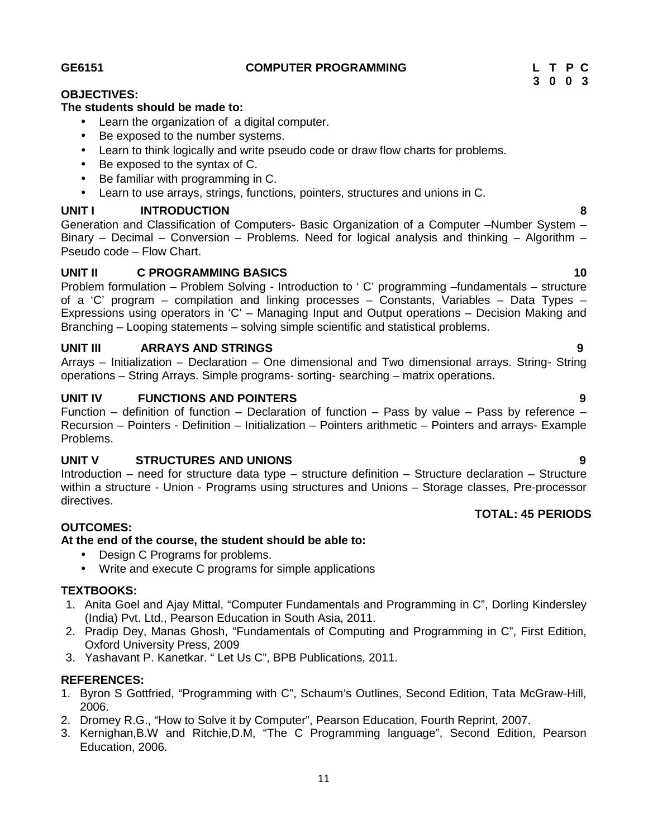**GE6151 COMPUTER PROGRAMMING L T P C**

# **OBJECTIVES:**

### **The students should be made to:**

- Learn the organization of a digital computer.
- Be exposed to the number systems.
- Learn to think logically and write pseudo code or draw flow charts for problems.
- Be exposed to the syntax of C.
- Be familiar with programming in C.
- Learn to use arrays, strings, functions, pointers, structures and unions in C.

## **UNIT I INTRODUCTION 8**

Generation and Classification of Computers- Basic Organization of a Computer –Number System – Binary – Decimal – Conversion – Problems. Need for logical analysis and thinking – Algorithm – Pseudo code – Flow Chart.

### **UNIT II C PROGRAMMING BASICS 10**

Problem formulation – Problem Solving - Introduction to ' C' programming –fundamentals – structure of a 'C' program – compilation and linking processes – Constants, Variables – Data Types – Expressions using operators in 'C' – Managing Input and Output operations – Decision Making and Branching – Looping statements – solving simple scientific and statistical problems.

### **UNIT III ARRAYS AND STRINGS 9**

Arrays – Initialization – Declaration – One dimensional and Two dimensional arrays. String- String operations – String Arrays. Simple programs- sorting- searching – matrix operations.

### **UNIT IV FUNCTIONS AND POINTERS 9**

Function – definition of function – Declaration of function – Pass by value – Pass by reference – Recursion – Pointers - Definition – Initialization – Pointers arithmetic – Pointers and arrays- Example Problems.

### **UNIT V STRUCTURES AND UNIONS 9**

Introduction – need for structure data type – structure definition – Structure declaration – Structure within a structure - Union - Programs using structures and Unions – Storage classes, Pre-processor directives. **TOTAL: 45 PERIODS**

### **OUTCOMES:**

### **At the end of the course, the student should be able to:**

- Design C Programs for problems.
- Write and execute C programs for simple applications

### **TEXTBOOKS:**

- 1. Anita Goel and Ajay Mittal, "Computer Fundamentals and Programming in C", Dorling Kindersley (India) Pvt. Ltd., Pearson Education in South Asia, 2011.
- 2. Pradip Dey, Manas Ghosh, "Fundamentals of Computing and Programming in C", First Edition, Oxford University Press, 2009
- 3. Yashavant P. Kanetkar. " Let Us C", BPB Publications, 2011.

### **REFERENCES:**

- 1. Byron S Gottfried, "Programming with C", Schaum's Outlines, Second Edition, Tata McGraw-Hill, 2006.
- 2. Dromey R.G., "How to Solve it by Computer", Pearson Education, Fourth Reprint, 2007.
- 3. Kernighan,B.W and Ritchie,D.M, "The C Programming language", Second Edition, Pearson Education, 2006.

# **3 0 0 3**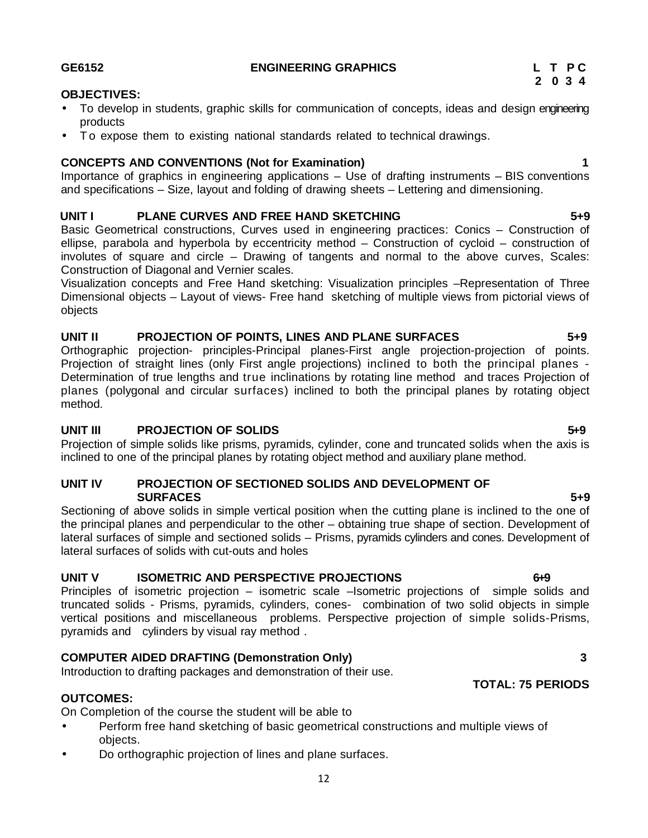# To develop in students, graphic skills for communication of concepts, ideas and design engineering products THERTIVES:<br>
• To develop in students, graphic skills for communication of concepts, ideas and design engineering<br>
• To expose them to existing national standards related to technical drawings.<br> **CONCEPTS AND CONVENTIONS (N**

Importance of graphics in engineering applications – Use of drafting instruments – BIS conventions and specifications – Size, layout and folding of drawing sheets – Lettering and dimensioning.

# **UNIT I PLANE CURVES AND FREE HAND SKETCHING 5+9**

Basic Geometrical constructions, Curves used in engineering practices: Conics – Construction of ellipse, parabola and hyperbola by eccentricity method – Construction of cycloid – construction of involutes of square and circle – Drawing of tangents and normal to the above curves, Scales: Construction of Diagonal and Vernier scales.

Visualization concepts and Free Hand sketching: Visualization principles –Representation of Three Dimensional objects – Layout of views- Free hand sketching of multiple views from pictorial views of objects

# **UNIT II PROJECTION OF POINTS, LINES AND PLANE SURFACES 5+9**

Orthographic projection- principles-Principal planes-First angle projection-projection of points. Projection of straight lines (only First angle projections) inclined to both the principal planes - Determination of true lengths and true inclinations by rotating line method and traces Projection of planes (polygonal and circular surfaces) inclined to both the principal planes by rotating object method.

# **UNIT III PROJECTION OF SOLIDS 5+9**

Projection of simple solids like prisms, pyramids, cylinder, cone and truncated solids when the axis is inclined to one of the principal planes by rotating object method and auxiliary plane method.

# **UNIT IV PROJECTION OF SECTIONED SOLIDS AND DEVELOPMENT OF SURFACES 5+9**

Sectioning of above solids in simple vertical position when the cutting plane is inclined to the one of the principal planes and perpendicular to the other – obtaining true shape of section. Development of lateral surfaces of simple and sectioned solids – Prisms, pyramids cylinders and cones. Development of lateral surfaces of solids with cut-outs and holes

# **UNIT V ISOMETRIC AND PERSPECTIVE PROJECTIONS 6+9**

Principles of isometric projection – isometric scale –Isometric projections of simple solids and truncated solids - Prisms, pyramids, cylinders, cones- combination of two solid objects in simple vertical positions and miscellaneous problems. Perspective projection of simple solids-Prisms, pyramids and cylinders by visual ray method .

# **COMPUTER AIDED DRAFTING (Demonstration Only) 3**

Introduction to drafting packages and demonstration of their use.

# **OUTCOMES:**

On Completion of the course the student will be able to

- Perform free hand sketching of basic geometrical constructions and multiple views of objects.
- Do orthographic projection of lines and plane surfaces.

**OBJECTIVES:**

# **TOTAL: 75 PERIODS**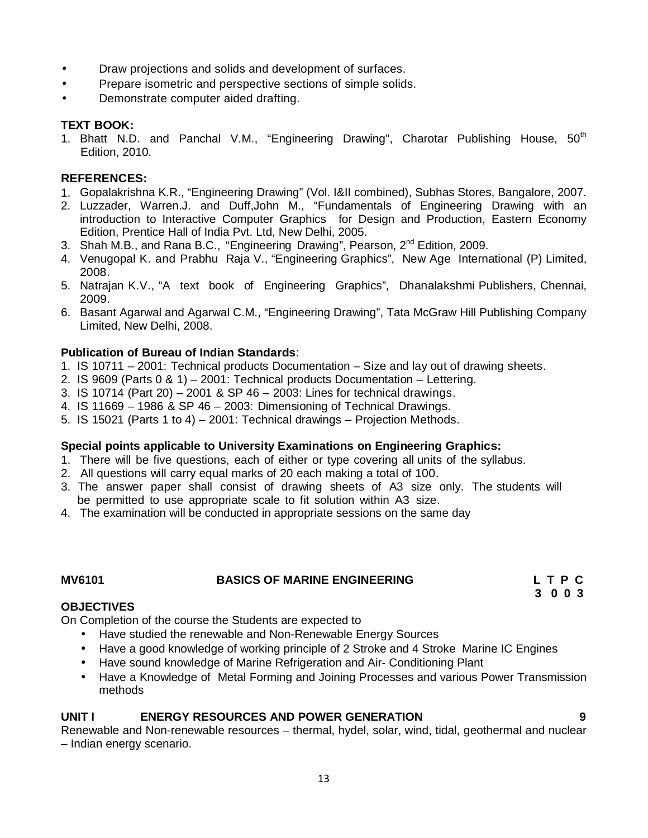- Draw projections and solids and development of surfaces.
- Prepare isometric and perspective sections of simple solids.
- Demonstrate computer aided drafting.

### **TEXT BOOK:**

1. Bhatt N.D. and Panchal V.M., "Engineering Drawing", Charotar Publishing House, 50<sup>th</sup> Edition, 2010.

### **REFERENCES:**

- 1. Gopalakrishna K.R., "Engineering Drawing" (Vol. I&II combined), Subhas Stores, Bangalore, 2007.
- 2. Luzzader, Warren.J. and Duff,John M., "Fundamentals of Engineering Drawing with an introduction to Interactive Computer Graphics for Design and Production, Eastern Economy Edition, Prentice Hall of India Pvt. Ltd, New Delhi, 2005.
- 3. Shah M.B., and Rana B.C., "Engineering Drawing", Pearson, 2<sup>nd</sup> Edition, 2009.
- 4. Venugopal K. and Prabhu Raja V., "Engineering Graphics", New Age International (P) Limited, 2008.
- 5. Natrajan K.V., "A text book of Engineering Graphics", Dhanalakshmi Publishers, Chennai, 2009.
- 6. Basant Agarwal and Agarwal C.M., "Engineering Drawing", Tata McGraw Hill Publishing Company Limited, New Delhi, 2008.

### **Publication of Bureau of Indian Standards**:

- 1. IS 10711 2001: Technical products Documentation Size and lay out of drawing sheets.
- 2. IS 9609 (Parts 0 & 1) 2001: Technical products Documentation Lettering.
- 3. IS 10714 (Part 20) 2001 & SP 46 2003: Lines for technical drawings.
- 4. IS 11669 1986 & SP 46 2003: Dimensioning of Technical Drawings.
- 5. IS 15021 (Parts 1 to 4) 2001: Technical drawings Projection Methods.

### **Special points applicable to University Examinations on Engineering Graphics:**

- 1. There will be five questions, each of either or type covering all units of the syllabus.
- 2. All questions will carry equal marks of 20 each making a total of 100.
- 3. The answer paper shall consist of drawing sheets of A3 size only. The students will be permitted to use appropriate scale to fit solution within A3 size.
- 4. The examination will be conducted in appropriate sessions on the same day

### **MV6101 BASICS OF MARINE ENGINEERING L T P C**

**3 0 0 3**

### **OBJECTIVES**

On Completion of the course the Students are expected to

- Have studied the renewable and Non-Renewable Energy Sources
- Have a good knowledge of working principle of 2 Stroke and 4 Stroke Marine IC Engines
- Have sound knowledge of Marine Refrigeration and Air- Conditioning Plant
- Have a Knowledge of Metal Forming and Joining Processes and various Power Transmission methods

### **UNIT I ENERGY RESOURCES AND POWER GENERATION 9**

Renewable and Non-renewable resources – thermal, hydel, solar, wind, tidal, geothermal and nuclear – Indian energy scenario.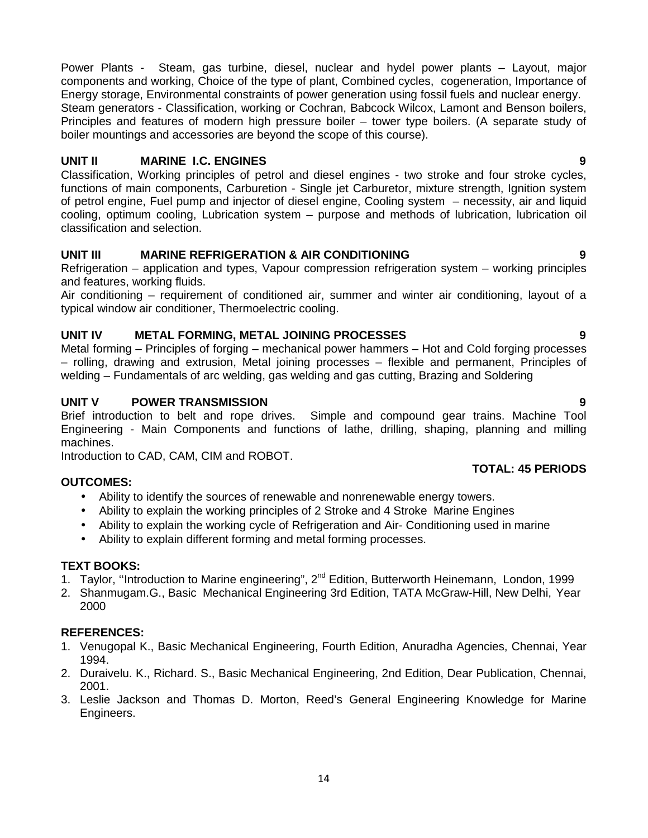Power Plants - Steam, gas turbine, diesel, nuclear and hydel power plants – Layout, major components and working, Choice of the type of plant, Combined cycles, cogeneration, Importance of Energy storage, Environmental constraints of power generation using fossil fuels and nuclear energy. Steam generators - Classification, working or Cochran, Babcock Wilcox, Lamont and Benson boilers, Principles and features of modern high pressure boiler – tower type boilers. (A separate study of boiler mountings and accessories are beyond the scope of this course).

# **UNIT II MARINE I.C. ENGINES 9**

Classification, Working principles of petrol and diesel engines - two stroke and four stroke cycles, functions of main components, Carburetion - Single jet Carburetor, mixture strength, Ignition system of petrol engine, Fuel pump and injector of diesel engine, Cooling system – necessity, air and liquid cooling, optimum cooling, Lubrication system – purpose and methods of lubrication, lubrication oil classification and selection.

# **UNIT III MARINE REFRIGERATION & AIR CONDITIONING 9**

Refrigeration – application and types, Vapour compression refrigeration system – working principles and features, working fluids.

Air conditioning – requirement of conditioned air, summer and winter air conditioning, layout of a typical window air conditioner, Thermoelectric cooling.

# **UNIT IV METAL FORMING, METAL JOINING PROCESSES 9**

Metal forming – Principles of forging – mechanical power hammers – Hot and Cold forging processes – rolling, drawing and extrusion, Metal joining processes – flexible and permanent, Principles of welding – Fundamentals of arc welding, gas welding and gas cutting, Brazing and Soldering

# **UNIT V POWER TRANSMISSION 9**

Brief introduction to belt and rope drives. Simple and compound gear trains. Machine Tool Engineering - Main Components and functions of lathe, drilling, shaping, planning and milling machines.

Introduction to CAD, CAM, CIM and ROBOT.

# **OUTCOMES:**

- Ability to identify the sources of renewable and nonrenewable energy towers.
- Ability to explain the working principles of 2 Stroke and 4 Stroke Marine Engines
- Ability to explain the working cycle of Refrigeration and Air- Conditioning used in marine
- Ability to explain different forming and metal forming processes.

# **TEXT BOOKS:**

- 1. Taylor, "Introduction to Marine engineering", 2<sup>nd</sup> Edition, Butterworth Heinemann, London, 1999
- 2. Shanmugam.G., Basic Mechanical Engineering 3rd Edition, TATA McGraw-Hill, New Delhi, Year 2000

# **REFERENCES:**

- 1. Venugopal K., Basic Mechanical Engineering, Fourth Edition, Anuradha Agencies, Chennai, Year 1994.
- 2. Duraivelu. K., Richard. S., Basic Mechanical Engineering, 2nd Edition, Dear Publication, Chennai, 2001.
- 3. Leslie Jackson and Thomas D. Morton, Reed's General Engineering Knowledge for Marine Engineers.

### **TOTAL: 45 PERIODS**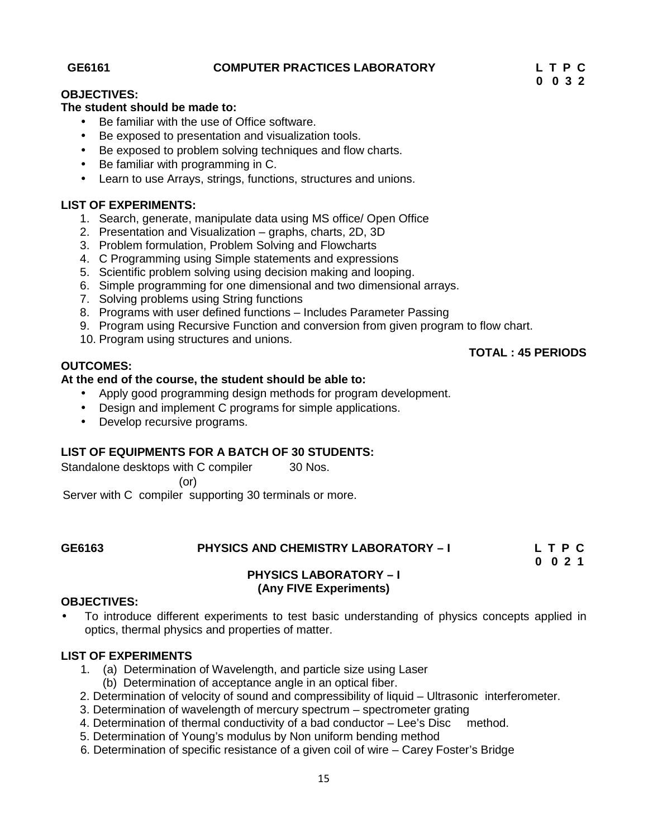### **GE6161 COMPUTER PRACTICES LABORATORY L T P C**

# **0 0 3 2**

### **OBJECTIVES:**

### **The student should be made to:**

- Be familiar with the use of Office software.
- Be exposed to presentation and visualization tools.
- Be exposed to problem solving techniques and flow charts.
- Be familiar with programming in C.
- Learn to use Arrays, strings, functions, structures and unions.

### **LIST OF EXPERIMENTS:**

- 1. Search, generate, manipulate data using MS office/ Open Office
- 2. Presentation and Visualization graphs, charts, 2D, 3D
- 3. Problem formulation, Problem Solving and Flowcharts
- 4. C Programming using Simple statements and expressions
- 5. Scientific problem solving using decision making and looping.
- 6. Simple programming for one dimensional and two dimensional arrays.
- 7. Solving problems using String functions
- 8. Programs with user defined functions Includes Parameter Passing
- 9. Program using Recursive Function and conversion from given program to flow chart.
- 10. Program using structures and unions.

### **OUTCOMES:**

# **At the end of the course, the student should be able to:**

- Apply good programming design methods for program development.
- Design and implement C programs for simple applications.
- Develop recursive programs.

### **LIST OF EQUIPMENTS FOR A BATCH OF 30 STUDENTS:**

Standalone desktops with C compiler 30 Nos.

(or)

Server with C compiler supporting 30 terminals or more.

### **GE6163 PHYSICS AND CHEMISTRY LABORATORY –I L T P C**

**0 0 2 1**

**TOTAL : 45 PERIODS**

### **PHYSICS LABORATORY –I (Any FIVE Experiments)**

### **OBJECTIVES:**

 To introduce different experiments to test basic understanding of physics concepts applied in optics, thermal physics and properties of matter.

### **LIST OF EXPERIMENTS**

- 1. (a) Determination of Wavelength, and particle size using Laser (b) Determination of acceptance angle in an optical fiber.
- 2. Determination of velocity of sound and compressibility of liquid Ultrasonic interferometer.
- 3. Determination of wavelength of mercury spectrum spectrometer grating
- 4. Determination of thermal conductivity of a bad conductor Lee's Disc method.
- 5. Determination of Young's modulus by Non uniform bending method
- 6. Determination of specific resistance of a given coil of wire Carey Foster's Bridge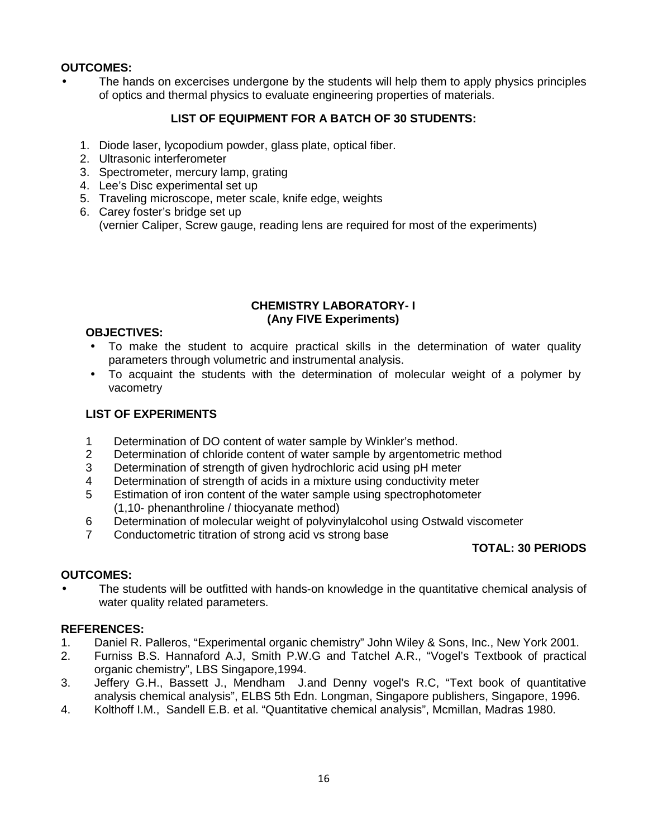### **OUTCOMES:**

 The hands on excercises undergone by the students will help them to apply physics principles of optics and thermal physics to evaluate engineering properties of materials.

# **LIST OF EQUIPMENT FOR A BATCH OF 30 STUDENTS:**

- 1. Diode laser, lycopodium powder, glass plate, optical fiber.
- 2. Ultrasonic interferometer
- 3. Spectrometer, mercury lamp, grating
- 4. Lee's Disc experimental set up
- 5. Traveling microscope, meter scale, knife edge, weights
- 6. Carey foster's bridge set up (vernier Caliper, Screw gauge, reading lens are required for most of the experiments)

### **CHEMISTRY LABORATORY- I (Any FIVE Experiments)**

### **OBJECTIVES:**

- To make the student to acquire practical skills in the determination of water quality parameters through volumetric and instrumental analysis.
- To acquaint the students with the determination of molecular weight of a polymer by vacometry

### **LIST OF EXPERIMENTS**

- 1 Determination of DO content of water sample by Winkler's method.
- 2 Determination of chloride content of water sample by argentometric method
- 3 Determination of strength of given hydrochloric acid using pH meter
- 4 Determination of strength of acids in a mixture using conductivity meter
- 5 Estimation of iron content of the water sample using spectrophotometer (1,10- phenanthroline / thiocyanate method)
- 6 Determination of molecular weight of polyvinylalcohol using Ostwald viscometer
- 7 Conductometric titration of strong acid vs strong base

# **TOTAL: 30 PERIODS**

# **OUTCOMES:**

 The students will be outfitted with hands-on knowledge in the quantitative chemical analysis of water quality related parameters.

### **REFERENCES:**

- 1. Daniel R. Palleros, "Experimental organic chemistry" John Wiley & Sons, Inc., New York 2001.
- 2. Furniss B.S. Hannaford A.J, Smith P.W.G and Tatchel A.R., "Vogel's Textbook of practical organic chemistry", LBS Singapore,1994.
- 3. Jeffery G.H., Bassett J., Mendham J.and Denny vogel's R.C, "Text book of quantitative analysis chemical analysis", ELBS 5th Edn. Longman, Singapore publishers, Singapore, 1996.
- 4. Kolthoff I.M., Sandell E.B. et al. "Quantitative chemical analysis", Mcmillan, Madras 1980.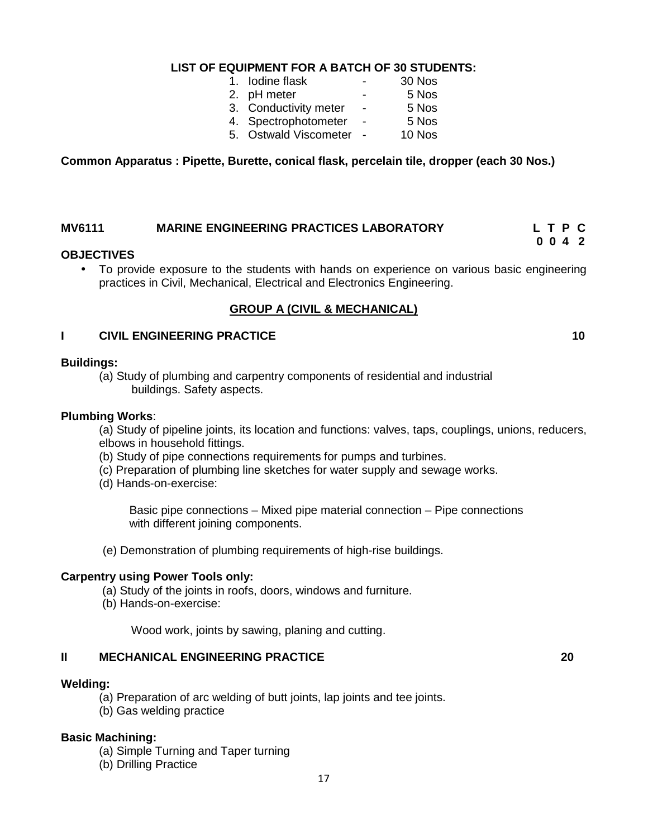# **LIST OF EQUIPMENT FOR A BATCH OF 30 STUDENTS:**

- 1. Iodine flask -
- 2. pH meter  $-$  5 Nos<br>3. Conductivity meter  $-$  5 Nos
- 3. Conductivity meter 5 Nos<br>4. Spectrophotometer 5 Nos
- 4. Spectrophotometer -
- 5. Ostwald Viscometer 10 Nos

**Common Apparatus : Pipette, Burette, conical flask, percelain tile, dropper (each 30 Nos.)**

### **MV6111 MARINE ENGINEERING PRACTICES LABORATORY L T P C 0 0 4 2**

### **OBJECTIVES**

 To provide exposure to the students with hands on experience on various basic engineering practices in Civil, Mechanical, Electrical and Electronics Engineering.

### **GROUP A (CIVIL & MECHANICAL)**

### **I CIVIL ENGINEERING PRACTICE 10**

**Buildings:**

(a) Study of plumbing and carpentry components of residential and industrial buildings. Safety aspects.

### **Plumbing Works**:

(a) Study of pipeline joints, its location and functions: valves, taps, couplings, unions, reducers, elbows in household fittings.

- (b) Study of pipe connections requirements for pumps and turbines.
- (c) Preparation of plumbing line sketches for water supply and sewage works.
- (d) Hands-on-exercise:

Basic pipe connections – Mixed pipe material connection – Pipe connections with different joining components.

(e) Demonstration of plumbing requirements of high-rise buildings.

### **Carpentry using Power Tools only:**

(a) Study of the joints in roofs, doors, windows and furniture.

(b) Hands-on-exercise:

Wood work, joints by sawing, planing and cutting.

### **II MECHANICAL ENGINEERING PRACTICE 20**

### **Welding:**

- (a) Preparation of arc welding of butt joints, lap joints and tee joints.
- (b) Gas welding practice

### **Basic Machining:**

- (a) Simple Turning and Taper turning
- (b) Drilling Practice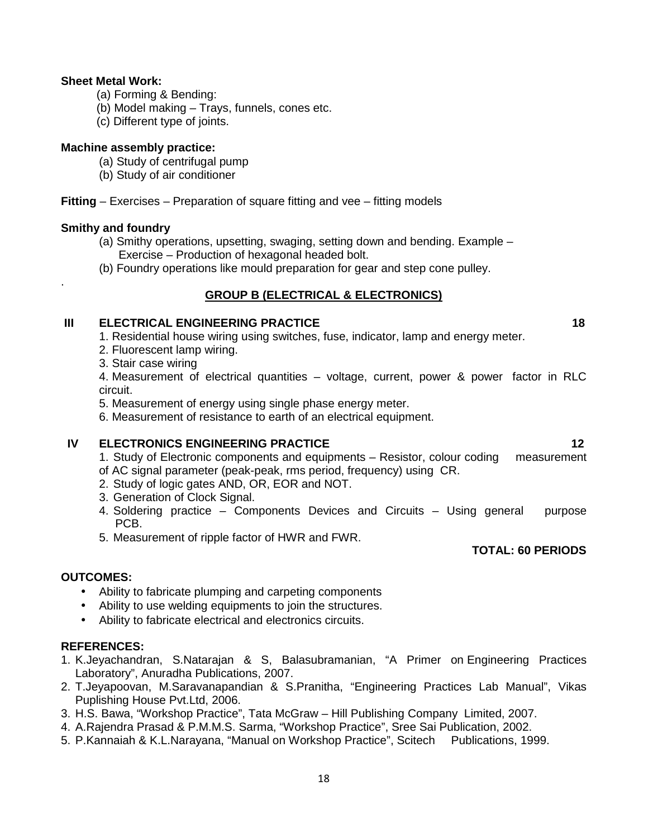### **Sheet Metal Work:**

- (a) Forming & Bending:
- (b) Model making Trays, funnels, cones etc.
- (c) Different type of joints.

### **Machine assembly practice:**

- (a) Study of centrifugal pump
- (b) Study of air conditioner

**Fitting** – Exercises – Preparation of square fitting and vee – fitting models

### **Smithy and foundry**

.

- (a) Smithy operations, upsetting, swaging, setting down and bending. Example Exercise – Production of hexagonal headed bolt.
- (b) Foundry operations like mould preparation for gear and step cone pulley.

### **GROUP B (ELECTRICAL & ELECTRONICS)**

### **III ELECTRICAL ENGINEERING PRACTICE 18**

- 1. Residential house wiring using switches, fuse, indicator, lamp and energy meter.
- 2. Fluorescent lamp wiring.
- 3. Stair case wiring

4. Measurement of electrical quantities – voltage, current, power & power factor in RLC circuit.

5. Measurement of energy using single phase energy meter.

6. Measurement of resistance to earth of an electrical equipment.

### **IV ELECTRONICS ENGINEERING PRACTICE 12**

- 1. Study of Electronic components and equipments Resistor, colour coding measurement
- of AC signal parameter (peak-peak, rms period, frequency) using CR.
- 2. Study of logic gates AND, OR, EOR and NOT.
- 3. Generation of Clock Signal.
- 4. Soldering practice Components Devices and Circuits Using general purpose PCB.
- 5. Measurement of ripple factor of HWR and FWR.

### **TOTAL: 60 PERIODS**

### **OUTCOMES:**

- Ability to fabricate plumping and carpeting components
- Ability to use welding equipments to join the structures.
- Ability to fabricate electrical and electronics circuits.

### **REFERENCES:**

- 1. K.Jeyachandran, S.Natarajan & S, Balasubramanian, "A Primer on Engineering Practices Laboratory", Anuradha Publications, 2007.
- 2. T.Jeyapoovan, M.Saravanapandian & S.Pranitha, "Engineering Practices Lab Manual", Vikas Puplishing House Pvt.Ltd, 2006.
- 3. H.S. Bawa, "Workshop Practice", Tata McGraw Hill Publishing Company Limited, 2007.
- 4. A.Rajendra Prasad & P.M.M.S. Sarma, "Workshop Practice", Sree Sai Publication, 2002.
- 5. P.Kannaiah & K.L.Narayana, "Manual on Workshop Practice", Scitech Publications, 1999.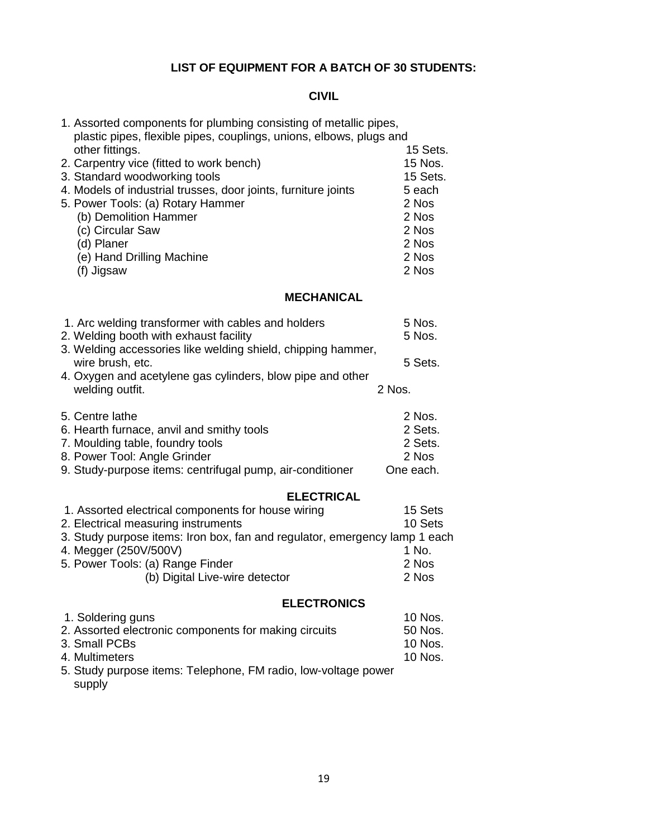# **LIST OF EQUIPMENT FOR A BATCH OF 30 STUDENTS:**

# **CIVIL**

| 1. Assorted components for plumbing consisting of metallic pipes,<br>plastic pipes, flexible pipes, couplings, unions, elbows, plugs and |           |
|------------------------------------------------------------------------------------------------------------------------------------------|-----------|
| other fittings.                                                                                                                          | 15 Sets.  |
| 2. Carpentry vice (fitted to work bench)                                                                                                 | 15 Nos.   |
| 3. Standard woodworking tools                                                                                                            | 15 Sets.  |
| 4. Models of industrial trusses, door joints, furniture joints                                                                           | 5 each    |
| 5. Power Tools: (a) Rotary Hammer                                                                                                        | 2 Nos     |
| (b) Demolition Hammer                                                                                                                    | 2 Nos     |
| (c) Circular Saw                                                                                                                         | 2 Nos     |
| (d) Planer                                                                                                                               | 2 Nos     |
| (e) Hand Drilling Machine                                                                                                                | 2 Nos     |
| (f) Jigsaw                                                                                                                               | 2 Nos     |
| <b>MECHANICAL</b>                                                                                                                        |           |
| 1. Arc welding transformer with cables and holders                                                                                       | 5 Nos.    |
| 2. Welding booth with exhaust facility                                                                                                   | 5 Nos.    |
| 3. Welding accessories like welding shield, chipping hammer,                                                                             |           |
| wire brush, etc.                                                                                                                         | 5 Sets.   |
| 4. Oxygen and acetylene gas cylinders, blow pipe and other                                                                               |           |
| welding outfit.                                                                                                                          | 2 Nos.    |
| 5. Centre lathe                                                                                                                          | 2 Nos.    |
| 6. Hearth furnace, anvil and smithy tools                                                                                                | 2 Sets.   |
| 7. Moulding table, foundry tools                                                                                                         | 2 Sets.   |
| 8. Power Tool: Angle Grinder                                                                                                             | 2 Nos     |
| 9. Study-purpose items: centrifugal pump, air-conditioner                                                                                | One each. |
| <b>ELECTRICAL</b>                                                                                                                        |           |
| 1. Assorted electrical components for house wiring                                                                                       | 15 Sets   |
| 2. Electrical measuring instruments                                                                                                      | 10 Sets   |
| 3. Study purpose items: Iron box, fan and regulator, emergency lamp 1 each                                                               |           |
| 4. Megger (250V/500V)                                                                                                                    | 1 No.     |
| 5. Power Tools: (a) Range Finder                                                                                                         | 2 Nos     |
| (b) Digital Live-wire detector                                                                                                           | 2 Nos     |
| <b>ELECTRONICS</b>                                                                                                                       |           |
| 1. Soldering guns                                                                                                                        | 10 Nos.   |
| 2. Assorted electronic components for making circuits                                                                                    | 50 Nos.   |
| 3. Small PCBs                                                                                                                            | 10 Nos.   |
| 4. Multimeters                                                                                                                           | 10 Nos.   |
| 5. Study purpose items: Telephone, FM radio, low-voltage power<br>supply                                                                 |           |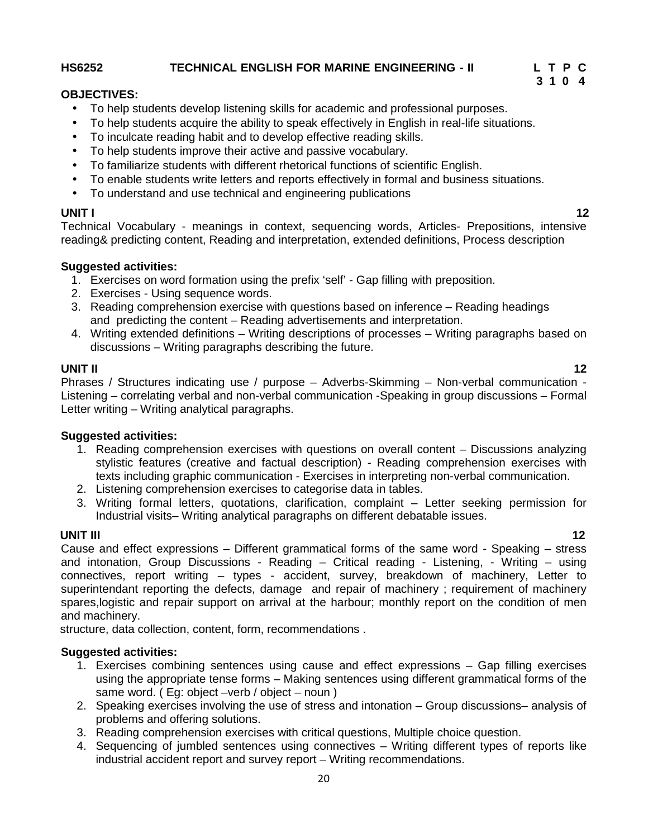### **HS6252 TECHNICAL ENGLISH FOR MARINE ENGINEERING - II L T P C**

### **OBJECTIVES:**

- To help students develop listening skills for academic and professional purposes.
- To help students acquire the ability to speak effectively in English in real-life situations.
- To inculcate reading habit and to develop effective reading skills.
- To help students improve their active and passive vocabulary.
- To familiarize students with different rhetorical functions of scientific English.
- To enable students write letters and reports effectively in formal and business situations.
- To understand and use technical and engineering publications

# **UNIT I 12**

**3 1 0 4**

Technical Vocabulary - meanings in context, sequencing words, Articles- Prepositions, intensive reading& predicting content, Reading and interpretation, extended definitions, Process description

### **Suggested activities:**

- 1. Exercises on word formation using the prefix 'self' Gap filling with preposition.
- 2. Exercises Using sequence words.
- 3. Reading comprehension exercise with questions based on inference Reading headings and predicting the content – Reading advertisements and interpretation.
- 4. Writing extended definitions Writing descriptions of processes Writing paragraphs based on discussions – Writing paragraphs describing the future.

### **UNIT II 12**

Phrases / Structures indicating use / purpose – Adverbs-Skimming – Non-verbal communication - Listening – correlating verbal and non-verbal communication -Speaking in group discussions – Formal Letter writing – Writing analytical paragraphs.

### **Suggested activities:**

- 1. Reading comprehension exercises with questions on overall content Discussions analyzing stylistic features (creative and factual description) - Reading comprehension exercises with texts including graphic communication - Exercises in interpreting non-verbal communication.
- 2. Listening comprehension exercises to categorise data in tables.
- 3. Writing formal letters, quotations, clarification, complaint Letter seeking permission for Industrial visits– Writing analytical paragraphs on different debatable issues.

**UNIT III 12** Cause and effect expressions – Different grammatical forms of the same word - Speaking – stress and intonation, Group Discussions - Reading – Critical reading - Listening, - Writing – using connectives, report writing – types - accident, survey, breakdown of machinery, Letter to superintendant reporting the defects, damage and repair of machinery ; requirement of machinery spares,logistic and repair support on arrival at the harbour; monthly report on the condition of men and machinery.

structure, data collection, content, form, recommendations .

### **Suggested activities:**

- 1. Exercises combining sentences using cause and effect expressions Gap filling exercises using the appropriate tense forms – Making sentences using different grammatical forms of the same word. ( Eg: object –verb / object – noun )
- 2. Speaking exercises involving the use of stress and intonation Group discussions– analysis of problems and offering solutions.
- 3. Reading comprehension exercises with critical questions, Multiple choice question.
- 4. Sequencing of jumbled sentences using connectives Writing different types of reports like industrial accident report and survey report – Writing recommendations.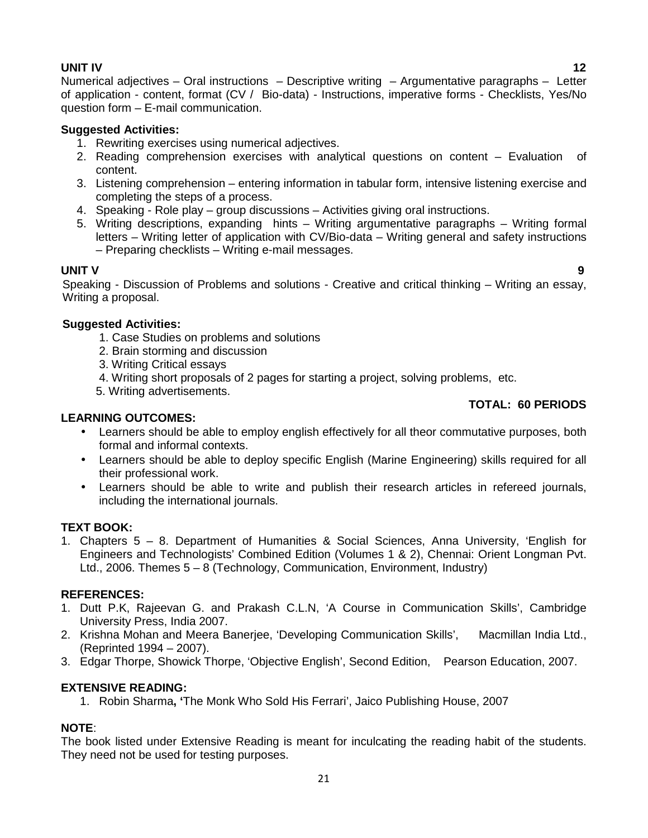**UNIT IV 12** Numerical adjectives – Oral instructions – Descriptive writing – Argumentative paragraphs – Letter of application - content, format (CV / Bio-data) - Instructions, imperative forms - Checklists, Yes/No question form – E-mail communication.

### **Suggested Activities:**

- 1. Rewriting exercises using numerical adjectives.
- 2. Reading comprehension exercises with analytical questions on content Evaluation of content.
- 3. Listening comprehension entering information in tabular form, intensive listening exercise and completing the steps of a process.
- 4. Speaking Role play group discussions Activities giving oral instructions.
- 5. Writing descriptions, expanding hints Writing argumentative paragraphs Writing formal letters – Writing letter of application with CV/Bio-data – Writing general and safety instructions – Preparing checklists – Writing e-mail messages.

**UNIT V 9** Speaking - Discussion of Problems and solutions - Creative and critical thinking – Writing an essay, Writing a proposal.

### **Suggested Activities:**

- 1. Case Studies on problems and solutions
- 2. Brain storming and discussion
- 3. Writing Critical essays
- 4. Writing short proposals of 2 pages for starting a project, solving problems, etc.
- 5. Writing advertisements.

# **TOTAL: 60 PERIODS**

### **LEARNING OUTCOMES:**

- Learners should be able to employ english effectively for all theor commutative purposes, both formal and informal contexts.
- Learners should be able to deploy specific English (Marine Engineering) skills required for all their professional work.
- Learners should be able to write and publish their research articles in refereed journals, including the international journals.

### **TEXT BOOK:**

1. Chapters 5 – 8. Department of Humanities & Social Sciences, Anna University, 'English for Engineers and Technologists' Combined Edition (Volumes 1 & 2), Chennai: Orient Longman Pvt. Ltd., 2006. Themes 5 – 8 (Technology, Communication, Environment, Industry)

### **REFERENCES:**

- 1. Dutt P.K, Rajeevan G. and Prakash C.L.N, 'A Course in Communication Skills', Cambridge University Press, India 2007.
- 2. Krishna Mohan and Meera Banerjee, 'Developing Communication Skills', Macmillan India Ltd., (Reprinted 1994 – 2007).
- 3. Edgar Thorpe, Showick Thorpe, 'Objective English', Second Edition, Pearson Education, 2007.

# **EXTENSIVE READING:**

1. Robin Sharma**, '**The Monk Who Sold His Ferrari', Jaico Publishing House, 2007

# **NOTE**:

The book listed under Extensive Reading is meant for inculcating the reading habit of the students. They need not be used for testing purposes.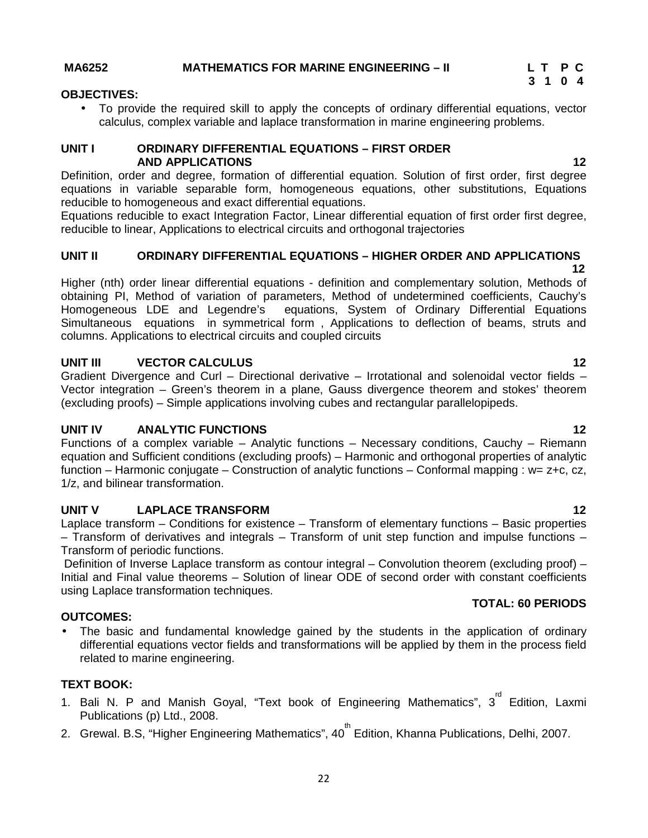To provide the required skill to apply the concepts of ordinary differential equations, vector calculus, complex variable and laplace transformation in marine engineering problems.

**AND APPLICATIONS 12**

Definition, order and degree, formation of differential equation. Solution of first order, first degree equations in variable separable form, homogeneous equations, other substitutions, Equations reducible to homogeneous and exact differential equations.

Equations reducible to exact Integration Factor, Linear differential equation of first order first degree, reducible to linear, Applications to electrical circuits and orthogonal trajectories

### **UNIT II ORDINARY DIFFERENTIAL EQUATIONS –HIGHER ORDER AND APPLICATIONS**

Higher (nth) order linear differential equations - definition and complementary solution, Methods of obtaining PI, Method of variation of parameters, Method of undetermined coefficients, Cauchy's Homogeneous LDE and Legendre's equations, System of Ordinary Differential Equations Simultaneous equations in symmetrical form , Applications to deflection of beams, struts and columns. Applications to electrical circuits and coupled circuits

### **UNIT III VECTOR CALCULUS 12**

Gradient Divergence and Curl – Directional derivative – Irrotational and solenoidal vector fields – Vector integration – Green's theorem in a plane, Gauss divergence theorem and stokes' theorem (excluding proofs) – Simple applications involving cubes and rectangular parallelopipeds.

### **UNIT IV ANALYTIC FUNCTIONS 12**

Functions of a complex variable – Analytic functions – Necessary conditions, Cauchy – Riemann equation and Sufficient conditions (excluding proofs) – Harmonic and orthogonal properties of analytic function – Harmonic conjugate – Construction of analytic functions – Conformal mapping : w= z+c, cz, 1/z, and bilinear transformation.

### **UNIT V LAPLACE TRANSFORM 12**

Laplace transform – Conditions for existence – Transform of elementary functions – Basic properties – Transform of derivatives and integrals – Transform of unit step function and impulse functions – Transform of periodic functions.

Definition of Inverse Laplace transform as contour integral – Convolution theorem (excluding proof) – Initial and Final value theorems – Solution of linear ODE of second order with constant coefficients using Laplace transformation techniques.

### **OUTCOMES:**

 The basic and fundamental knowledge gained by the students in the application of ordinary differential equations vector fields and transformations will be applied by them in the process field related to marine engineering.

### **TEXT BOOK:**

- 1. Bali N. P and Manish Goyal, "Text book of Engineering Mathematics", 3<sup>rd</sup> Edition, Laxmi Publications (p) Ltd., 2008.
- 2. Grewal. B.S, "Higher Engineering Mathematics", 40<sup>th</sup> Edition, Khanna Publications, Delhi, 2007.
	- 22

### **MA6252 MATHEMATICS FOR MARINE ENGINEERING – II L T P C**

**UNIT I ORDINARY DIFFERENTIAL EQUATIONS –FIRST ORDER**

**OBJECTIVES:**

**TOTAL: 60 PERIODS**

# **12**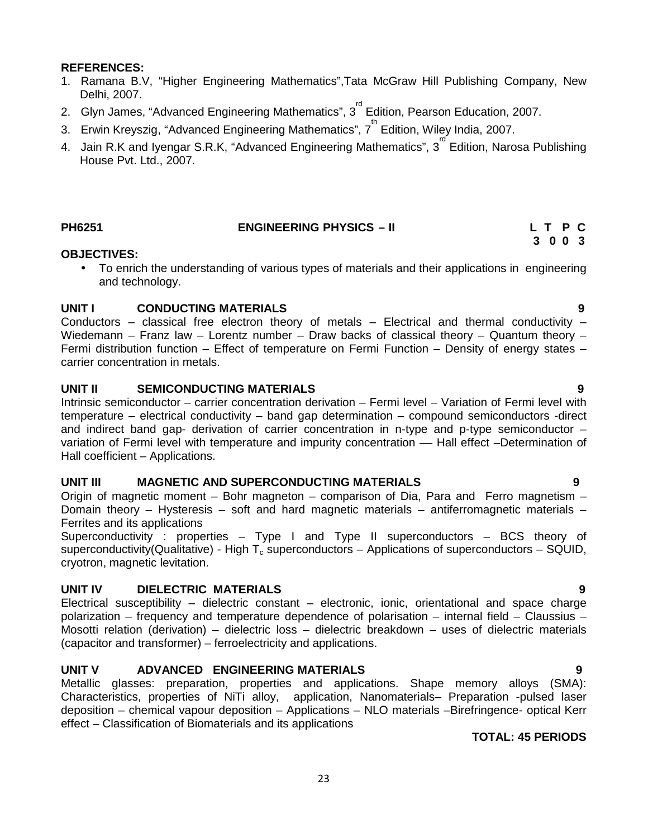### **REFERENCES:**

- 1. Ramana B.V, "Higher Engineering Mathematics",Tata McGraw Hill Publishing Company, New Delhi, 2007.
- 2. Glyn James, "Advanced Engineering Mathematics", 3<sup>rd</sup> Edition, Pearson Education, 2007.
- 3. Erwin Kreyszig, "Advanced Engineering Mathematics",  $7^{\mathsf{th}}$  Edition, Wiley India, 2007.
- 4. Jain R.K and Iyengar S.R.K, "Advanced Engineering Mathematics", 3<sup>rd</sup> Edition, Narosa Publishing House Pvt. Ltd., 2007.

### **PH6251 ENGINEERING PHYSICS – II L T P C**

# **3 0 0 3**

### **OBJECTIVES:**

 To enrich the understanding of various types of materials and their applications in engineering and technology.

### **UNIT I CONDUCTING MATERIALS 9**

Conductors – classical free electron theory of metals – Electrical and thermal conductivity – Wiedemann – Franz law – Lorentz number – Draw backs of classical theory – Quantum theory – Fermi distribution function – Effect of temperature on Fermi Function – Density of energy states – carrier concentration in metals.

### **UNIT II SEMICONDUCTING MATERIALS 9**

Intrinsic semiconductor – carrier concentration derivation – Fermi level – Variation of Fermi level with temperature – electrical conductivity – band gap determination – compound semiconductors -direct and indirect band gap- derivation of carrier concentration in n-type and p-type semiconductor – variation of Fermi level with temperature and impurity concentration –– Hall effect –Determination of Hall coefficient – Applications.

### **UNIT III MAGNETIC AND SUPERCONDUCTING MATERIALS 9**

Origin of magnetic moment – Bohr magneton – comparison of Dia, Para and Ferro magnetism – Domain theory – Hysteresis – soft and hard magnetic materials – antiferromagnetic materials – Ferrites and its applications

Superconductivity : properties – Type I and Type II superconductors – BCS theory of superconductivity(Qualitative) - High  $T_c$  superconductors – Applications of superconductors – SQUID, cryotron, magnetic levitation.

# **UNIT IV DIELECTRIC MATERIALS 9**

Electrical susceptibility – dielectric constant – electronic, ionic, orientational and space charge polarization – frequency and temperature dependence of polarisation – internal field – Claussius – Mosotti relation (derivation) – dielectric loss – dielectric breakdown – uses of dielectric materials (capacitor and transformer) – ferroelectricity and applications.

# **UNIT V ADVANCED ENGINEERING MATERIALS 9**

Metallic glasses: preparation, properties and applications. Shape memory alloys (SMA): Characteristics, properties of NiTi alloy, application, Nanomaterials– Preparation -pulsed laser deposition – chemical vapour deposition – Applications – NLO materials –Birefringence- optical Kerr effect – Classification of Biomaterials and its applications

### **TOTAL: 45 PERIODS**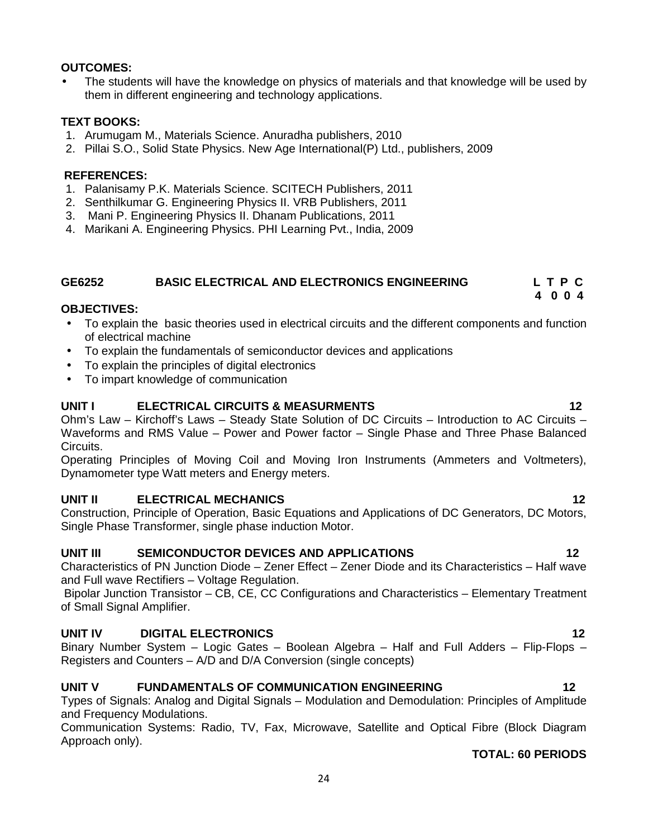### **OUTCOMES:**

 The students will have the knowledge on physics of materials and that knowledge will be used by them in different engineering and technology applications.

### **TEXT BOOKS:**

- 1. Arumugam M., Materials Science. Anuradha publishers, 2010
- 2. Pillai S.O., Solid State Physics. New Age International(P) Ltd., publishers, 2009

### **REFERENCES:**

- 1. Palanisamy P.K. Materials Science. SCITECH Publishers, 2011
- 2. Senthilkumar G. Engineering Physics II. VRB Publishers, 2011
- 3. Mani P. Engineering Physics II. Dhanam Publications, 2011
- 4. Marikani A. Engineering Physics. PHI Learning Pvt., India, 2009

### **GE6252 BASIC ELECTRICAL AND ELECTRONICS ENGINEERING L T P C 4 0 0 4**

### **OBJECTIVES:**

- To explain the basic theories used in electrical circuits and the different components and function of electrical machine
- To explain the fundamentals of semiconductor devices and applications
- To explain the principles of digital electronics
- To impart knowledge of communication

### **UNIT I ELECTRICAL CIRCUITS & MEASURMENTS 12**

Ohm's Law – Kirchoff's Laws – Steady State Solution of DC Circuits – Introduction to AC Circuits – Waveforms and RMS Value – Power and Power factor – Single Phase and Three Phase Balanced Circuits.

Operating Principles of Moving Coil and Moving Iron Instruments (Ammeters and Voltmeters), Dynamometer type Watt meters and Energy meters.

### **UNIT II ELECTRICAL MECHANICS 12**

Construction, Principle of Operation, Basic Equations and Applications of DC Generators, DC Motors, Single Phase Transformer, single phase induction Motor.

### **UNIT III SEMICONDUCTOR DEVICES AND APPLICATIONS 12**

Characteristics of PN Junction Diode – Zener Effect – Zener Diode and its Characteristics – Half wave and Full wave Rectifiers – Voltage Regulation.

Bipolar Junction Transistor – CB, CE, CC Configurations and Characteristics – Elementary Treatment of Small Signal Amplifier.

### **UNIT IV DIGITAL ELECTRONICS 12**

Binary Number System – Logic Gates – Boolean Algebra – Half and Full Adders – Flip-Flops – Registers and Counters – A/D and D/A Conversion (single concepts)

### **UNIT V FUNDAMENTALS OF COMMUNICATION ENGINEERING 12**

Types of Signals: Analog and Digital Signals – Modulation and Demodulation: Principles of Amplitude and Frequency Modulations.

Communication Systems: Radio, TV, Fax, Microwave, Satellite and Optical Fibre (Block Diagram Approach only).

### **TOTAL: 60 PERIODS**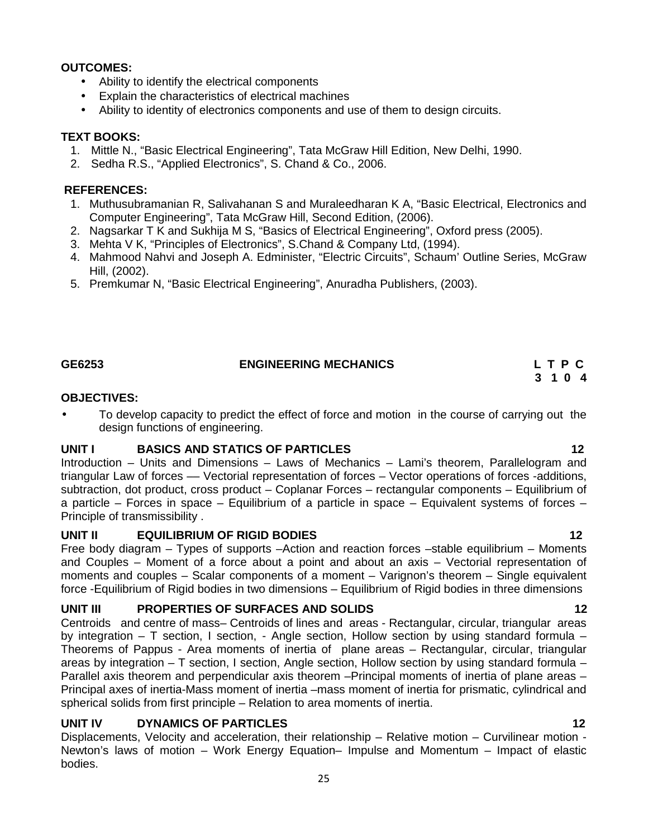### **OUTCOMES:**

- Ability to identify the electrical components
- Explain the characteristics of electrical machines
- Ability to identity of electronics components and use of them to design circuits.

### **TEXT BOOKS:**

- 1. Mittle N., "Basic Electrical Engineering", Tata McGraw Hill Edition, New Delhi, 1990.
- 2. Sedha R.S., "Applied Electronics", S. Chand & Co., 2006.

### **REFERENCES:**

- 1. Muthusubramanian R, Salivahanan S and Muraleedharan K A, "Basic Electrical, Electronics and Computer Engineering", Tata McGraw Hill, Second Edition, (2006).
- 2. Nagsarkar T K and Sukhija M S, "Basics of Electrical Engineering", Oxford press (2005).
- 3. Mehta V K, "Principles of Electronics", S.Chand & Company Ltd, (1994).
- 4. Mahmood Nahvi and Joseph A. Edminister, "Electric Circuits", Schaum' Outline Series, McGraw Hill, (2002).
- 5. Premkumar N, "Basic Electrical Engineering", Anuradha Publishers, (2003).

### **GE6253 ENGINEERING MECHANICS L T P C**

# **3 1 0 4**

### **OBJECTIVES:**

 To develop capacity to predict the effect of force and motion in the course of carrying out the design functions of engineering.

### **UNIT I BASICS AND STATICS OF PARTICLES 12**

Introduction – Units and Dimensions – Laws of Mechanics – Lami's theorem, Parallelogram and triangular Law of forces –– Vectorial representation of forces – Vector operations of forces -additions, subtraction, dot product, cross product – Coplanar Forces – rectangular components – Equilibrium of a particle – Forces in space – Equilibrium of a particle in space – Equivalent systems of forces – Principle of transmissibility .

### **UNIT II EQUILIBRIUM OF RIGID BODIES 12**

Free body diagram – Types of supports –Action and reaction forces –stable equilibrium – Moments and Couples – Moment of a force about a point and about an axis – Vectorial representation of moments and couples – Scalar components of a moment – Varignon's theorem – Single equivalent force -Equilibrium of Rigid bodies in two dimensions – Equilibrium of Rigid bodies in three dimensions

### **UNIT III PROPERTIES OF SURFACES AND SOLIDS 12**

Centroids and centre of mass– Centroids of lines and areas - Rectangular, circular, triangular areas by integration – T section, I section, - Angle section, Hollow section by using standard formula – Theorems of Pappus - Area moments of inertia of plane areas – Rectangular, circular, triangular areas by integration – T section, I section, Angle section, Hollow section by using standard formula – Parallel axis theorem and perpendicular axis theorem –Principal moments of inertia of plane areas – Principal axes of inertia-Mass moment of inertia –mass moment of inertia for prismatic, cylindrical and spherical solids from first principle – Relation to area moments of inertia.

### **UNIT IV DYNAMICS OF PARTICLES 12**

Displacements, Velocity and acceleration, their relationship – Relative motion – Curvilinear motion - Newton's laws of motion – Work Energy Equation– Impulse and Momentum – Impact of elastic bodies.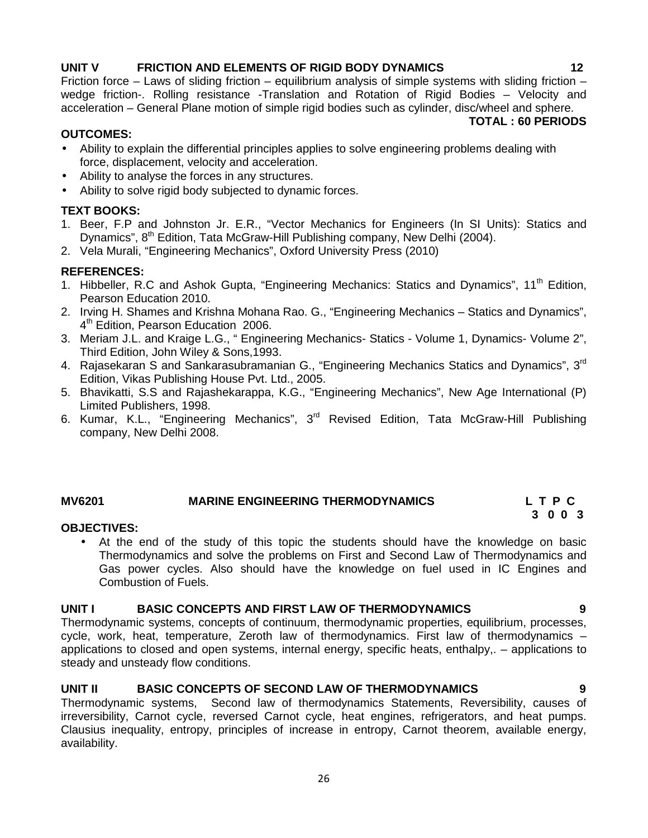# **UNIT V FRICTION AND ELEMENTS OF RIGID BODY DYNAMICS 12**

Friction force – Laws of sliding friction – equilibrium analysis of simple systems with sliding friction – wedge friction-. Rolling resistance -Translation and Rotation of Rigid Bodies – Velocity and acceleration – General Plane motion of simple rigid bodies such as cylinder, disc/wheel and sphere. **TOTAL : 60 PERIODS**

### **OUTCOMES:**

- Ability to explain the differential principles applies to solve engineering problems dealing with force, displacement, velocity and acceleration.
- Ability to analyse the forces in any structures.
- Ability to solve rigid body subjected to dynamic forces.

### **TEXT BOOKS:**

- 1. Beer, F.P and Johnston Jr. E.R., "Vector Mechanics for Engineers (In SI Units): Statics and Dynamics", 8<sup>th</sup> Edition, Tata McGraw-Hill Publishing company, New Delhi (2004).
- 2. Vela Murali, "Engineering Mechanics", Oxford University Press (2010)

# **REFERENCES:**

- 1. Hibbeller, R.C and Ashok Gupta, "Engineering Mechanics: Statics and Dynamics", 11<sup>th</sup> Edition, Pearson Education 2010.
- 2. Irving H. Shames and Krishna Mohana Rao. G., "Engineering Mechanics Statics and Dynamics", 4<sup>th</sup> Edition, Pearson Education 2006.
- 3. Meriam J.L. and Kraige L.G., " Engineering Mechanics- Statics Volume 1, Dynamics- Volume 2", Third Edition, John Wiley & Sons,1993.
- 4. Rajasekaran S and Sankarasubramanian G., "Engineering Mechanics Statics and Dynamics",  $3<sup>rd</sup>$ Edition, Vikas Publishing House Pvt. Ltd., 2005.
- 5. Bhavikatti, S.S and Rajashekarappa, K.G., "Engineering Mechanics", New Age International (P) Limited Publishers, 1998.
- 6. Kumar, K.L., "Engineering Mechanics", 3rd Revised Edition, Tata McGraw-Hill Publishing company, New Delhi 2008.

# **MV6201 MARINE ENGINEERING THERMODYNAMICS L T P C**

# **3 0 0 3**

# **OBJECTIVES:**

 At the end of the study of this topic the students should have the knowledge on basic Thermodynamics and solve the problems on First and Second Law of Thermodynamics and Gas power cycles. Also should have the knowledge on fuel used in IC Engines and Combustion of Fuels.

### **UNIT I BASIC CONCEPTS AND FIRST LAW OF THERMODYNAMICS 9**

Thermodynamic systems, concepts of continuum, thermodynamic properties, equilibrium, processes, cycle, work, heat, temperature, Zeroth law of thermodynamics. First law of thermodynamics – applications to closed and open systems, internal energy, specific heats, enthalpy,. – applications to steady and unsteady flow conditions.

### **UNIT II BASIC CONCEPTS OF SECOND LAW OF THERMODYNAMICS 9**

Thermodynamic systems, Second law of thermodynamics Statements, Reversibility, causes of irreversibility, Carnot cycle, reversed Carnot cycle, heat engines, refrigerators, and heat pumps. Clausius inequality, entropy, principles of increase in entropy, Carnot theorem, available energy, availability.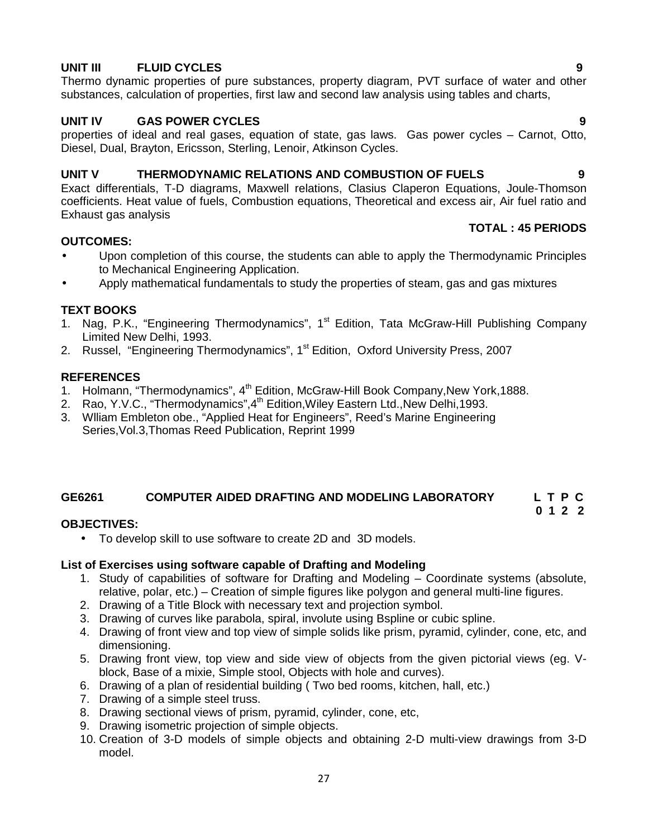# **UNIT III FLUID CYCLES 9**

Thermo dynamic properties of pure substances, property diagram, PVT surface of water and other substances, calculation of properties, first law and second law analysis using tables and charts,

# **UNIT IV GAS POWER CYCLES 9**

properties of ideal and real gases, equation of state, gas laws. Gas power cycles – Carnot, Otto, Diesel, Dual, Brayton, Ericsson, Sterling, Lenoir, Atkinson Cycles.

## **UNIT V THERMODYNAMIC RELATIONS AND COMBUSTION OF FUELS 9**

Exact differentials, T-D diagrams, Maxwell relations, Clasius Claperon Equations, Joule-Thomson coefficients. Heat value of fuels, Combustion equations, Theoretical and excess air, Air fuel ratio and Exhaust gas analysis

### **OUTCOMES:**

- Upon completion of this course, the students can able to apply the Thermodynamic Principles to Mechanical Engineering Application.
- Apply mathematical fundamentals to study the properties of steam, gas and gas mixtures

# **TEXT BOOKS**

- 1. Nag, P.K., "Engineering Thermodynamics", 1<sup>st</sup> Edition, Tata McGraw-Hill Publishing Company Limited New Delhi, 1993.
- 2. Russel, "Engineering Thermodynamics", 1<sup>st</sup> Edition, Oxford University Press, 2007

### **REFERENCES**

- 1. Holmann, "Thermodynamics", 4<sup>th</sup> Edition, McGraw-Hill Book Company, New York, 1888.
- 2. Rao, Y.V.C., "Thermodynamics", 4<sup>th</sup> Edition, Wiley Eastern Ltd., New Delhi, 1993.
- 3. Wlliam Embleton obe., "Applied Heat for Engineers", Reed's Marine Engineering Series,Vol.3,Thomas Reed Publication, Reprint 1999

# **GE6261 COMPUTER AIDED DRAFTING AND MODELING LABORATORY L T P C**

# **OBJECTIVES:**

To develop skill to use software to create 2D and 3D models.

### **List of Exercises using software capable of Drafting and Modeling**

- 1. Study of capabilities of software for Drafting and Modeling Coordinate systems (absolute, relative, polar, etc.) – Creation of simple figures like polygon and general multi-line figures.
- 2. Drawing of a Title Block with necessary text and projection symbol.
- 3. Drawing of curves like parabola, spiral, involute using Bspline or cubic spline.
- 4. Drawing of front view and top view of simple solids like prism, pyramid, cylinder, cone, etc, and dimensioning.
- 5. Drawing front view, top view and side view of objects from the given pictorial views (eg. V block, Base of a mixie, Simple stool, Objects with hole and curves).
- 6. Drawing of a plan of residential building ( Two bed rooms, kitchen, hall, etc.)
- 7. Drawing of a simple steel truss.
- 8. Drawing sectional views of prism, pyramid, cylinder, cone, etc,
- 9. Drawing isometric projection of simple objects.
- 10. Creation of 3-D models of simple objects and obtaining 2-D multi-view drawings from 3-D model.

# **TOTAL : 45 PERIODS**

**0 1 2 2**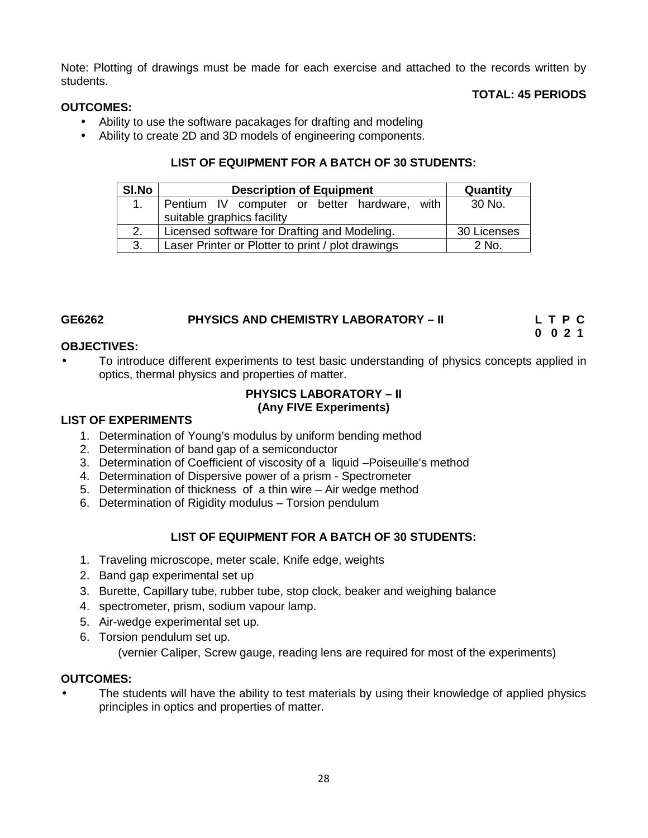Note: Plotting of drawings must be made for each exercise and attached to the records written by students.

## **TOTAL: 45 PERIODS**

## **OUTCOMES:**

- Ability to use the software pacakages for drafting and modeling
- Ability to create 2D and 3D models of engineering components.

## **LIST OF EQUIPMENT FOR A BATCH OF 30 STUDENTS:**

| SI.No | <b>Description of Equipment</b>                                            | Quantity    |
|-------|----------------------------------------------------------------------------|-------------|
|       | Pentium IV computer or better hardware, with<br>suitable graphics facility | 30 No.      |
|       | Licensed software for Drafting and Modeling.                               | 30 Licenses |
| 3.    | Laser Printer or Plotter to print / plot drawings                          | 2 No.       |

| GE6262 | <b>PHYSICS AND CHEMISTRY LABORATORY - II</b> | LTPC |
|--------|----------------------------------------------|------|
|        |                                              | 0021 |

### **OBJECTIVES:**

 To introduce different experiments to test basic understanding of physics concepts applied in optics, thermal physics and properties of matter.

### **PHYSICS LABORATORY – II (Any FIVE Experiments)**

### **LIST OF EXPERIMENTS**

- 1. Determination of Young's modulus by uniform bending method
- 2. Determination of band gap of a semiconductor
- 3. Determination of Coefficient of viscosity of a liquid –Poiseuille's method
- 4. Determination of Dispersive power of a prism Spectrometer
- 5. Determination of thickness of a thin wire Air wedge method
- 6. Determination of Rigidity modulus Torsion pendulum

# **LIST OF EQUIPMENT FOR A BATCH OF 30 STUDENTS:**

- 1. Traveling microscope, meter scale, Knife edge, weights
- 2. Band gap experimental set up
- 3. Burette, Capillary tube, rubber tube, stop clock, beaker and weighing balance
- 4. spectrometer, prism, sodium vapour lamp.
- 5. Air-wedge experimental set up.
- 6. Torsion pendulum set up. (vernier Caliper, Screw gauge, reading lens are required for most of the experiments)

### **OUTCOMES:**

 The students will have the ability to test materials by using their knowledge of applied physics principles in optics and properties of matter.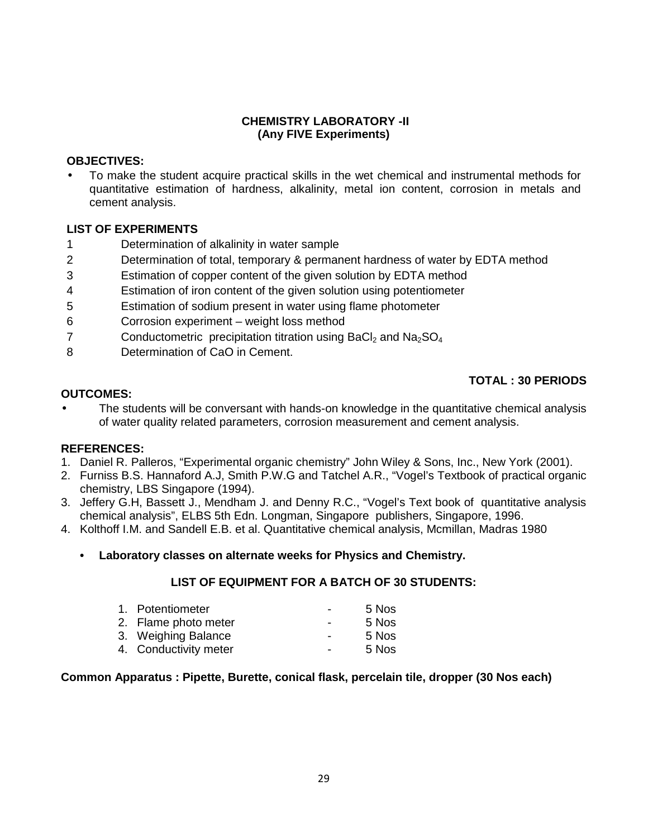### **CHEMISTRY LABORATORY -II (Any FIVE Experiments)**

### **OBJECTIVES:**

 To make the student acquire practical skills in the wet chemical and instrumental methods for quantitative estimation of hardness, alkalinity, metal ion content, corrosion in metals and cement analysis.

### **LIST OF EXPERIMENTS**

- 1 Determination of alkalinity in water sample
- 2 Determination of total, temporary & permanent hardness of water by EDTA method
- 3 Estimation of copper content of the given solution by EDTA method
- 4 Estimation of iron content of the given solution using potentiometer
- 5 Estimation of sodium present in water using flame photometer
- 6 Corrosion experiment weight loss method
- 7 Conductometric precipitation titration using  $BaCl<sub>2</sub>$  and  $Na<sub>2</sub>SO<sub>4</sub>$
- 8 Determination of CaO in Cement.

# **TOTAL : 30 PERIODS**

### **OUTCOMES:**

 The students will be conversant with hands-on knowledge in the quantitative chemical analysis of water quality related parameters, corrosion measurement and cement analysis.

### **REFERENCES:**

- 1. Daniel R. Palleros, "Experimental organic chemistry" John Wiley & Sons, Inc., New York (2001).
- 2. Furniss B.S. Hannaford A.J, Smith P.W.G and Tatchel A.R., "Vogel's Textbook of practical organic chemistry, LBS Singapore (1994).
- 3. Jeffery G.H, Bassett J., Mendham J. and Denny R.C., "Vogel's Text book of quantitative analysis chemical analysis", ELBS 5th Edn. Longman, Singapore publishers, Singapore, 1996.
- 4. Kolthoff I.M. and Sandell E.B. et al. Quantitative chemical analysis, Mcmillan, Madras 1980
	- **• Laboratory classes on alternate weeks for Physics and Chemistry.**

### **LIST OF EQUIPMENT FOR A BATCH OF 30 STUDENTS:**

| 1. Potentiometer      | $\sim$ | 5 Nos |
|-----------------------|--------|-------|
| 2. Flame photo meter  | $\sim$ | 5 Nos |
| 3. Weighing Balance   | $\sim$ | 5 Nos |
| 4. Conductivity meter | $\sim$ | 5 Nos |

### **Common Apparatus : Pipette, Burette, conical flask, percelain tile, dropper (30 Nos each)**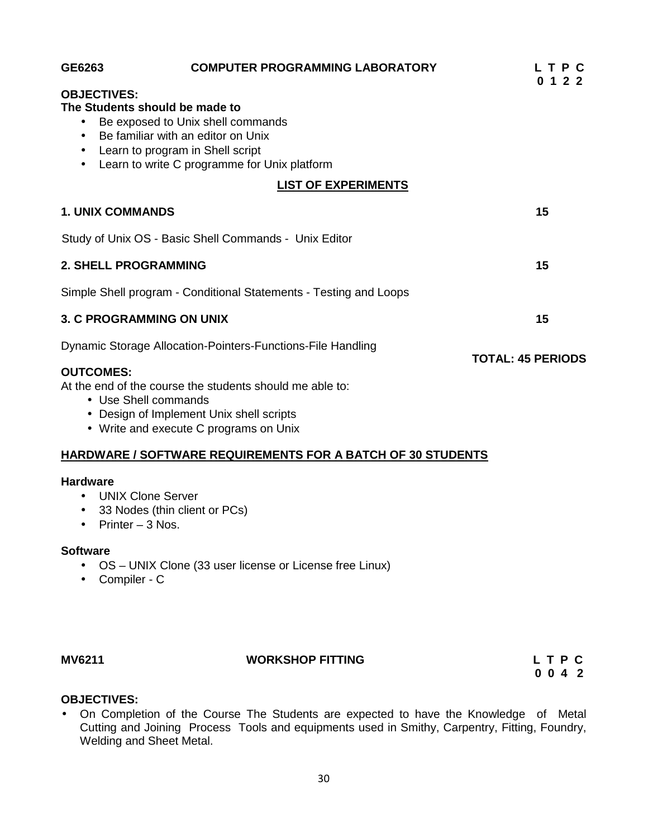| GE6263                                       | <b>COMPUTER PROGRAMMING LABORATORY</b>                                                                                                                                                        | LTPC<br>0 1 2 2          |
|----------------------------------------------|-----------------------------------------------------------------------------------------------------------------------------------------------------------------------------------------------|--------------------------|
| <b>OBJECTIVES:</b>                           | The Students should be made to<br>Be exposed to Unix shell commands<br>Be familiar with an editor on Unix<br>Learn to program in Shell script<br>Learn to write C programme for Unix platform |                          |
|                                              | <b>LIST OF EXPERIMENTS</b>                                                                                                                                                                    |                          |
| <b>1. UNIX COMMANDS</b>                      |                                                                                                                                                                                               | 15                       |
|                                              | Study of Unix OS - Basic Shell Commands - Unix Editor                                                                                                                                         |                          |
| <b>2. SHELL PROGRAMMING</b>                  |                                                                                                                                                                                               | 15                       |
|                                              | Simple Shell program - Conditional Statements - Testing and Loops                                                                                                                             |                          |
|                                              | <b>3. C PROGRAMMING ON UNIX</b>                                                                                                                                                               | 15                       |
|                                              | Dynamic Storage Allocation-Pointers-Functions-File Handling                                                                                                                                   | <b>TOTAL: 45 PERIODS</b> |
| <b>OUTCOMES:</b>                             | At the end of the course the students should me able to:<br>• Use Shell commands<br>• Design of Implement Unix shell scripts<br>• Write and execute C programs on Unix                        |                          |
|                                              | <b>HARDWARE / SOFTWARE REQUIREMENTS FOR A BATCH OF 30 STUDENTS</b>                                                                                                                            |                          |
| <b>Hardware</b><br>Printer - 3 Nos.          | <b>UNIX Clone Server</b><br>33 Nodes (thin client or PCs)                                                                                                                                     |                          |
| <b>Software</b><br>Compiler - C<br>$\bullet$ | OS - UNIX Clone (33 user license or License free Linux)                                                                                                                                       |                          |

# **MV6211 WORKSHOP FITTING L T P C**

**0 0 4 2**

### **OBJECTIVES:**

 On Completion of the Course The Students are expected to have the Knowledge of Metal Cutting and Joining Process Tools and equipments used in Smithy, Carpentry, Fitting, Foundry, Welding and Sheet Metal.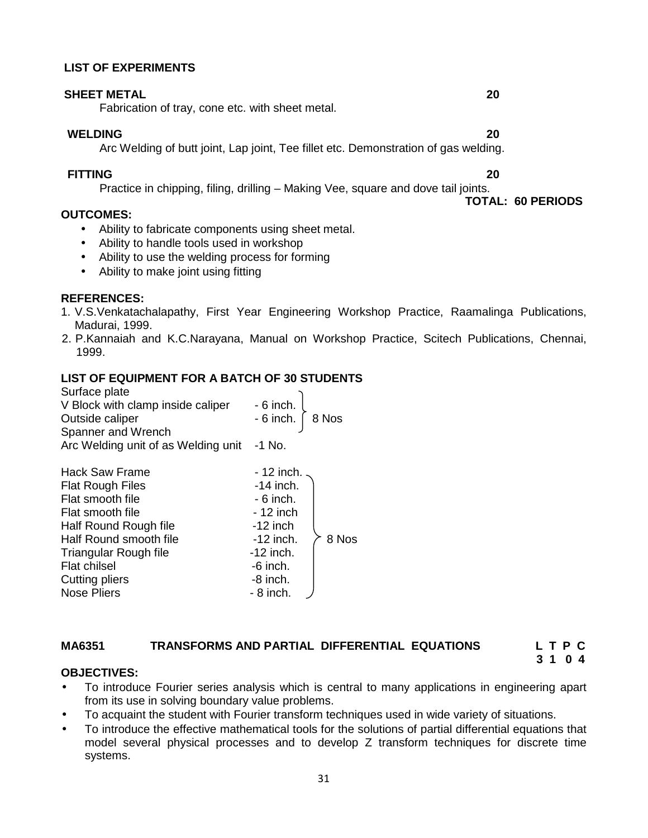### **LIST OF EXPERIMENTS**

### **SHEET METAL 20**

Fabrication of tray, cone etc. with sheet metal.

### **WELDING 20**

Arc Welding of butt joint, Lap joint, Tee fillet etc. Demonstration of gas welding.

### **FITTING 20**

Practice in chipping, filing, drilling – Making Vee, square and dove tail joints. **TOTAL: 60 PERIODS**

# **OUTCOMES:**

- Ability to fabricate components using sheet metal.
- Ability to handle tools used in workshop
- Ability to use the welding process for forming
- Ability to make joint using fitting

# **REFERENCES:**

- 1. V.S.Venkatachalapathy, First Year Engineering Workshop Practice, Raamalinga Publications, Madurai, 1999.
- 2. P.Kannaiah and K.C.Narayana, Manual on Workshop Practice, Scitech Publications, Chennai, 1999.

# **LIST OF EQUIPMENT FOR A BATCH OF 30 STUDENTS**

| Surface plate<br>V Block with clamp inside caliper |                        |  |
|----------------------------------------------------|------------------------|--|
|                                                    | - 6 inch.<br>- 6 inch. |  |
| Outside caliper                                    | 8 Nos                  |  |
| Spanner and Wrench                                 |                        |  |
| Arc Welding unit of as Welding unit                | $-1$ No.               |  |
|                                                    |                        |  |
| Hack Saw Frame                                     | $-12$ inch.            |  |
| <b>Flat Rough Files</b>                            | $-14$ inch.            |  |
| Flat smooth file                                   | $-6$ inch.             |  |
| Flat smooth file                                   | - 12 inch              |  |
| Half Round Rough file                              | $-12$ inch             |  |
| Half Round smooth file                             | 8 Nos<br>$-12$ inch.   |  |
| Triangular Rough file                              | $-12$ inch.            |  |
| <b>Flat chilsel</b>                                | $-6$ inch.             |  |
| Cutting pliers                                     | $-8$ inch.             |  |
| Nose Pliers                                        | - 8 inch.              |  |

# **MA6351 TRANSFORMS AND PARTIAL DIFFERENTIAL EQUATIONS L T P C**

# **3 1 0 4**

# **OBJECTIVES:**

- To introduce Fourier series analysis which is central to many applications in engineering apart from its use in solving boundary value problems.
- To acquaint the student with Fourier transform techniques used in wide variety of situations.
- To introduce the effective mathematical tools for the solutions of partial differential equations that model several physical processes and to develop Z transform techniques for discrete time systems.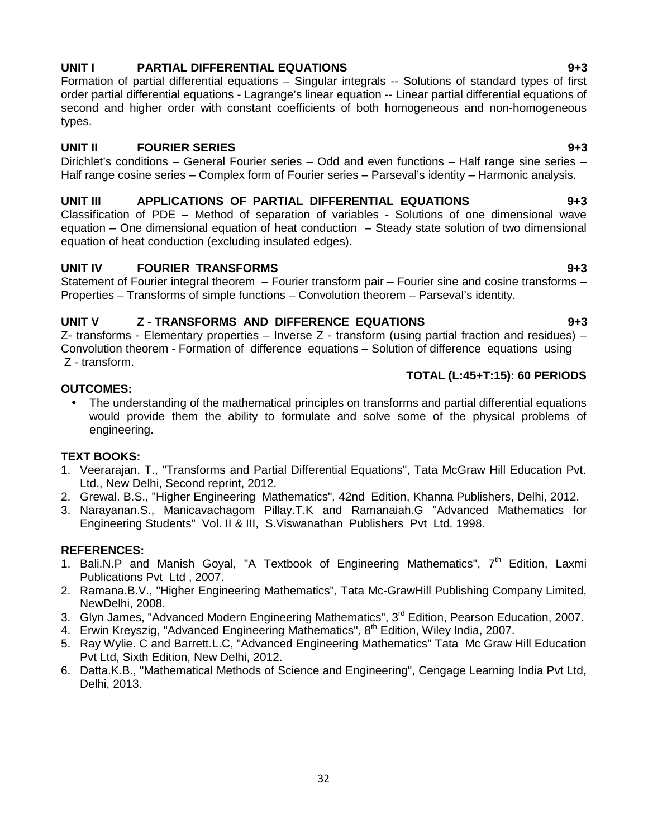# **UNIT I PARTIAL DIFFERENTIAL EQUATIONS 9+3**

Formation of partial differential equations – Singular integrals -- Solutions of standard types of first order partial differential equations - Lagrange's linear equation -- Linear partial differential equations of second and higher order with constant coefficients of both homogeneous and non-homogeneous types.

### **UNIT II FOURIER SERIES 9+3**

Dirichlet's conditions – General Fourier series – Odd and even functions – Half range sine series – Half range cosine series – Complex form of Fourier series – Parseval's identity – Harmonic analysis.

### **UNIT III APPLICATIONS OF PARTIAL DIFFERENTIAL EQUATIONS 9+3**

Classification of PDE – Method of separation of variables - Solutions of one dimensional wave equation – One dimensional equation of heat conduction – Steady state solution of two dimensional equation of heat conduction (excluding insulated edges).

### **UNIT IV FOURIER TRANSFORMS 9+3**

Statement of Fourier integral theorem – Fourier transform pair – Fourier sine and cosine transforms – Properties – Transforms of simple functions – Convolution theorem – Parseval's identity.

### **UNIT V Z - TRANSFORMS AND DIFFERENCE EQUATIONS 9+3**

Z- transforms - Elementary properties – Inverse Z - transform (using partial fraction and residues) – Convolution theorem - Formation of difference equations – Solution of difference equations using Z - transform.

### **TOTAL (L:45+T:15): 60 PERIODS**

### **OUTCOMES:**

• The understanding of the mathematical principles on transforms and partial differential equations would provide them the ability to formulate and solve some of the physical problems of engineering.

# **TEXT BOOKS:**

- 1. Veerarajan. T., "Transforms and Partial Differential Equations", Tata McGraw Hill Education Pvt. Ltd., New Delhi, Second reprint, 2012.
- 2. Grewal. B.S., "Higher Engineering Mathematics"*,* 42nd Edition, Khanna Publishers, Delhi, 2012.
- 3. Narayanan.S., Manicavachagom Pillay.T.K and Ramanaiah.G "Advanced Mathematics for Engineering Students" Vol. II & III, S.Viswanathan Publishers Pvt Ltd. 1998.

# **REFERENCES:**

- 1. Bali.N.P and Manish Goyal, "A Textbook of Engineering Mathematics",  $7<sup>th</sup>$  Edition, Laxmi Publications Pvt Ltd , 2007.
- 2. Ramana.B.V., "Higher Engineering Mathematics"*,* Tata Mc-GrawHill Publishing Company Limited, NewDelhi, 2008.
- 3. Glyn James, "Advanced Modern Engineering Mathematics", 3<sup>rd</sup> Edition, Pearson Education, 2007.
- 4. Erwin Kreyszig, "Advanced Engineering Mathematics"*,* 8 th Edition, Wiley India, 2007.
- 5. Ray Wylie. C and Barrett.L.C, "Advanced Engineering Mathematics" Tata Mc Graw Hill Education Pvt Ltd, Sixth Edition, New Delhi, 2012.
- 6. Datta.K.B., "Mathematical Methods of Science and Engineering", Cengage Learning India Pvt Ltd, Delhi, 2013.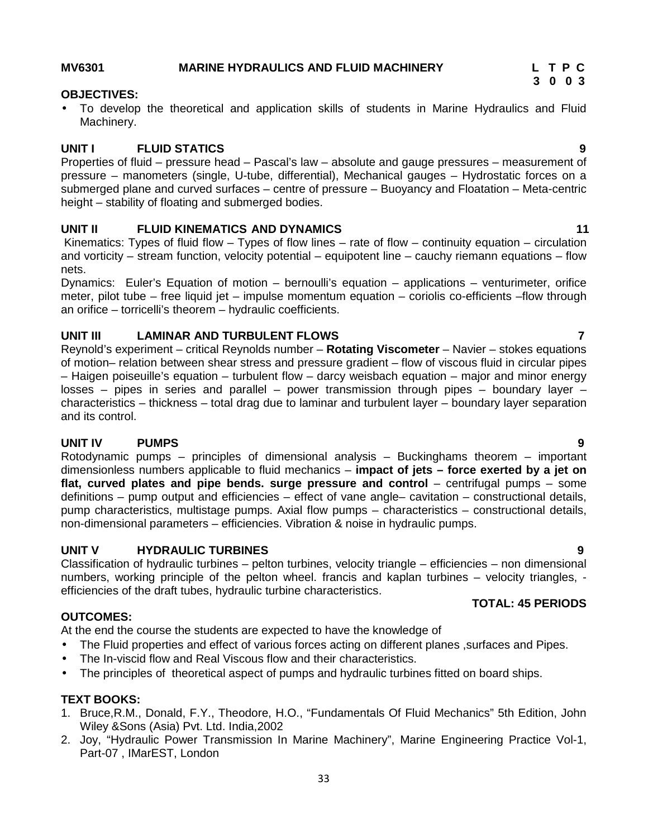### **MV6301 MARINE HYDRAULICS AND FLUID MACHINERY L T P C**

### **OBJECTIVES:**

 To develop the theoretical and application skills of students in Marine Hydraulics and Fluid Machinery.

### **UNIT I FLUID STATICS 9**

Properties of fluid – pressure head – Pascal's law – absolute and gauge pressures – measurement of pressure – manometers (single, U-tube, differential), Mechanical gauges – Hydrostatic forces on a submerged plane and curved surfaces – centre of pressure – Buoyancy and Floatation – Meta-centric height – stability of floating and submerged bodies.

### **UNIT II FLUID KINEMATICS AND DYNAMICS 11**

Kinematics: Types of fluid flow – Types of flow lines – rate of flow – continuity equation – circulation and vorticity – stream function, velocity potential – equipotent line – cauchy riemann equations – flow nets.

Dynamics: Euler's Equation of motion – bernoulli's equation – applications – venturimeter, orifice meter, pilot tube – free liquid jet – impulse momentum equation – coriolis co-efficients –flow through an orifice – torricelli's theorem – hydraulic coefficients.

### **UNIT III LAMINAR AND TURBULENT FLOWS 7**

Reynold's experiment – critical Reynolds number – **Rotating Viscometer** – Navier – stokes equations of motion– relation between shear stress and pressure gradient – flow of viscous fluid in circular pipes – Haigen poiseuille's equation – turbulent flow – darcy weisbach equation – major and minor energy losses – pipes in series and parallel – power transmission through pipes – boundary layer – characteristics – thickness – total drag due to laminar and turbulent layer – boundary layer separation and its control.

### **UNIT IV PUMPS 9**

Rotodynamic pumps – principles of dimensional analysis – Buckinghams theorem – important dimensionless numbers applicable to fluid mechanics – **impact of jets – force exerted by a jet on flat, curved plates and pipe bends. surge pressure and control** – centrifugal pumps – some definitions – pump output and efficiencies – effect of vane angle– cavitation – constructional details, pump characteristics, multistage pumps. Axial flow pumps – characteristics – constructional details, non-dimensional parameters – efficiencies. Vibration & noise in hydraulic pumps.

## **UNIT V HYDRAULIC TURBINES 9**

Classification of hydraulic turbines – pelton turbines, velocity triangle – efficiencies – non dimensional numbers, working principle of the pelton wheel. francis and kaplan turbines – velocity triangles, efficiencies of the draft tubes, hydraulic turbine characteristics.

### **OUTCOMES:**

At the end the course the students are expected to have the knowledge of

- The Fluid properties and effect of various forces acting on different planes ,surfaces and Pipes.
- The In-viscid flow and Real Viscous flow and their characteristics.
- The principles of theoretical aspect of pumps and hydraulic turbines fitted on board ships.

### **TEXT BOOKS:**

- 1. Bruce,R.M., Donald, F.Y., Theodore, H.O., "Fundamentals Of Fluid Mechanics" 5th Edition, John Wiley &Sons (Asia) Pvt. Ltd. India,2002
- 2. Joy, "Hydraulic Power Transmission In Marine Machinery", Marine Engineering Practice Vol-1, Part-07 , IMarEST, London

**TOTAL: 45 PERIODS**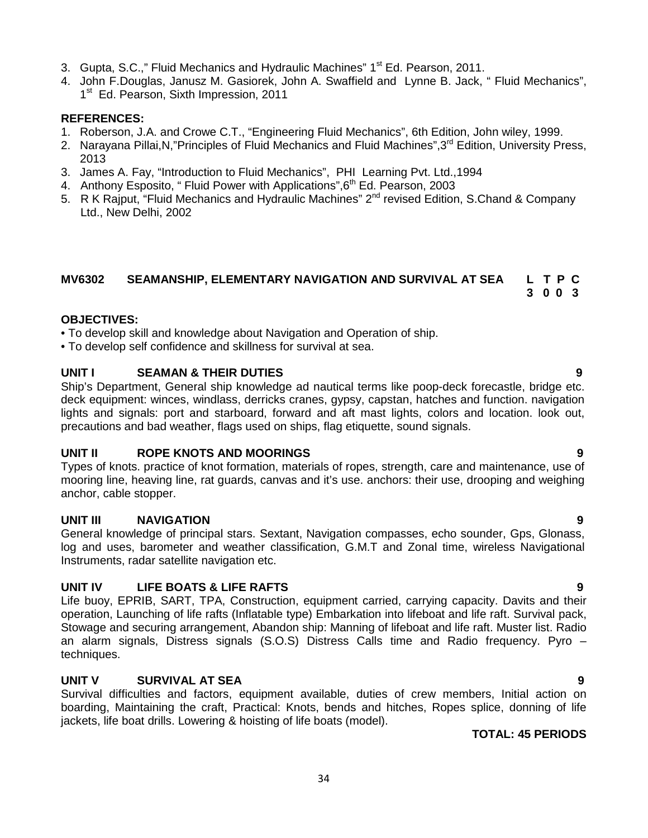- 3. Gupta, S.C.," Fluid Mechanics and Hydraulic Machines" 1<sup>st</sup> Ed. Pearson, 2011.
- 4. John F.Douglas, Janusz M. Gasiorek, John A. Swaffield and Lynne B. Jack, " Fluid Mechanics", 1<sup>st</sup> Ed. Pearson, Sixth Impression, 2011

### **REFERENCES:**

- 1. Roberson, J.A. and Crowe C.T., "Engineering Fluid Mechanics", 6th Edition, John wiley, 1999.
- 2. Narayana Pillai, N, "Principles of Fluid Mechanics and Fluid Machines", 3<sup>rd</sup> Edition, University Press, 2013
- 3. James A. Fay, "Introduction to Fluid Mechanics", PHI Learning Pvt. Ltd.,1994
- 4. Anthony Esposito, " Fluid Power with Applications", 6<sup>th</sup> Ed. Pearson, 2003
- 5. R K Raiput, "Fluid Mechanics and Hydraulic Machines" 2<sup>nd</sup> revised Edition, S.Chand & Company Ltd., New Delhi, 2002

### **MV6302 SEAMANSHIP, ELEMENTARY NAVIGATION AND SURVIVAL AT SEA L T P C 3 0 0 3**

### **OBJECTIVES:**

• To develop skill and knowledge about Navigation and Operation of ship.

• To develop self confidence and skillness for survival at sea.

# **UNIT I SEAMAN & THEIR DUTIES 9**

Ship's Department, General ship knowledge ad nautical terms like poop-deck forecastle, bridge etc. deck equipment: winces, windlass, derricks cranes, gypsy, capstan, hatches and function. navigation lights and signals: port and starboard, forward and aft mast lights, colors and location. look out, precautions and bad weather, flags used on ships, flag etiquette, sound signals.

### **UNIT II ROPE KNOTS AND MOORINGS 9**

Types of knots. practice of knot formation, materials of ropes, strength, care and maintenance, use of mooring line, heaving line, rat guards, canvas and it's use. anchors: their use, drooping and weighing anchor, cable stopper.

# **UNIT III NAVIGATION 9**

General knowledge of principal stars. Sextant, Navigation compasses, echo sounder, Gps, Glonass, log and uses, barometer and weather classification, G.M.T and Zonal time, wireless Navigational Instruments, radar satellite navigation etc.

# **UNIT IV LIFE BOATS & LIFE RAFTS 9**

Life buoy, EPRIB, SART, TPA, Construction, equipment carried, carrying capacity. Davits and their operation, Launching of life rafts (Inflatable type) Embarkation into lifeboat and life raft. Survival pack, Stowage and securing arrangement, Abandon ship: Manning of lifeboat and life raft. Muster list. Radio an alarm signals, Distress signals (S.O.S) Distress Calls time and Radio frequency. Pyro – techniques.

# **UNIT V SURVIVAL AT SEA 9**

Survival difficulties and factors, equipment available, duties of crew members, Initial action on boarding, Maintaining the craft, Practical: Knots, bends and hitches, Ropes splice, donning of life jackets, life boat drills. Lowering & hoisting of life boats (model).

# **TOTAL: 45 PERIODS**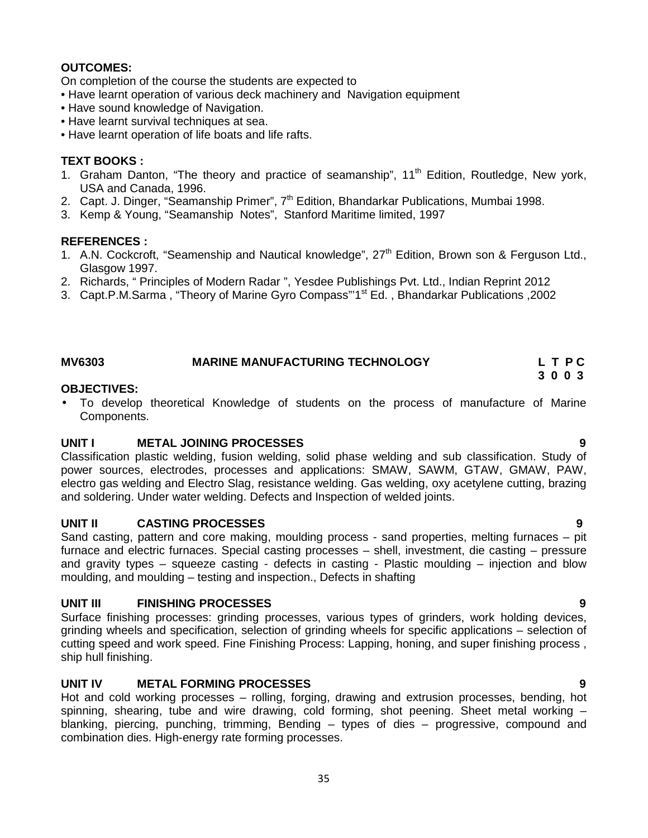### **OUTCOMES:**

On completion of the course the students are expected to

- Have learnt operation of various deck machinery and Navigation equipment
- Have sound knowledge of Navigation.
- Have learnt survival techniques at sea.
- Have learnt operation of life boats and life rafts.

### **TEXT BOOKS :**

- 1. Graham Danton, "The theory and practice of seamanship",  $11<sup>th</sup>$  Edition, Routledge, New york, USA and Canada, 1996.
- 2. Capt. J. Dinger, "Seamanship Primer",  $7<sup>th</sup>$  Edition, Bhandarkar Publications, Mumbai 1998.
- 3. Kemp & Young, "Seamanship Notes", Stanford Maritime limited, 1997

### **REFERENCES :**

- 1. A.N. Cockcroft, "Seamenship and Nautical knowledge", 27<sup>th</sup> Edition, Brown son & Ferguson Ltd., Glasgow 1997.
- 2. Richards, " Principles of Modern Radar ", Yesdee Publishings Pvt. Ltd., Indian Reprint 2012
- 3. Capt.P.M.Sarma , "Theory of Marine Gyro Compass"'1st Ed. , Bhandarkar Publications ,2002

# **MV6303 MARINE MANUFACTURING TECHNOLOGY L T P C**

### **OBJECTIVES:**

 To develop theoretical Knowledge of students on the process of manufacture of Marine Components.

**3 0 0 3**

### **UNIT I METAL JOINING PROCESSES 9**

Classification plastic welding, fusion welding, solid phase welding and sub classification. Study of power sources, electrodes, processes and applications: SMAW, SAWM, GTAW, GMAW, PAW, electro gas welding and Electro Slag, resistance welding. Gas welding, oxy acetylene cutting, brazing and soldering. Under water welding. Defects and Inspection of welded joints.

### **UNIT II CASTING PROCESSES 9**

Sand casting, pattern and core making, moulding process - sand properties, melting furnaces – pit furnace and electric furnaces. Special casting processes – shell, investment, die casting – pressure and gravity types – squeeze casting - defects in casting - Plastic moulding – injection and blow moulding, and moulding – testing and inspection., Defects in shafting

### **UNIT III FINISHING PROCESSES 9**

Surface finishing processes: grinding processes, various types of grinders, work holding devices, grinding wheels and specification, selection of grinding wheels for specific applications – selection of cutting speed and work speed. Fine Finishing Process: Lapping, honing, and super finishing process , ship hull finishing.

### **UNIT IV METAL FORMING PROCESSES 9**

Hot and cold working processes – rolling, forging, drawing and extrusion processes, bending, hot spinning, shearing, tube and wire drawing, cold forming, shot peening. Sheet metal working – blanking, piercing, punching, trimming, Bending – types of dies – progressive, compound and combination dies. High-energy rate forming processes.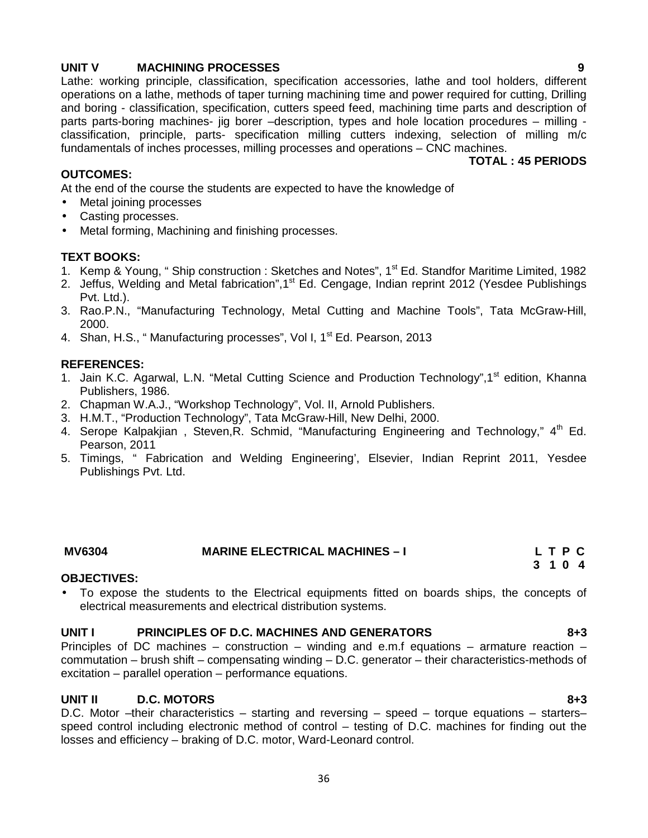### **UNIT V MACHINING PROCESSES 9**

Lathe: working principle, classification, specification accessories, lathe and tool holders, different operations on a lathe, methods of taper turning machining time and power required for cutting, Drilling and boring - classification, specification, cutters speed feed, machining time parts and description of parts parts-boring machines- jig borer –description, types and hole location procedures – milling classification, principle, parts- specification milling cutters indexing, selection of milling m/c fundamentals of inches processes, milling processes and operations – CNC machines.

### **OUTCOMES:**

**TOTAL : 45 PERIODS**

At the end of the course the students are expected to have the knowledge of

- Metal joining processes
- Casting processes.
- Metal forming, Machining and finishing processes.

### **TEXT BOOKS:**

- 1. Kemp & Young, " Ship construction : Sketches and Notes", 1<sup>st</sup> Ed. Standfor Maritime Limited, 1982
- 2. Jeffus, Welding and Metal fabrication", 1<sup>st</sup> Ed. Cengage, Indian reprint 2012 (Yesdee Publishings Pvt. Ltd.).
- 3. Rao.P.N., "Manufacturing Technology, Metal Cutting and Machine Tools", Tata McGraw-Hill, 2000.
- 4. Shan, H.S., "Manufacturing processes", Vol I, 1<sup>st</sup> Ed. Pearson, 2013

### **REFERENCES:**

- 1. Jain K.C. Agarwal, L.N. "Metal Cutting Science and Production Technology", 1<sup>st</sup> edition, Khanna Publishers, 1986.
- 2. Chapman W.A.J., "Workshop Technology", Vol. II, Arnold Publishers.
- 3. H.M.T., "Production Technology", Tata McGraw-Hill, New Delhi, 2000.
- 4. Serope Kalpakijan, Steven, R. Schmid, "Manufacturing Engineering and Technology," 4<sup>th</sup> Ed. Pearson, 2011
- 5. Timings, " Fabrication and Welding Engineering', Elsevier, Indian Reprint 2011, Yesdee Publishings Pvt. Ltd.

| <b>MV6304</b> | <b>MARINE ELECTRICAL MACHINES - I</b> | LTPC  |
|---------------|---------------------------------------|-------|
|               |                                       | 3 1 0 |

### **OBJECTIVES:**

 To expose the students to the Electrical equipments fitted on boards ships, the concepts of electrical measurements and electrical distribution systems.

### **UNIT I PRINCIPLES OF D.C. MACHINES AND GENERATORS 8+3**

Principles of DC machines – construction – winding and e.m.f equations – armature reaction – commutation – brush shift – compensating winding – D.C. generator – their characteristics-methods of excitation – parallel operation – performance equations.

### **UNIT II D.C. MOTORS 8+3**

D.C. Motor –their characteristics – starting and reversing – speed – torque equations – starters– speed control including electronic method of control – testing of D.C. machines for finding out the losses and efficiency – braking of D.C. motor, Ward-Leonard control.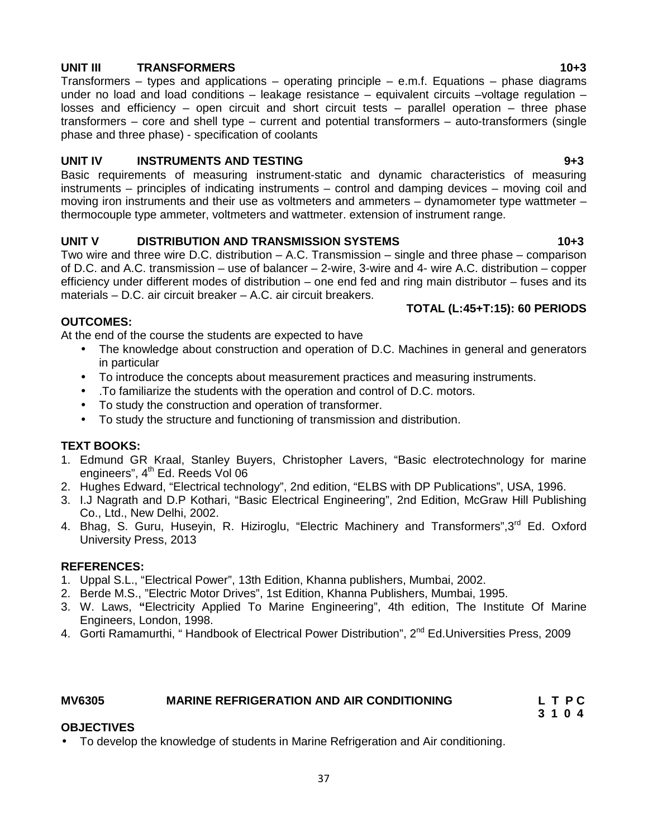# **UNIT III TRANSFORMERS 10+3**

Transformers – types and applications – operating principle – e.m.f. Equations – phase diagrams under no load and load conditions  $-$  leakage resistance  $-$  equivalent circuits  $-$ voltage regulation  $$ losses and efficiency – open circuit and short circuit tests – parallel operation – three phase transformers – core and shell type – current and potential transformers – auto-transformers (single phase and three phase) - specification of coolants

# **UNIT IV INSTRUMENTS AND TESTING 9+3**

Basic requirements of measuring instrument-static and dynamic characteristics of measuring instruments – principles of indicating instruments – control and damping devices – moving coil and moving iron instruments and their use as voltmeters and ammeters – dynamometer type wattmeter – thermocouple type ammeter, voltmeters and wattmeter. extension of instrument range.

# **UNIT V DISTRIBUTION AND TRANSMISSION SYSTEMS 10+3**

Two wire and three wire D.C. distribution – A.C. Transmission – single and three phase – comparison of D.C. and A.C. transmission – use of balancer – 2-wire, 3-wire and 4- wire A.C. distribution – copper efficiency under different modes of distribution – one end fed and ring main distributor – fuses and its materials – D.C. air circuit breaker – A.C. air circuit breakers.

# **TOTAL (L:45+T:15): 60 PERIODS**

# **OUTCOMES:**

At the end of the course the students are expected to have

- The knowledge about construction and operation of D.C. Machines in general and generators in particular
- To introduce the concepts about measurement practices and measuring instruments.
- .To familiarize the students with the operation and control of D.C. motors.
- To study the construction and operation of transformer.
- To study the structure and functioning of transmission and distribution.

# **TEXT BOOKS:**

- 1. Edmund GR Kraal, Stanley Buyers, Christopher Lavers, "Basic electrotechnology for marine engineers",  $4<sup>th</sup>$  Ed. Reeds Vol 06
- 2. Hughes Edward, "Electrical technology", 2nd edition, "ELBS with DP Publications", USA, 1996.
- 3. I.J Nagrath and D.P Kothari, "Basic Electrical Engineering", 2nd Edition, McGraw Hill Publishing Co., Ltd., New Delhi, 2002.
- 4. Bhag, S. Guru, Huseyin, R. Hiziroglu, "Electric Machinery and Transformers", 3<sup>rd</sup> Ed. Oxford University Press, 2013

# **REFERENCES:**

- 1. Uppal S.L., "Electrical Power", 13th Edition, Khanna publishers, Mumbai, 2002.
- 2. Berde M.S., "Electric Motor Drives", 1st Edition, Khanna Publishers, Mumbai, 1995.
- 3. W. Laws, **"**Electricity Applied To Marine Engineering", 4th edition, The Institute Of Marine Engineers, London, 1998.
- 4. Gorti Ramamurthi, "Handbook of Electrical Power Distribution", 2<sup>nd</sup> Ed.Universities Press, 2009

# **MV6305 MARINE REFRIGERATION AND AIR CONDITIONING L T P C**

**3 1 0 4**

# **OBJECTIVES**

To develop the knowledge of students in Marine Refrigeration and Air conditioning.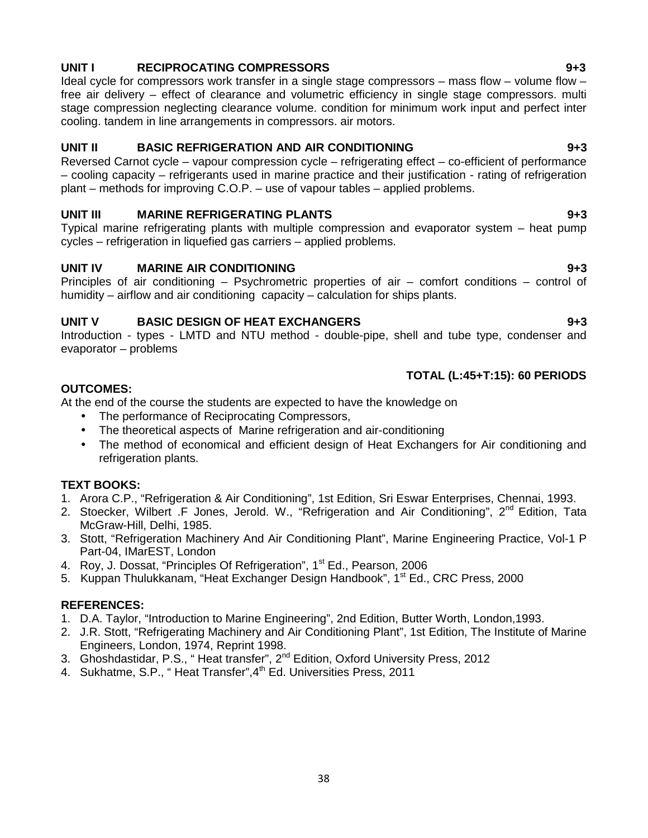# **UNIT I RECIPROCATING COMPRESSORS 9+3**

Ideal cycle for compressors work transfer in a single stage compressors – mass flow – volume flow – free air delivery – effect of clearance and volumetric efficiency in single stage compressors. multi stage compression neglecting clearance volume. condition for minimum work input and perfect inter cooling. tandem in line arrangements in compressors. air motors.

# **UNIT II BASIC REFRIGERATION AND AIR CONDITIONING 9+3**

Reversed Carnot cycle – vapour compression cycle – refrigerating effect – co-efficient of performance – cooling capacity – refrigerants used in marine practice and their justification - rating of refrigeration plant – methods for improving C.O.P. – use of vapour tables – applied problems.

# **UNIT III MARINE REFRIGERATING PLANTS 9+3**

Typical marine refrigerating plants with multiple compression and evaporator system – heat pump cycles – refrigeration in liquefied gas carriers – applied problems.

# **UNIT IV MARINE AIR CONDITIONING 9+3**

Principles of air conditioning – Psychrometric properties of air – comfort conditions – control of humidity – airflow and air conditioning capacity – calculation for ships plants.

# **UNIT V BASIC DESIGN OF HEAT EXCHANGERS 9+3**

Introduction - types - LMTD and NTU method - double-pipe, shell and tube type, condenser and evaporator – problems

# **TOTAL (L:45+T:15): 60 PERIODS**

# **OUTCOMES:**

At the end of the course the students are expected to have the knowledge on

- The performance of Reciprocating Compressors,
- The theoretical aspects of Marine refrigeration and air-conditioning
- The method of economical and efficient design of Heat Exchangers for Air conditioning and refrigeration plants.

# **TEXT BOOKS:**

- 1. Arora C.P., "Refrigeration & Air Conditioning", 1st Edition, Sri Eswar Enterprises, Chennai, 1993.
- 2. Stoecker, Wilbert .F Jones, Jerold. W., "Refrigeration and Air Conditioning", 2<sup>nd</sup> Edition, Tata McGraw-Hill, Delhi, 1985.
- 3. Stott, "Refrigeration Machinery And Air Conditioning Plant", Marine Engineering Practice, Vol-1 P Part-04, IMarEST, London
- 4. Roy, J. Dossat, "Principles Of Refrigeration", 1<sup>st</sup> Ed., Pearson, 2006
- 5. Kuppan Thulukkanam, "Heat Exchanger Design Handbook", 1<sup>st</sup> Ed., CRC Press, 2000

# **REFERENCES:**

- 1. D.A. Taylor, "Introduction to Marine Engineering", 2nd Edition, Butter Worth, London,1993.
- 2. J.R. Stott, "Refrigerating Machinery and Air Conditioning Plant", 1st Edition, The Institute of Marine Engineers, London, 1974, Reprint 1998.
- 3. Ghoshdastidar, P.S., "Heat transfer", 2<sup>nd</sup> Edition, Oxford University Press, 2012
- 4. Sukhatme, S.P., "Heat Transfer", 4<sup>th</sup> Ed. Universities Press, 2011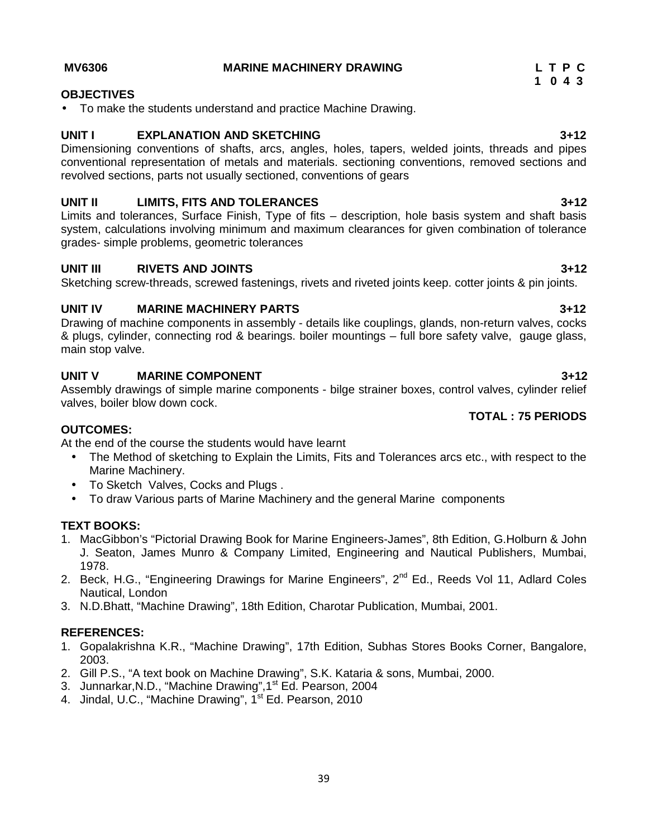### **MV6306 MARINE MACHINERY DRAWING L T P C**

# **OBJECTIVES**

To make the students understand and practice Machine Drawing.

# **UNIT I EXPLANATION AND SKETCHING 3+12**

Dimensioning conventions of shafts, arcs, angles, holes, tapers, welded joints, threads and pipes conventional representation of metals and materials. sectioning conventions, removed sections and revolved sections, parts not usually sectioned, conventions of gears

# **UNIT II LIMITS, FITS AND TOLERANCES 3+12**

Limits and tolerances, Surface Finish, Type of fits – description, hole basis system and shaft basis system, calculations involving minimum and maximum clearances for given combination of tolerance grades- simple problems, geometric tolerances

# **UNIT III RIVETS AND JOINTS 3+12**

Sketching screw-threads, screwed fastenings, rivets and riveted joints keep. cotter joints & pin joints.

# **UNIT IV MARINE MACHINERY PARTS 3+12**

Drawing of machine components in assembly - details like couplings, glands, non-return valves, cocks & plugs, cylinder, connecting rod & bearings. boiler mountings – full bore safety valve, gauge glass, main stop valve.

# **UNIT V MARINE COMPONENT 3+12**

Assembly drawings of simple marine components - bilge strainer boxes, control valves, cylinder relief valves, boiler blow down cock.

# **OUTCOMES:**

At the end of the course the students would have learnt

- The Method of sketching to Explain the Limits, Fits and Tolerances arcs etc., with respect to the Marine Machinery.
- To Sketch Valves, Cocks and Plugs .
- To draw Various parts of Marine Machinery and the general Marine components

# **TEXT BOOKS:**

- 1. MacGibbon's "Pictorial Drawing Book for Marine Engineers-James", 8th Edition, G.Holburn & John J. Seaton, James Munro & Company Limited, Engineering and Nautical Publishers, Mumbai, 1978.
- 2. Beck, H.G., "Engineering Drawings for Marine Engineers", 2<sup>nd</sup> Ed., Reeds Vol 11, Adlard Coles Nautical, London
- 3. N.D.Bhatt, "Machine Drawing", 18th Edition, Charotar Publication, Mumbai, 2001.

# **REFERENCES:**

- 1. Gopalakrishna K.R., "Machine Drawing", 17th Edition, Subhas Stores Books Corner, Bangalore, 2003.
- 2. Gill P.S., "A text book on Machine Drawing", S.K. Kataria & sons, Mumbai, 2000.
- 3. Junnarkar, N.D., "Machine Drawing", 1<sup>st</sup> Ed. Pearson, 2004
- 4. Jindal, U.C., "Machine Drawing", 1<sup>st</sup> Ed. Pearson, 2010

**1 0 4 3**

**TOTAL : 75 PERIODS**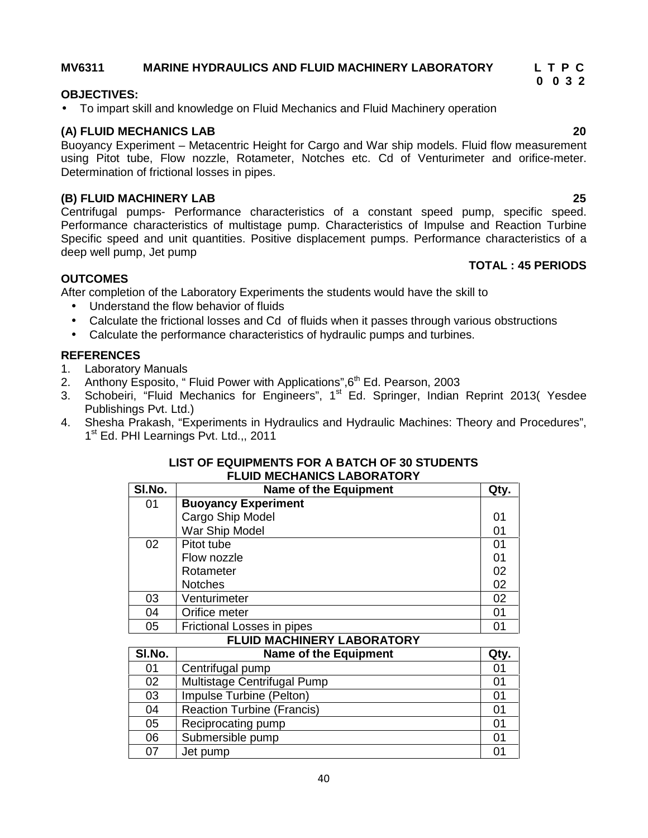# **MV6311 MARINE HYDRAULICS AND FLUID MACHINERY LABORATORY L T P C**

# **OBJECTIVES:**

To impart skill and knowledge on Fluid Mechanics and Fluid Machinery operation

# **(A) FLUID MECHANICS LAB 20**

Buoyancy Experiment – Metacentric Height for Cargo and War ship models. Fluid flow measurement using Pitot tube, Flow nozzle, Rotameter, Notches etc. Cd of Venturimeter and orifice-meter. Determination of frictional losses in pipes.

# **(B) FLUID MACHINERY LAB 25**

Centrifugal pumps- Performance characteristics of a constant speed pump, specific speed. Performance characteristics of multistage pump. Characteristics of Impulse and Reaction Turbine Specific speed and unit quantities. Positive displacement pumps. Performance characteristics of a deep well pump, Jet pump

### **TOTAL : 45 PERIODS**

### **OUTCOMES**

After completion of the Laboratory Experiments the students would have the skill to

- Understand the flow behavior of fluids
- Calculate the frictional losses and Cd of fluids when it passes through various obstructions
- Calculate the performance characteristics of hydraulic pumps and turbines.

# **REFERENCES**

- 1. Laboratory Manuals
- 2. Anthony Esposito, " Fluid Power with Applications",  $6<sup>th</sup>$  Ed. Pearson, 2003
- 3. Schobeiri, "Fluid Mechanics for Engineers", 1<sup>st</sup> Ed. Springer, Indian Reprint 2013(Yesdee Publishings Pvt. Ltd.)
- 4. Shesha Prakash, "Experiments in Hydraulics and Hydraulic Machines: Theory and Procedures", 1 st Ed. PHI Learnings Pvt. Ltd.,, 2011

### **LIST OF EQUIPMENTS FOR A BATCH OF 30 STUDENTS FLUID MECHANICS LABORATORY**

| SI.No. | <b>Name of the Equipment</b> | Qty. |
|--------|------------------------------|------|
| 01     | <b>Buoyancy Experiment</b>   |      |
|        | Cargo Ship Model             | 01   |
|        | War Ship Model               | 01   |
| 02     | Pitot tube                   | 01   |
|        | Flow nozzle                  | 01   |
|        | Rotameter                    | 02   |
|        | <b>Notches</b>               | 02   |
| 03     | Venturimeter                 | 02   |
| 04     | Orifice meter                | 01   |
| 05     | Frictional Losses in pipes   |      |

# **FLUID MACHINERY LABORATORY**

| SI.No. | <b>Name of the Equipment</b>      | Qty. |
|--------|-----------------------------------|------|
| 01     | Centrifugal pump                  |      |
| 02     | Multistage Centrifugal Pump       | 01   |
| 03     | Impulse Turbine (Pelton)          |      |
| 04     | <b>Reaction Turbine (Francis)</b> | 01   |
| 05     | Reciprocating pump                | 01   |
| 06     | Submersible pump                  | 01   |
| 07     | Jet pump                          |      |

40

**0 0 3 2**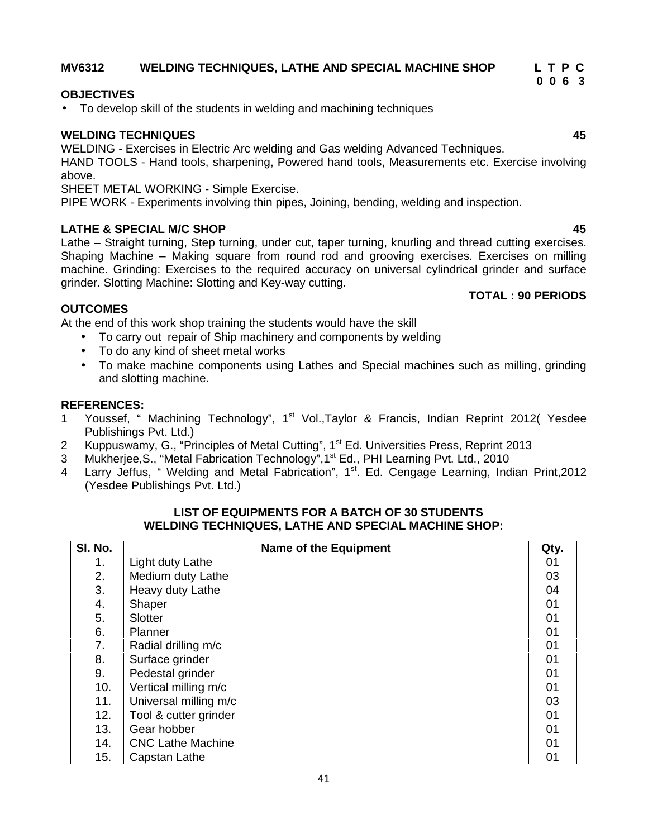# **MV6312 WELDING TECHNIQUES, LATHE AND SPECIAL MACHINE SHOP L T P C**

# **OBJECTIVES**

To develop skill of the students in welding and machining techniques

# **WELDING TECHNIQUES 45**

WELDING - Exercises in Electric Arc welding and Gas welding Advanced Techniques.

HAND TOOLS - Hand tools, sharpening, Powered hand tools, Measurements etc. Exercise involving above.

SHEET METAL WORKING - Simple Exercise.

PIPE WORK - Experiments involving thin pipes, Joining, bending, welding and inspection.

# **LATHE & SPECIAL M/C SHOP 45**

Lathe – Straight turning, Step turning, under cut, taper turning, knurling and thread cutting exercises. Shaping Machine – Making square from round rod and grooving exercises. Exercises on milling machine. Grinding: Exercises to the required accuracy on universal cylindrical grinder and surface grinder. Slotting Machine: Slotting and Key-way cutting.

# **OUTCOMES**

At the end of this work shop training the students would have the skill

- To carry out repair of Ship machinery and components by welding
- To do any kind of sheet metal works
- To make machine components using Lathes and Special machines such as milling, grinding and slotting machine.

### **REFERENCES:**

- 1 Youssef, " Machining Technology", 1<sup>st</sup> Vol.,Taylor & Francis, Indian Reprint 2012(Yesdee Publishings Pvt. Ltd.)
- 2 Kuppuswamy, G., "Principles of Metal Cutting", 1<sup>st</sup> Ed. Universities Press, Reprint 2013
- 3 Mukherjee, S., "Metal Fabrication Technology", 1<sup>st</sup> Ed., PHI Learning Pvt. Ltd., 2010
- 4 Larry Jeffus, " Welding and Metal Fabrication",  $1<sup>st</sup>$ . Ed. Cengage Learning, Indian Print, 2012 (Yesdee Publishings Pvt. Ltd.)

### **LIST OF EQUIPMENTS FOR A BATCH OF 30 STUDENTS WELDING TECHNIQUES, LATHE AND SPECIAL MACHINE SHOP:**

| SI. No. | <b>Name of the Equipment</b> | Qty. |
|---------|------------------------------|------|
| 1.      | Light duty Lathe             | 01   |
| 2.      | Medium duty Lathe            | 03   |
| 3.      | Heavy duty Lathe             | 04   |
| 4.      | Shaper                       | 01   |
| 5.      | Slotter                      | 01   |
| 6.      | Planner                      | 01   |
| 7.      | Radial drilling m/c          | 01   |
| 8.      | Surface grinder              | 01   |
| 9.      | Pedestal grinder             | 01   |
| 10.     | Vertical milling m/c         | 01   |
| 11.     | Universal milling m/c        | 03   |
| 12.     | Tool & cutter grinder        | 01   |
| 13.     | Gear hobber                  | 01   |
| 14.     | <b>CNC Lathe Machine</b>     | 01   |
| 15.     | Capstan Lathe                | 01   |

**TOTAL : 90 PERIODS**

**0 0 6 3**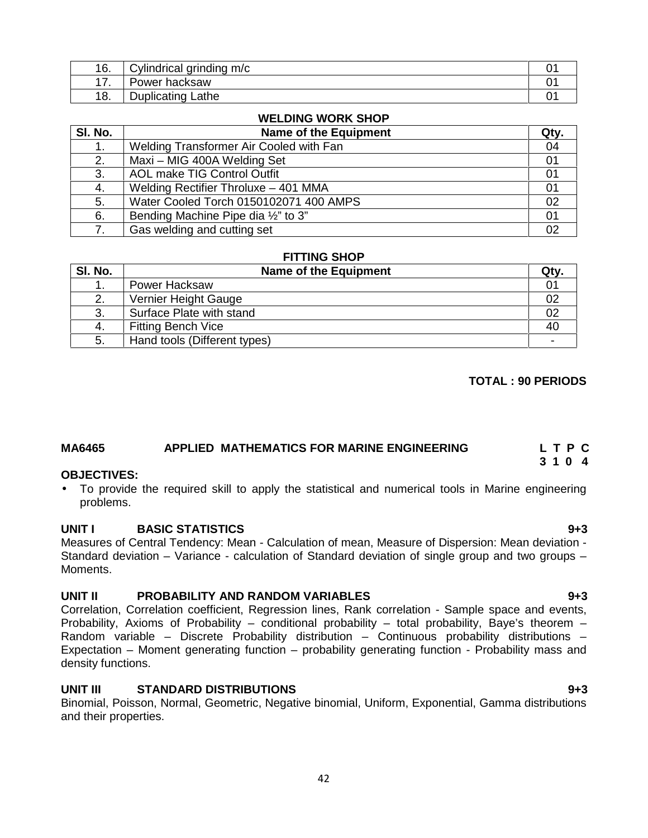| 16.    | m/c<br>$\alpha$ rin<br>ndrical<br>$dim \alpha$<br>۱۱۳)<br>annania |  |
|--------|-------------------------------------------------------------------|--|
| -<br>. | 'ower<br>∵hacksaw                                                 |  |
| 18.    | Lathe<br>Duplicating                                              |  |

# **WELDING WORK SHOP**

| SI. No. | <b>Name of the Equipment</b>            | Qty. |
|---------|-----------------------------------------|------|
|         | Welding Transformer Air Cooled with Fan | 04   |
| 2.      | Maxi - MIG 400A Welding Set             | 01   |
| 3.      | AOL make TIG Control Outfit             | 01   |
| 4.      | Welding Rectifier Throluxe - 401 MMA    | 01   |
| 5.      | Water Cooled Torch 0150102071 400 AMPS  | 02   |
| 6.      | Bending Machine Pipe dia 1/2" to 3"     | 01   |
|         | Gas welding and cutting set             | 02   |

# **FITTING SHOP**

| SI. No. | Name of the Equipment        | Qty. |
|---------|------------------------------|------|
| . .     | <b>Power Hacksaw</b>         |      |
| 2.      | Vernier Height Gauge         | 02   |
| 3.      | Surface Plate with stand     | 02   |
| 4.      | <b>Fitting Bench Vice</b>    | 40   |
| 5.      | Hand tools (Different types) |      |

### **TOTAL : 90 PERIODS**

# **MA6465 APPLIED MATHEMATICS FOR MARINE ENGINEERING L T P C**

### **OBJECTIVES:**

 To provide the required skill to apply the statistical and numerical tools in Marine engineering problems.

### **UNIT I BASIC STATISTICS 9+3**

Measures of Central Tendency: Mean - Calculation of mean, Measure of Dispersion: Mean deviation - Standard deviation – Variance - calculation of Standard deviation of single group and two groups – Moments.

### **UNIT II PROBABILITY AND RANDOM VARIABLES 9+3**

Correlation, Correlation coefficient, Regression lines, Rank correlation - Sample space and events, Probability, Axioms of Probability – conditional probability – total probability, Baye's theorem – Random variable – Discrete Probability distribution – Continuous probability distributions – Expectation – Moment generating function – probability generating function - Probability mass and density functions.

### **UNIT III STANDARD DISTRIBUTIONS 9+3**

Binomial, Poisson, Normal, Geometric, Negative binomial, Uniform, Exponential, Gamma distributions and their properties.

**3 1 0 4**

#### 42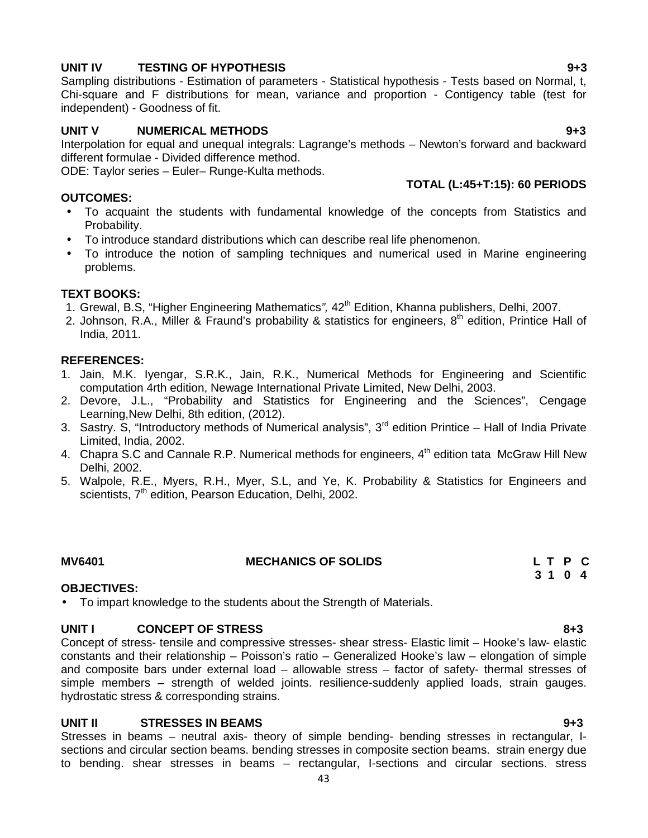# **UNIT IV TESTING OF HYPOTHESIS 9+3**

Sampling distributions - Estimation of parameters - Statistical hypothesis - Tests based on Normal, t, Chi-square and F distributions for mean, variance and proportion - Contigency table (test for independent) - Goodness of fit.

# **UNIT V NUMERICAL METHODS 9+3**

Interpolation for equal and unequal integrals: Lagrange's methods – Newton's forward and backward different formulae - Divided difference method.

ODE: Taylor series – Euler– Runge-Kulta methods.

### **OUTCOMES:**

- To acquaint the students with fundamental knowledge of the concepts from Statistics and Probability.
- To introduce standard distributions which can describe real life phenomenon.
- To introduce the notion of sampling techniques and numerical used in Marine engineering problems.

### **TEXT BOOKS:**

- 1. Grewal, B.S, "Higher Engineering Mathematics*",* 42th Edition, Khanna publishers, Delhi, 2007.
- 2. Johnson, R.A., Miller & Fraund's probability & statistics for engineers, 8<sup>th</sup> edition, Printice Hall of India, 2011.

### **REFERENCES:**

- 1. Jain, M.K. Iyengar, S.R.K., Jain, R.K., Numerical Methods for Engineering and Scientific computation 4rth edition, Newage International Private Limited, New Delhi, 2003.
- 2. Devore, J.L., "Probability and Statistics for Engineering and the Sciences", Cengage Learning,New Delhi, 8th edition, (2012).
- 3. Sastry. S, "Introductory methods of Numerical analysis", 3<sup>rd</sup> edition Printice Hall of India Private Limited, India, 2002.
- 4. Chapra S.C and Cannale R.P. Numerical methods for engineers, 4<sup>th</sup> edition tata McGraw Hill New Delhi, 2002.
- 5. Walpole, R.E., Myers, R.H., Myer, S.L, and Ye, K. Probability & Statistics for Engineers and scientists, 7<sup>th</sup> edition, Pearson Education, Delhi, 2002.

# **MV6401 MECHANICS OF SOLIDS L T P C**

# **OBJECTIVES:**

To impart knowledge to the students about the Strength of Materials.

### **UNIT I CONCEPT OF STRESS 8+3**

Concept of stress- tensile and compressive stresses- shear stress- Elastic limit – Hooke's law- elastic constants and their relationship – Poisson's ratio – Generalized Hooke's law – elongation of simple and composite bars under external load – allowable stress – factor of safety- thermal stresses of simple members – strength of welded joints. resilience-suddenly applied loads, strain gauges. hydrostatic stress & corresponding strains.

### **UNIT II STRESSES IN BEAMS 9+3**

Stresses in beams – neutral axis- theory of simple bending- bending stresses in rectangular, I sections and circular section beams. bending stresses in composite section beams. strain energy due to bending. shear stresses in beams – rectangular, I-sections and circular sections. stress

**3 1 0 4**

**TOTAL (L:45+T:15): 60 PERIODS**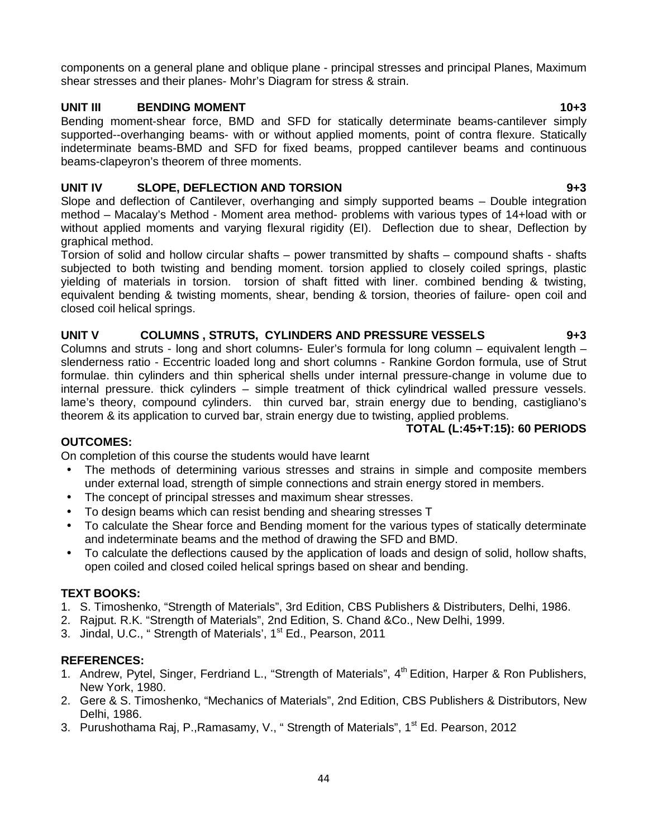components on a general plane and oblique plane - principal stresses and principal Planes, Maximum shear stresses and their planes- Mohr's Diagram for stress & strain.

# **UNIT III BENDING MOMENT 10+3**

Bending moment-shear force, BMD and SFD for statically determinate beams-cantilever simply supported--overhanging beams- with or without applied moments, point of contra flexure. Statically indeterminate beams-BMD and SFD for fixed beams, propped cantilever beams and continuous beams-clapeyron's theorem of three moments.

# **UNIT IV SLOPE, DEFLECTION AND TORSION 9+3**

Slope and deflection of Cantilever, overhanging and simply supported beams – Double integration method – Macalay's Method - Moment area method- problems with various types of 14+load with or without applied moments and varying flexural rigidity (EI). Deflection due to shear, Deflection by graphical method.

Torsion of solid and hollow circular shafts – power transmitted by shafts – compound shafts - shafts subjected to both twisting and bending moment. torsion applied to closely coiled springs, plastic yielding of materials in torsion. torsion of shaft fitted with liner. combined bending & twisting, equivalent bending & twisting moments, shear, bending & torsion, theories of failure- open coil and closed coil helical springs.

# **UNIT V COLUMNS , STRUTS, CYLINDERS AND PRESSURE VESSELS 9+3**

Columns and struts - long and short columns- Euler's formula for long column – equivalent length – slenderness ratio - Eccentric loaded long and short columns - Rankine Gordon formula, use of Strut formulae. thin cylinders and thin spherical shells under internal pressure-change in volume due to internal pressure. thick cylinders – simple treatment of thick cylindrical walled pressure vessels. lame's theory, compound cylinders. thin curved bar, strain energy due to bending, castigliano's theorem & its application to curved bar, strain energy due to twisting, applied problems.

# **TOTAL (L:45+T:15): 60 PERIODS**

# **OUTCOMES:**

On completion of this course the students would have learnt

- The methods of determining various stresses and strains in simple and composite members under external load, strength of simple connections and strain energy stored in members.
- The concept of principal stresses and maximum shear stresses.
- To design beams which can resist bending and shearing stresses T
- To calculate the Shear force and Bending moment for the various types of statically determinate and indeterminate beams and the method of drawing the SFD and BMD.
- To calculate the deflections caused by the application of loads and design of solid, hollow shafts, open coiled and closed coiled helical springs based on shear and bending.

# **TEXT BOOKS:**

- 1. S. Timoshenko, "Strength of Materials", 3rd Edition, CBS Publishers & Distributers, Delhi, 1986.
- 2. Rajput. R.K. "Strength of Materials", 2nd Edition, S. Chand &Co., New Delhi, 1999.
- 3. Jindal, U.C., "Strength of Materials', 1<sup>st</sup> Ed., Pearson, 2011

# **REFERENCES:**

- 1. Andrew, Pytel, Singer, Ferdriand L., "Strength of Materials", 4<sup>th</sup> Edition, Harper & Ron Publishers, New York, 1980.
- 2. Gere & S. Timoshenko, "Mechanics of Materials", 2nd Edition, CBS Publishers & Distributors, New Delhi, 1986.
- 3. Purushothama Raj, P., Ramasamy, V., "Strength of Materials", 1<sup>st</sup> Ed. Pearson, 2012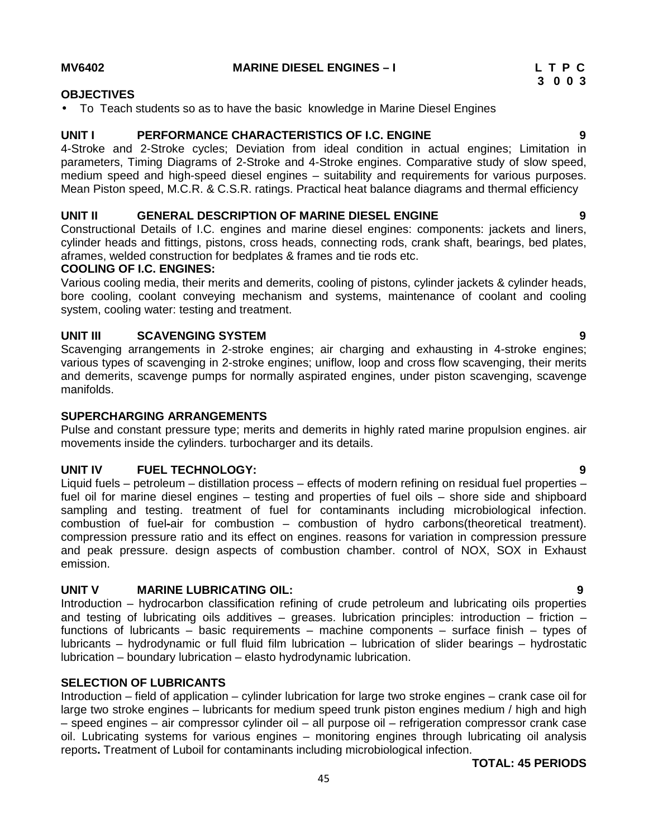**MV6402 MARINE DIESEL ENGINES –I L T P C**

# **OBJECTIVES**

To Teach students so as to have the basic knowledge in Marine Diesel Engines

# **UNIT I PERFORMANCE CHARACTERISTICS OF I.C. ENGINE 9**

4-Stroke and 2-Stroke cycles; Deviation from ideal condition in actual engines; Limitation in parameters, Timing Diagrams of 2-Stroke and 4-Stroke engines. Comparative study of slow speed, medium speed and high-speed diesel engines – suitability and requirements for various purposes. Mean Piston speed, M.C.R. & C.S.R. ratings. Practical heat balance diagrams and thermal efficiency

# **UNIT II GENERAL DESCRIPTION OF MARINE DIESEL ENGINE 9**

Constructional Details of I.C. engines and marine diesel engines: components: jackets and liners, cylinder heads and fittings, pistons, cross heads, connecting rods, crank shaft, bearings, bed plates, aframes, welded construction for bedplates & frames and tie rods etc.

### **COOLING OF I.C. ENGINES:**

Various cooling media, their merits and demerits, cooling of pistons, cylinder jackets & cylinder heads, bore cooling, coolant conveying mechanism and systems, maintenance of coolant and cooling system, cooling water: testing and treatment.

# **UNIT III SCAVENGING SYSTEM 9**

Scavenging arrangements in 2-stroke engines; air charging and exhausting in 4-stroke engines; various types of scavenging in 2-stroke engines; uniflow, loop and cross flow scavenging, their merits and demerits, scavenge pumps for normally aspirated engines, under piston scavenging, scavenge manifolds.

### **SUPERCHARGING ARRANGEMENTS**

Pulse and constant pressure type; merits and demerits in highly rated marine propulsion engines. air movements inside the cylinders. turbocharger and its details.

# **UNIT IV FUEL TECHNOLOGY: 9**

Liquid fuels – petroleum – distillation process – effects of modern refining on residual fuel properties – fuel oil for marine diesel engines – testing and properties of fuel oils – shore side and shipboard sampling and testing. treatment of fuel for contaminants including microbiological infection. combustion of fuel-air for combustion – combustion of hydro carbons(theoretical treatment). compression pressure ratio and its effect on engines. reasons for variation in compression pressure and peak pressure. design aspects of combustion chamber. control of NOX, SOX in Exhaust emission.

# **UNIT V MARINE LUBRICATING OIL: 9**

Introduction – hydrocarbon classification refining of crude petroleum and lubricating oils properties and testing of lubricating oils additives – greases. lubrication principles: introduction – friction – functions of lubricants – basic requirements – machine components – surface finish – types of lubricants – hydrodynamic or full fluid film lubrication – lubrication of slider bearings – hydrostatic lubrication – boundary lubrication – elasto hydrodynamic lubrication.

### **SELECTION OF LUBRICANTS**

Introduction – field of application – cylinder lubrication for large two stroke engines – crank case oil for large two stroke engines – lubricants for medium speed trunk piston engines medium / high and high – speed engines – air compressor cylinder oil – all purpose oil – refrigeration compressor crank case oil. Lubricating systems for various engines – monitoring engines through lubricating oil analysis reports**.** Treatment of Luboil for contaminants including microbiological infection.

# **TOTAL: 45 PERIODS**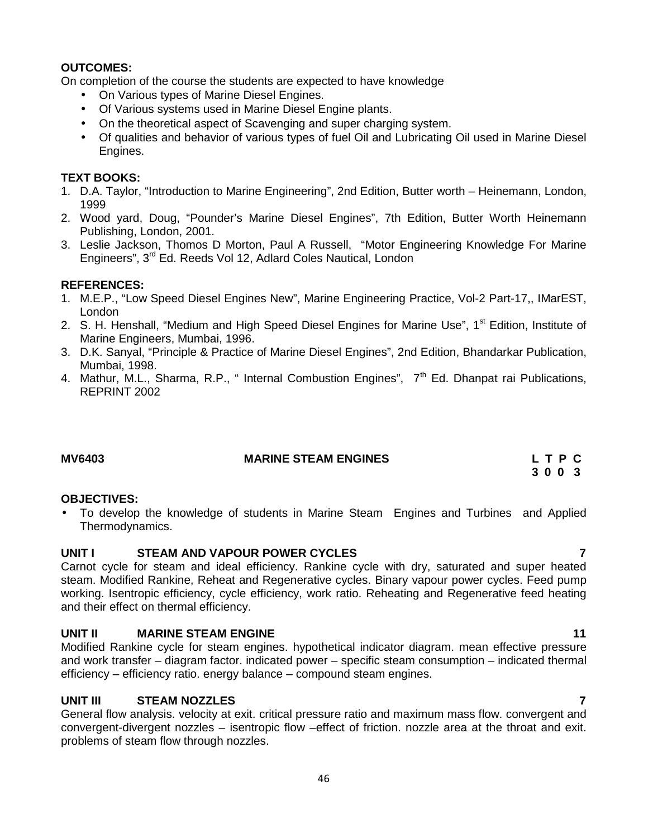# **OUTCOMES:**

On completion of the course the students are expected to have knowledge

- On Various types of Marine Diesel Engines.
- Of Various systems used in Marine Diesel Engine plants.
- On the theoretical aspect of Scavenging and super charging system.
- Of qualities and behavior of various types of fuel Oil and Lubricating Oil used in Marine Diesel Engines.

# **TEXT BOOKS:**

- 1. D.A. Taylor, "Introduction to Marine Engineering", 2nd Edition, Butter worth Heinemann, London, 1999
- 2. Wood yard, Doug, "Pounder's Marine Diesel Engines", 7th Edition, Butter Worth Heinemann Publishing, London, 2001.
- 3. Leslie Jackson, Thomos D Morton, Paul A Russell, "Motor Engineering Knowledge For Marine Engineers", 3<sup>rd</sup> Ed. Reeds Vol 12, Adlard Coles Nautical, London

# **REFERENCES:**

- 1. M.E.P., "Low Speed Diesel Engines New", Marine Engineering Practice, Vol-2 Part-17,, IMarEST, London
- 2. S. H. Henshall, "Medium and High Speed Diesel Engines for Marine Use", 1<sup>st</sup> Edition, Institute of Marine Engineers, Mumbai, 1996.
- 3. D.K. Sanyal, "Principle & Practice of Marine Diesel Engines", 2nd Edition, Bhandarkar Publication, Mumbai, 1998.
- 4. Mathur, M.L., Sharma, R.P., " Internal Combustion Engines",  $7<sup>th</sup>$  Ed. Dhanpat rai Publications, REPRINT 2002

# **MV6403 MARINE STEAM ENGINES L T P C**

# **3 0 0 3**

# **OBJECTIVES:**

 To develop the knowledge of students in Marine Steam Engines and Turbines and Applied Thermodynamics.

# **UNIT I STEAM AND VAPOUR POWER CYCLES 7**

Carnot cycle for steam and ideal efficiency. Rankine cycle with dry, saturated and super heated steam. Modified Rankine, Reheat and Regenerative cycles. Binary vapour power cycles. Feed pump working. Isentropic efficiency, cycle efficiency, work ratio. Reheating and Regenerative feed heating and their effect on thermal efficiency.

# **UNIT II MARINE STEAM ENGINE 11**

Modified Rankine cycle for steam engines. hypothetical indicator diagram. mean effective pressure and work transfer – diagram factor. indicated power – specific steam consumption – indicated thermal efficiency – efficiency ratio. energy balance – compound steam engines.

# **UNIT III STEAM NOZZLES 7**

General flow analysis. velocity at exit. critical pressure ratio and maximum mass flow. convergent and convergent-divergent nozzles – isentropic flow –effect of friction. nozzle area at the throat and exit. problems of steam flow through nozzles.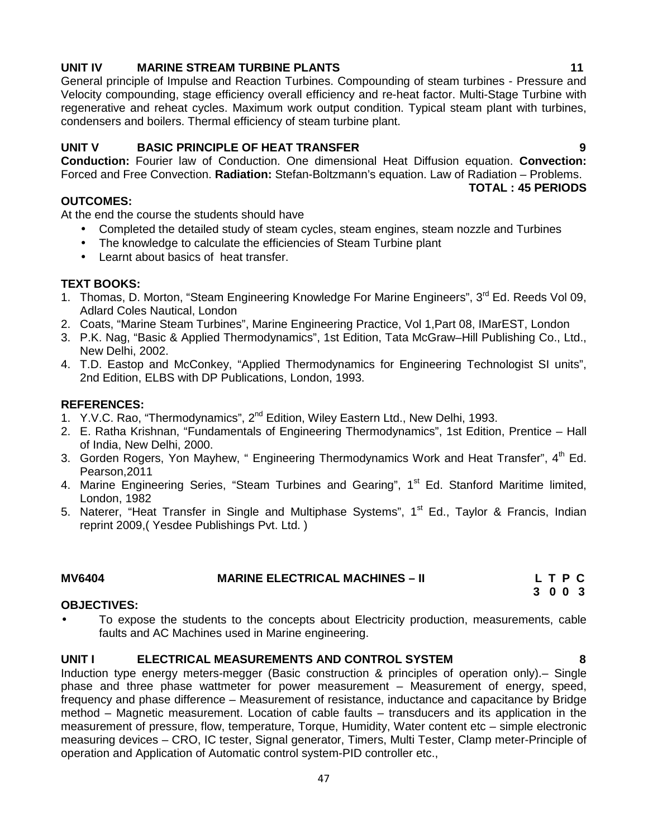# **UNIT IV MARINE STREAM TURBINE PLANTS 11**

General principle of Impulse and Reaction Turbines. Compounding of steam turbines - Pressure and Velocity compounding, stage efficiency overall efficiency and re-heat factor. Multi-Stage Turbine with regenerative and reheat cycles. Maximum work output condition. Typical steam plant with turbines, condensers and boilers. Thermal efficiency of steam turbine plant.

# **UNIT V BASIC PRINCIPLE OF HEAT TRANSFER 9**

**Conduction:** Fourier law of Conduction. One dimensional Heat Diffusion equation. **Convection:** Forced and Free Convection. **Radiation:** Stefan-Boltzmann's equation. Law of Radiation – Problems.

**TOTAL : 45 PERIODS**

## **OUTCOMES:**

At the end the course the students should have

- Completed the detailed study of steam cycles, steam engines, steam nozzle and Turbines
- The knowledge to calculate the efficiencies of Steam Turbine plant
- Learnt about basics of heat transfer.

# **TEXT BOOKS:**

- 1. Thomas, D. Morton, "Steam Engineering Knowledge For Marine Engineers", 3<sup>rd</sup> Ed. Reeds Vol 09. Adlard Coles Nautical, London
- 2. Coats, "Marine Steam Turbines", Marine Engineering Practice, Vol 1,Part 08, IMarEST, London
- 3. P.K. Nag, "Basic & Applied Thermodynamics", 1st Edition, Tata McGraw–Hill Publishing Co., Ltd., New Delhi, 2002.
- 4. T.D. Eastop and McConkey, "Applied Thermodynamics for Engineering Technologist SI units", 2nd Edition, ELBS with DP Publications, London, 1993.

# **REFERENCES:**

- 1. Y.V.C. Rao, "Thermodynamics", 2<sup>nd</sup> Edition, Wiley Eastern Ltd., New Delhi, 1993.
- 2. E. Ratha Krishnan, "Fundamentals of Engineering Thermodynamics", 1st Edition, Prentice Hall of India, New Delhi, 2000.
- 3. Gorden Rogers, Yon Mayhew, " Engineering Thermodynamics Work and Heat Transfer", 4<sup>th</sup> Ed. Pearson,2011
- 4. Marine Engineering Series, "Steam Turbines and Gearing", 1<sup>st</sup> Ed. Stanford Maritime limited, London, 1982
- 5. Naterer, "Heat Transfer in Single and Multiphase Systems", 1<sup>st</sup> Ed., Taylor & Francis, Indian reprint 2009,( Yesdee Publishings Pvt. Ltd. )

| <b>MV6404</b> | <b>MARINE ELECTRICAL MACHINES - II</b> | LTPC |
|---------------|----------------------------------------|------|
|               |                                        | 300  |

# **OBJECTIVES:**

 To expose the students to the concepts about Electricity production, measurements, cable faults and AC Machines used in Marine engineering.

# **UNIT I ELECTRICAL MEASUREMENTS AND CONTROL SYSTEM 8**

Induction type energy meters-megger (Basic construction & principles of operation only).– Single phase and three phase wattmeter for power measurement – Measurement of energy, speed, frequency and phase difference – Measurement of resistance, inductance and capacitance by Bridge method – Magnetic measurement. Location of cable faults – transducers and its application in the measurement of pressure, flow, temperature, Torque, Humidity, Water content etc – simple electronic measuring devices – CRO, IC tester, Signal generator, Timers, Multi Tester, Clamp meter-Principle of operation and Application of Automatic control system-PID controller etc.,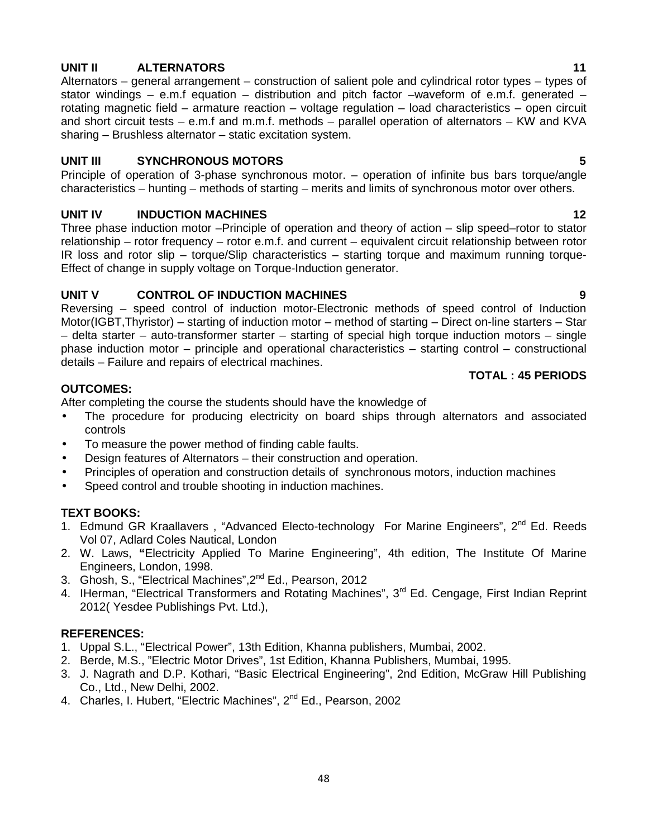# **UNIT II ALTERNATORS 11**

Alternators – general arrangement – construction of salient pole and cylindrical rotor types – types of stator windings – e.m.f equation – distribution and pitch factor –waveform of e.m.f. generated – rotating magnetic field – armature reaction – voltage regulation – load characteristics – open circuit and short circuit tests – e.m.f and m.m.f. methods – parallel operation of alternators – KW and KVA sharing – Brushless alternator – static excitation system.

# **UNIT III SYNCHRONOUS MOTORS 5**

Principle of operation of 3-phase synchronous motor. – operation of infinite bus bars torque/angle characteristics – hunting – methods of starting – merits and limits of synchronous motor over others.

# **UNIT IV INDUCTION MACHINES 12**

Three phase induction motor –Principle of operation and theory of action – slip speed–rotor to stator relationship – rotor frequency – rotor e.m.f. and current – equivalent circuit relationship between rotor IR loss and rotor slip – torque/Slip characteristics – starting torque and maximum running torque- Effect of change in supply voltage on Torque-Induction generator.

# **UNIT V CONTROL OF INDUCTION MACHINES 9**

Reversing – speed control of induction motor-Electronic methods of speed control of Induction Motor(IGBT,Thyristor) – starting of induction motor – method of starting – Direct on-line starters – Star – delta starter – auto-transformer starter – starting of special high torque induction motors – single phase induction motor – principle and operational characteristics – starting control – constructional details – Failure and repairs of electrical machines.

### **TOTAL : 45 PERIODS**

# **OUTCOMES:**

After completing the course the students should have the knowledge of

- The procedure for producing electricity on board ships through alternators and associated controls
- To measure the power method of finding cable faults.
- Design features of Alternators their construction and operation.
- Principles of operation and construction details of synchronous motors, induction machines
- Speed control and trouble shooting in induction machines.

# **TEXT BOOKS:**

- 1. Edmund GR Kraallavers, "Advanced Electo-technology For Marine Engineers", 2<sup>nd</sup> Ed. Reeds Vol 07, Adlard Coles Nautical, London
- 2. W. Laws, **"**Electricity Applied To Marine Engineering", 4th edition, The Institute Of Marine Engineers, London, 1998.
- 3. Ghosh, S., "Electrical Machines", 2<sup>nd</sup> Ed., Pearson, 2012
- 4. IHerman, "Electrical Transformers and Rotating Machines", 3<sup>rd</sup> Ed. Cengage, First Indian Reprint 2012( Yesdee Publishings Pvt. Ltd.),

# **REFERENCES:**

- 1. Uppal S.L., "Electrical Power", 13th Edition, Khanna publishers, Mumbai, 2002.
- 2. Berde, M.S., "Electric Motor Drives", 1st Edition, Khanna Publishers, Mumbai, 1995.
- 3. J. Nagrath and D.P. Kothari, "Basic Electrical Engineering", 2nd Edition, McGraw Hill Publishing Co., Ltd., New Delhi, 2002.
- 4. Charles, I. Hubert, "Electric Machines", 2<sup>nd</sup> Ed., Pearson, 2002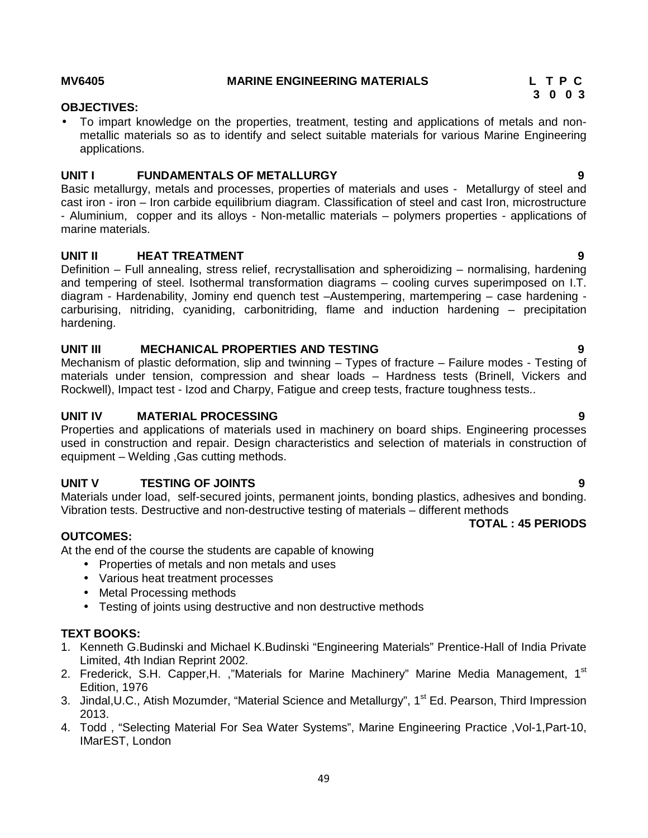### **MV6405 MARINE ENGINEERING MATERIALS L T P C**

# **OBJECTIVES:**

 To impart knowledge on the properties, treatment, testing and applications of metals and non metallic materials so as to identify and select suitable materials for various Marine Engineering applications.

# **UNIT I FUNDAMENTALS OF METALLURGY 9**

Basic metallurgy, metals and processes, properties of materials and uses - Metallurgy of steel and cast iron - iron – Iron carbide equilibrium diagram. Classification of steel and cast Iron, microstructure - Aluminium, copper and its alloys - Non-metallic materials – polymers properties - applications of marine materials.

### **UNIT II HEAT TREATMENT 9**

Definition – Full annealing, stress relief, recrystallisation and spheroidizing – normalising, hardening and tempering of steel. Isothermal transformation diagrams – cooling curves superimposed on I.T. diagram - Hardenability, Jominy end quench test –Austempering, martempering – case hardening carburising, nitriding, cyaniding, carbonitriding, flame and induction hardening – precipitation hardening.

### **UNIT III MECHANICAL PROPERTIES AND TESTING 9**

Mechanism of plastic deformation, slip and twinning – Types of fracture – Failure modes - Testing of materials under tension, compression and shear loads – Hardness tests (Brinell, Vickers and Rockwell), Impact test - Izod and Charpy, Fatigue and creep tests, fracture toughness tests..

#### **UNIT IV MATERIAL PROCESSING 9**

Properties and applications of materials used in machinery on board ships. Engineering processes used in construction and repair. Design characteristics and selection of materials in construction of equipment – Welding ,Gas cutting methods.

### **UNIT V TESTING OF JOINTS 9**

Materials under load, self-secured joints, permanent joints, bonding plastics, adhesives and bonding. Vibration tests. Destructive and non-destructive testing of materials – different methods

### **OUTCOMES:**

At the end of the course the students are capable of knowing

- Properties of metals and non metals and uses
- Various heat treatment processes
- Metal Processing methods
- Testing of joints using destructive and non destructive methods

### **TEXT BOOKS:**

- 1. Kenneth G.Budinski and Michael K.Budinski "Engineering Materials" Prentice-Hall of India Private Limited, 4th Indian Reprint 2002.
- 2. Frederick, S.H. Capper,H. ,"Materials for Marine Machinery" Marine Media Management, 1<sup>st</sup> Edition, 1976
- 3. Jindal, U.C., Atish Mozumder, "Material Science and Metallurgy", 1<sup>st</sup> Ed. Pearson, Third Impression 2013.
- 4. Todd , "Selecting Material For Sea Water Systems", Marine Engineering Practice ,Vol-1,Part-10, IMarEST, London

# **3 0 0 3**

**TOTAL : 45 PERIODS**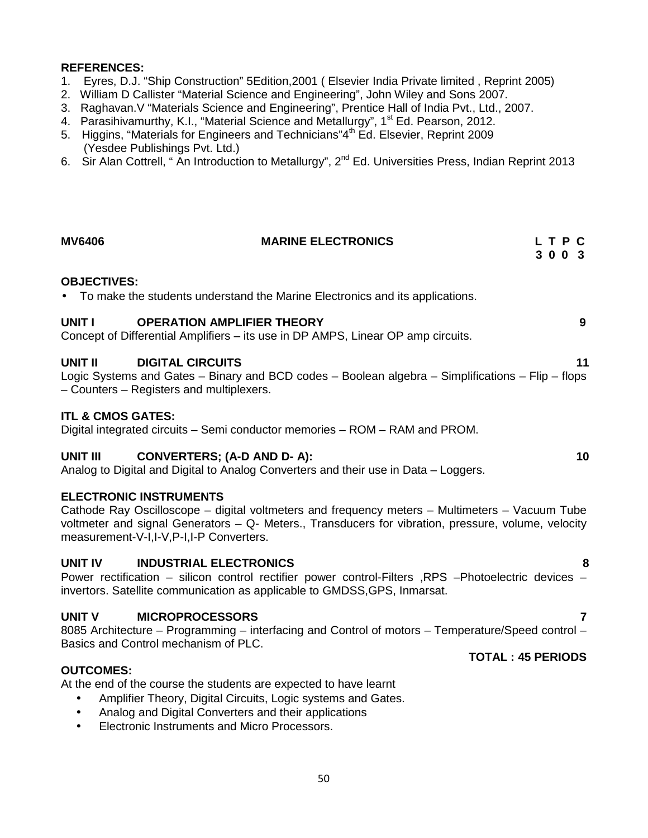### **REFERENCES:**

- 1. Eyres, D.J. "Ship Construction" 5Edition,2001 ( Elsevier India Private limited , Reprint 2005)
- 2. William D Callister "Material Science and Engineering", John Wiley and Sons 2007.
- 3. Raghavan.V "Materials Science and Engineering", Prentice Hall of India Pvt., Ltd., 2007.
- 4. Parasihivamurthy, K.I., "Material Science and Metallurgy", 1<sup>st</sup> Ed. Pearson, 2012.
- 5. Higgins, "Materials for Engineers and Technicians" $4<sup>th</sup>$  Ed. Elsevier, Reprint 2009 (Yesdee Publishings Pvt. Ltd.)
- 6. Sir Alan Cottrell, " An Introduction to Metallurgy", 2<sup>nd</sup> Ed. Universities Press, Indian Reprint 2013

# **MV6406 MARINE ELECTRONICS L T P C 3 0 0 3 OBJECTIVES:** To make the students understand the Marine Electronics and its applications. **UNIT I OPERATION AMPLIFIER THEORY 9** Concept of Differential Amplifiers – its use in DP AMPS, Linear OP amp circuits. **UNIT II DIGITAL CIRCUITS 11** Logic Systems and Gates – Binary and BCD codes – Boolean algebra – Simplifications – Flip – flops – Counters – Registers and multiplexers. **ITL & CMOS GATES:** Digital integrated circuits – Semi conductor memories – ROM – RAM and PROM. **UNIT III CONVERTERS; (A-D AND D- A): 10** Analog to Digital and Digital to Analog Converters and their use in Data – Loggers. **ELECTRONIC INSTRUMENTS** Cathode Ray Oscilloscope – digital voltmeters and frequency meters – Multimeters – Vacuum Tube voltmeter and signal Generators – Q- Meters., Transducers for vibration, pressure, volume, velocity

**UNIT IV INDUSTRIAL ELECTRONICS 8**

measurement-V-I,I-V,P-I,I-P Converters.

Power rectification – silicon control rectifier power control-Filters ,RPS –Photoelectric devices – invertors. Satellite communication as applicable to GMDSS,GPS, Inmarsat.

# **UNIT V MICROPROCESSORS 7**

8085 Architecture – Programming – interfacing and Control of motors – Temperature/Speed control – Basics and Control mechanism of PLC.

# **OUTCOMES:**

At the end of the course the students are expected to have learnt

- Amplifier Theory, Digital Circuits, Logic systems and Gates.
- Analog and Digital Converters and their applications
- Electronic Instruments and Micro Processors.

# **TOTAL : 45 PERIODS**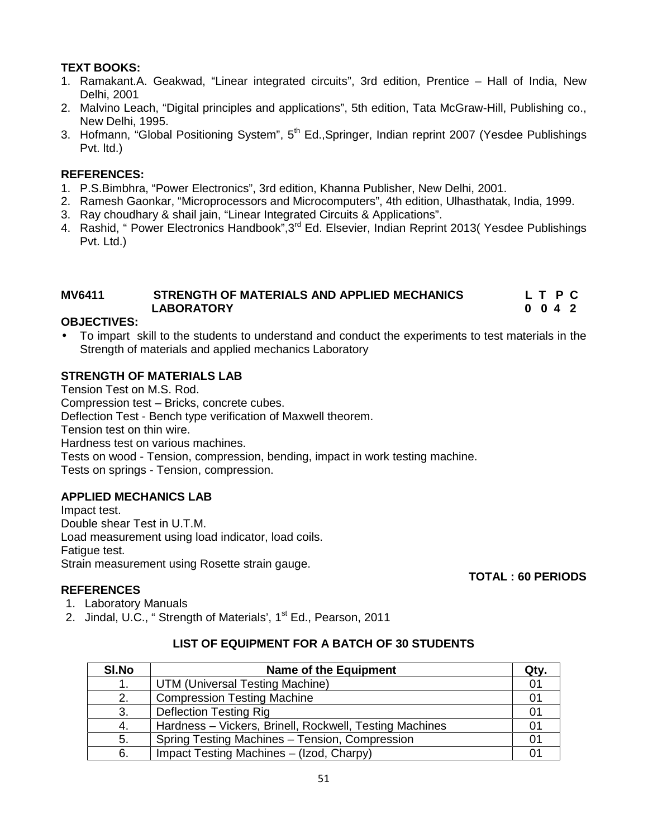# **TEXT BOOKS:**

- 1. Ramakant.A. Geakwad, "Linear integrated circuits", 3rd edition, Prentice Hall of India, New Delhi, 2001
- 2. Malvino Leach, "Digital principles and applications", 5th edition, Tata McGraw-Hill, Publishing co., New Delhi, 1995.
- 3. Hofmann, "Global Positioning System", 5<sup>th</sup> Ed., Springer, Indian reprint 2007 (Yesdee Publishings Pvt. ltd.)

# **REFERENCES:**

- 1. P.S.Bimbhra, "Power Electronics", 3rd edition, Khanna Publisher, New Delhi, 2001.
- 2. Ramesh Gaonkar, "Microprocessors and Microcomputers", 4th edition, Ulhasthatak, India, 1999.
- 3. Ray choudhary & shail jain, "Linear Integrated Circuits & Applications".
- 4. Rashid, " Power Electronics Handbook", 3<sup>rd</sup> Ed. Elsevier, Indian Reprint 2013( Yesdee Publishings Pvt. Ltd.)

# **MV6411 STRENGTH OF MATERIALS AND APPLIED MECHANICS L T P C LABORATORY 0 0 4 2**

# **OBJECTIVES:**

 To impart skill to the students to understand and conduct the experiments to test materials in the Strength of materials and applied mechanics Laboratory

# **STRENGTH OF MATERIALS LAB**

Tension Test on M.S. Rod. Compression test – Bricks, concrete cubes. Deflection Test - Bench type verification of Maxwell theorem. Tension test on thin wire. Hardness test on various machines. Tests on wood - Tension, compression, bending, impact in work testing machine. Tests on springs - Tension, compression.

# **APPLIED MECHANICS LAB**

Impact test. Double shear Test in U.T.M. Load measurement using load indicator, load coils. Fatigue test. Strain measurement using Rosette strain gauge.

# **TOTAL : 60 PERIODS**

- **REFERENCES** 1. Laboratory Manuals
- 2. Jindal, U.C., "Strength of Materials', 1<sup>st</sup> Ed., Pearson, 2011

# **LIST OF EQUIPMENT FOR A BATCH OF 30 STUDENTS**

| SI.No | <b>Name of the Equipment</b>                            | Qty. |
|-------|---------------------------------------------------------|------|
|       | UTM (Universal Testing Machine)                         | 01   |
| 2.    | <b>Compression Testing Machine</b>                      | 01   |
| 3.    | <b>Deflection Testing Rig</b>                           | 01   |
| 4.    | Hardness - Vickers, Brinell, Rockwell, Testing Machines |      |
| 5.    | Spring Testing Machines - Tension, Compression          | 01   |
| 6.    | Impact Testing Machines - (Izod, Charpy)                |      |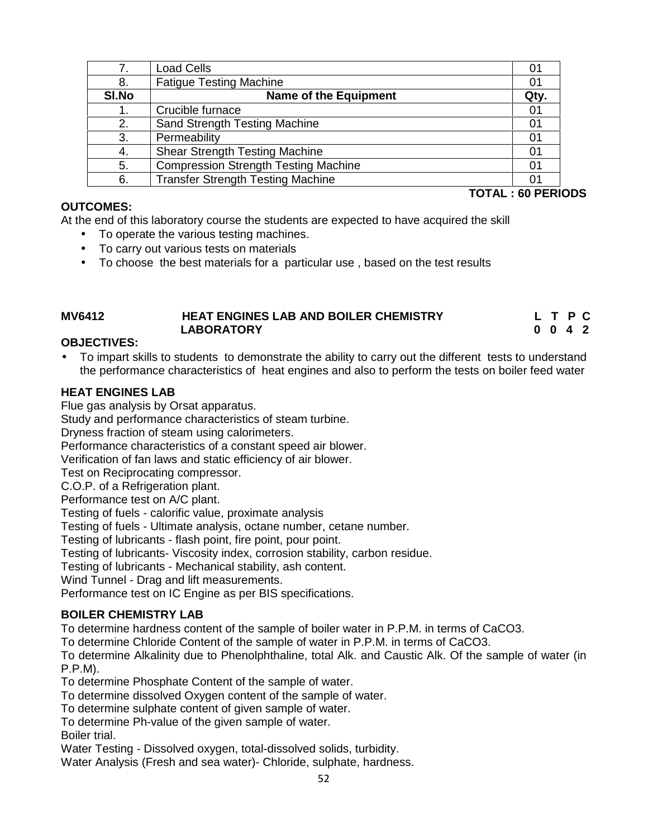| 7.    | Load Cells                                  | 01   |
|-------|---------------------------------------------|------|
| 8.    | <b>Fatigue Testing Machine</b>              | 01   |
| SI.No | <b>Name of the Equipment</b>                | Qty. |
|       | Crucible furnace                            | 01   |
| 2.    | Sand Strength Testing Machine               | 01   |
| 3.    | Permeability                                | 01   |
| -4.   | <b>Shear Strength Testing Machine</b>       | 01   |
| 5.    | <b>Compression Strength Testing Machine</b> | 01   |
| 6.    | <b>Transfer Strength Testing Machine</b>    | 01   |

# **OUTCOMES:**

At the end of this laboratory course the students are expected to have acquired the skill

- To operate the various testing machines.
- To carry out various tests on materials
- To choose the best materials for a particular use , based on the test results

| <b>MV6412</b> | <b>HEAT ENGINES LAB AND BOILER CHEMISTRY</b> | L T P C |  |
|---------------|----------------------------------------------|---------|--|
|               | <b>LABORATORY</b>                            | 0042    |  |

# **OBJECTIVES:**

 To impart skills to students to demonstrate the ability to carry out the different tests to understand the performance characteristics of heat engines and also to perform the tests on boiler feed water

# **HEAT ENGINES LAB**

Flue gas analysis by Orsat apparatus.

Study and performance characteristics of steam turbine.

Dryness fraction of steam using calorimeters.

Performance characteristics of a constant speed air blower.

Verification of fan laws and static efficiency of air blower.

Test on Reciprocating compressor.

C.O.P. of a Refrigeration plant.

Performance test on A/C plant.

Testing of fuels - calorific value, proximate analysis

Testing of fuels - Ultimate analysis, octane number, cetane number.

Testing of lubricants - flash point, fire point, pour point.

Testing of lubricants- Viscosity index, corrosion stability, carbon residue.

Testing of lubricants - Mechanical stability, ash content.

Wind Tunnel - Drag and lift measurements.

Performance test on IC Engine as per BIS specifications.

# **BOILER CHEMISTRY LAB**

To determine hardness content of the sample of boiler water in P.P.M. in terms of CaCO3.

To determine Chloride Content of the sample of water in P.P.M. in terms of CaCO3.

To determine Alkalinity due to Phenolphthaline, total Alk. and Caustic Alk. Of the sample of water (in P.P.M).

To determine Phosphate Content of the sample of water.

To determine dissolved Oxygen content of the sample of water.

To determine sulphate content of given sample of water.

To determine Ph-value of the given sample of water. Boiler trial.

Water Testing - Dissolved oxygen, total-dissolved solids, turbidity.

Water Analysis (Fresh and sea water)- Chloride, sulphate, hardness.

**TOTAL : 60 PERIODS**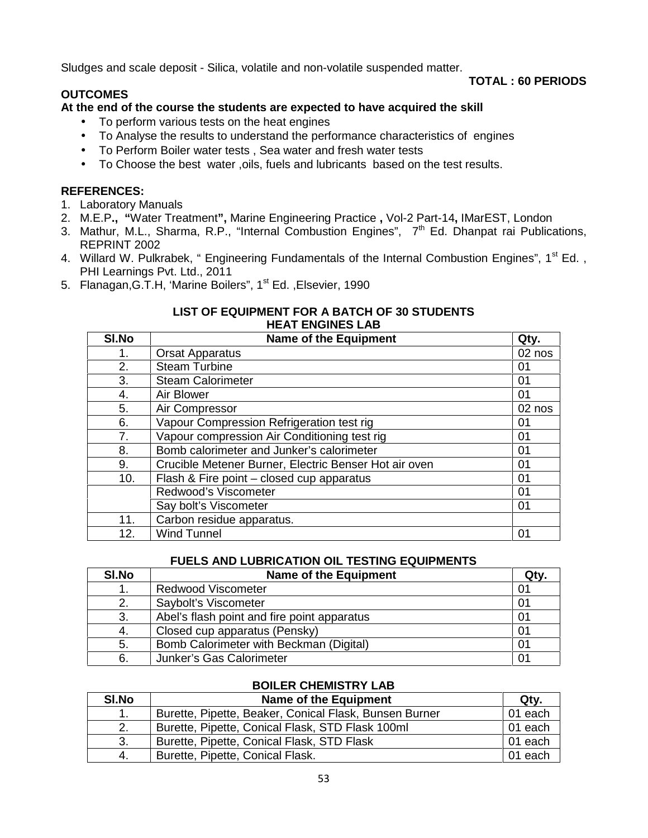Sludges and scale deposit - Silica, volatile and non-volatile suspended matter.

# **OUTCOMES**

## **TOTAL : 60 PERIODS**

# **At the end of the course the students are expected to have acquired the skill**

- To perform various tests on the heat engines
- To Analyse the results to understand the performance characteristics of engines
- To Perform Boiler water tests , Sea water and fresh water tests
- To Choose the best water ,oils, fuels and lubricants based on the test results.

# **REFERENCES:**

- 1. Laboratory Manuals
- 2. M.E.P**., "**Water Treatment**",** Marine Engineering Practice **,** Vol-2 Part-14**,** IMarEST, London
- 3. Mathur, M.L., Sharma, R.P., "Internal Combustion Engines",  $7<sup>th</sup>$  Ed. Dhanpat rai Publications, REPRINT 2002
- 4. Willard W. Pulkrabek, " Engineering Fundamentals of the Internal Combustion Engines", 1<sup>st</sup> Ed., PHI Learnings Pvt. Ltd., 2011
- 5. Flanagan, G.T.H, 'Marine Boilers", 1<sup>st</sup> Ed., Elsevier, 1990

### **LIST OF EQUIPMENT FOR A BATCH OF 30 STUDENTS HEAT ENGINES LAB**

| SI.No | <b>Name of the Equipment</b>                          | Qty.   |
|-------|-------------------------------------------------------|--------|
| 1.    | <b>Orsat Apparatus</b>                                | 02 nos |
| 2.    | <b>Steam Turbine</b>                                  | 01     |
| 3.    | <b>Steam Calorimeter</b>                              | 01     |
| 4.    | Air Blower                                            | 01     |
| 5.    | Air Compressor                                        | 02 nos |
| 6.    | Vapour Compression Refrigeration test rig             | 01     |
| 7.    | Vapour compression Air Conditioning test rig          | 01     |
| 8.    | Bomb calorimeter and Junker's calorimeter             | 01     |
| 9.    | Crucible Metener Burner, Electric Benser Hot air oven | 01     |
| 10.   | Flash & Fire point - closed cup apparatus             | 01     |
|       | Redwood's Viscometer                                  | 01     |
|       | Say bolt's Viscometer                                 | 01     |
| 11.   | Carbon residue apparatus.                             |        |
| 12.   | <b>Wind Tunnel</b>                                    | 01     |

# **FUELS AND LUBRICATION OIL TESTING EQUIPMENTS**

| SI.No | <b>Name of the Equipment</b>                | Qty. |
|-------|---------------------------------------------|------|
|       | <b>Redwood Viscometer</b>                   | 01   |
| 2.    | Saybolt's Viscometer                        | 01   |
| 3.    | Abel's flash point and fire point apparatus | 01   |
| -4.   | Closed cup apparatus (Pensky)               | 01   |
| 5.    | Bomb Calorimeter with Beckman (Digital)     | 01   |
| 6.    | Junker's Gas Calorimeter                    | 01   |

# **BOILER CHEMISTRY LAB**

| SI.No | Name of the Equipment                                  | Qtv.    |
|-------|--------------------------------------------------------|---------|
| 1.    | Burette, Pipette, Beaker, Conical Flask, Bunsen Burner | 01 each |
| 2.    | Burette, Pipette, Conical Flask, STD Flask 100ml       | 01 each |
| 3.    | Burette, Pipette, Conical Flask, STD Flask             | 01 each |
| -4.   | Burette, Pipette, Conical Flask.                       | 01 each |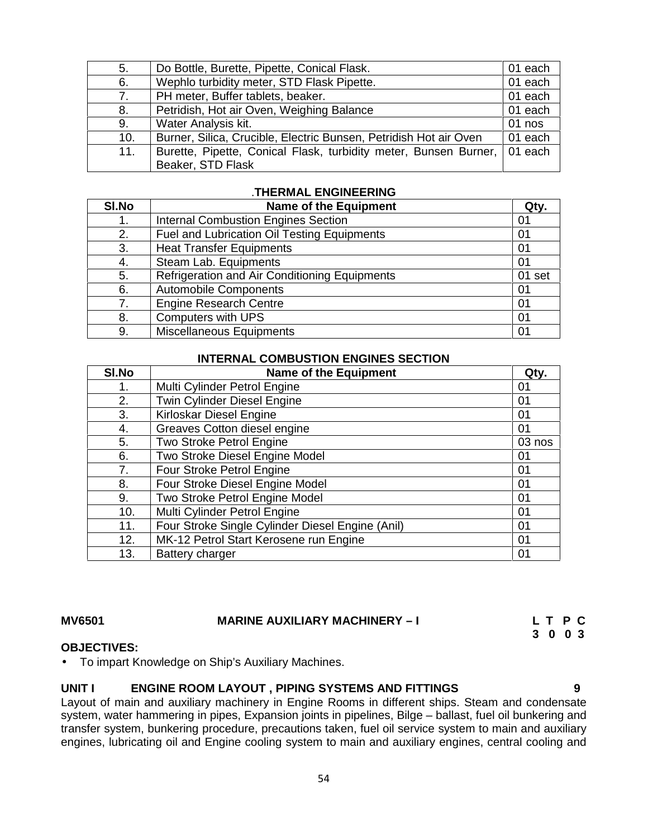| 5.  | Do Bottle, Burette, Pipette, Conical Flask.                                | 01 each  |  |
|-----|----------------------------------------------------------------------------|----------|--|
| 6.  | Wephlo turbidity meter, STD Flask Pipette.                                 | 01 each  |  |
| 7.  | PH meter, Buffer tablets, beaker.                                          | 01 each  |  |
| 8.  | Petridish, Hot air Oven, Weighing Balance                                  | 01 each  |  |
| 9.  | Water Analysis kit.                                                        | $01$ nos |  |
| 10. | Burner, Silica, Crucible, Electric Bunsen, Petridish Hot air Oven          | 01 each  |  |
| 11. | Burette, Pipette, Conical Flask, turbidity meter, Bunsen Burner,   01 each |          |  |
|     | Beaker, STD Flask                                                          |          |  |

# .**THERMAL ENGINEERING**

| SI.No | <b>Name of the Equipment</b>                  | Qty.   |
|-------|-----------------------------------------------|--------|
| 1.    | <b>Internal Combustion Engines Section</b>    | 01     |
| 2.    | Fuel and Lubrication Oil Testing Equipments   | 01     |
| 3.    | <b>Heat Transfer Equipments</b>               | 01     |
| 4.    | Steam Lab. Equipments                         | 01     |
| 5.    | Refrigeration and Air Conditioning Equipments | 01 set |
| 6.    | <b>Automobile Components</b>                  | 01     |
| 7.    | <b>Engine Research Centre</b>                 | 01     |
| 8.    | <b>Computers with UPS</b>                     | 01     |
| 9.    | <b>Miscellaneous Equipments</b>               | 01     |

### **INTERNAL COMBUSTION ENGINES SECTION**

| SI.No | <b>Name of the Equipment</b>                     | Qty.   |
|-------|--------------------------------------------------|--------|
| 1.    | Multi Cylinder Petrol Engine                     | 01     |
| 2.    | <b>Twin Cylinder Diesel Engine</b>               | 01     |
| 3.    | Kirloskar Diesel Engine                          | 01     |
| 4.    | Greaves Cotton diesel engine                     | 01     |
| 5.    | Two Stroke Petrol Engine                         | 03 nos |
| 6.    | Two Stroke Diesel Engine Model                   | 01     |
| 7.    | Four Stroke Petrol Engine                        | 01     |
| 8.    | Four Stroke Diesel Engine Model                  | 01     |
| 9.    | Two Stroke Petrol Engine Model                   | 01     |
| 10.   | Multi Cylinder Petrol Engine                     | 01     |
| 11.   | Four Stroke Single Cylinder Diesel Engine (Anil) | 01     |
| 12.   | MK-12 Petrol Start Kerosene run Engine           | 01     |
| 13.   | Battery charger                                  | 01     |

### **MV6501 MARINE AUXILIARY MACHINERY –I L T P C**

**3 0 0 3**

### **OBJECTIVES:**

To impart Knowledge on Ship's Auxiliary Machines.

# **UNIT I ENGINE ROOM LAYOUT , PIPING SYSTEMS AND FITTINGS 9**

Layout of main and auxiliary machinery in Engine Rooms in different ships. Steam and condensate system, water hammering in pipes, Expansion joints in pipelines, Bilge – ballast, fuel oil bunkering and transfer system, bunkering procedure, precautions taken, fuel oil service system to main and auxiliary engines, lubricating oil and Engine cooling system to main and auxiliary engines, central cooling and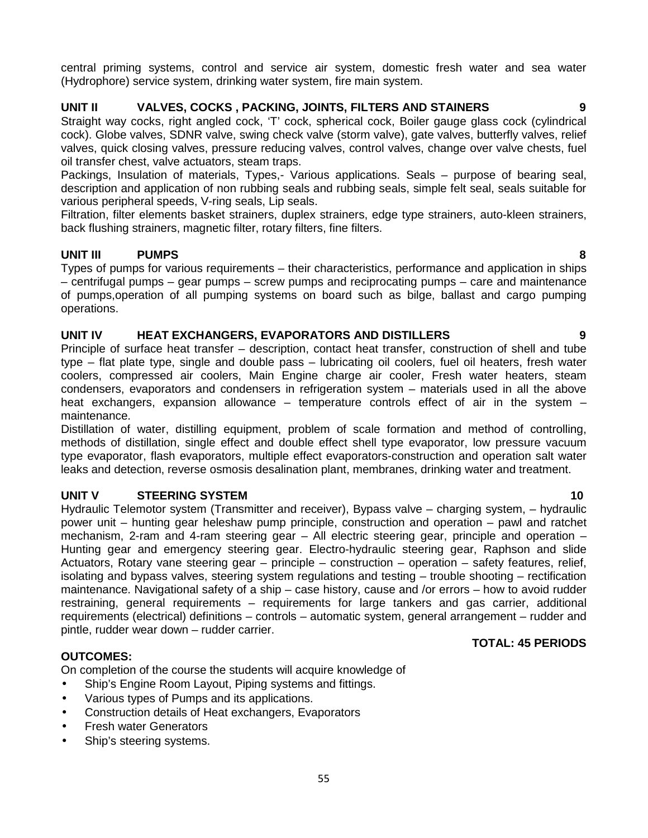central priming systems, control and service air system, domestic fresh water and sea water (Hydrophore) service system, drinking water system, fire main system.

# **UNIT II VALVES, COCKS , PACKING, JOINTS, FILTERS AND STAINERS 9**

Straight way cocks, right angled cock, 'T' cock, spherical cock, Boiler gauge glass cock (cylindrical cock). Globe valves, SDNR valve, swing check valve (storm valve), gate valves, butterfly valves, relief valves, quick closing valves, pressure reducing valves, control valves, change over valve chests, fuel oil transfer chest, valve actuators, steam traps.

Packings, Insulation of materials, Types,- Various applications. Seals – purpose of bearing seal, description and application of non rubbing seals and rubbing seals, simple felt seal, seals suitable for various peripheral speeds, V-ring seals, Lip seals.

Filtration, filter elements basket strainers, duplex strainers, edge type strainers, auto-kleen strainers, back flushing strainers, magnetic filter, rotary filters, fine filters.

# **UNIT III PUMPS 8**

Types of pumps for various requirements – their characteristics, performance and application in ships – centrifugal pumps – gear pumps – screw pumps and reciprocating pumps – care and maintenance of pumps,operation of all pumping systems on board such as bilge, ballast and cargo pumping operations.

# **UNIT IV HEAT EXCHANGERS, EVAPORATORS AND DISTILLERS 9**

Principle of surface heat transfer – description, contact heat transfer, construction of shell and tube type – flat plate type, single and double pass – lubricating oil coolers, fuel oil heaters, fresh water coolers, compressed air coolers, Main Engine charge air cooler, Fresh water heaters, steam condensers, evaporators and condensers in refrigeration system – materials used in all the above heat exchangers, expansion allowance – temperature controls effect of air in the system – maintenance.

Distillation of water, distilling equipment, problem of scale formation and method of controlling, methods of distillation, single effect and double effect shell type evaporator, low pressure vacuum type evaporator, flash evaporators, multiple effect evaporators-construction and operation salt water leaks and detection, reverse osmosis desalination plant, membranes, drinking water and treatment.

# **UNIT V STEERING SYSTEM 10**

Hydraulic Telemotor system (Transmitter and receiver), Bypass valve – charging system, – hydraulic power unit – hunting gear heleshaw pump principle, construction and operation – pawl and ratchet mechanism, 2-ram and 4-ram steering gear – All electric steering gear, principle and operation – Hunting gear and emergency steering gear. Electro-hydraulic steering gear, Raphson and slide Actuators, Rotary vane steering gear – principle – construction – operation – safety features, relief, isolating and bypass valves, steering system regulations and testing – trouble shooting – rectification maintenance. Navigational safety of a ship – case history, cause and /or errors – how to avoid rudder restraining, general requirements – requirements for large tankers and gas carrier, additional requirements (electrical) definitions – controls – automatic system, general arrangement – rudder and pintle, rudder wear down – rudder carrier.

# **OUTCOMES:**

On completion of the course the students will acquire knowledge of

- Ship's Engine Room Layout, Piping systems and fittings.
- Various types of Pumps and its applications.
- Construction details of Heat exchangers, Evaporators
- Fresh water Generators
- Ship's steering systems.

### **TOTAL: 45 PERIODS**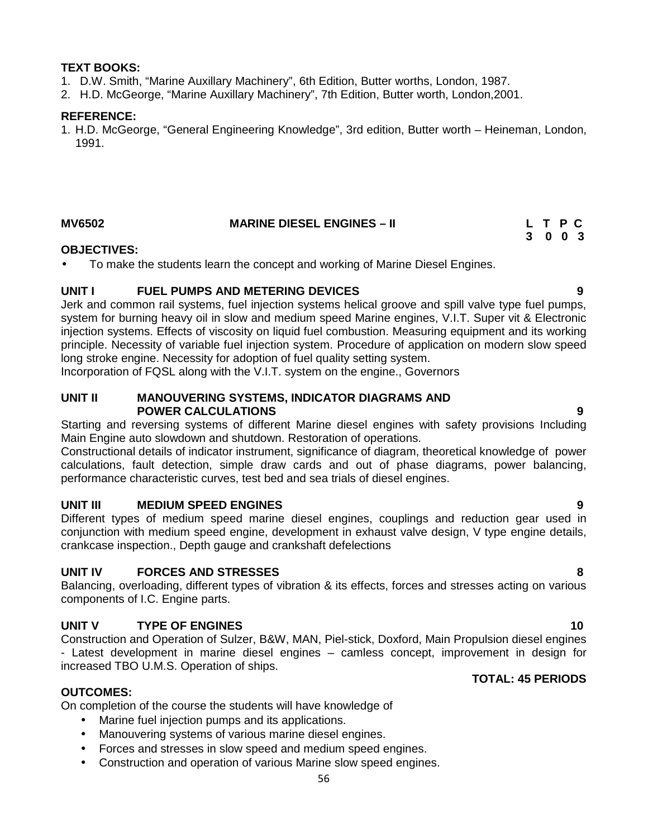# **TEXT BOOKS:**

- 1. D.W. Smith, "Marine Auxillary Machinery", 6th Edition, Butter worths, London, 1987.
- 2. H.D. McGeorge, "Marine Auxillary Machinery", 7th Edition, Butter worth, London,2001.

# **REFERENCE:**

1. H.D. McGeorge, "General Engineering Knowledge", 3rd edition, Butter worth – Heineman, London, 1991.

| <b>MV6502</b> | <b>MARINE DIESEL ENGINES - II</b> | L T P C |
|---------------|-----------------------------------|---------|
|               |                                   | 3 0 0 3 |

### **OBJECTIVES:**

To make the students learn the concept and working of Marine Diesel Engines.

# **UNIT I FUEL PUMPS AND METERING DEVICES 9**

Jerk and common rail systems, fuel injection systems helical groove and spill valve type fuel pumps, system for burning heavy oil in slow and medium speed Marine engines, V.I.T. Super vit & Electronic injection systems. Effects of viscosity on liquid fuel combustion. Measuring equipment and its working principle. Necessity of variable fuel injection system. Procedure of application on modern slow speed long stroke engine. Necessity for adoption of fuel quality setting system.

Incorporation of FQSL along with the V.I.T. system on the engine., Governors

### **UNIT II MANOUVERING SYSTEMS, INDICATOR DIAGRAMS AND POWER CALCULATIONS 9**

Starting and reversing systems of different Marine diesel engines with safety provisions Including Main Engine auto slowdown and shutdown. Restoration of operations.

Constructional details of indicator instrument, significance of diagram, theoretical knowledge of power calculations, fault detection, simple draw cards and out of phase diagrams, power balancing, performance characteristic curves, test bed and sea trials of diesel engines.

# **UNIT III MEDIUM SPEED ENGINES 9**

Different types of medium speed marine diesel engines, couplings and reduction gear used in conjunction with medium speed engine, development in exhaust valve design, V type engine details, crankcase inspection., Depth gauge and crankshaft defelections

# **UNIT IV FORCES AND STRESSES 8**

Balancing, overloading, different types of vibration & its effects, forces and stresses acting on various components of I.C. Engine parts.

# **UNIT V TYPE OF ENGINES 10**

Construction and Operation of Sulzer, B&W, MAN, Piel-stick, Doxford, Main Propulsion diesel engines - Latest development in marine diesel engines – camless concept, improvement in design for increased TBO U.M.S. Operation of ships.

# **OUTCOMES:**

On completion of the course the students will have knowledge of

- Marine fuel injection pumps and its applications.
- Manouvering systems of various marine diesel engines.
- Forces and stresses in slow speed and medium speed engines.
- Construction and operation of various Marine slow speed engines.

# **TOTAL: 45 PERIODS**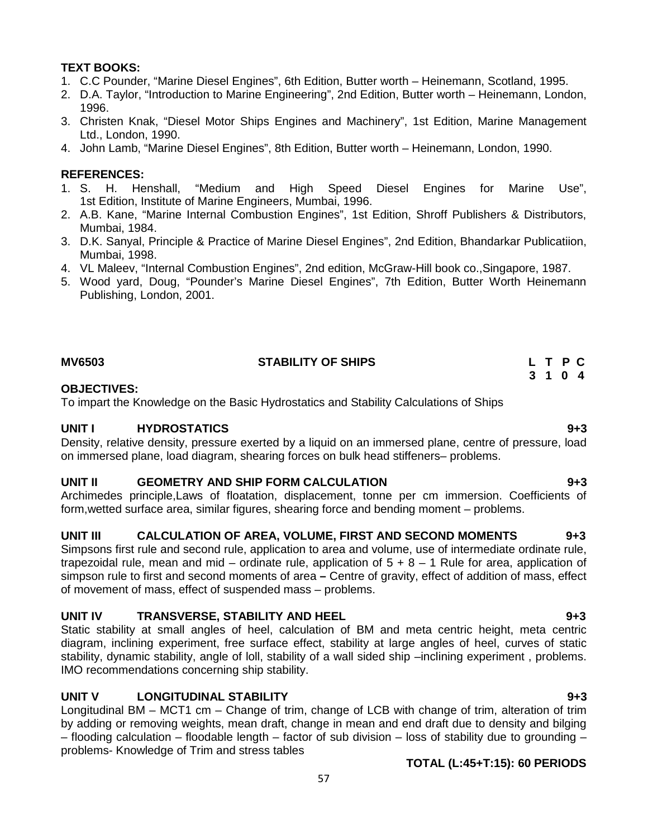# **TEXT BOOKS:**

- 1. C.C Pounder, "Marine Diesel Engines", 6th Edition, Butter worth Heinemann, Scotland, 1995.
- 2. D.A. Taylor, "Introduction to Marine Engineering", 2nd Edition, Butter worth Heinemann, London, 1996.
- 3. Christen Knak, "Diesel Motor Ships Engines and Machinery", 1st Edition, Marine Management Ltd., London, 1990.
- 4. John Lamb, "Marine Diesel Engines", 8th Edition, Butter worth Heinemann, London, 1990.

## **REFERENCES:**

- 1. S. H. Henshall, "Medium and High Speed Diesel Engines for Marine Use", 1st Edition, Institute of Marine Engineers, Mumbai, 1996.
- 2. A.B. Kane, "Marine Internal Combustion Engines", 1st Edition, Shroff Publishers & Distributors, Mumbai, 1984.
- 3. D.K. Sanyal, Principle & Practice of Marine Diesel Engines", 2nd Edition, Bhandarkar Publicatiion, Mumbai, 1998.
- 4. VL Maleev, "Internal Combustion Engines", 2nd edition, McGraw-Hill book co.,Singapore, 1987.
- 5. Wood yard, Doug, "Pounder's Marine Diesel Engines", 7th Edition, Butter Worth Heinemann Publishing, London, 2001.

# **MV6503 STABILITY OF SHIPS L T P C**

### **OBJECTIVES:**

To impart the Knowledge on the Basic Hydrostatics and Stability Calculations of Ships

### **UNIT I HYDROSTATICS 9+3**

Density, relative density, pressure exerted by a liquid on an immersed plane, centre of pressure, load on immersed plane, load diagram, shearing forces on bulk head stiffeners– problems.

### **UNIT II GEOMETRY AND SHIP FORM CALCULATION 9+3**

Archimedes principle,Laws of floatation, displacement, tonne per cm immersion. Coefficients of form,wetted surface area, similar figures, shearing force and bending moment – problems.

# **UNIT III CALCULATION OF AREA, VOLUME, FIRST AND SECOND MOMENTS 9+3**

Simpsons first rule and second rule, application to area and volume, use of intermediate ordinate rule, trapezoidal rule, mean and mid – ordinate rule, application of  $5 + 8 - 1$  Rule for area, application of simpson rule to first and second moments of area **–** Centre of gravity, effect of addition of mass, effect of movement of mass, effect of suspended mass – problems.

# **UNIT IV TRANSVERSE, STABILITY AND HEEL 9+3**

Static stability at small angles of heel, calculation of BM and meta centric height, meta centric diagram, inclining experiment, free surface effect, stability at large angles of heel, curves of static stability, dynamic stability, angle of loll, stability of a wall sided ship –inclining experiment , problems. IMO recommendations concerning ship stability.

# **UNIT V LONGITUDINAL STABILITY 9+3**

Longitudinal BM – MCT1 cm – Change of trim, change of LCB with change of trim, alteration of trim by adding or removing weights, mean draft, change in mean and end draft due to density and bilging – flooding calculation – floodable length – factor of sub division – loss of stability due to grounding – problems- Knowledge of Trim and stress tables

# **TOTAL (L:45+T:15): 60 PERIODS**

**3 1 0 4**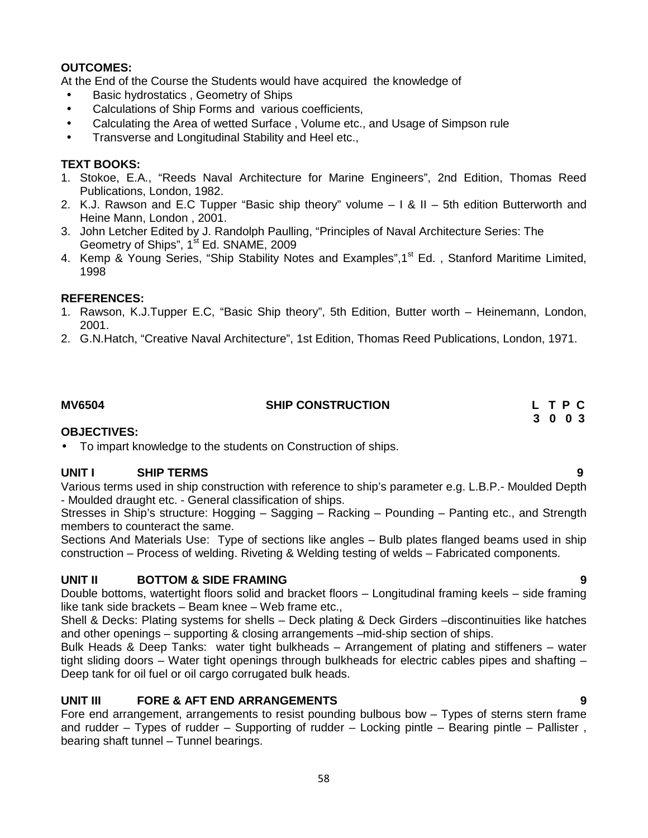# **OUTCOMES:**

At the End of the Course the Students would have acquired the knowledge of

- Basic hydrostatics, Geometry of Ships
- Calculations of Ship Forms and various coefficients,
- Calculating the Area of wetted Surface , Volume etc., and Usage of Simpson rule
- Transverse and Longitudinal Stability and Heel etc.,

# **TEXT BOOKS:**

- 1. Stokoe, E.A., "Reeds Naval Architecture for Marine Engineers", 2nd Edition, Thomas Reed Publications, London, 1982.
- 2. K.J. Rawson and E.C Tupper "Basic ship theory" volume I & II 5th edition Butterworth and Heine Mann, London , 2001.
- 3. John Letcher Edited by J. Randolph Paulling, "Principles of Naval Architecture Series: The Geometry of Ships", 1<sup>st</sup> Ed. SNAME, 2009
- 4. Kemp & Young Series, "Ship Stability Notes and Examples", 1<sup>st</sup> Ed., Stanford Maritime Limited, 1998

# **REFERENCES:**

- 1. Rawson, K.J.Tupper E.C, "Basic Ship theory", 5th Edition, Butter worth Heinemann, London, 2001.
- 2. G.N.Hatch, "Creative Naval Architecture", 1st Edition, Thomas Reed Publications, London, 1971.

# **MV6504 SHIP CONSTRUCTION L T P C 3 0 0 3**

### **OBJECTIVES:**

To impart knowledge to the students on Construction of ships.

## **UNIT I SHIP TERMS 9**

Various terms used in ship construction with reference to ship's parameter e.g. L.B.P.- Moulded Depth - Moulded draught etc. - General classification of ships.

Stresses in Ship's structure: Hogging – Sagging – Racking – Pounding – Panting etc., and Strength members to counteract the same.

Sections And Materials Use: Type of sections like angles – Bulb plates flanged beams used in ship construction – Process of welding. Riveting & Welding testing of welds – Fabricated components.

# **UNIT II BOTTOM & SIDE FRAMING 9**

Double bottoms, watertight floors solid and bracket floors – Longitudinal framing keels – side framing like tank side brackets – Beam knee – Web frame etc.,

Shell & Decks: Plating systems for shells – Deck plating & Deck Girders –discontinuities like hatches and other openings – supporting & closing arrangements –mid-ship section of ships.

Bulk Heads & Deep Tanks: water tight bulkheads – Arrangement of plating and stiffeners – water tight sliding doors – Water tight openings through bulkheads for electric cables pipes and shafting – Deep tank for oil fuel or oil cargo corrugated bulk heads.

# **UNIT III FORE & AFT END ARRANGEMENTS 9**

Fore end arrangement, arrangements to resist pounding bulbous bow – Types of sterns stern frame and rudder – Types of rudder – Supporting of rudder – Locking pintle – Bearing pintle – Pallister , bearing shaft tunnel – Tunnel bearings.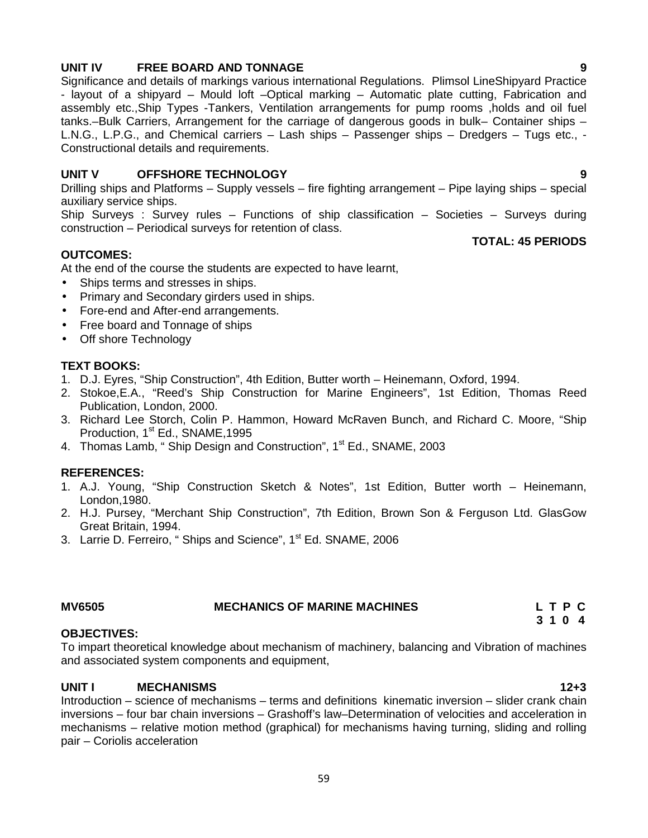# **UNIT IV FREE BOARD AND TONNAGE 9**

Significance and details of markings various international Regulations. Plimsol LineShipyard Practice - layout of a shipyard – Mould loft –Optical marking – Automatic plate cutting, Fabrication and assembly etc.,Ship Types -Tankers, Ventilation arrangements for pump rooms ,holds and oil fuel tanks.–Bulk Carriers, Arrangement for the carriage of dangerous goods in bulk– Container ships – L.N.G., L.P.G., and Chemical carriers – Lash ships – Passenger ships – Dredgers – Tugs etc., - Constructional details and requirements.

# **UNIT V OFFSHORE TECHNOLOGY 9**

Drilling ships and Platforms – Supply vessels – fire fighting arrangement – Pipe laying ships – special auxiliary service ships.

Ship Surveys : Survey rules – Functions of ship classification – Societies – Surveys during construction – Periodical surveys for retention of class.

### **TOTAL: 45 PERIODS**

**OUTCOMES:**

At the end of the course the students are expected to have learnt,

- Ships terms and stresses in ships.
- Primary and Secondary girders used in ships.
- Fore-end and After-end arrangements.
- Free board and Tonnage of ships
- Off shore Technology

### **TEXT BOOKS:**

- 1. D.J. Eyres, "Ship Construction", 4th Edition, Butter worth Heinemann, Oxford, 1994.
- 2. Stokoe,E.A., "Reed's Ship Construction for Marine Engineers", 1st Edition, Thomas Reed Publication, London, 2000.
- 3. Richard Lee Storch, Colin P. Hammon, Howard McRaven Bunch, and Richard C. Moore, "Ship Production, 1<sup>st</sup> Ed., SNAME, 1995
- 4. Thomas Lamb, " Ship Design and Construction", 1<sup>st</sup> Ed., SNAME, 2003

### **REFERENCES:**

- 1. A.J. Young, "Ship Construction Sketch & Notes", 1st Edition, Butter worth Heinemann, London,1980.
- 2. H.J. Pursey, "Merchant Ship Construction", 7th Edition, Brown Son & Ferguson Ltd. GlasGow Great Britain, 1994.
- 3. Larrie D. Ferreiro, " Ships and Science", 1<sup>st</sup> Ed. SNAME, 2006

| <b>MV6505</b> | <b>MECHANICS OF MARINE MACHINES</b> | LTPC |  |
|---------------|-------------------------------------|------|--|
|               |                                     | 21   |  |

### **OBJECTIVES:**

To impart theoretical knowledge about mechanism of machinery, balancing and Vibration of machines and associated system components and equipment,

# **UNIT I MECHANISMS 12+3**

Introduction – science of mechanisms – terms and definitions kinematic inversion – slider crank chain inversions – four bar chain inversions – Grashoff's law–Determination of velocities and acceleration in mechanisms – relative motion method (graphical) for mechanisms having turning, sliding and rolling pair – Coriolis acceleration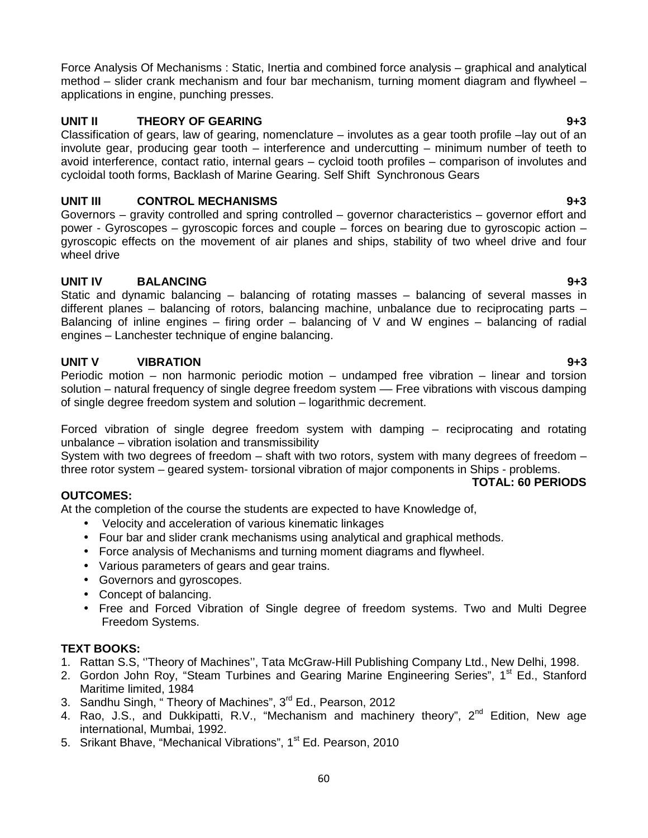Force Analysis Of Mechanisms : Static, Inertia and combined force analysis – graphical and analytical method – slider crank mechanism and four bar mechanism, turning moment diagram and flywheel – applications in engine, punching presses.

# **UNIT II THEORY OF GEARING 9+3**

Classification of gears, law of gearing, nomenclature – involutes as a gear tooth profile –lay out of an involute gear, producing gear tooth – interference and undercutting – minimum number of teeth to avoid interference, contact ratio, internal gears – cycloid tooth profiles – comparison of involutes and cycloidal tooth forms, Backlash of Marine Gearing. Self Shift Synchronous Gears

# **UNIT III CONTROL MECHANISMS 9+3**

Governors – gravity controlled and spring controlled – governor characteristics – governor effort and power - Gyroscopes – gyroscopic forces and couple – forces on bearing due to gyroscopic action – gyroscopic effects on the movement of air planes and ships, stability of two wheel drive and four wheel drive

# **UNIT IV BALANCING 9+3**

Static and dynamic balancing – balancing of rotating masses – balancing of several masses in different planes – balancing of rotors, balancing machine, unbalance due to reciprocating parts – Balancing of inline engines – firing order – balancing of V and W engines – balancing of radial engines – Lanchester technique of engine balancing.

# **UNIT V VIBRATION 9+3**

Periodic motion – non harmonic periodic motion – undamped free vibration – linear and torsion solution – natural frequency of single degree freedom system — Free vibrations with viscous damping of single degree freedom system and solution – logarithmic decrement.

Forced vibration of single degree freedom system with damping – reciprocating and rotating unbalance – vibration isolation and transmissibility

System with two degrees of freedom – shaft with two rotors, system with many degrees of freedom – three rotor system – geared system- torsional vibration of major components in Ships - problems.

# **TOTAL: 60 PERIODS**

# **OUTCOMES:**

At the completion of the course the students are expected to have Knowledge of,

- Velocity and acceleration of various kinematic linkages
- Four bar and slider crank mechanisms using analytical and graphical methods.
- Force analysis of Mechanisms and turning moment diagrams and flywheel.
- Various parameters of gears and gear trains.
- Governors and gyroscopes.
- Concept of balancing.
- Free and Forced Vibration of Single degree of freedom systems. Two and Multi Degree Freedom Systems.

# **TEXT BOOKS:**

- 1. Rattan S.S, ''Theory of Machines'', Tata McGraw-Hill Publishing Company Ltd., New Delhi, 1998.
- 2. Gordon John Roy, "Steam Turbines and Gearing Marine Engineering Series", 1<sup>st</sup> Ed., Stanford Maritime limited, 1984
- 3. Sandhu Singh, "Theory of Machines", 3<sup>rd</sup> Ed., Pearson, 2012
- 4. Rao, J.S., and Dukkipatti, R.V., "Mechanism and machinery theory",  $2^{nd}$  Edition, New age international, Mumbai, 1992.
- 5. Srikant Bhave, "Mechanical Vibrations", 1<sup>st</sup> Ed. Pearson, 2010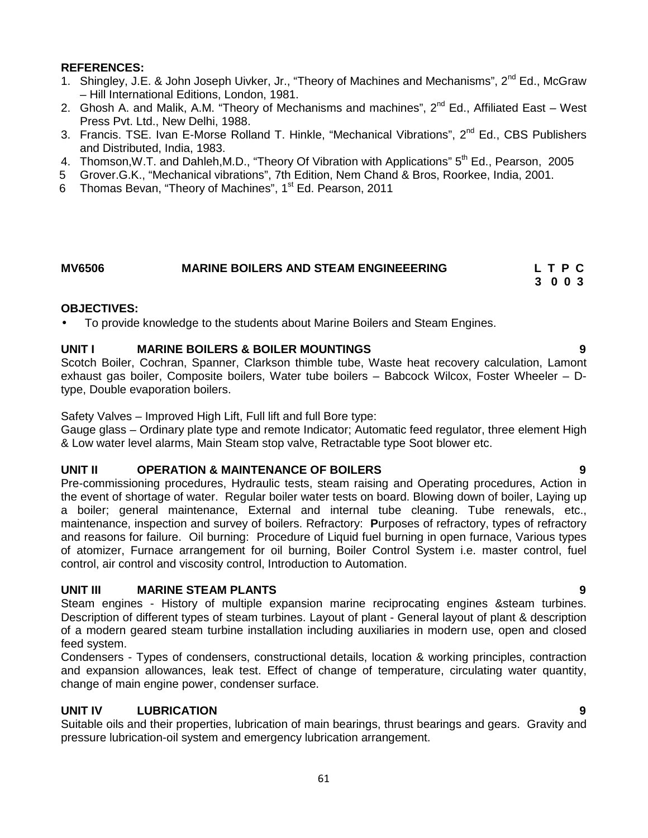# **REFERENCES:**

- 1. Shingley, J.E. & John Joseph Uivker, Jr., "Theory of Machines and Mechanisms", 2<sup>nd</sup> Ed., McGraw – Hill International Editions, London, 1981.
- 2. Ghosh A. and Malik, A.M. "Theory of Mechanisms and machines",  $2^{nd}$  Ed., Affiliated East West Press Pvt. Ltd., New Delhi, 1988.
- 3. Francis. TSE. Ivan E-Morse Rolland T. Hinkle, "Mechanical Vibrations", 2<sup>nd</sup> Ed., CBS Publishers and Distributed, India, 1983.
- 4. Thomson, W.T. and Dahleh, M.D., "Theory Of Vibration with Applications" 5<sup>th</sup> Ed., Pearson, 2005
- 5 Grover.G.K., "Mechanical vibrations", 7th Edition, Nem Chand & Bros, Roorkee, India, 2001.
- 6 Thomas Bevan, "Theory of Machines", 1<sup>st</sup> Ed. Pearson, 2011

# **MV6506 MARINE BOILERS AND STEAM ENGINEEERING L T P C**

# **3 0 0 3**

# **OBJECTIVES:**

To provide knowledge to the students about Marine Boilers and Steam Engines.

# **UNIT I MARINE BOILERS & BOILER MOUNTINGS 9**

Scotch Boiler, Cochran, Spanner, Clarkson thimble tube, Waste heat recovery calculation, Lamont exhaust gas boiler, Composite boilers, Water tube boilers – Babcock Wilcox, Foster Wheeler – Dtype, Double evaporation boilers.

Safety Valves – Improved High Lift, Full lift and full Bore type:

Gauge glass – Ordinary plate type and remote Indicator; Automatic feed regulator, three element High & Low water level alarms, Main Steam stop valve, Retractable type Soot blower etc.

# **UNIT II OPERATION & MAINTENANCE OF BOILERS 9**

Pre-commissioning procedures, Hydraulic tests, steam raising and Operating procedures, Action in the event of shortage of water. Regular boiler water tests on board. Blowing down of boiler, Laying up a boiler; general maintenance, External and internal tube cleaning. Tube renewals, etc., maintenance, inspection and survey of boilers. Refractory: **P**urposes of refractory, types of refractory and reasons for failure. Oil burning: Procedure of Liquid fuel burning in open furnace, Various types of atomizer, Furnace arrangement for oil burning, Boiler Control System i.e. master control, fuel control, air control and viscosity control, Introduction to Automation.

# **UNIT III MARINE STEAM PLANTS 9**

Steam engines - History of multiple expansion marine reciprocating engines &steam turbines. Description of different types of steam turbines. Layout of plant - General layout of plant & description of a modern geared steam turbine installation including auxiliaries in modern use, open and closed feed system.

Condensers - Types of condensers, constructional details, location & working principles, contraction and expansion allowances, leak test. Effect of change of temperature, circulating water quantity, change of main engine power, condenser surface.

# **UNIT IV LUBRICATION 9**

Suitable oils and their properties, lubrication of main bearings, thrust bearings and gears. Gravity and pressure lubrication-oil system and emergency lubrication arrangement.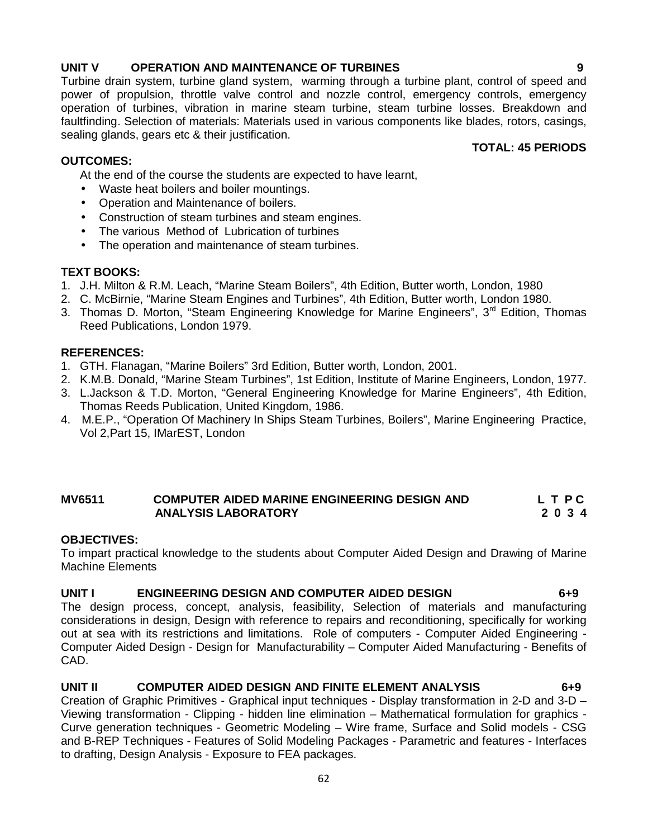#### 62

# **UNIT V OPERATION AND MAINTENANCE OF TURBINES 9**

Turbine drain system, turbine gland system, warming through a turbine plant, control of speed and power of propulsion, throttle valve control and nozzle control, emergency controls, emergency operation of turbines, vibration in marine steam turbine, steam turbine losses. Breakdown and faultfinding. Selection of materials: Materials used in various components like blades, rotors, casings, sealing glands, gears etc & their justification. **TOTAL: 45 PERIODS**

### **OUTCOMES:**

At the end of the course the students are expected to have learnt,

- Waste heat boilers and boiler mountings.
- Operation and Maintenance of boilers.
- Construction of steam turbines and steam engines.
- The various Method of Lubrication of turbines
- The operation and maintenance of steam turbines.

# **TEXT BOOKS:**

- 1. J.H. Milton & R.M. Leach, "Marine Steam Boilers", 4th Edition, Butter worth, London, 1980
- 2. C. McBirnie, "Marine Steam Engines and Turbines", 4th Edition, Butter worth, London 1980.
- 3. Thomas D. Morton, "Steam Engineering Knowledge for Marine Engineers", 3<sup>rd</sup> Edition, Thomas Reed Publications, London 1979.

### **REFERENCES:**

- 1. GTH. Flanagan, "Marine Boilers" 3rd Edition, Butter worth, London, 2001.
- 2. K.M.B. Donald, "Marine Steam Turbines", 1st Edition, Institute of Marine Engineers, London, 1977.
- 3. L.Jackson & T.D. Morton, "General Engineering Knowledge for Marine Engineers", 4th Edition, Thomas Reeds Publication, United Kingdom, 1986.
- 4. M.E.P., "Operation Of Machinery In Ships Steam Turbines, Boilers", Marine Engineering Practice, Vol 2,Part 15, IMarEST, London

# **MV6511 COMPUTER AIDED MARINE ENGINEERING DESIGN AND L T P C ANALYSIS LABORATORY 2 0 3 4**

# **OBJECTIVES:**

To impart practical knowledge to the students about Computer Aided Design and Drawing of Marine Machine Elements

# **UNIT I ENGINEERING DESIGN AND COMPUTER AIDED DESIGN 6+9**

The design process, concept, analysis, feasibility, Selection of materials and manufacturing considerations in design, Design with reference to repairs and reconditioning, specifically for working out at sea with its restrictions and limitations. Role of computers - Computer Aided Engineering - Computer Aided Design - Design for Manufacturability – Computer Aided Manufacturing - Benefits of CAD.

# **UNIT II COMPUTER AIDED DESIGN AND FINITE ELEMENT ANALYSIS 6+9**

Creation of Graphic Primitives - Graphical input techniques - Display transformation in 2-D and 3-D – Viewing transformation - Clipping - hidden line elimination – Mathematical formulation for graphics - Curve generation techniques - Geometric Modeling – Wire frame, Surface and Solid models - CSG and B-REP Techniques - Features of Solid Modeling Packages - Parametric and features - Interfaces to drafting, Design Analysis - Exposure to FEA packages.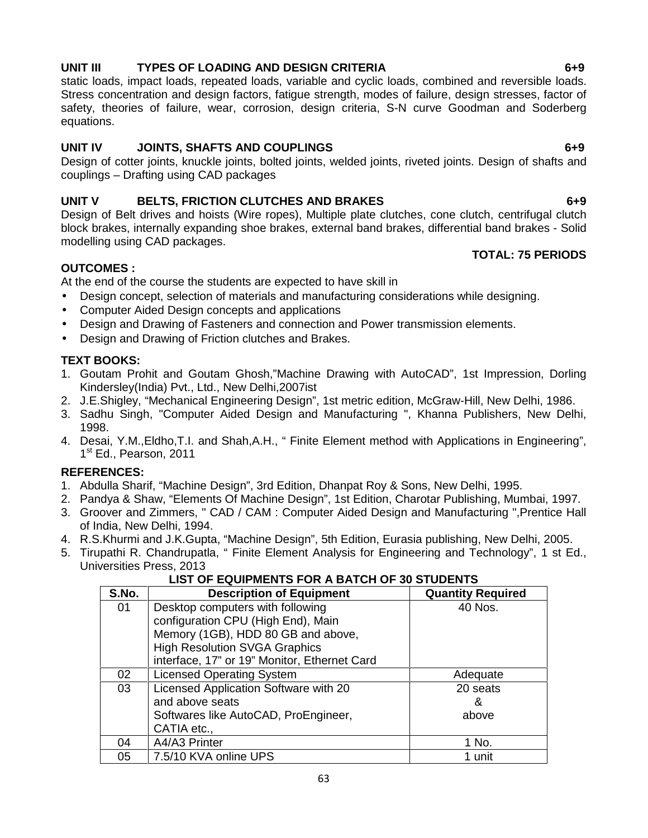# **UNIT III TYPES OF LOADING AND DESIGN CRITERIA 6+9**

static loads, impact loads, repeated loads, variable and cyclic loads, combined and reversible loads. Stress concentration and design factors, fatigue strength, modes of failure, design stresses, factor of safety, theories of failure, wear, corrosion, design criteria, S-N curve Goodman and Soderberg equations.

# **UNIT IV JOINTS, SHAFTS AND COUPLINGS 6+9**

Design of cotter joints, knuckle joints, bolted joints, welded joints, riveted joints. Design of shafts and couplings – Drafting using CAD packages

# **UNIT V BELTS, FRICTION CLUTCHES AND BRAKES 6+9**

Design of Belt drives and hoists (Wire ropes), Multiple plate clutches, cone clutch, centrifugal clutch block brakes, internally expanding shoe brakes, external band brakes, differential band brakes - Solid modelling using CAD packages.

# **OUTCOMES :**

At the end of the course the students are expected to have skill in

- Design concept, selection of materials and manufacturing considerations while designing.
- Computer Aided Design concepts and applications
- Design and Drawing of Fasteners and connection and Power transmission elements.
- Design and Drawing of Friction clutches and Brakes.

# **TEXT BOOKS:**

- 1. Goutam Prohit and Goutam Ghosh,"Machine Drawing with AutoCAD", 1st Impression, Dorling Kindersley(India) Pvt., Ltd., New Delhi,2007ist
- 2. J.E.Shigley, "Mechanical Engineering Design", 1st metric edition, McGraw-Hill, New Delhi, 1986.
- 3. Sadhu Singh, "Computer Aided Design and Manufacturing ", Khanna Publishers, New Delhi, 1998.
- 4. Desai, Y.M.,Eldho,T.I. and Shah,A.H., " Finite Element method with Applications in Engineering", 1 st Ed., Pearson, 2011

# **REFERENCES:**

- 1. Abdulla Sharif, "Machine Design", 3rd Edition, Dhanpat Roy & Sons, New Delhi, 1995.
- 2. Pandya & Shaw, "Elements Of Machine Design", 1st Edition, Charotar Publishing, Mumbai, 1997.
- 3. Groover and Zimmers, " CAD / CAM : Computer Aided Design and Manufacturing ",Prentice Hall of India, New Delhi, 1994.
- 4. R.S.Khurmi and J.K.Gupta, "Machine Design", 5th Edition, Eurasia publishing, New Delhi, 2005.
- 5. Tirupathi R. Chandrupatla, " Finite Element Analysis for Engineering and Technology", 1 st Ed., Universities Press, 2013

# **LIST OF EQUIPMENTS FOR A BATCH OF 30 STUDENTS**

| S.No. | <b>Description of Equipment</b>              | <b>Quantity Required</b> |
|-------|----------------------------------------------|--------------------------|
| 01    | Desktop computers with following             | 40 Nos.                  |
|       | configuration CPU (High End), Main           |                          |
|       | Memory (1GB), HDD 80 GB and above,           |                          |
|       | <b>High Resolution SVGA Graphics</b>         |                          |
|       | interface, 17" or 19" Monitor, Ethernet Card |                          |
| 02    | <b>Licensed Operating System</b>             | Adequate                 |
| 03    | Licensed Application Software with 20        | 20 seats                 |
|       | and above seats                              | &                        |
|       | Softwares like AutoCAD, ProEngineer,         | above                    |
|       | CATIA etc.,                                  |                          |
| 04    | A4/A3 Printer                                | 1 No.                    |
| 05    | 7.5/10 KVA online UPS                        | 1 unit                   |

**TOTAL: 75 PERIODS**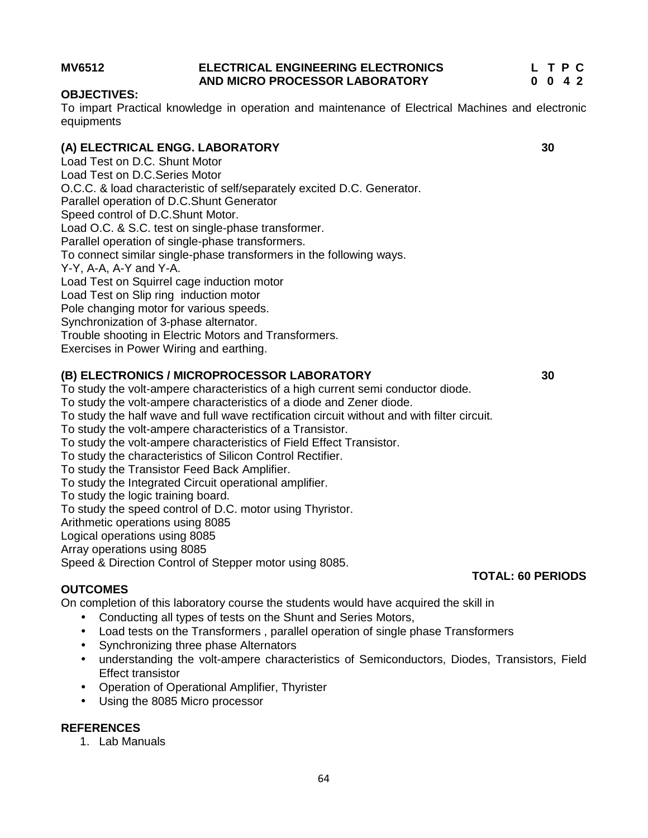#### **MV6512 ELECTRICAL ENGINEERING ELECTRONICS L T P C AND MICRO PROCESSOR LABORATORY 0 0 4 2**

## **OBJECTIVES:**

To impart Practical knowledge in operation and maintenance of Electrical Machines and electronic equipments

# **(A) ELECTRICAL ENGG. LABORATORY 30**

Load Test on D.C. Shunt Motor Load Test on D.C.Series Motor O.C.C. & load characteristic of self/separately excited D.C. Generator. Parallel operation of D.C.Shunt Generator Speed control of D.C.Shunt Motor. Load O.C. & S.C. test on single-phase transformer. Parallel operation of single-phase transformers. To connect similar single-phase transformers in the following ways. Y-Y, A-A, A-Y and Y-A. Load Test on Squirrel cage induction motor Load Test on Slip ring induction motor Pole changing motor for various speeds. Synchronization of 3-phase alternator. Trouble shooting in Electric Motors and Transformers. Exercises in Power Wiring and earthing.

# **(B) ELECTRONICS / MICROPROCESSOR LABORATORY 30**

To study the volt-ampere characteristics of a high current semi conductor diode.

To study the volt-ampere characteristics of a diode and Zener diode.

To study the half wave and full wave rectification circuit without and with filter circuit.

To study the volt-ampere characteristics of a Transistor.

To study the volt-ampere characteristics of Field Effect Transistor.

To study the characteristics of Silicon Control Rectifier.

To study the Transistor Feed Back Amplifier.

To study the Integrated Circuit operational amplifier.

To study the logic training board.

To study the speed control of D.C. motor using Thyristor.

Arithmetic operations using 8085

Logical operations using 8085

Array operations using 8085

Speed & Direction Control of Stepper motor using 8085.

# **OUTCOMES**

On completion of this laboratory course the students would have acquired the skill in

- Conducting all types of tests on the Shunt and Series Motors,
- Load tests on the Transformers , parallel operation of single phase Transformers
- Synchronizing three phase Alternators
- understanding the volt-ampere characteristics of Semiconductors, Diodes, Transistors, Field Effect transistor
- Operation of Operational Amplifier, Thyrister
- Using the 8085 Micro processor

# **REFERENCES**

1. Lab Manuals

# **TOTAL: 60 PERIODS**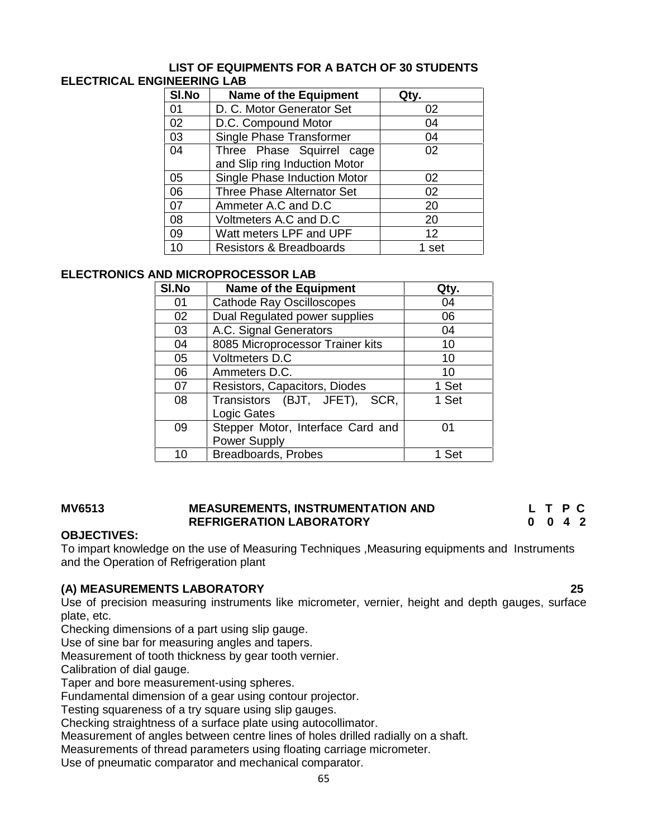### **LIST OF EQUIPMENTS FOR A BATCH OF 30 STUDENTS ELECTRICAL ENGINEERING LAB**

| SI.No | <b>Name of the Equipment</b>       | Qty.  |
|-------|------------------------------------|-------|
| 01    | D. C. Motor Generator Set          | 02    |
| 02    | D.C. Compound Motor                | 04    |
| 03    | Single Phase Transformer           | 04    |
| 04    | Three Phase Squirrel cage          | 02    |
|       | and Slip ring Induction Motor      |       |
| 05    | Single Phase Induction Motor       | 02    |
| 06    | Three Phase Alternator Set         | 02    |
| 07    | Ammeter A.C and D.C                | 20    |
| 08    | Voltmeters A.C and D.C             | 20    |
| 09    | Watt meters LPF and UPF            | 12    |
| 10    | <b>Resistors &amp; Breadboards</b> | 1 set |

# **ELECTRONICS AND MICROPROCESSOR LAB**

| SI.No | <b>Name of the Equipment</b>                             | Qtv.  |
|-------|----------------------------------------------------------|-------|
| 01    | <b>Cathode Ray Oscilloscopes</b>                         | 04    |
| 02    | Dual Regulated power supplies                            | 06    |
| 03    | A.C. Signal Generators                                   | 04    |
| 04    | 8085 Microprocessor Trainer kits                         | 10    |
| 05    | Voltmeters D.C                                           | 10    |
| 06    | Ammeters D.C.                                            | 10    |
| 07    | Resistors, Capacitors, Diodes                            | 1 Set |
| 08    | Transistors (BJT, JFET),<br>SCR.<br>Logic Gates          | 1 Set |
| 09    | Stepper Motor, Interface Card and<br><b>Power Supply</b> | በ1    |
| 1 በ   | <b>Breadboards, Probes</b>                               | Set   |

### **MV6513 MEASUREMENTS, INSTRUMENTATION AND L T P C REFRIGERATION LABORATORY 0 0 4 2**

### **OBJECTIVES:**

To impart knowledge on the use of Measuring Techniques ,Measuring equipments and Instruments and the Operation of Refrigeration plant

# **(A) MEASUREMENTS LABORATORY 25**

Use of precision measuring instruments like micrometer, vernier, height and depth gauges, surface plate, etc.

Checking dimensions of a part using slip gauge.

Use of sine bar for measuring angles and tapers.

Measurement of tooth thickness by gear tooth vernier.

Calibration of dial gauge.

Taper and bore measurement-using spheres.

Fundamental dimension of a gear using contour projector.

Testing squareness of a try square using slip gauges.

Checking straightness of a surface plate using autocollimator.

Measurement of angles between centre lines of holes drilled radially on a shaft.

Measurements of thread parameters using floating carriage micrometer.

Use of pneumatic comparator and mechanical comparator.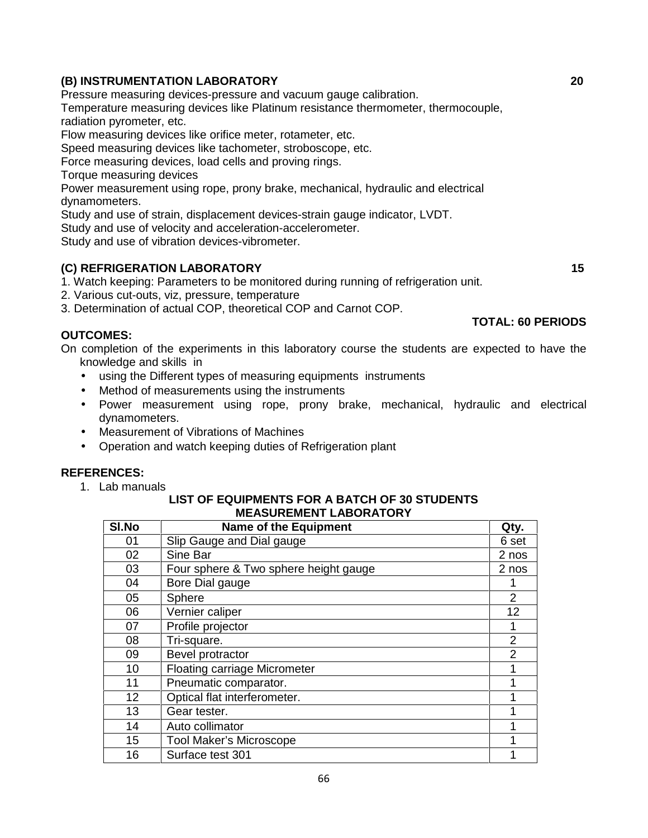# **(B) INSTRUMENTATION LABORATORY 20**

Pressure measuring devices-pressure and vacuum gauge calibration.

Temperature measuring devices like Platinum resistance thermometer, thermocouple, radiation pyrometer, etc.

Flow measuring devices like orifice meter, rotameter, etc.

Speed measuring devices like tachometer, stroboscope, etc.

Force measuring devices, load cells and proving rings.

Torque measuring devices

Power measurement using rope, prony brake, mechanical, hydraulic and electrical dynamometers.

Study and use of strain, displacement devices-strain gauge indicator, LVDT.

Study and use of velocity and acceleration-accelerometer.

Study and use of vibration devices-vibrometer.

# **(C) REFRIGERATION LABORATORY 15**

1. Watch keeping: Parameters to be monitored during running of refrigeration unit.

2. Various cut-outs, viz, pressure, temperature

3. Determination of actual COP, theoretical COP and Carnot COP.

# **OUTCOMES:**

On completion of the experiments in this laboratory course the students are expected to have the knowledge and skills in

- using the Different types of measuring equipments instruments
- Method of measurements using the instruments
- Power measurement using rope, prony brake, mechanical, hydraulic and electrical dynamometers.
- Measurement of Vibrations of Machines
- Operation and watch keeping duties of Refrigeration plant

# **REFERENCES:**

1. Lab manuals

#### **LIST OF EQUIPMENTS FOR A BATCH OF 30 STUDENTS MEASUREMENT LABORATORY**

| SI.No | <b>Name of the Equipment</b>          | Qty.  |
|-------|---------------------------------------|-------|
| 01    | Slip Gauge and Dial gauge             | 6 set |
| 02    | Sine Bar                              | 2 nos |
| 03    | Four sphere & Two sphere height gauge | 2 nos |
| 04    | Bore Dial gauge                       |       |
| 05    | Sphere                                | 2     |
| 06    | Vernier caliper                       | 12    |
| 07    | Profile projector                     |       |
| 08    | Tri-square.                           | 2     |
| 09    | Bevel protractor                      | 2     |
| 10    | <b>Floating carriage Micrometer</b>   |       |
| 11    | Pneumatic comparator.                 |       |
| 12    | Optical flat interferometer.          |       |
| 13    | Gear tester.                          |       |
| 14    | Auto collimator                       |       |
| 15    | <b>Tool Maker's Microscope</b>        |       |
| 16    | Surface test 301                      |       |

**TOTAL: 60 PERIODS**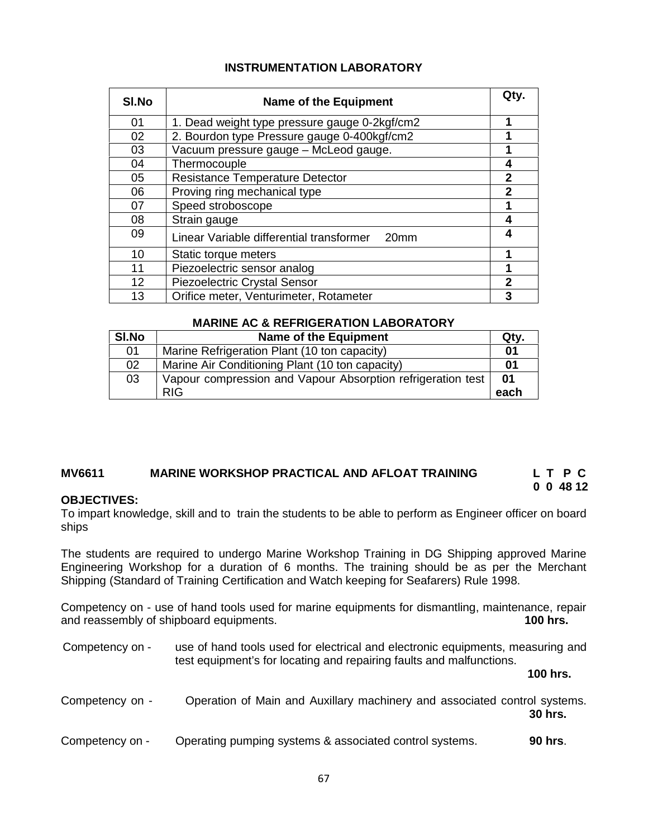| SI.No | <b>Name of the Equipment</b>                  | Qty.         |
|-------|-----------------------------------------------|--------------|
| 01    | 1. Dead weight type pressure gauge 0-2kgf/cm2 | 1            |
| 02    | 2. Bourdon type Pressure gauge 0-400kgf/cm2   |              |
| 03    | Vacuum pressure gauge - McLeod gauge.         |              |
| 04    | Thermocouple                                  | 4            |
| 05    | <b>Resistance Temperature Detector</b>        | 2            |
| 06    | Proving ring mechanical type                  | $\mathbf{2}$ |
| 07    | Speed stroboscope                             |              |
| 08    | Strain gauge                                  | 4            |
| 09    | Linear Variable differential transformer 20mm | 4            |
| 10    | Static torque meters                          | 1            |
| 11    | Piezoelectric sensor analog                   | 1            |
| 12    | Piezoelectric Crystal Sensor                  | $\mathbf 2$  |
| 13    | Orifice meter, Venturimeter, Rotameter        | 3            |

### **MARINE AC & REFRIGERATION LABORATORY**

| SI.No | Name of the Equipment                                       | Qty. |
|-------|-------------------------------------------------------------|------|
| 01    | Marine Refrigeration Plant (10 ton capacity)                | 01   |
| 02    | Marine Air Conditioning Plant (10 ton capacity)             | 01   |
| 03    | Vapour compression and Vapour Absorption refrigeration test | 01   |
|       | <b>RIG</b>                                                  | each |

#### **MV6611 MARINE WORKSHOP PRACTICAL AND AFLOAT TRAINING L T P C 0 0 48 12**

# **OBJECTIVES:**

To impart knowledge, skill and to train the students to be able to perform as Engineer officer on board ships

The students are required to undergo Marine Workshop Training in DG Shipping approved Marine Engineering Workshop for a duration of 6 months. The training should be as per the Merchant Shipping (Standard of Training Certification and Watch keeping for Seafarers) Rule 1998.

Competency on - use of hand tools used for marine equipments for dismantling, maintenance, repair and reassembly of shipboard equipments. **100 hrs. 100 hrs.** 

| Competency on - | use of hand tools used for electrical and electronic equipments, measuring and<br>test equipment's for locating and repairing faults and malfunctions. |                |
|-----------------|--------------------------------------------------------------------------------------------------------------------------------------------------------|----------------|
|                 |                                                                                                                                                        | 100 hrs.       |
| Competency on - | Operation of Main and Auxillary machinery and associated control systems.                                                                              | <b>30 hrs.</b> |
| Competency on - | Operating pumping systems & associated control systems.                                                                                                | 90 hrs.        |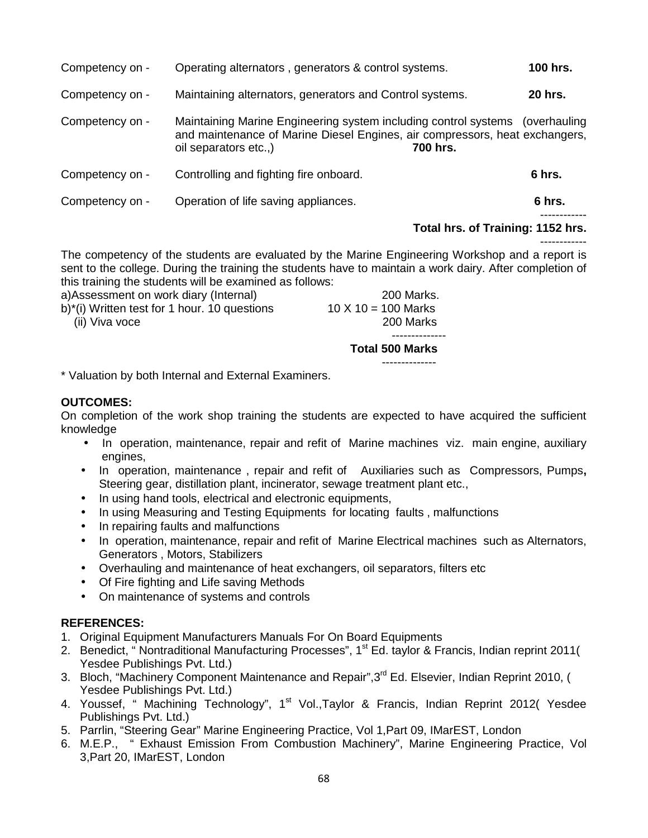| Competency on - | Operating alternators, generators & control systems.                                                                                                                                 |          | 100 hrs.       |
|-----------------|--------------------------------------------------------------------------------------------------------------------------------------------------------------------------------------|----------|----------------|
| Competency on - | Maintaining alternators, generators and Control systems.                                                                                                                             |          | <b>20 hrs.</b> |
| Competency on - | Maintaining Marine Engineering system including control systems (overhauling<br>and maintenance of Marine Diesel Engines, air compressors, heat exchangers,<br>oil separators etc.,) | 700 hrs. |                |
| Competency on - | Controlling and fighting fire onboard.                                                                                                                                               |          | 6 hrs.         |
| Competency on - | Operation of life saving appliances.                                                                                                                                                 |          | 6 hrs.         |

### **Total hrs. of Training: 1152 hrs.**

------------ The competency of the students are evaluated by the Marine Engineering Workshop and a report is sent to the college. During the training the students have to maintain a work dairy. After completion of this training the students will be examined as follows:

|                                              | <b>Total 500 Marks</b> |
|----------------------------------------------|------------------------|
|                                              |                        |
| (ii) Viva voce                               | 200 Marks              |
| b)*(i) Written test for 1 hour. 10 questions | 10 X 10 = 100 Marks    |
| a)Assessment on work diary (Internal)        | 200 Marks.             |

\* Valuation by both Internal and External Examiners.

### **OUTCOMES:**

On completion of the work shop training the students are expected to have acquired the sufficient knowledge

- In operation, maintenance, repair and refit of Marine machines viz. main engine, auxiliary engines,
- In operation, maintenance , repair and refit of Auxiliaries such as Compressors, Pumps**,** Steering gear, distillation plant, incinerator, sewage treatment plant etc.,
- In using hand tools, electrical and electronic equipments,
- In using Measuring and Testing Equipments for locating faults, malfunctions
- In repairing faults and malfunctions
- In operation, maintenance, repair and refit of Marine Electrical machines such as Alternators, Generators , Motors, Stabilizers
- Overhauling and maintenance of heat exchangers, oil separators, filters etc
- Of Fire fighting and Life saving Methods
- On maintenance of systems and controls

# **REFERENCES:**

- 1. Original Equipment Manufacturers Manuals For On Board Equipments
- 2. Benedict, " Nontraditional Manufacturing Processes", 1<sup>st</sup> Ed. taylor & Francis, Indian reprint 2011( Yesdee Publishings Pvt. Ltd.)
- 3. Bloch, "Machinery Component Maintenance and Repair", 3<sup>rd</sup> Ed. Elsevier, Indian Reprint 2010, ( Yesdee Publishings Pvt. Ltd.)
- 4. Youssef, " Machining Technology", 1<sup>st</sup> Vol.,Taylor & Francis, Indian Reprint 2012( Yesdee Publishings Pvt. Ltd.)
- 5. Parrlin, "Steering Gear" Marine Engineering Practice, Vol 1,Part 09, IMarEST, London
- 6. M.E.P., " Exhaust Emission From Combustion Machinery", Marine Engineering Practice, Vol 3,Part 20, IMarEST, London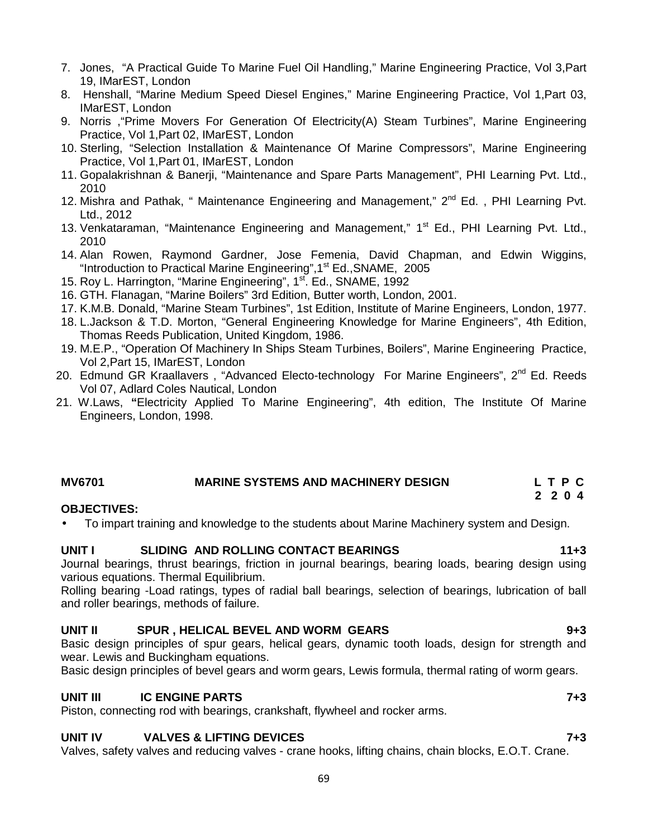- 7. Jones, "A Practical Guide To Marine Fuel Oil Handling," Marine Engineering Practice, Vol 3,Part 19, IMarEST, London
- 8. Henshall, "Marine Medium Speed Diesel Engines," Marine Engineering Practice, Vol 1,Part 03, IMarEST, London
- 9. Norris ,"Prime Movers For Generation Of Electricity(A) Steam Turbines", Marine Engineering Practice, Vol 1,Part 02, IMarEST, London
- 10. Sterling, "Selection Installation & Maintenance Of Marine Compressors", Marine Engineering Practice, Vol 1,Part 01, IMarEST, London
- 11. Gopalakrishnan & Banerji, "Maintenance and Spare Parts Management", PHI Learning Pvt. Ltd., 2010
- 12. Mishra and Pathak, " Maintenance Engineering and Management," 2<sup>nd</sup> Ed., PHI Learning Pvt. Ltd., 2012
- 13. Venkataraman, "Maintenance Engineering and Management," 1<sup>st</sup> Ed., PHI Learning Pvt. Ltd., 2010
- 14. Alan Rowen, Raymond Gardner, Jose Femenia, David Chapman, and Edwin Wiggins, "Introduction to Practical Marine Engineering", 1<sup>st</sup> Ed., SNAME, 2005
- 15. Roy L. Harrington, "Marine Engineering", 1<sup>st</sup>. Ed., SNAME, 1992
- 16. GTH. Flanagan, "Marine Boilers" 3rd Edition, Butter worth, London, 2001.
- 17. K.M.B. Donald, "Marine Steam Turbines", 1st Edition, Institute of Marine Engineers, London, 1977.
- 18. L.Jackson & T.D. Morton, "General Engineering Knowledge for Marine Engineers", 4th Edition, Thomas Reeds Publication, United Kingdom, 1986.
- 19. M.E.P., "Operation Of Machinery In Ships Steam Turbines, Boilers", Marine Engineering Practice, Vol 2,Part 15, IMarEST, London
- 20. Edmund GR Kraallavers, "Advanced Electo-technology For Marine Engineers", 2<sup>nd</sup> Ed. Reeds Vol 07, Adlard Coles Nautical, London
- 21. W.Laws, **"**Electricity Applied To Marine Engineering", 4th edition, The Institute Of Marine Engineers, London, 1998.

# **MV6701 MARINE SYSTEMS AND MACHINERY DESIGN L T P C**

# **OBJECTIVES:**

To impart training and knowledge to the students about Marine Machinery system and Design.

### **UNIT I SLIDING AND ROLLING CONTACT BEARINGS 11+3**

Journal bearings, thrust bearings, friction in journal bearings, bearing loads, bearing design using various equations. Thermal Equilibrium.

Rolling bearing -Load ratings, types of radial ball bearings, selection of bearings, lubrication of ball and roller bearings, methods of failure.

# **UNIT II SPUR , HELICAL BEVEL AND WORM GEARS 9+3**

Basic design principles of spur gears, helical gears, dynamic tooth loads, design for strength and wear. Lewis and Buckingham equations.

Basic design principles of bevel gears and worm gears, Lewis formula, thermal rating of worm gears.

### **UNIT III IC ENGINE PARTS 7+3**

Piston, connecting rod with bearings, crankshaft, flywheel and rocker arms.

# **UNIT IV VALVES & LIFTING DEVICES 7+3**

Valves, safety valves and reducing valves - crane hooks, lifting chains, chain blocks, E.O.T. Crane.

**2 2 0 4**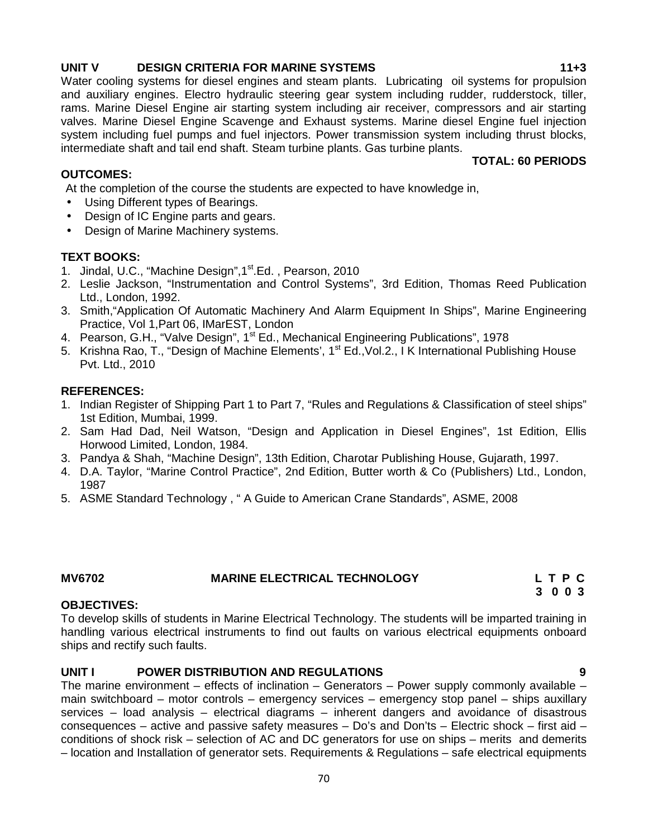# **UNIT V DESIGN CRITERIA FOR MARINE SYSTEMS 11+3**

Water cooling systems for diesel engines and steam plants. Lubricating oil systems for propulsion and auxiliary engines. Electro hydraulic steering gear system including rudder, rudderstock, tiller, rams. Marine Diesel Engine air starting system including air receiver, compressors and air starting valves. Marine Diesel Engine Scavenge and Exhaust systems. Marine diesel Engine fuel injection system including fuel pumps and fuel injectors. Power transmission system including thrust blocks, intermediate shaft and tail end shaft. Steam turbine plants. Gas turbine plants. **TOTAL: 60 PERIODS**

# **OUTCOMES:**

At the completion of the course the students are expected to have knowledge in,

- Using Different types of Bearings.
- Design of IC Engine parts and gears.
- Design of Marine Machinery systems.

# **TEXT BOOKS:**

- 1. Jindal, U.C., "Machine Design", 1<sup>st</sup>.Ed., Pearson, 2010
- 2. Leslie Jackson, "Instrumentation and Control Systems", 3rd Edition, Thomas Reed Publication Ltd., London, 1992.
- 3. Smith,"Application Of Automatic Machinery And Alarm Equipment In Ships", Marine Engineering Practice, Vol 1,Part 06, IMarEST, London
- 4. Pearson, G.H., "Valve Design", 1<sup>st</sup> Ed., Mechanical Engineering Publications", 1978
- 5. Krishna Rao, T., "Design of Machine Elements', 1<sup>st</sup> Ed., Vol.2., I K International Publishing House Pvt. Ltd., 2010

# **REFERENCES:**

- 1. Indian Register of Shipping Part 1 to Part 7, "Rules and Regulations & Classification of steel ships" 1st Edition, Mumbai, 1999.
- 2. Sam Had Dad, Neil Watson, "Design and Application in Diesel Engines", 1st Edition, Ellis Horwood Limited, London, 1984.
- 3. Pandya & Shah, "Machine Design", 13th Edition, Charotar Publishing House, Gujarath, 1997.
- 4. D.A. Taylor, "Marine Control Practice", 2nd Edition, Butter worth & Co (Publishers) Ltd., London, 1987
- 5. ASME Standard Technology , " A Guide to American Crane Standards", ASME, 2008

# **MV6702 MARINE ELECTRICAL TECHNOLOGY L T P C**

# **OBJECTIVES:**

To develop skills of students in Marine Electrical Technology. The students will be imparted training in handling various electrical instruments to find out faults on various electrical equipments onboard ships and rectify such faults.

# **UNIT I POWER DISTRIBUTION AND REGULATIONS 9**

The marine environment – effects of inclination – Generators – Power supply commonly available – main switchboard – motor controls – emergency services – emergency stop panel – ships auxillary services – load analysis – electrical diagrams – inherent dangers and avoidance of disastrous consequences – active and passive safety measures – Do's and Don'ts – Electric shock – first aid – conditions of shock risk – selection of AC and DC generators for use on ships – merits and demerits – location and Installation of generator sets. Requirements & Regulations – safe electrical equipments

- **3 0 0 3**
	-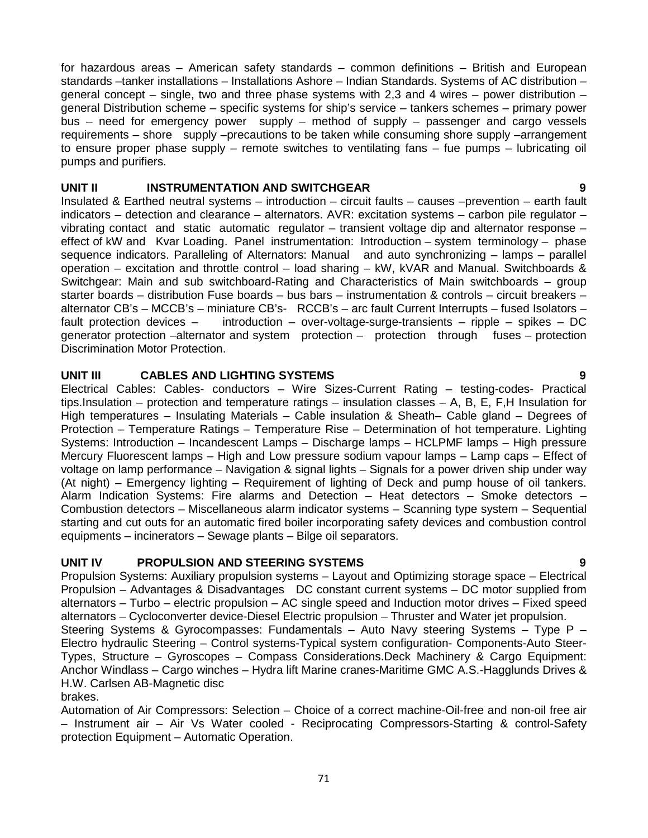for hazardous areas – American safety standards – common definitions – British and European standards –tanker installations – Installations Ashore – Indian Standards. Systems of AC distribution – general concept – single, two and three phase systems with 2.3 and 4 wires – power distribution – general Distribution scheme – specific systems for ship's service – tankers schemes – primary power bus – need for emergency power supply – method of supply – passenger and cargo vessels requirements – shore supply –precautions to be taken while consuming shore supply –arrangement to ensure proper phase supply – remote switches to ventilating fans – fue pumps – lubricating oil pumps and purifiers.

# **UNIT II INSTRUMENTATION AND SWITCHGEAR 9**

Insulated & Earthed neutral systems – introduction – circuit faults – causes –prevention – earth fault indicators – detection and clearance – alternators. AVR: excitation systems – carbon pile regulator – vibrating contact and static automatic regulator – transient voltage dip and alternator response – effect of kW and Kvar Loading. Panel instrumentation: Introduction – system terminology – phase sequence indicators. Paralleling of Alternators: Manual and auto synchronizing – lamps – parallel operation – excitation and throttle control – load sharing – kW, kVAR and Manual. Switchboards & Switchgear: Main and sub switchboard-Rating and Characteristics of Main switchboards – group starter boards – distribution Fuse boards – bus bars – instrumentation & controls – circuit breakers – alternator CB's – MCCB's – miniature CB's- RCCB's – arc fault Current Interrupts – fused Isolators – fault protection devices – introduction – over-voltage-surge-transients – ripple – spikes – DC generator protection –alternator and system protection – protection through fuses – protection Discrimination Motor Protection.

### **UNIT III CABLES AND LIGHTING SYSTEMS 9**

Electrical Cables: Cables- conductors – Wire Sizes-Current Rating – testing-codes- Practical tips.Insulation – protection and temperature ratings – insulation classes – A, B, E, F,H Insulation for High temperatures – Insulating Materials – Cable insulation & Sheath– Cable gland – Degrees of Protection – Temperature Ratings – Temperature Rise – Determination of hot temperature. Lighting Systems: Introduction – Incandescent Lamps – Discharge lamps – HCLPMF lamps – High pressure Mercury Fluorescent lamps – High and Low pressure sodium vapour lamps – Lamp caps – Effect of voltage on lamp performance – Navigation & signal lights – Signals for a power driven ship under way (At night) – Emergency lighting – Requirement of lighting of Deck and pump house of oil tankers. Alarm Indication Systems: Fire alarms and Detection – Heat detectors – Smoke detectors – Combustion detectors – Miscellaneous alarm indicator systems – Scanning type system – Sequential starting and cut outs for an automatic fired boiler incorporating safety devices and combustion control equipments – incinerators – Sewage plants – Bilge oil separators.

# **UNIT IV PROPULSION AND STEERING SYSTEMS 9**

Propulsion Systems: Auxiliary propulsion systems – Layout and Optimizing storage space – Electrical Propulsion – Advantages & Disadvantages DC constant current systems – DC motor supplied from alternators – Turbo – electric propulsion – AC single speed and Induction motor drives – Fixed speed alternators – Cycloconverter device-Diesel Electric propulsion – Thruster and Water jet propulsion. Steering Systems & Gyrocompasses: Fundamentals – Auto Navy steering Systems – Type P – Electro hydraulic Steering – Control systems-Typical system configuration- Components-Auto Steer- Types, Structure – Gyroscopes – Compass Considerations.Deck Machinery & Cargo Equipment: Anchor Windlass – Cargo winches – Hydra lift Marine cranes-Maritime GMC A.S.-Hagglunds Drives & H.W. Carlsen AB-Magnetic disc

brakes.

Automation of Air Compressors: Selection – Choice of a correct machine-Oil-free and non-oil free air – Instrument air – Air Vs Water cooled - Reciprocating Compressors-Starting & control-Safety protection Equipment – Automatic Operation.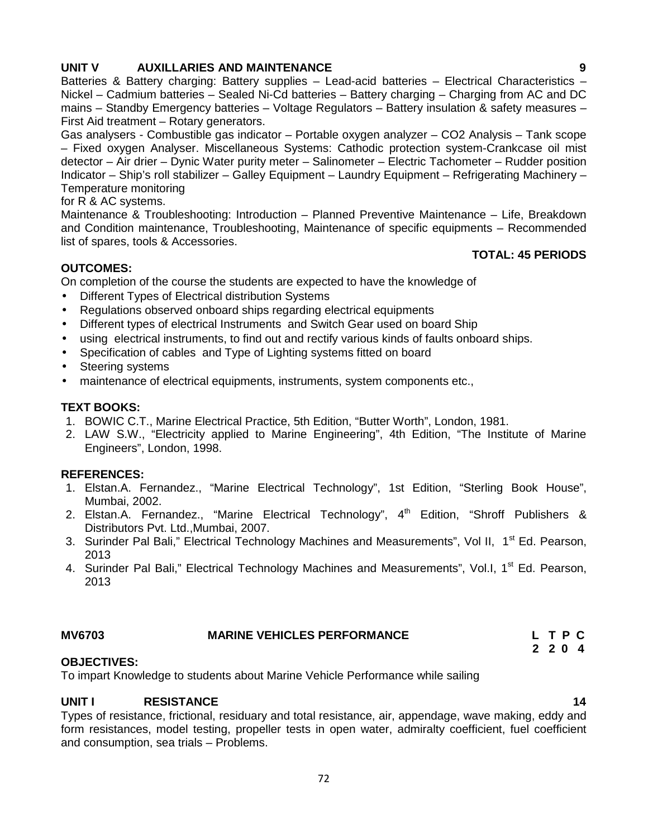# **UNIT V AUXILLARIES AND MAINTENANCE 9**

Batteries & Battery charging: Battery supplies - Lead-acid batteries - Electrical Characteristics -Nickel – Cadmium batteries – Sealed Ni-Cd batteries – Battery charging – Charging from AC and DC mains – Standby Emergency batteries – Voltage Regulators – Battery insulation & safety measures – First Aid treatment – Rotary generators.

Gas analysers - Combustible gas indicator – Portable oxygen analyzer – CO2 Analysis – Tank scope – Fixed oxygen Analyser. Miscellaneous Systems: Cathodic protection system-Crankcase oil mist detector – Air drier – Dynic Water purity meter – Salinometer – Electric Tachometer – Rudder position Indicator – Ship's roll stabilizer – Galley Equipment – Laundry Equipment – Refrigerating Machinery – Temperature monitoring

for R & AC systems.

Maintenance & Troubleshooting: Introduction – Planned Preventive Maintenance – Life, Breakdown and Condition maintenance, Troubleshooting, Maintenance of specific equipments – Recommended list of spares, tools & Accessories.

# **OUTCOMES:**

On completion of the course the students are expected to have the knowledge of

- Different Types of Electrical distribution Systems
- Regulations observed onboard ships regarding electrical equipments
- Different types of electrical Instruments and Switch Gear used on board Ship
- using electrical instruments, to find out and rectify various kinds of faults onboard ships.
- Specification of cables and Type of Lighting systems fitted on board
- Steering systems
- maintenance of electrical equipments, instruments, system components etc.,

# **TEXT BOOKS:**

- 1. BOWIC C.T., Marine Electrical Practice, 5th Edition, "Butter Worth", London, 1981.
- 2. LAW S.W., "Electricity applied to Marine Engineering", 4th Edition, "The Institute of Marine Engineers", London, 1998.

# **REFERENCES:**

- 1. Elstan.A. Fernandez., "Marine Electrical Technology", 1st Edition, "Sterling Book House", Mumbai, 2002.
- 2. Elstan.A. Fernandez., "Marine Electrical Technology", 4<sup>th</sup> Edition, "Shroff Publishers & Distributors Pvt. Ltd.,Mumbai, 2007.
- 3. Surinder Pal Bali," Electrical Technology Machines and Measurements", Vol II, 1<sup>st</sup> Ed. Pearson, 2013
- 4. Surinder Pal Bali," Electrical Technology Machines and Measurements", Vol.I, 1<sup>st</sup> Ed. Pearson, 2013

# **MV6703 MARINE VEHICLES PERFORMANCE L T P C**

# **OBJECTIVES:**

To impart Knowledge to students about Marine Vehicle Performance while sailing

# **UNIT I RESISTANCE 14**

Types of resistance, frictional, residuary and total resistance, air, appendage, wave making, eddy and form resistances, model testing, propeller tests in open water, admiralty coefficient, fuel coefficient and consumption, sea trials – Problems.

**TOTAL: 45 PERIODS**

**2 2 0 4**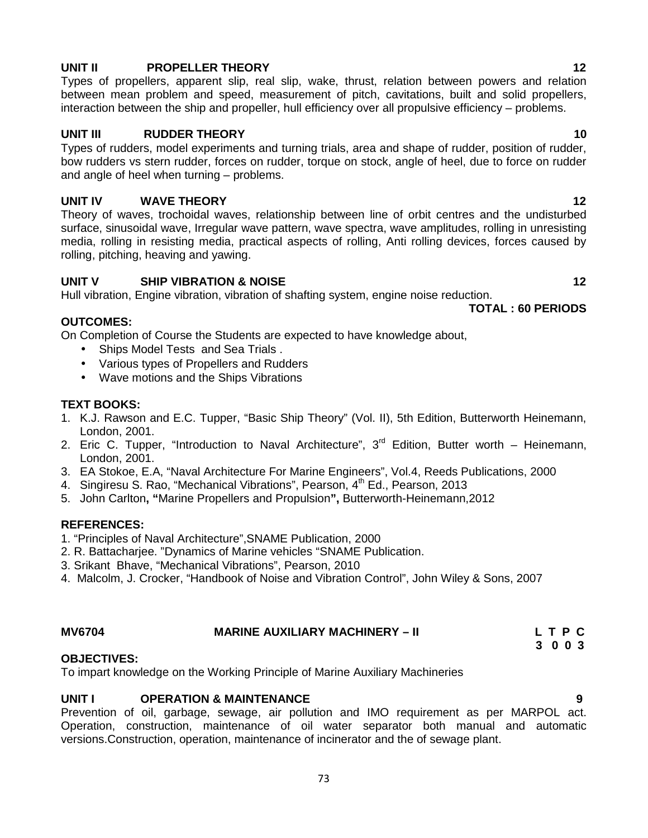# **UNIT II PROPELLER THEORY 12**

Types of propellers, apparent slip, real slip, wake, thrust, relation between powers and relation between mean problem and speed, measurement of pitch, cavitations, built and solid propellers, interaction between the ship and propeller, hull efficiency over all propulsive efficiency – problems.

# **UNIT III RUDDER THEORY 10**

Types of rudders, model experiments and turning trials, area and shape of rudder, position of rudder, bow rudders vs stern rudder, forces on rudder, torque on stock, angle of heel, due to force on rudder and angle of heel when turning – problems.

### **UNIT IV WAVE THEORY 12**

Theory of waves, trochoidal waves, relationship between line of orbit centres and the undisturbed surface, sinusoidal wave, Irregular wave pattern, wave spectra, wave amplitudes, rolling in unresisting media, rolling in resisting media, practical aspects of rolling, Anti rolling devices, forces caused by rolling, pitching, heaving and yawing.

### **UNIT V SHIP VIBRATION & NOISE 12**

Hull vibration, Engine vibration, vibration of shafting system, engine noise reduction.

### **OUTCOMES:**

On Completion of Course the Students are expected to have knowledge about,

- Ships Model Tests and Sea Trials .
- Various types of Propellers and Rudders
- Wave motions and the Ships Vibrations

#### **TEXT BOOKS:**

- 1. K.J. Rawson and E.C. Tupper, "Basic Ship Theory" (Vol. II), 5th Edition, Butterworth Heinemann, London, 2001.
- 2. Eric C. Tupper, "Introduction to Naval Architecture",  $3<sup>rd</sup>$  Edition, Butter worth Heinemann, London, 2001.
- 3. EA Stokoe, E.A, "Naval Architecture For Marine Engineers", Vol.4, Reeds Publications, 2000
- 4. Singiresu S. Rao, "Mechanical Vibrations", Pearson, 4<sup>th</sup> Ed., Pearson, 2013
- 5. John Carlton**, "**Marine Propellers and Propulsion**",** Butterworth-Heinemann,2012

#### **REFERENCES:**

- 1. "Principles of Naval Architecture",SNAME Publication, 2000
- 2. R. Battacharjee. "Dynamics of Marine vehicles "SNAME Publication.
- 3. Srikant Bhave, "Mechanical Vibrations", Pearson, 2010
- 4. Malcolm, J. Crocker, "Handbook of Noise and Vibration Control", John Wiley & Sons, 2007

# **MV6704 MARINE AUXILIARY MACHINERY – II L T P C**

# **3 0 0 3**

### **OBJECTIVES:**

To impart knowledge on the Working Principle of Marine Auxiliary Machineries

### **UNIT I OPERATION & MAINTENANCE 9**

Prevention of oil, garbage, sewage, air pollution and IMO requirement as per MARPOL act. Operation, construction, maintenance of oil water separator both manual and automatic versions.Construction, operation, maintenance of incinerator and the of sewage plant.

# **TOTAL : 60 PERIODS**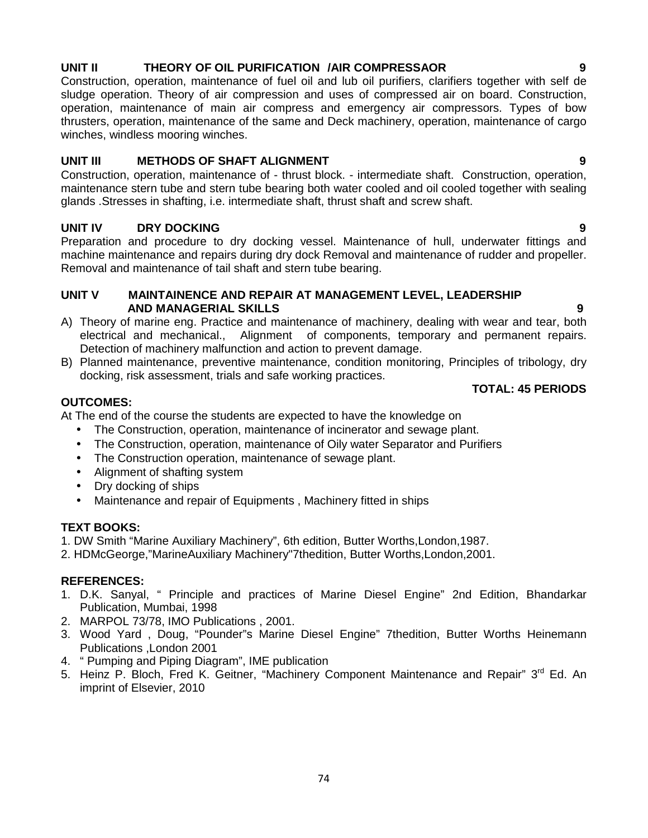# **AND MANAGERIAL SKILLS 9**

**UNIT V MAINTAINENCE AND REPAIR AT MANAGEMENT LEVEL, LEADERSHIP**

- A) Theory of marine eng. Practice and maintenance of machinery, dealing with wear and tear, both electrical and mechanical., Alignment of components, temporary and permanent repairs. Detection of machinery malfunction and action to prevent damage.
- B) Planned maintenance, preventive maintenance, condition monitoring, Principles of tribology, dry docking, risk assessment, trials and safe working practices.

### **OUTCOMES:**

At The end of the course the students are expected to have the knowledge on

- The Construction, operation, maintenance of incinerator and sewage plant.
- The Construction, operation, maintenance of Oily water Separator and Purifiers
- The Construction operation, maintenance of sewage plant.
- Alignment of shafting system
- Dry docking of ships
- Maintenance and repair of Equipments , Machinery fitted in ships

#### **TEXT BOOKS:**

- 1. DW Smith "Marine Auxiliary Machinery", 6th edition, Butter Worths,London,1987.
- 2. HDMcGeorge,"MarineAuxiliary Machinery"7thedition, Butter Worths,London,2001.

#### **REFERENCES:**

- 1. D.K. Sanyal, " Principle and practices of Marine Diesel Engine" 2nd Edition, Bhandarkar Publication, Mumbai, 1998
- 2. MARPOL 73/78, IMO Publications , 2001.
- 3. Wood Yard , Doug, "Pounder"s Marine Diesel Engine" 7thedition, Butter Worths Heinemann Publications ,London 2001
- 4. " Pumping and Piping Diagram", IME publication
- 5. Heinz P. Bloch, Fred K. Geitner, "Machinery Component Maintenance and Repair" 3<sup>rd</sup> Ed. An imprint of Elsevier, 2010

Construction, operation, maintenance of fuel oil and lub oil purifiers, clarifiers together with self de sludge operation. Theory of air compression and uses of compressed air on board. Construction, operation, maintenance of main air compress and emergency air compressors. Types of bow thrusters, operation, maintenance of the same and Deck machinery, operation, maintenance of cargo winches, windless mooring winches.

#### **UNIT III METHODS OF SHAFT ALIGNMENT 9**

Construction, operation, maintenance of - thrust block. - intermediate shaft. Construction, operation, maintenance stern tube and stern tube bearing both water cooled and oil cooled together with sealing glands .Stresses in shafting, i.e. intermediate shaft, thrust shaft and screw shaft.

#### **UNIT IV DRY DOCKING 9**

Preparation and procedure to dry docking vessel. Maintenance of hull, underwater fittings and machine maintenance and repairs during dry dock Removal and maintenance of rudder and propeller. Removal and maintenance of tail shaft and stern tube bearing.

#### **UNIT II THEORY OF OIL PURIFICATION /AIR COMPRESSAOR 9**

**TOTAL: 45 PERIODS**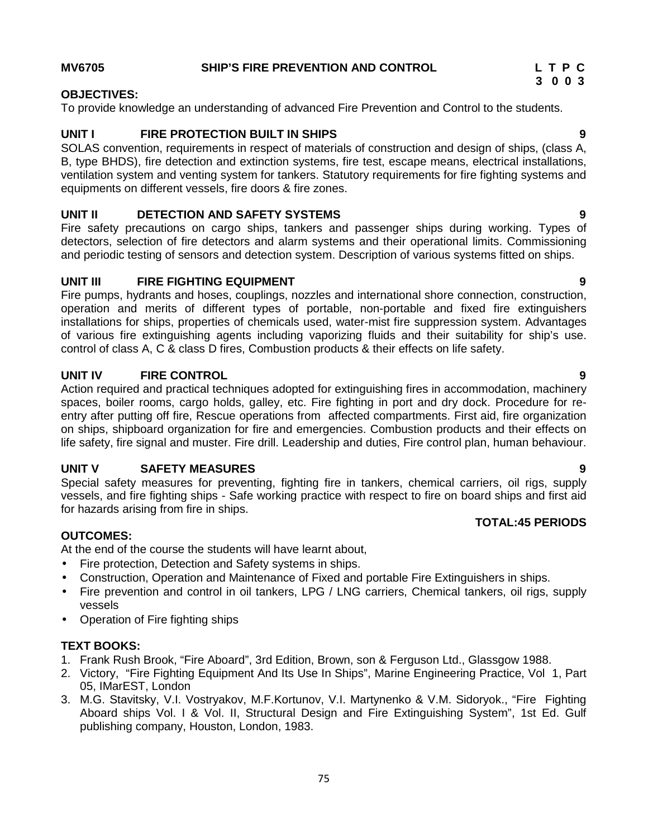#### **MV6705 SHIP'S FIRE PREVENTION AND CONTROL L T P C**

# **3 0 0 3**

#### **OBJECTIVES:**

To provide knowledge an understanding of advanced Fire Prevention and Control to the students.

# **UNIT I FIRE PROTECTION BUILT IN SHIPS 9**

SOLAS convention, requirements in respect of materials of construction and design of ships, (class A, B, type BHDS), fire detection and extinction systems, fire test, escape means, electrical installations, ventilation system and venting system for tankers. Statutory requirements for fire fighting systems and equipments on different vessels, fire doors & fire zones.

# **UNIT II DETECTION AND SAFETY SYSTEMS 9**

Fire safety precautions on cargo ships, tankers and passenger ships during working. Types of detectors, selection of fire detectors and alarm systems and their operational limits. Commissioning and periodic testing of sensors and detection system. Description of various systems fitted on ships.

# **UNIT III FIRE FIGHTING EQUIPMENT 9**

Fire pumps, hydrants and hoses, couplings, nozzles and international shore connection, construction, operation and merits of different types of portable, non-portable and fixed fire extinguishers installations for ships, properties of chemicals used, water-mist fire suppression system. Advantages of various fire extinguishing agents including vaporizing fluids and their suitability for ship's use. control of class A, C & class D fires, Combustion products & their effects on life safety.

# **UNIT IV FIRE CONTROL 9**

Action required and practical techniques adopted for extinguishing fires in accommodation, machinery spaces, boiler rooms, cargo holds, galley, etc. Fire fighting in port and dry dock. Procedure for re entry after putting off fire, Rescue operations from affected compartments. First aid, fire organization on ships, shipboard organization for fire and emergencies. Combustion products and their effects on life safety, fire signal and muster. Fire drill. Leadership and duties, Fire control plan, human behaviour.

# **UNIT V SAFETY MEASURES 9**

Special safety measures for preventing, fighting fire in tankers, chemical carriers, oil rigs, supply vessels, and fire fighting ships - Safe working practice with respect to fire on board ships and first aid for hazards arising from fire in ships.

### **OUTCOMES:**

At the end of the course the students will have learnt about,

- Fire protection, Detection and Safety systems in ships.
- Construction, Operation and Maintenance of Fixed and portable Fire Extinguishers in ships.
- Fire prevention and control in oil tankers, LPG / LNG carriers, Chemical tankers, oil rigs, supply vessels
- Operation of Fire fighting ships

# **TEXT BOOKS:**

- 1. Frank Rush Brook, "Fire Aboard", 3rd Edition, Brown, son & Ferguson Ltd., Glassgow 1988.
- 2. Victory, "Fire Fighting Equipment And Its Use In Ships", Marine Engineering Practice, Vol 1, Part 05, IMarEST, London
- 3. M.G. Stavitsky, V.I. Vostryakov, M.F.Kortunov, V.I. Martynenko & V.M. Sidoryok., "Fire Fighting Aboard ships Vol. I & Vol. II, Structural Design and Fire Extinguishing System", 1st Ed. Gulf publishing company, Houston, London, 1983.

**TOTAL:45 PERIODS**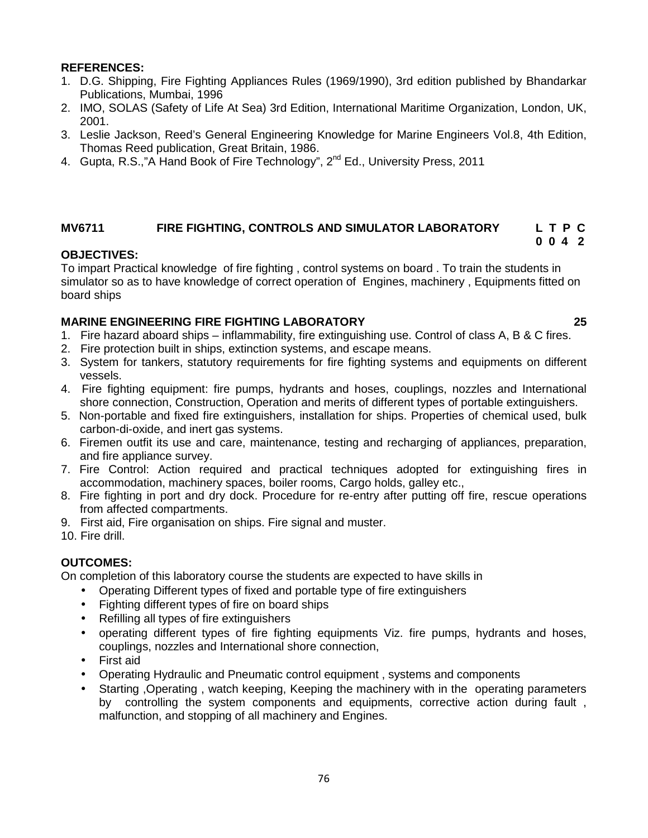### **REFERENCES:**

- 1. D.G. Shipping, Fire Fighting Appliances Rules (1969/1990), 3rd edition published by Bhandarkar Publications, Mumbai, 1996
- 2. IMO, SOLAS (Safety of Life At Sea) 3rd Edition, International Maritime Organization, London, UK, 2001.
- 3. Leslie Jackson, Reed's General Engineering Knowledge for Marine Engineers Vol.8, 4th Edition, Thomas Reed publication, Great Britain, 1986.
- 4. Gupta, R.S.,"A Hand Book of Fire Technology", 2<sup>nd</sup> Ed., University Press. 2011

#### **MV6711 FIRE FIGHTING, CONTROLS AND SIMULATOR LABORATORY L T P C 0 0 4 2**

### **OBJECTIVES:**

To impart Practical knowledge of fire fighting , control systems on board . To train the students in simulator so as to have knowledge of correct operation of Engines, machinery , Equipments fitted on board ships

#### **MARINE ENGINEERING FIRE FIGHTING LABORATORY 25**

- 1. Fire hazard aboard ships inflammability, fire extinguishing use. Control of class A, B & C fires.
- 2. Fire protection built in ships, extinction systems, and escape means.
- 3. System for tankers, statutory requirements for fire fighting systems and equipments on different vessels.
- 4. Fire fighting equipment: fire pumps, hydrants and hoses, couplings, nozzles and International shore connection, Construction, Operation and merits of different types of portable extinguishers.
- 5. Non-portable and fixed fire extinguishers, installation for ships. Properties of chemical used, bulk carbon-di-oxide, and inert gas systems.
- 6. Firemen outfit its use and care, maintenance, testing and recharging of appliances, preparation, and fire appliance survey.
- 7. Fire Control: Action required and practical techniques adopted for extinguishing fires in accommodation, machinery spaces, boiler rooms, Cargo holds, galley etc.,
- 8. Fire fighting in port and dry dock. Procedure for re-entry after putting off fire, rescue operations from affected compartments.
- 9. First aid, Fire organisation on ships. Fire signal and muster.
- 10. Fire drill.

### **OUTCOMES:**

On completion of this laboratory course the students are expected to have skills in

- Operating Different types of fixed and portable type of fire extinguishers
- Fighting different types of fire on board ships
- Refilling all types of fire extinguishers
- operating different types of fire fighting equipments Viz. fire pumps, hydrants and hoses, couplings, nozzles and International shore connection,
- First aid
- Operating Hydraulic and Pneumatic control equipment , systems and components
- Starting ,Operating , watch keeping, Keeping the machinery with in the operating parameters by controlling the system components and equipments, corrective action during fault , malfunction, and stopping of all machinery and Engines.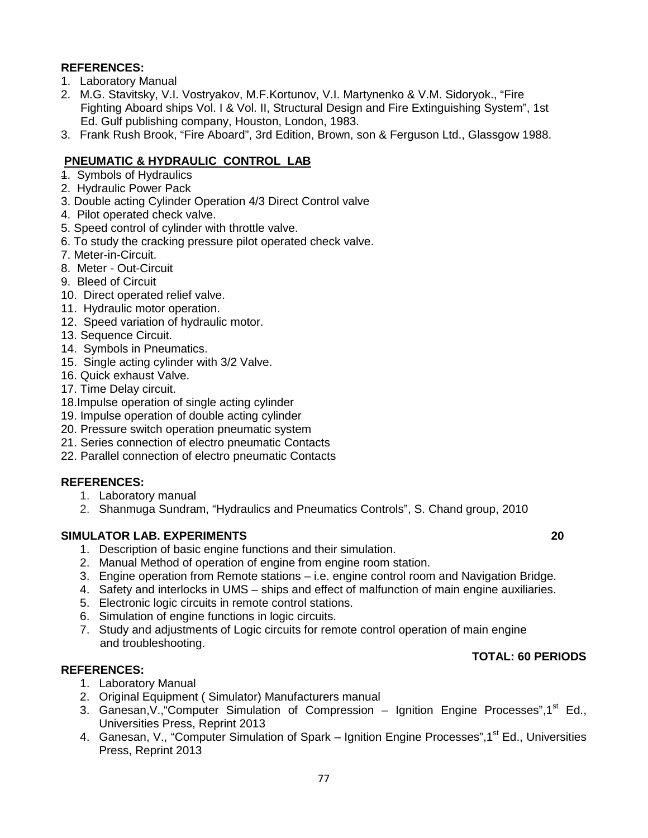# **REFERENCES:**

- 1. Laboratory Manual
- 2. M.G. Stavitsky, V.I. Vostryakov, M.F.Kortunov, V.I. Martynenko & V.M. Sidoryok., "Fire Fighting Aboard ships Vol. I & Vol. II, Structural Design and Fire Extinguishing System", 1st Ed. Gulf publishing company, Houston, London, 1983.
- 3. Frank Rush Brook, "Fire Aboard", 3rd Edition, Brown, son & Ferguson Ltd., Glassgow 1988.

## **PNEUMATIC & HYDRAULIC CONTROL LAB**

- 1. Symbols of Hydraulics
- 2. Hydraulic Power Pack
- 3. Double acting Cylinder Operation 4/3 Direct Control valve
- 4. Pilot operated check valve.
- 5. Speed control of cylinder with throttle valve.
- 6. To study the cracking pressure pilot operated check valve.
- 7. Meter-in-Circuit.
- 8. Meter Out-Circuit
- 9. Bleed of Circuit
- 10. Direct operated relief valve.
- 11. Hydraulic motor operation.
- 12. Speed variation of hydraulic motor.
- 13. Sequence Circuit.
- 14. Symbols in Pneumatics.
- 15. Single acting cylinder with 3/2 Valve.
- 16. Quick exhaust Valve.
- 17. Time Delay circuit.
- 18.Impulse operation of single acting cylinder
- 19. Impulse operation of double acting cylinder
- 20. Pressure switch operation pneumatic system
- 21. Series connection of electro pneumatic Contacts
- 22. Parallel connection of electro pneumatic Contacts

### **REFERENCES:**

- 1. Laboratory manual
- 2. Shanmuga Sundram, "Hydraulics and Pneumatics Controls", S. Chand group, 2010

### **SIMULATOR LAB. EXPERIMENTS 20**

- 1. Description of basic engine functions and their simulation.
- 2. Manual Method of operation of engine from engine room station.
- 3. Engine operation from Remote stations i.e. engine control room and Navigation Bridge.
- 4. Safety and interlocks in UMS ships and effect of malfunction of main engine auxiliaries.
- 5. Electronic logic circuits in remote control stations.
- 6. Simulation of engine functions in logic circuits.
- 7. Study and adjustments of Logic circuits for remote control operation of main engine and troubleshooting.

### **TOTAL: 60 PERIODS**

- **REFERENCES:** 1. Laboratory Manual
	- 2. Original Equipment ( Simulator) Manufacturers manual
	- 3. Ganesan, V., "Computer Simulation of Compression Ignition Engine Processes", 1<sup>st</sup> Ed., Universities Press, Reprint 2013
	- 4. Ganesan, V., "Computer Simulation of Spark Ignition Engine Processes", 1<sup>st</sup> Ed., Universities Press, Reprint 2013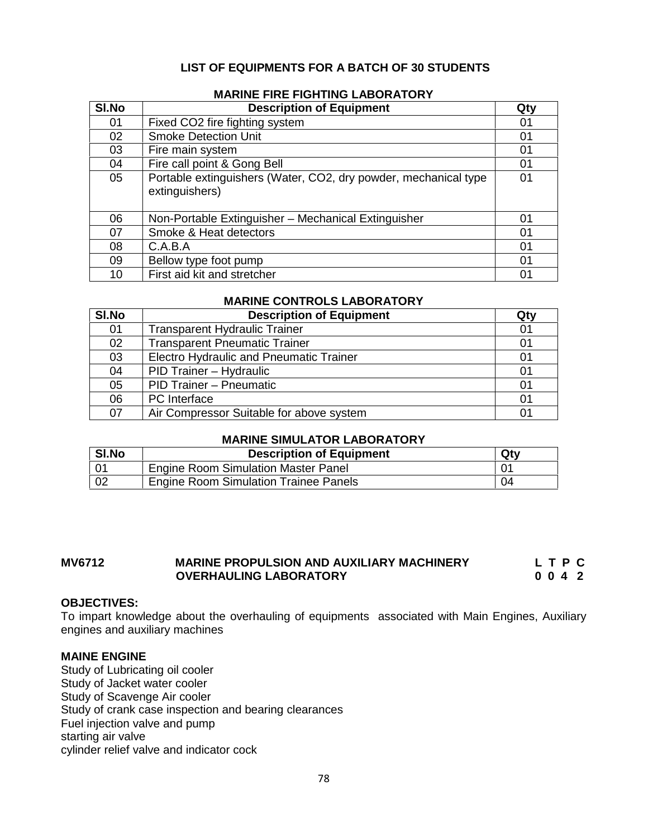# **LIST OF EQUIPMENTS FOR A BATCH OF 30 STUDENTS**

| SI.No | <b>Description of Equipment</b>                                                   | Qty |
|-------|-----------------------------------------------------------------------------------|-----|
| 01    | Fixed CO2 fire fighting system                                                    | 01  |
| 02    | <b>Smoke Detection Unit</b>                                                       | 01  |
| 03    | Fire main system                                                                  | 01  |
| 04    | Fire call point & Gong Bell                                                       | 01  |
| 05    | Portable extinguishers (Water, CO2, dry powder, mechanical type<br>extinguishers) | 01  |
| 06    | Non-Portable Extinguisher - Mechanical Extinguisher                               | 01  |
| 07    | Smoke & Heat detectors                                                            | 01  |
| 08    | C.A.B.A                                                                           | 01  |
| 09    | Bellow type foot pump                                                             | 01  |
| 10    | First aid kit and stretcher                                                       | 01  |

#### **MARINE FIRE FIGHTING LABORATORY**

# **MARINE CONTROLS LABORATORY**

| SI.No | <b>Description of Equipment</b>          | Qty |
|-------|------------------------------------------|-----|
| 01    | <b>Transparent Hydraulic Trainer</b>     | 01  |
| 02    | <b>Transparent Pneumatic Trainer</b>     | 01  |
| 03    | Electro Hydraulic and Pneumatic Trainer  | 01  |
| 04    | PID Trainer - Hydraulic                  | 01  |
| 05    | PID Trainer - Pneumatic                  | 01  |
| 06    | PC Interface                             | 01  |
| 07    | Air Compressor Suitable for above system | 01  |

#### **MARINE SIMULATOR LABORATORY**

| SI.No | <b>Description of Equipment</b>              | Qtv |
|-------|----------------------------------------------|-----|
|       | <b>Engine Room Simulation Master Panel</b>   |     |
| 02    | <b>Engine Room Simulation Trainee Panels</b> | 04  |

### **MV6712 MARINE PROPULSION AND AUXILIARY MACHINERY L T P C C O** 4 2 **OVERHAULING LABORATORY 0 0 4 2**

#### **OBJECTIVES:**

To impart knowledge about the overhauling of equipments associated with Main Engines, Auxiliary engines and auxiliary machines

#### **MAINE ENGINE**

Study of Lubricating oil cooler Study of Jacket water cooler Study of Scavenge Air cooler Study of crank case inspection and bearing clearances Fuel injection valve and pump starting air valve cylinder relief valve and indicator cock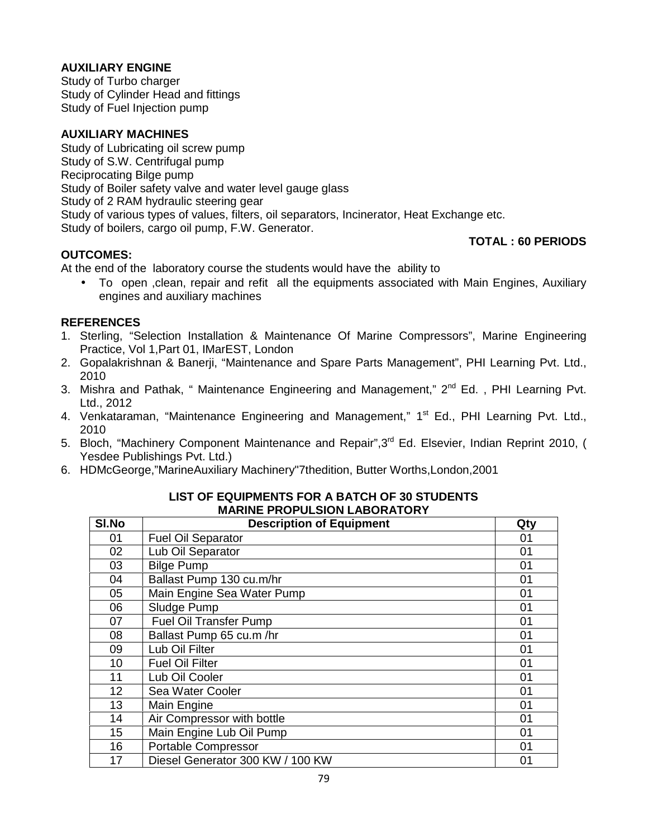# **AUXILIARY ENGINE**

Study of Turbo charger Study of Cylinder Head and fittings Study of Fuel Injection pump

## **AUXILIARY MACHINES**

Study of Lubricating oil screw pump Study of S.W. Centrifugal pump Reciprocating Bilge pump Study of Boiler safety valve and water level gauge glass Study of 2 RAM hydraulic steering gear Study of various types of values, filters, oil separators, Incinerator, Heat Exchange etc. Study of boilers, cargo oil pump, F.W. Generator.

### **OUTCOMES:**

# **TOTAL : 60 PERIODS**

At the end of the laboratory course the students would have the ability to

 To open ,clean, repair and refit all the equipments associated with Main Engines, Auxiliary engines and auxiliary machines

### **REFERENCES**

- 1. Sterling, "Selection Installation & Maintenance Of Marine Compressors", Marine Engineering Practice, Vol 1,Part 01, IMarEST, London
- 2. Gopalakrishnan & Banerji, "Maintenance and Spare Parts Management", PHI Learning Pvt. Ltd., 2010
- 3. Mishra and Pathak, " Maintenance Engineering and Management," 2<sup>nd</sup> Ed., PHI Learning Pvt. Ltd., 2012
- 4. Venkataraman, "Maintenance Engineering and Management," 1<sup>st</sup> Ed., PHI Learning Pvt. Ltd., 2010
- 5. Bloch, "Machinery Component Maintenance and Repair", 3<sup>rd</sup> Ed. Elsevier, Indian Reprint 2010, ( Yesdee Publishings Pvt. Ltd.)
- 6. HDMcGeorge,"MarineAuxiliary Machinery"7thedition, Butter Worths,London,2001

| SI.No | <b>Description of Equipment</b>  | Qty |
|-------|----------------------------------|-----|
| 01    | <b>Fuel Oil Separator</b>        | 01  |
| 02    | Lub Oil Separator                | 01  |
| 03    | <b>Bilge Pump</b>                | 01  |
| 04    | Ballast Pump 130 cu.m/hr         | 01  |
| 05    | Main Engine Sea Water Pump       | 01  |
| 06    | Sludge Pump                      | 01  |
| 07    | <b>Fuel Oil Transfer Pump</b>    | 01  |
| 08    | Ballast Pump 65 cu.m /hr         | 01  |
| 09    | Lub Oil Filter                   | 01  |
| 10    | <b>Fuel Oil Filter</b>           | 01  |
| 11    | Lub Oil Cooler                   | 01  |
| 12    | Sea Water Cooler                 | 01  |
| 13    | Main Engine                      | 01  |
| 14    | Air Compressor with bottle       | 01  |
| 15    | Main Engine Lub Oil Pump         | 01  |
| 16    | <b>Portable Compressor</b>       | 01  |
| 17    | Diesel Generator 300 KW / 100 KW | 01  |

#### **LIST OF EQUIPMENTS FOR A BATCH OF 30 STUDENTS MARINE PROPULSION LABORATORY**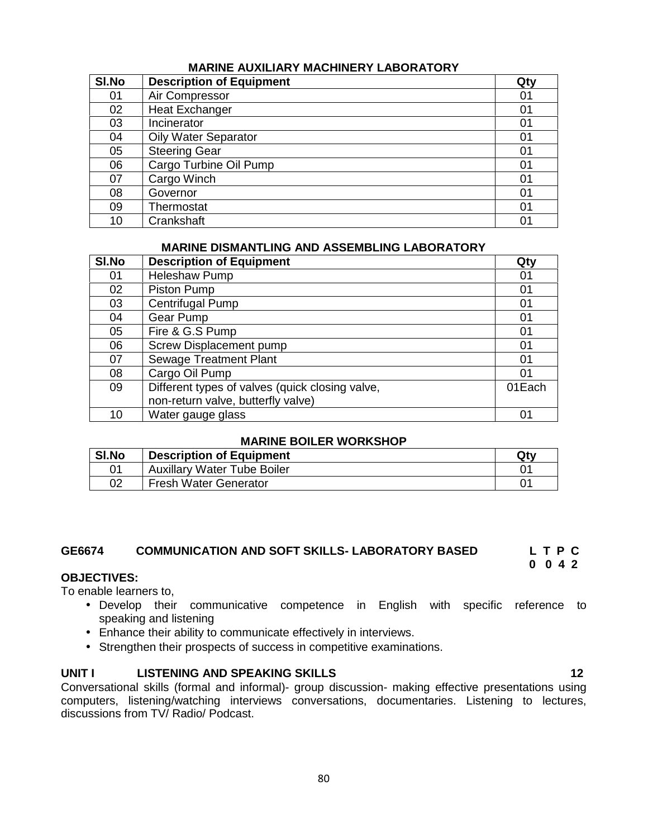### **MARINE AUXILIARY MACHINERY LABORATORY**

| SI.No | <b>Description of Equipment</b> | Qty |
|-------|---------------------------------|-----|
| 01    | Air Compressor                  | 01  |
| 02    | <b>Heat Exchanger</b>           | 01  |
| 03    | Incinerator                     | 01  |
| 04    | <b>Oily Water Separator</b>     | 01  |
| 05    | <b>Steering Gear</b>            | 01  |
| 06    | Cargo Turbine Oil Pump          | 01  |
| 07    | Cargo Winch                     | 01  |
| 08    | Governor                        | 01  |
| 09    | Thermostat                      | 01  |
| 10    | Crankshaft                      | 01  |

#### **MARINE DISMANTLING AND ASSEMBLING LABORATORY**

| SI.No | <b>Description of Equipment</b>                 | Qty    |
|-------|-------------------------------------------------|--------|
| 01    | <b>Heleshaw Pump</b>                            | 01     |
| 02    | Piston Pump                                     | 01     |
| 03    | Centrifugal Pump                                | 01     |
| 04    | Gear Pump                                       | 01     |
| 05    | Fire & G.S Pump                                 | 01     |
| 06    | <b>Screw Displacement pump</b>                  | 01     |
| 07    | <b>Sewage Treatment Plant</b>                   | 01     |
| 08    | Cargo Oil Pump                                  | 01     |
| 09    | Different types of valves (quick closing valve, | 01Each |
|       | non-return valve, butterfly valve)              |        |
| 10    | Water gauge glass                               | 01     |

#### **MARINE BOILER WORKSHOP**

| SI.No | <b>Description of Equipment</b>    | Qty |
|-------|------------------------------------|-----|
|       | <b>Auxillary Water Tube Boiler</b> | 01  |
| 02    | <b>Fresh Water Generator</b>       |     |

## **GE6674 COMMUNICATION AND SOFT SKILLS- LABORATORY BASED L T P C**

#### **OBJECTIVES:**

To enable learners to,

- Develop their communicative competence in English with specific reference to speaking and listening
- Enhance their ability to communicate effectively in interviews.
- Strengthen their prospects of success in competitive examinations.

#### **UNIT I LISTENING AND SPEAKING SKILLS 12**

Conversational skills (formal and informal)- group discussion- making effective presentations using computers, listening/watching interviews conversations, documentaries. Listening to lectures, discussions from TV/ Radio/ Podcast.

**0 0 4 2**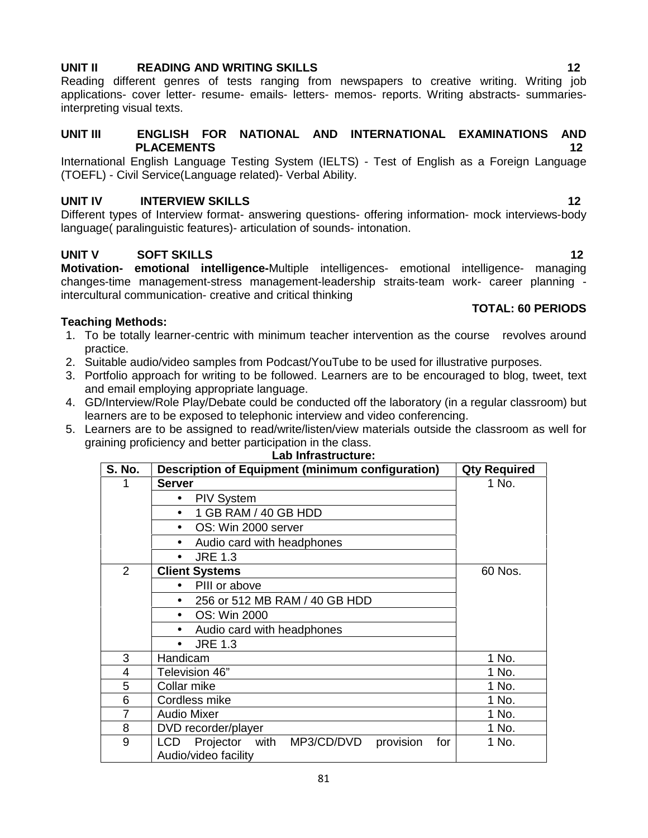# **UNIT II READING AND WRITING SKILLS 12**

Reading different genres of tests ranging from newspapers to creative writing. Writing job applications- cover letter- resume- emails- letters- memos- reports. Writing abstracts- summariesinterpreting visual texts.

#### **UNIT III ENGLISH FOR NATIONAL AND INTERNATIONAL EXAMINATIONS AND PLACEMENTS 12**

International English Language Testing System (IELTS) - Test of English as a Foreign Language (TOEFL) - Civil Service(Language related)- Verbal Ability.

# **UNIT IV INTERVIEW SKILLS 12**

Different types of Interview format- answering questions- offering information- mock interviews-body language( paralinguistic features)- articulation of sounds- intonation.

# **UNIT V SOFT SKILLS 12**

**Motivation- emotional intelligence-**Multiple intelligences- emotional intelligence- managing changes-time management-stress management-leadership straits-team work- career planning intercultural communication- creative and critical thinking **TOTAL: 60 PERIODS**

### **Teaching Methods:**

- 1. To be totally learner-centric with minimum teacher intervention as the course revolves around practice.
- 2. Suitable audio/video samples from Podcast/YouTube to be used for illustrative purposes.
- 3. Portfolio approach for writing to be followed. Learners are to be encouraged to blog, tweet, text and email employing appropriate language.
- 4. GD/Interview/Role Play/Debate could be conducted off the laboratory (in a regular classroom) but learners are to be exposed to telephonic interview and video conferencing.
- 5. Learners are to be assigned to read/write/listen/view materials outside the classroom as well for graining proficiency and better participation in the class.

| <b>S. No.</b> | <b>Description of Equipment (minimum configuration)</b>                      | <b>Qty Required</b> |  |
|---------------|------------------------------------------------------------------------------|---------------------|--|
|               | <b>Server</b>                                                                | 1 No.               |  |
|               | <b>PIV System</b>                                                            |                     |  |
|               | 1 GB RAM / 40 GB HDD                                                         |                     |  |
|               | OS: Win 2000 server                                                          |                     |  |
|               | Audio card with headphones                                                   |                     |  |
|               | <b>JRE 1.3</b><br>$\bullet$                                                  |                     |  |
| 2             | <b>Client Systems</b>                                                        | 60 Nos.             |  |
|               | PIII or above                                                                |                     |  |
|               | 256 or 512 MB RAM / 40 GB HDD                                                |                     |  |
|               | OS: Win 2000<br>$\bullet$                                                    |                     |  |
|               | Audio card with headphones                                                   |                     |  |
|               | <b>JRE 1.3</b>                                                               |                     |  |
| 3             | Handicam                                                                     | 1 No.               |  |
| 4             | Television 46"                                                               | 1 No.               |  |
| 5             | Collar mike                                                                  | 1 No.               |  |
| 6             | Cordless mike                                                                | 1 No.               |  |
| 7             | <b>Audio Mixer</b>                                                           | 1 No.               |  |
| 8             | DVD recorder/player                                                          | 1 No.               |  |
| 9             | LCD<br>Projector with MP3/CD/DVD<br>provision<br>for<br>Audio/video facility | 1 No.               |  |

#### **Lab Infrastructure:**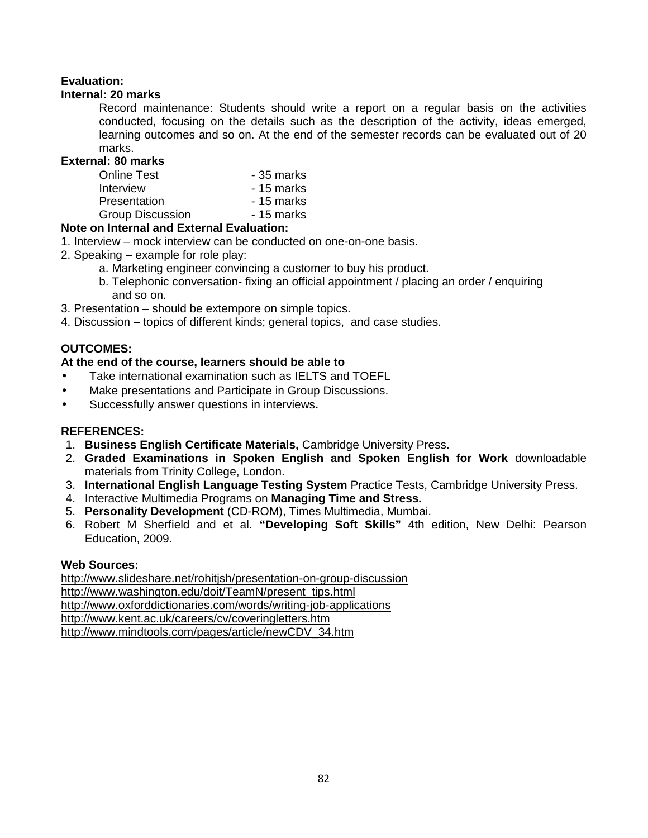# **Evaluation:**

### **Internal: 20 marks**

Record maintenance: Students should write a report on a regular basis on the activities conducted, focusing on the details such as the description of the activity, ideas emerged, learning outcomes and so on. At the end of the semester records can be evaluated out of 20 marks.

### **External: 80 marks**

| Online Test      | - 35 marks |
|------------------|------------|
| Interview        | - 15 marks |
| Presentation     | - 15 marks |
| Group Discussion | - 15 marks |

### **Note on Internal and External Evaluation:**

- 1. Interview mock interview can be conducted on one-on-one basis.
- 2. Speaking **–** example for role play:
	- a. Marketing engineer convincing a customer to buy his product.
	- b. Telephonic conversation- fixing an official appointment / placing an order / enquiring and so on.
- 3. Presentation should be extempore on simple topics.
- 4. Discussion topics of different kinds; general topics, and case studies.

# **OUTCOMES:**

# **At the end of the course, learners should be able to**

- Take international examination such as IELTS and TOEFL
- Make presentations and Participate in Group Discussions.
- Successfully answer questions in interviews**.**

# **REFERENCES:**

- 1. **Business English Certificate Materials,** Cambridge University Press.
- 2. **Graded Examinations in Spoken English and Spoken English for Work** downloadable materials from Trinity College, London.
- 3. **International English Language Testing System** Practice Tests, Cambridge University Press.
- 4. Interactive Multimedia Programs on **Managing Time and Stress.**
- 5. **Personality Development** (CD-ROM), Times Multimedia, Mumbai.
- 6. Robert M Sherfield and et al. **"Developing Soft Skills"** 4th edition, New Delhi: Pearson Education, 2009.

### **Web Sources:**

http://www.slideshare.net/rohitjsh/presentation-on-group-discussion http://www.washington.edu/doit/TeamN/present\_tips.html http://www.oxforddictionaries.com/words/writing-job-applications http://www.kent.ac.uk/careers/cv/coveringletters.htm http://www.mindtools.com/pages/article/newCDV\_34.htm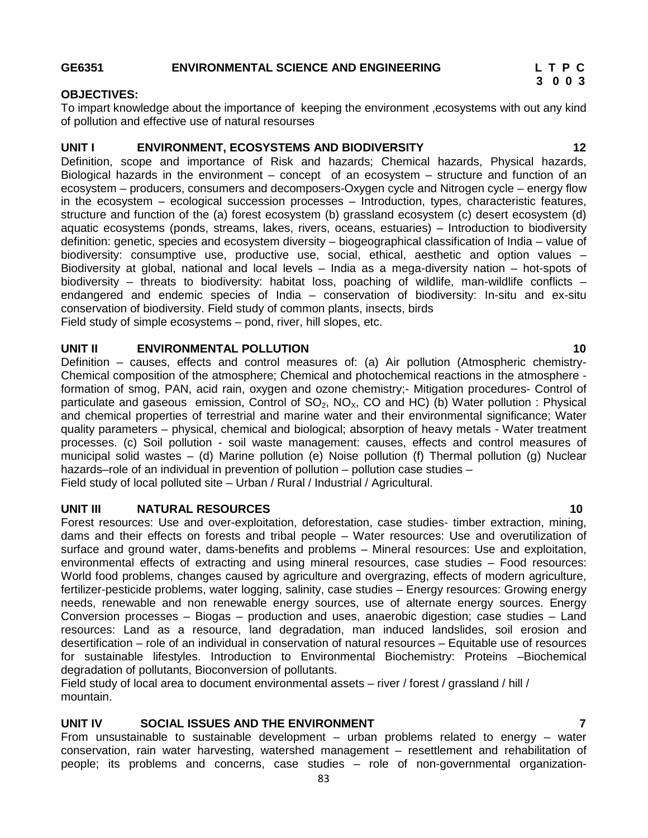#### **GE6351 ENVIRONMENTAL SCIENCE AND ENGINEERING L T P C**

# **3 0 0 3**

#### **OBJECTIVES:**

To impart knowledge about the importance of keeping the environment ,ecosystems with out any kind of pollution and effective use of natural resourses

# **UNIT I ENVIRONMENT, ECOSYSTEMS AND BIODIVERSITY 12**

Definition, scope and importance of Risk and hazards; Chemical hazards, Physical hazards, Biological hazards in the environment – concept of an ecosystem – structure and function of an ecosystem – producers, consumers and decomposers-Oxygen cycle and Nitrogen cycle – energy flow in the ecosystem – ecological succession processes – Introduction, types, characteristic features, structure and function of the (a) forest ecosystem (b) grassland ecosystem (c) desert ecosystem (d) aquatic ecosystems (ponds, streams, lakes, rivers, oceans, estuaries) – Introduction to biodiversity definition: genetic, species and ecosystem diversity – biogeographical classification of India – value of biodiversity: consumptive use, productive use, social, ethical, aesthetic and option values – Biodiversity at global, national and local levels – India as a mega-diversity nation – hot-spots of biodiversity – threats to biodiversity: habitat loss, poaching of wildlife, man-wildlife conflicts – endangered and endemic species of India – conservation of biodiversity: In-situ and ex-situ conservation of biodiversity. Field study of common plants, insects, birds Field study of simple ecosystems – pond, river, hill slopes, etc.

#### **UNIT II ENVIRONMENTAL POLLUTION 10**

Definition – causes, effects and control measures of: (a) Air pollution (Atmospheric chemistry- Chemical composition of the atmosphere; Chemical and photochemical reactions in the atmosphere formation of smog, PAN, acid rain, oxygen and ozone chemistry;- Mitigation procedures- Control of particulate and gaseous emission, Control of  $SO_2$ ,  $NO<sub>x</sub>$ , CO and HC) (b) Water pollution : Physical and chemical properties of terrestrial and marine water and their environmental significance; Water quality parameters – physical, chemical and biological; absorption of heavy metals - Water treatment processes. (c) Soil pollution - soil waste management: causes, effects and control measures of municipal solid wastes – (d) Marine pollution (e) Noise pollution (f) Thermal pollution (g) Nuclear hazards–role of an individual in prevention of pollution – pollution case studies – Field study of local polluted site – Urban / Rural / Industrial / Agricultural.

### **UNIT III NATURAL RESOURCES 10**

Forest resources: Use and over-exploitation, deforestation, case studies- timber extraction, mining, dams and their effects on forests and tribal people – Water resources: Use and overutilization of surface and ground water, dams-benefits and problems – Mineral resources: Use and exploitation, environmental effects of extracting and using mineral resources, case studies – Food resources: World food problems, changes caused by agriculture and overgrazing, effects of modern agriculture, fertilizer-pesticide problems, water logging, salinity, case studies – Energy resources: Growing energy needs, renewable and non renewable energy sources, use of alternate energy sources. Energy Conversion processes – Biogas – production and uses, anaerobic digestion; case studies – Land resources: Land as a resource, land degradation, man induced landslides, soil erosion and desertification – role of an individual in conservation of natural resources – Equitable use of resources for sustainable lifestyles. Introduction to Environmental Biochemistry: Proteins –Biochemical degradation of pollutants, Bioconversion of pollutants.

Field study of local area to document environmental assets – river / forest / grassland / hill / mountain.

# **UNIT IV SOCIAL ISSUES AND THE ENVIRONMENT 7**

From unsustainable to sustainable development – urban problems related to energy – water conservation, rain water harvesting, watershed management – resettlement and rehabilitation of people; its problems and concerns, case studies – role of non-governmental organization-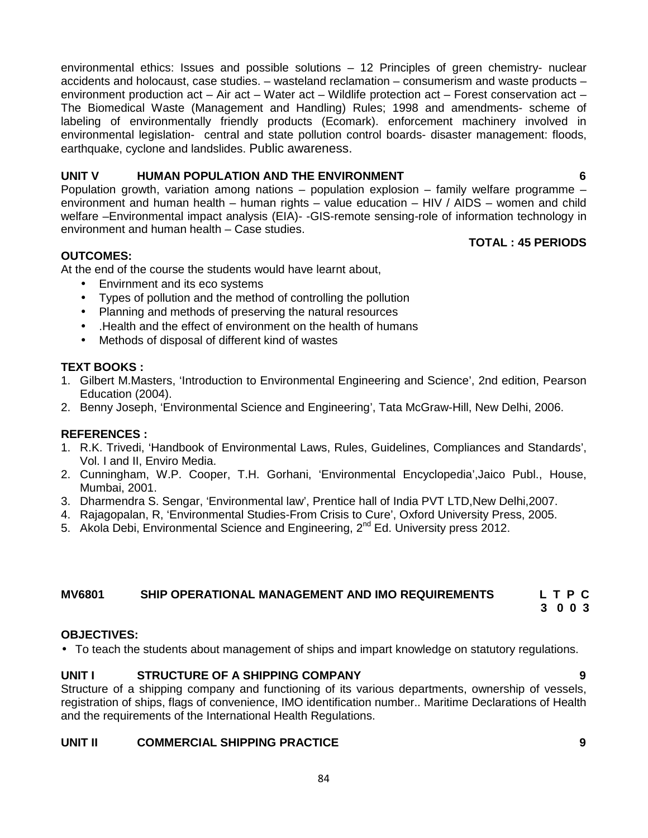environmental ethics: Issues and possible solutions – 12 Principles of green chemistry- nuclear accidents and holocaust, case studies. – wasteland reclamation – consumerism and waste products – environment production act – Air act – Water act – Wildlife protection act – Forest conservation act – The Biomedical Waste (Management and Handling) Rules; 1998 and amendments- scheme of labeling of environmentally friendly products (Ecomark). enforcement machinery involved in environmental legislation- central and state pollution control boards- disaster management: floods, earthquake, cyclone and landslides. Public awareness.

# **UNIT V HUMAN POPULATION AND THE ENVIRONMENT 6**

Population growth, variation among nations – population explosion – family welfare programme – environment and human health – human rights – value education – HIV / AIDS – women and child welfare –Environmental impact analysis (EIA)- -GIS-remote sensing-role of information technology in environment and human health – Case studies.

# **TOTAL : 45 PERIODS**

# **OUTCOMES:**

At the end of the course the students would have learnt about,

- Envirnment and its eco systems
- Types of pollution and the method of controlling the pollution
- Planning and methods of preserving the natural resources
- .Health and the effect of environment on the health of humans
- Methods of disposal of different kind of wastes

# **TEXT BOOKS :**

- 1. Gilbert M.Masters, 'Introduction to Environmental Engineering and Science', 2nd edition, Pearson Education (2004).
- 2. Benny Joseph, 'Environmental Science and Engineering', Tata McGraw-Hill, New Delhi, 2006.

### **REFERENCES :**

- 1. R.K. Trivedi, 'Handbook of Environmental Laws, Rules, Guidelines, Compliances and Standards', Vol. I and II, Enviro Media.
- 2. Cunningham, W.P. Cooper, T.H. Gorhani, 'Environmental Encyclopedia',Jaico Publ., House, Mumbai, 2001.
- 3. Dharmendra S. Sengar, 'Environmental law', Prentice hall of India PVT LTD,New Delhi,2007.
- 4. Rajagopalan, R, 'Environmental Studies-From Crisis to Cure', Oxford University Press, 2005.
- 5. Akola Debi, Environmental Science and Engineering, 2<sup>nd</sup> Ed. University press 2012.

# **MV6801 SHIP OPERATIONAL MANAGEMENT AND IMO REQUIREMENTS L T P C**

**3 0 0 3**

### **OBJECTIVES:**

To teach the students about management of ships and impart knowledge on statutory regulations.

# **UNIT I STRUCTURE OF A SHIPPING COMPANY 9**

Structure of a shipping company and functioning of its various departments, ownership of vessels, registration of ships, flags of convenience, IMO identification number.. Maritime Declarations of Health and the requirements of the International Health Regulations.

### **UNIT II COMMERCIAL SHIPPING PRACTICE 9**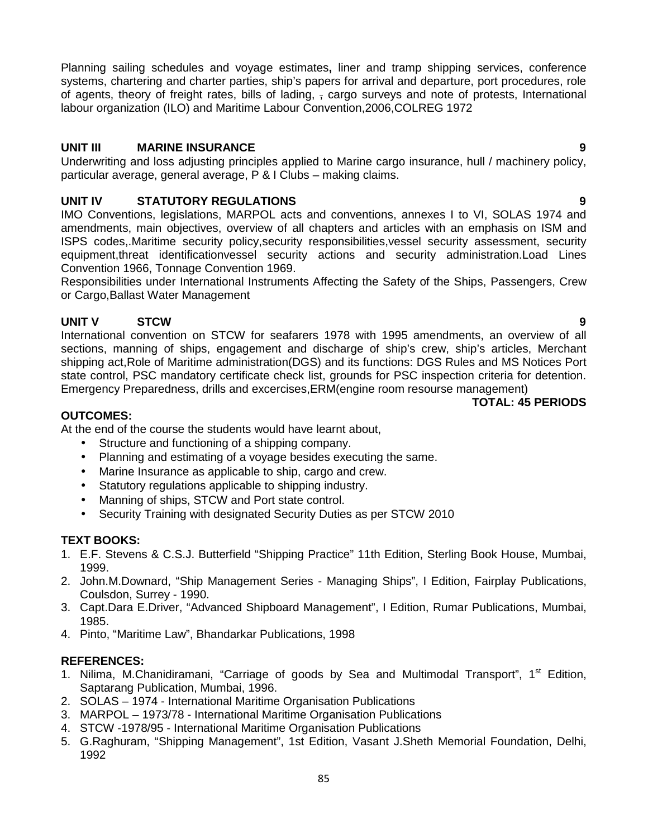85

Planning sailing schedules and voyage estimates**,** liner and tramp shipping services, conference systems, chartering and charter parties, ship's papers for arrival and departure, port procedures, role of agents, theory of freight rates, bills of lading,  $\frac{1}{2}$  cargo surveys and note of protests, International labour organization (ILO) and Maritime Labour Convention,2006,COLREG 1972

# **UNIT III MARINE INSURANCE 9**

Underwriting and loss adjusting principles applied to Marine cargo insurance, hull / machinery policy, particular average, general average, P & I Clubs – making claims.

# **UNIT IV STATUTORY REGULATIONS 9**

IMO Conventions, legislations, MARPOL acts and conventions, annexes I to VI, SOLAS 1974 and amendments, main objectives, overview of all chapters and articles with an emphasis on ISM and ISPS codes,.Maritime security policy,security responsibilities,vessel security assessment, security equipment,threat identificationvessel security actions and security administration.Load Lines Convention 1966, Tonnage Convention 1969.

Responsibilities under International Instruments Affecting the Safety of the Ships, Passengers, Crew or Cargo,Ballast Water Management

# **UNIT V STCW 9**

International convention on STCW for seafarers 1978 with 1995 amendments, an overview of all sections, manning of ships, engagement and discharge of ship's crew, ship's articles, Merchant shipping act,Role of Maritime administration(DGS) and its functions: DGS Rules and MS Notices Port state control, PSC mandatory certificate check list, grounds for PSC inspection criteria for detention. Emergency Preparedness, drills and excercises,ERM(engine room resourse management)

# **OUTCOMES:**

At the end of the course the students would have learnt about,

- Structure and functioning of a shipping company.
- Planning and estimating of a voyage besides executing the same.
- Marine Insurance as applicable to ship, cargo and crew.
- Statutory regulations applicable to shipping industry.
- Manning of ships, STCW and Port state control.
- Security Training with designated Security Duties as per STCW 2010

# **TEXT BOOKS:**

- 1. E.F. Stevens & C.S.J. Butterfield "Shipping Practice" 11th Edition, Sterling Book House, Mumbai, 1999.
- 2. John.M.Downard, "Ship Management Series Managing Ships", I Edition, Fairplay Publications, Coulsdon, Surrey - 1990.
- 3. Capt.Dara E.Driver, "Advanced Shipboard Management", I Edition, Rumar Publications, Mumbai, 1985.
- 4. Pinto, "Maritime Law", Bhandarkar Publications, 1998

# **REFERENCES:**

- 1. Nilima, M.Chanidiramani, "Carriage of goods by Sea and Multimodal Transport", 1<sup>st</sup> Edition, Saptarang Publication, Mumbai, 1996.
- 2. SOLAS 1974 International Maritime Organisation Publications
- 3. MARPOL 1973/78 International Maritime Organisation Publications
- 4. STCW -1978/95 International Maritime Organisation Publications
- 5. G.Raghuram, "Shipping Management", 1st Edition, Vasant J.Sheth Memorial Foundation, Delhi, 1992

**TOTAL: 45 PERIODS**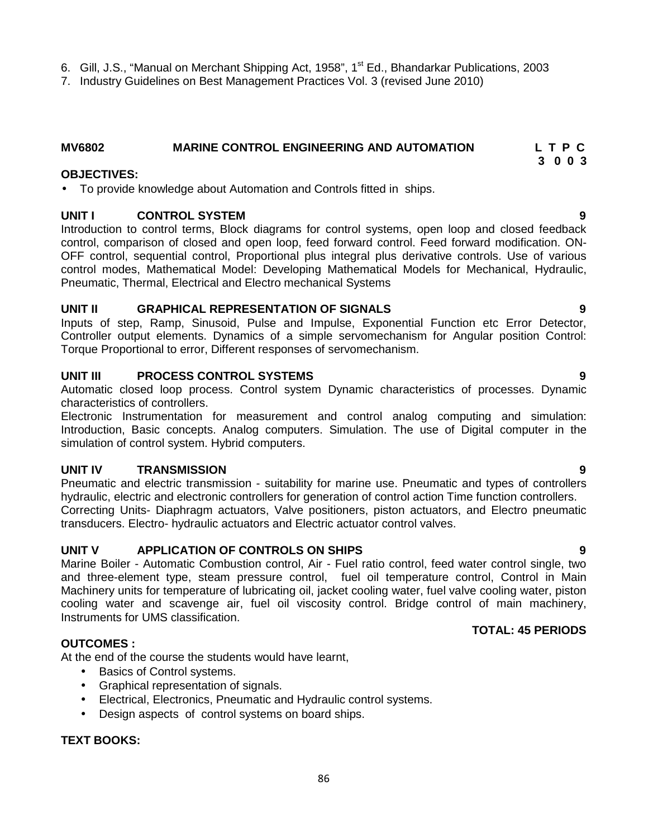- 6. Gill, J.S., "Manual on Merchant Shipping Act, 1958", 1<sup>st</sup> Ed., Bhandarkar Publications, 2003
- 7. Industry Guidelines on Best Management Practices Vol. 3 (revised June 2010)

# **MV6802 MARINE CONTROL ENGINEERING AND AUTOMATION L T P C**

#### **OBJECTIVES:**

To provide knowledge about Automation and Controls fitted in ships.

#### **UNIT I CONTROL SYSTEM 9**

Introduction to control terms, Block diagrams for control systems, open loop and closed feedback control, comparison of closed and open loop, feed forward control. Feed forward modification. ON- OFF control, sequential control, Proportional plus integral plus derivative controls. Use of various control modes, Mathematical Model: Developing Mathematical Models for Mechanical, Hydraulic, Pneumatic, Thermal, Electrical and Electro mechanical Systems

#### **UNIT II GRAPHICAL REPRESENTATION OF SIGNALS 9**

Inputs of step, Ramp, Sinusoid, Pulse and Impulse, Exponential Function etc Error Detector, Controller output elements. Dynamics of a simple servomechanism for Angular position Control: Torque Proportional to error, Different responses of servomechanism.

#### **UNIT III PROCESS CONTROL SYSTEMS 9**

Automatic closed loop process. Control system Dynamic characteristics of processes. Dynamic characteristics of controllers.

Electronic Instrumentation for measurement and control analog computing and simulation: Introduction, Basic concepts. Analog computers. Simulation. The use of Digital computer in the simulation of control system. Hybrid computers.

### **UNIT IV TRANSMISSION 9**

Pneumatic and electric transmission - suitability for marine use. Pneumatic and types of controllers hydraulic, electric and electronic controllers for generation of control action Time function controllers. Correcting Units- Diaphragm actuators, Valve positioners, piston actuators, and Electro pneumatic transducers. Electro- hydraulic actuators and Electric actuator control valves.

### **UNIT V APPLICATION OF CONTROLS ON SHIPS 9**

Marine Boiler - Automatic Combustion control, Air - Fuel ratio control, feed water control single, two and three-element type, steam pressure control, fuel oil temperature control, Control in Main Machinery units for temperature of lubricating oil, jacket cooling water, fuel valve cooling water, piston cooling water and scavenge air, fuel oil viscosity control. Bridge control of main machinery, Instruments for UMS classification.

### **OUTCOMES :**

At the end of the course the students would have learnt,

- Basics of Control systems.
- Graphical representation of signals.
- Electrical, Electronics, Pneumatic and Hydraulic control systems.
- Design aspects of control systems on board ships.

### **TEXT BOOKS:**

# **TOTAL: 45 PERIODS**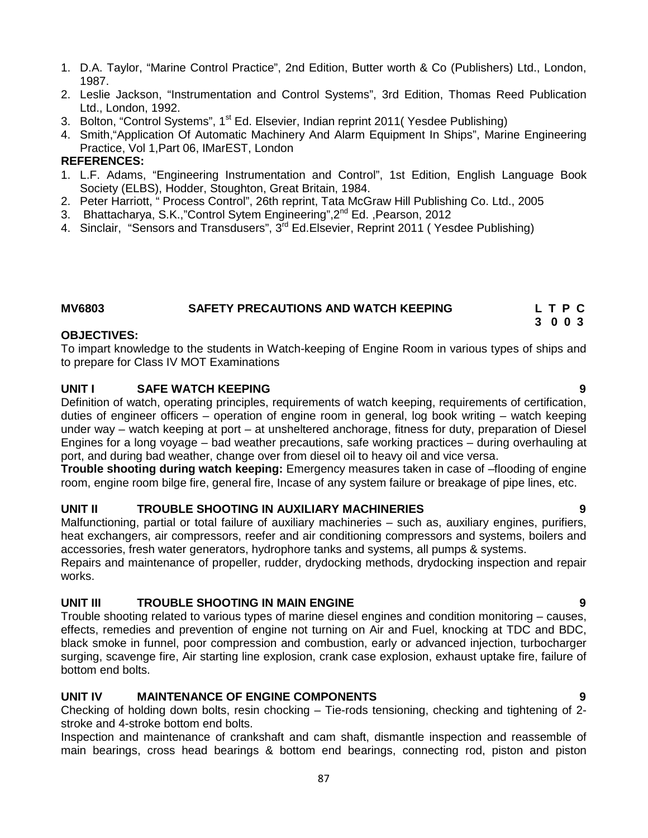- 1. D.A. Taylor, "Marine Control Practice", 2nd Edition, Butter worth & Co (Publishers) Ltd., London, 1987.
- 2. Leslie Jackson, "Instrumentation and Control Systems", 3rd Edition, Thomas Reed Publication Ltd., London, 1992.
- 3. Bolton, "Control Systems", 1<sup>st</sup> Ed. Elsevier, Indian reprint 2011( Yesdee Publishing)
- 4. Smith,"Application Of Automatic Machinery And Alarm Equipment In Ships", Marine Engineering Practice, Vol 1,Part 06, IMarEST, London

### **REFERENCES:**

- 1. L.F. Adams, "Engineering Instrumentation and Control", 1st Edition, English Language Book Society (ELBS), Hodder, Stoughton, Great Britain, 1984.
- 2. Peter Harriott, " Process Control", 26th reprint, Tata McGraw Hill Publishing Co. Ltd., 2005
- 3. Bhattacharya, S.K.,"Control Sytem Engineering",2nd Ed. ,Pearson, 2012
- 4. Sinclair, "Sensors and Transdusers", 3<sup>rd</sup> Ed. Elsevier, Reprint 2011 (Yesdee Publishing)

## **MV6803 SAFETY PRECAUTIONS AND WATCH KEEPING L T P C**

# **OBJECTIVES:**

To impart knowledge to the students in Watch-keeping of Engine Room in various types of ships and to prepare for Class IV MOT Examinations

### **UNIT I SAFE WATCH KEEPING 9**

Definition of watch, operating principles, requirements of watch keeping, requirements of certification, duties of engineer officers – operation of engine room in general, log book writing – watch keeping under way – watch keeping at port – at unsheltered anchorage, fitness for duty, preparation of Diesel Engines for a long voyage – bad weather precautions, safe working practices – during overhauling at port, and during bad weather, change over from diesel oil to heavy oil and vice versa.

**Trouble shooting during watch keeping:** Emergency measures taken in case of –flooding of engine room, engine room bilge fire, general fire, Incase of any system failure or breakage of pipe lines, etc.

### **UNIT II TROUBLE SHOOTING IN AUXILIARY MACHINERIES 9**

Malfunctioning, partial or total failure of auxiliary machineries – such as, auxiliary engines, purifiers, heat exchangers, air compressors, reefer and air conditioning compressors and systems, boilers and accessories, fresh water generators, hydrophore tanks and systems, all pumps & systems.

Repairs and maintenance of propeller, rudder, drydocking methods, drydocking inspection and repair works.

### **UNIT III TROUBLE SHOOTING IN MAIN ENGINE 9**

Trouble shooting related to various types of marine diesel engines and condition monitoring – causes, effects, remedies and prevention of engine not turning on Air and Fuel, knocking at TDC and BDC, black smoke in funnel, poor compression and combustion, early or advanced injection, turbocharger surging, scavenge fire, Air starting line explosion, crank case explosion, exhaust uptake fire, failure of bottom end bolts.

### **UNIT IV MAINTENANCE OF ENGINE COMPONENTS 9**

Checking of holding down bolts, resin chocking – Tie-rods tensioning, checking and tightening of 2 stroke and 4-stroke bottom end bolts.

Inspection and maintenance of crankshaft and cam shaft, dismantle inspection and reassemble of main bearings, cross head bearings & bottom end bearings, connecting rod, piston and piston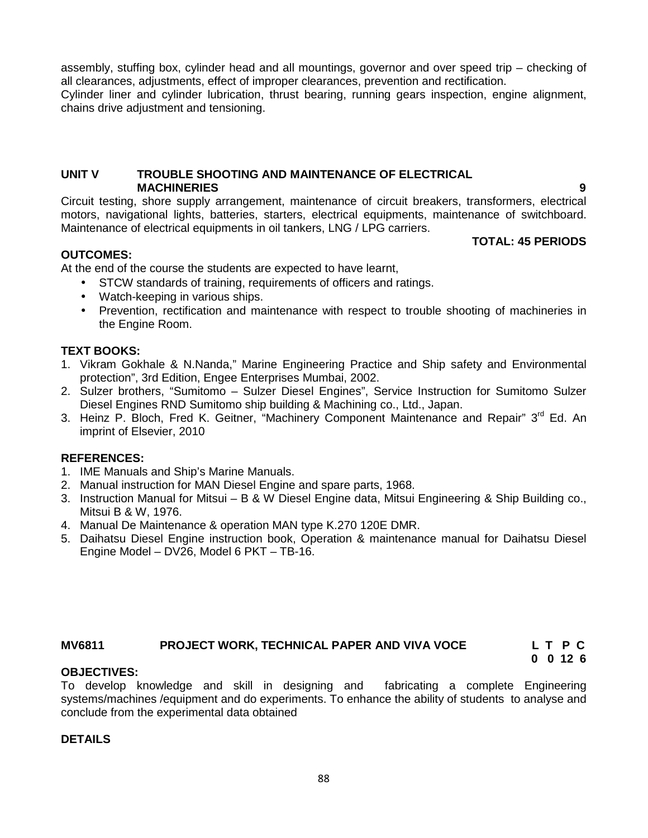assembly, stuffing box, cylinder head and all mountings, governor and over speed trip – checking of all clearances, adjustments, effect of improper clearances, prevention and rectification.

Cylinder liner and cylinder lubrication, thrust bearing, running gears inspection, engine alignment, chains drive adjustment and tensioning.

#### **UNIT V TROUBLE SHOOTING AND MAINTENANCE OF ELECTRICAL MACHINERIES 9**

Circuit testing, shore supply arrangement, maintenance of circuit breakers, transformers, electrical motors, navigational lights, batteries, starters, electrical equipments, maintenance of switchboard. Maintenance of electrical equipments in oil tankers, LNG / LPG carriers. **TOTAL: 45 PERIODS**

### **OUTCOMES:**

At the end of the course the students are expected to have learnt,

- STCW standards of training, requirements of officers and ratings.
- Watch-keeping in various ships.
- Prevention, rectification and maintenance with respect to trouble shooting of machineries in the Engine Room.

# **TEXT BOOKS:**

- 1. Vikram Gokhale & N.Nanda," Marine Engineering Practice and Ship safety and Environmental protection", 3rd Edition, Engee Enterprises Mumbai, 2002.
- 2. Sulzer brothers, "Sumitomo Sulzer Diesel Engines", Service Instruction for Sumitomo Sulzer Diesel Engines RND Sumitomo ship building & Machining co., Ltd., Japan.
- 3. Heinz P. Bloch, Fred K. Geitner, "Machinery Component Maintenance and Repair" 3<sup>rd</sup> Ed. An imprint of Elsevier, 2010

# **REFERENCES:**

- 1. IME Manuals and Ship's Marine Manuals.
- 2. Manual instruction for MAN Diesel Engine and spare parts, 1968.
- 3. Instruction Manual for Mitsui B & W Diesel Engine data, Mitsui Engineering & Ship Building co., Mitsui B & W, 1976.
- 4. Manual De Maintenance & operation MAN type K.270 120E DMR.
- 5. Daihatsu Diesel Engine instruction book, Operation & maintenance manual for Daihatsu Diesel Engine Model – DV26, Model 6 PKT – TB-16.

# **MV6811 PROJECT WORK, TECHNICAL PAPER AND VIVA VOCE L T P C**

# **0 0 12 6**

### **OBJECTIVES:**

To develop knowledge and skill in designing and fabricating a complete Engineering systems/machines /equipment and do experiments. To enhance the ability of students to analyse and conclude from the experimental data obtained

### **DETAILS**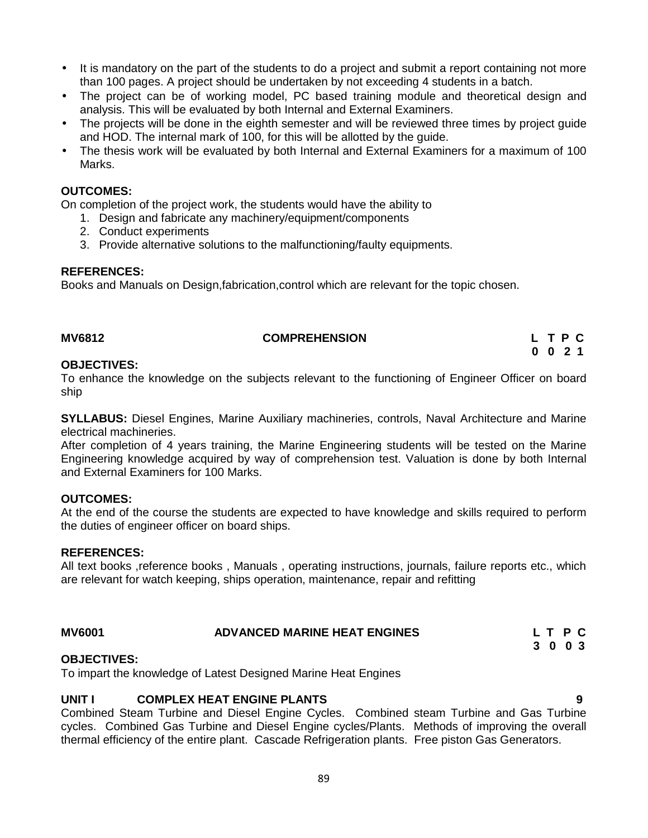- It is mandatory on the part of the students to do a project and submit a report containing not more than 100 pages. A project should be undertaken by not exceeding 4 students in a batch.
- The project can be of working model, PC based training module and theoretical design and analysis. This will be evaluated by both Internal and External Examiners.
- The projects will be done in the eighth semester and will be reviewed three times by project quide and HOD. The internal mark of 100, for this will be allotted by the guide.
- The thesis work will be evaluated by both Internal and External Examiners for a maximum of 100 Marks.

### **OUTCOMES:**

On completion of the project work, the students would have the ability to

- 1. Design and fabricate any machinery/equipment/components
- 2. Conduct experiments
- 3. Provide alternative solutions to the malfunctioning/faulty equipments.

#### **REFERENCES:**

Books and Manuals on Design,fabrication,control which are relevant for the topic chosen.

#### **MV6812 COMPREHENSION L T P C**

# **0 0 2 1**

#### **OBJECTIVES:**

To enhance the knowledge on the subjects relevant to the functioning of Engineer Officer on board ship

**SYLLABUS:** Diesel Engines, Marine Auxiliary machineries, controls, Naval Architecture and Marine electrical machineries.

After completion of 4 years training, the Marine Engineering students will be tested on the Marine Engineering knowledge acquired by way of comprehension test. Valuation is done by both Internal and External Examiners for 100 Marks.

### **OUTCOMES:**

At the end of the course the students are expected to have knowledge and skills required to perform the duties of engineer officer on board ships.

#### **REFERENCES:**

All text books ,reference books , Manuals , operating instructions, journals, failure reports etc., which are relevant for watch keeping, ships operation, maintenance, repair and refitting

| <b>MV6001</b> | <b>ADVANCED MARINE HEAT ENGINES</b> | L T P C |  |
|---------------|-------------------------------------|---------|--|
|               |                                     | 3 0 0 3 |  |

### **OBJECTIVES:**

To impart the knowledge of Latest Designed Marine Heat Engines

# **UNIT I COMPLEX HEAT ENGINE PLANTS 9**

Combined Steam Turbine and Diesel Engine Cycles. Combined steam Turbine and Gas Turbine cycles. Combined Gas Turbine and Diesel Engine cycles/Plants. Methods of improving the overall thermal efficiency of the entire plant. Cascade Refrigeration plants. Free piston Gas Generators.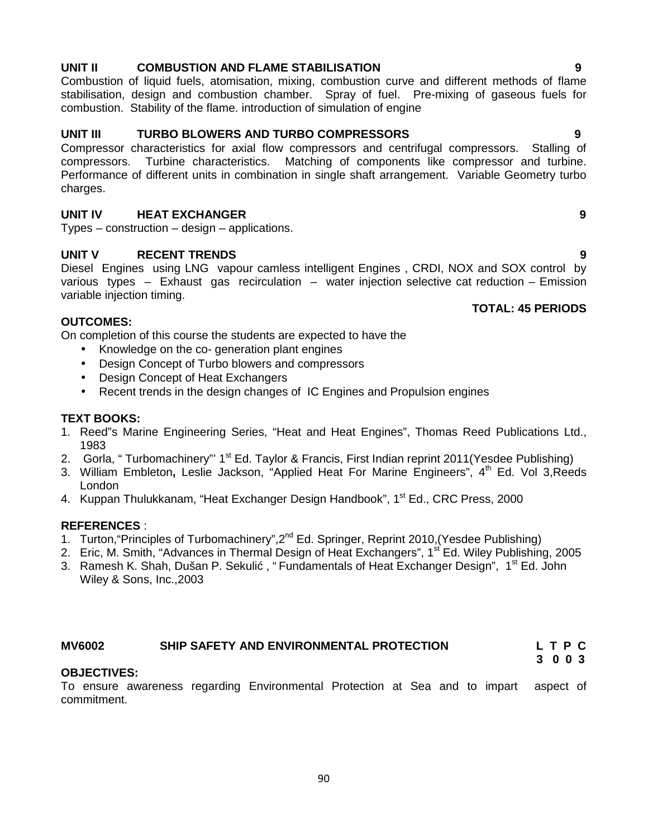# **UNIT II COMBUSTION AND FLAME STABILISATION 9**

Combustion of liquid fuels, atomisation, mixing, combustion curve and different methods of flame stabilisation, design and combustion chamber. Spray of fuel. Pre-mixing of gaseous fuels for combustion. Stability of the flame. introduction of simulation of engine

## **UNIT III TURBO BLOWERS AND TURBO COMPRESSORS 9**

Compressor characteristics for axial flow compressors and centrifugal compressors. Stalling of compressors. Turbine characteristics. Matching of components like compressor and turbine. Performance of different units in combination in single shaft arrangement. Variable Geometry turbo charges.

# **UNIT IV HEAT EXCHANGER 9**

Types – construction – design – applications.

### **UNIT V RECENT TRENDS 9**

Diesel Engines using LNG vapour camless intelligent Engines , CRDI, NOX and SOX control by various types – Exhaust gas recirculation – water injection selective cat reduction – Emission variable injection timing.

### **OUTCOMES:**

On completion of this course the students are expected to have the

- Knowledge on the co- generation plant engines
- Design Concept of Turbo blowers and compressors
- Design Concept of Heat Exchangers
- Recent trends in the design changes of IC Engines and Propulsion engines

#### **TEXT BOOKS:**

- 1. Reed"s Marine Engineering Series, "Heat and Heat Engines", Thomas Reed Publications Ltd., 1983
- 2. Gorla, "Turbomachinery" 1<sup>st</sup> Ed. Taylor & Francis, First Indian reprint 2011(Yesdee Publishing)
- 3. William Embleton**,** Leslie Jackson, "Applied Heat For Marine Engineers", 4th Ed. Vol 3,Reeds London
- 4. Kuppan Thulukkanam, "Heat Exchanger Design Handbook", 1<sup>st</sup> Ed., CRC Press, 2000

#### **REFERENCES** :

- 1. Turton, "Principles of Turbomachinery", 2<sup>nd</sup> Ed. Springer, Reprint 2010, (Yesdee Publishing)
- 2. Eric, M. Smith, "Advances in Thermal Design of Heat Exchangers", 1<sup>st</sup> Ed. Wiley Publishing, 2005
- 3. Ramesh K. Shah, Dušan P. Sekuli, " Fundamentals of Heat Exchanger Design", 1<sup>st</sup> Ed. John Wiley & Sons, Inc.,2003

### **MV6002 SHIP SAFETY AND ENVIRONMENTAL PROTECTION L T P C**

#### **OBJECTIVES:**

To ensure awareness regarding Environmental Protection at Sea and to impart aspect of commitment.

**TOTAL: 45 PERIODS**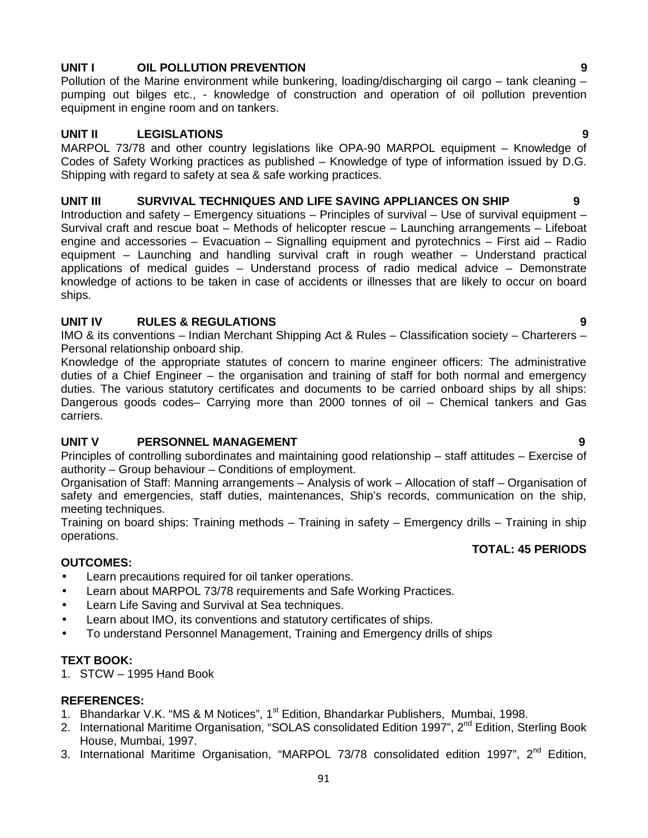# **UNIT I OIL POLLUTION PREVENTION 9**

Pollution of the Marine environment while bunkering, loading/discharging oil cargo – tank cleaning – pumping out bilges etc., - knowledge of construction and operation of oil pollution prevention equipment in engine room and on tankers.

# **UNIT II LEGISLATIONS 9**

MARPOL 73/78 and other country legislations like OPA-90 MARPOL equipment – Knowledge of Codes of Safety Working practices as published – Knowledge of type of information issued by D.G. Shipping with regard to safety at sea & safe working practices.

### **UNIT III SURVIVAL TECHNIQUES AND LIFE SAVING APPLIANCES ON SHIP 9**

Introduction and safety – Emergency situations – Principles of survival – Use of survival equipment – Survival craft and rescue boat – Methods of helicopter rescue – Launching arrangements – Lifeboat engine and accessories – Evacuation – Signalling equipment and pyrotechnics – First aid – Radio equipment – Launching and handling survival craft in rough weather – Understand practical applications of medical guides – Understand process of radio medical advice – Demonstrate knowledge of actions to be taken in case of accidents or illnesses that are likely to occur on board ships.

# **UNIT IV RULES & REGULATIONS 9**

IMO & its conventions – Indian Merchant Shipping Act & Rules – Classification society – Charterers – Personal relationship onboard ship.

Knowledge of the appropriate statutes of concern to marine engineer officers: The administrative duties of a Chief Engineer – the organisation and training of staff for both normal and emergency duties. The various statutory certificates and documents to be carried onboard ships by all ships: Dangerous goods codes– Carrying more than 2000 tonnes of oil – Chemical tankers and Gas carriers.

# **UNIT V PERSONNEL MANAGEMENT 9**

Principles of controlling subordinates and maintaining good relationship – staff attitudes – Exercise of authority – Group behaviour – Conditions of employment.

Organisation of Staff: Manning arrangements – Analysis of work – Allocation of staff – Organisation of safety and emergencies, staff duties, maintenances, Ship's records, communication on the ship, meeting techniques.

Training on board ships: Training methods – Training in safety – Emergency drills – Training in ship operations.

## **TOTAL: 45 PERIODS**

# **OUTCOMES:**

- Learn precautions required for oil tanker operations.
- Learn about MARPOL 73/78 requirements and Safe Working Practices.
- Learn Life Saving and Survival at Sea techniques.
- Learn about IMO, its conventions and statutory certificates of ships.
- To understand Personnel Management, Training and Emergency drills of ships

# **TEXT BOOK:**

1. STCW – 1995 Hand Book

### **REFERENCES:**

- 1. Bhandarkar V.K. "MS & M Notices", 1<sup>st</sup> Edition, Bhandarkar Publishers, Mumbai, 1998.
- 2. International Maritime Organisation, "SOLAS consolidated Edition 1997", 2<sup>nd</sup> Edition, Sterling Book House, Mumbai, 1997.
- 3. International Maritime Organisation, "MARPOL 73/78 consolidated edition 1997", 2<sup>nd</sup> Edition,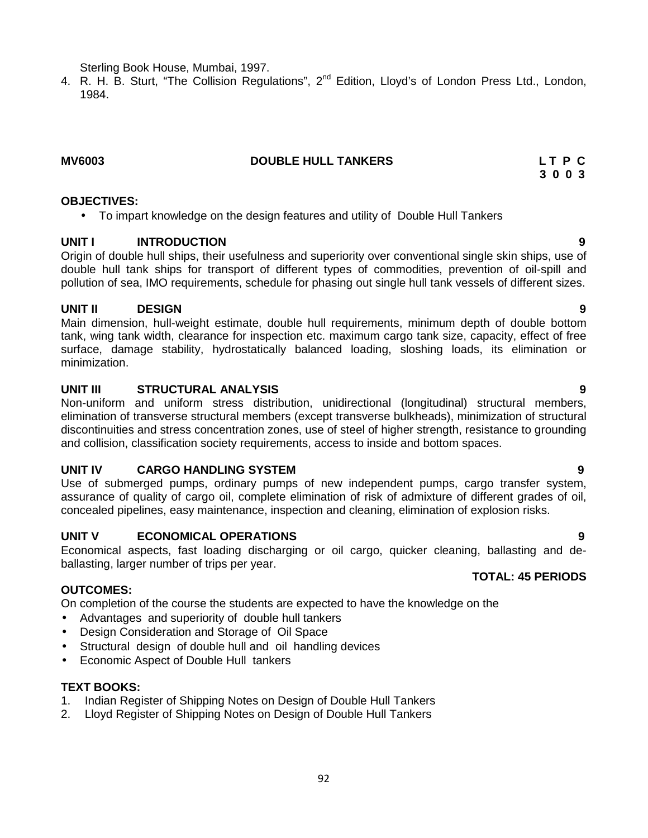Sterling Book House, Mumbai, 1997.

4. R. H. B. Sturt, "The Collision Regulations", 2<sup>nd</sup> Edition, Lloyd's of London Press Ltd., London, 1984.

#### **MV6003 DOUBLE HULL TANKERS L T P C**

**3 0 0 3**

### **OBJECTIVES:**

To impart knowledge on the design features and utility of Double Hull Tankers

# **UNIT I INTRODUCTION 9**

Origin of double hull ships, their usefulness and superiority over conventional single skin ships, use of double hull tank ships for transport of different types of commodities, prevention of oil-spill and pollution of sea, IMO requirements, schedule for phasing out single hull tank vessels of different sizes.

# **UNIT II DESIGN 9**

Main dimension, hull-weight estimate, double hull requirements, minimum depth of double bottom tank, wing tank width, clearance for inspection etc. maximum cargo tank size, capacity, effect of free surface, damage stability, hydrostatically balanced loading, sloshing loads, its elimination or minimization.

# **UNIT III STRUCTURAL ANALYSIS 9**

Non-uniform and uniform stress distribution, unidirectional (longitudinal) structural members, elimination of transverse structural members (except transverse bulkheads), minimization of structural discontinuities and stress concentration zones, use of steel of higher strength, resistance to grounding and collision, classification society requirements, access to inside and bottom spaces.

# **UNIT IV CARGO HANDLING SYSTEM 9**

Use of submerged pumps, ordinary pumps of new independent pumps, cargo transfer system, assurance of quality of cargo oil, complete elimination of risk of admixture of different grades of oil, concealed pipelines, easy maintenance, inspection and cleaning, elimination of explosion risks.

# **UNIT V ECONOMICAL OPERATIONS 9**

Economical aspects, fast loading discharging or oil cargo, quicker cleaning, ballasting and de ballasting, larger number of trips per year.

# **OUTCOMES:**

On completion of the course the students are expected to have the knowledge on the

- Advantages and superiority of double hull tankers
- Design Consideration and Storage of Oil Space
- Structural design of double hull and oil handling devices
- Economic Aspect of Double Hull tankers

# **TEXT BOOKS:**

- 1. Indian Register of Shipping Notes on Design of Double Hull Tankers
- 2. Lloyd Register of Shipping Notes on Design of Double Hull Tankers

# **TOTAL: 45 PERIODS**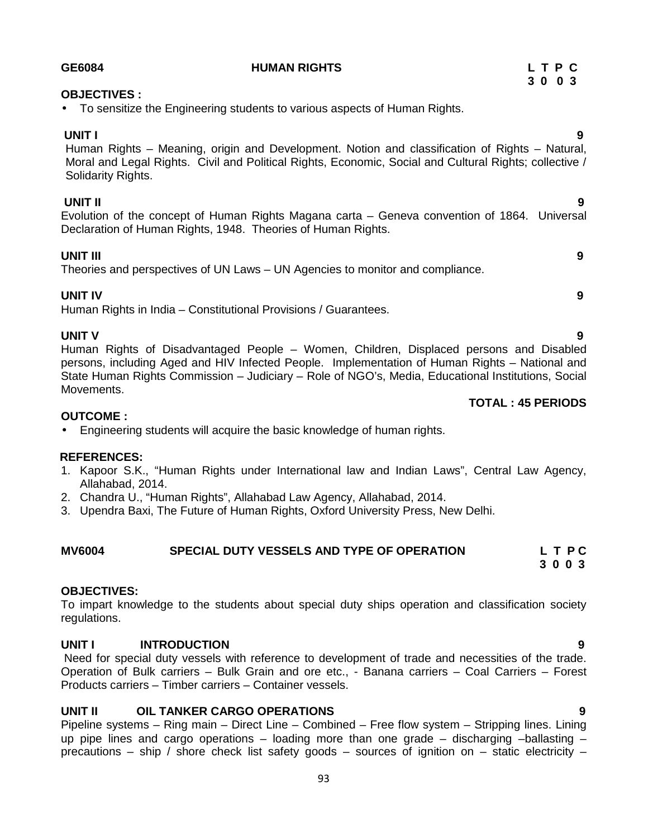| • To sensitize the Engineering students to various aspects of Human Rights.                                                                                                                                                                          |
|------------------------------------------------------------------------------------------------------------------------------------------------------------------------------------------------------------------------------------------------------|
| <b>UNIT I</b><br>9<br>Human Rights – Meaning, origin and Development. Notion and classification of Rights – Natural,<br>Moral and Legal Rights. Civil and Political Rights, Economic, Social and Cultural Rights; collective /<br>Solidarity Rights. |
| UNIT II<br>9<br>Evolution of the concept of Human Rights Magana carta - Geneva convention of 1864. Universal<br>Declaration of Human Rights, 1948. Theories of Human Rights.                                                                         |
| <b>UNIT III</b><br>9<br>Theories and perspectives of UN Laws – UN Agencies to monitor and compliance.                                                                                                                                                |
| <b>UNIT IV</b><br>9<br>Human Rights in India - Constitutional Provisions / Guarantees.                                                                                                                                                               |
| <b>UNIT V</b><br>9<br>Human Rights of Disadvantaged People – Women, Children, Displaced persons and Disabled                                                                                                                                         |

Human Rights of Disadvantaged People – Women, Children, Displaced persons and Disabled persons, including Aged and HIV Infected People. Implementation of Human Rights – National and State Human Rights Commission – Judiciary – Role of NGO's, Media, Educational Institutions, Social Movements. **TOTAL : 45 PERIODS**

#### **OUTCOME :**

Engineering students will acquire the basic knowledge of human rights.

### **REFERENCES:**

- 1. Kapoor S.K., "Human Rights under International law and Indian Laws", Central Law Agency, Allahabad, 2014.
- 2. Chandra U., "Human Rights", Allahabad Law Agency, Allahabad, 2014.
- 3. Upendra Baxi, The Future of Human Rights, Oxford University Press, New Delhi.

#### **MV6004 SPECIAL DUTY VESSELS AND TYPE OF OPERATION L T P C 3 0 0 3**

### **OBJECTIVES:**

To impart knowledge to the students about special duty ships operation and classification society regulations.

### **UNIT I INTRODUCTION 9**

Need for special duty vessels with reference to development of trade and necessities of the trade. Operation of Bulk carriers – Bulk Grain and ore etc., - Banana carriers – Coal Carriers – Forest Products carriers – Timber carriers – Container vessels.

# **UNIT II OIL TANKER CARGO OPERATIONS 9**

Pipeline systems – Ring main – Direct Line – Combined – Free flow system – Stripping lines. Lining up pipe lines and cargo operations – loading more than one grade – discharging –ballasting – precautions – ship / shore check list safety goods – sources of ignition on – static electricity –

**OBJECTIVES :**

#### **GE6084 HUMAN RIGHTS L T P C**

- 
-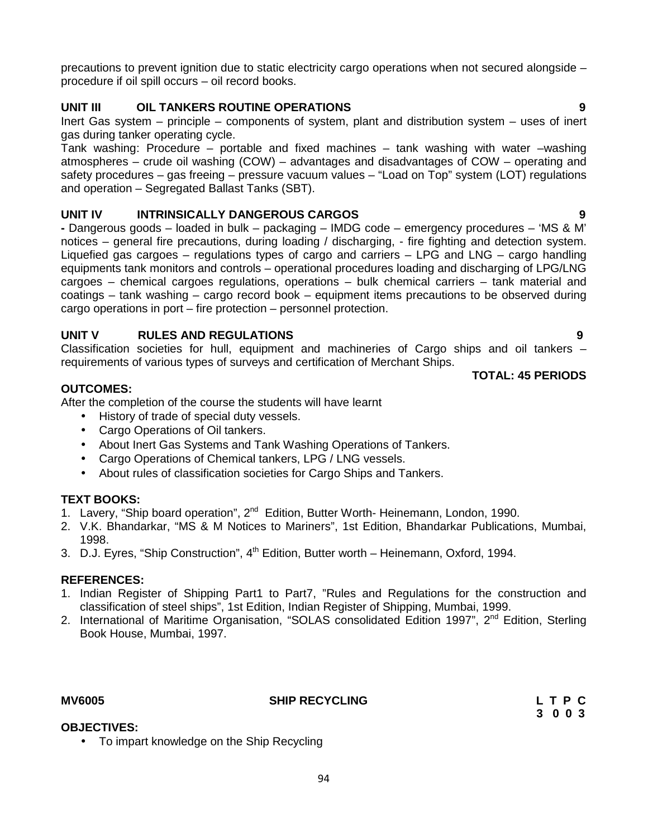precautions to prevent ignition due to static electricity cargo operations when not secured alongside – procedure if oil spill occurs – oil record books.

# **UNIT III OIL TANKERS ROUTINE OPERATIONS 9**

Inert Gas system – principle – components of system, plant and distribution system – uses of inert gas during tanker operating cycle.

Tank washing: Procedure – portable and fixed machines – tank washing with water –washing atmospheres – crude oil washing (COW) – advantages and disadvantages of COW – operating and safety procedures – gas freeing – pressure vacuum values – "Load on Top" system (LOT) regulations and operation – Segregated Ballast Tanks (SBT).

# **UNIT IV INTRINSICALLY DANGEROUS CARGOS 9**

**-** Dangerous goods – loaded in bulk – packaging – IMDG code – emergency procedures – 'MS & M' notices – general fire precautions, during loading / discharging, - fire fighting and detection system. Liquefied gas cargoes – regulations types of cargo and carriers – LPG and LNG – cargo handling equipments tank monitors and controls – operational procedures loading and discharging of LPG/LNG cargoes – chemical cargoes regulations, operations – bulk chemical carriers – tank material and coatings – tank washing – cargo record book – equipment items precautions to be observed during cargo operations in port – fire protection – personnel protection.

# **UNIT V RULES AND REGULATIONS 9**

Classification societies for hull, equipment and machineries of Cargo ships and oil tankers – requirements of various types of surveys and certification of Merchant Ships.

**TOTAL: 45 PERIODS**

### **OUTCOMES:**

After the completion of the course the students will have learnt

• History of trade of special duty vessels.

• To impart knowledge on the Ship Recycling

- Cargo Operations of Oil tankers.
- About Inert Gas Systems and Tank Washing Operations of Tankers.
- Cargo Operations of Chemical tankers, LPG / LNG vessels.
- About rules of classification societies for Cargo Ships and Tankers.

# **TEXT BOOKS:**

- 1. Lavery, "Ship board operation", 2<sup>nd</sup> Edition, Butter Worth- Heinemann, London, 1990.
- 2. V.K. Bhandarkar, "MS & M Notices to Mariners", 1st Edition, Bhandarkar Publications, Mumbai, 1998.
- 3. D.J. Eyres, "Ship Construction",  $4<sup>th</sup>$  Edition, Butter worth Heinemann, Oxford, 1994.

### **REFERENCES:**

- 1. Indian Register of Shipping Part1 to Part7, "Rules and Regulations for the construction and classification of steel ships", 1st Edition, Indian Register of Shipping, Mumbai, 1999.
- 2. International of Maritime Organisation, "SOLAS consolidated Edition 1997", 2<sup>nd</sup> Edition, Sterling Book House, Mumbai, 1997.

**OBJECTIVES:**

# **MV6005 SHIP RECYCLING L T P C**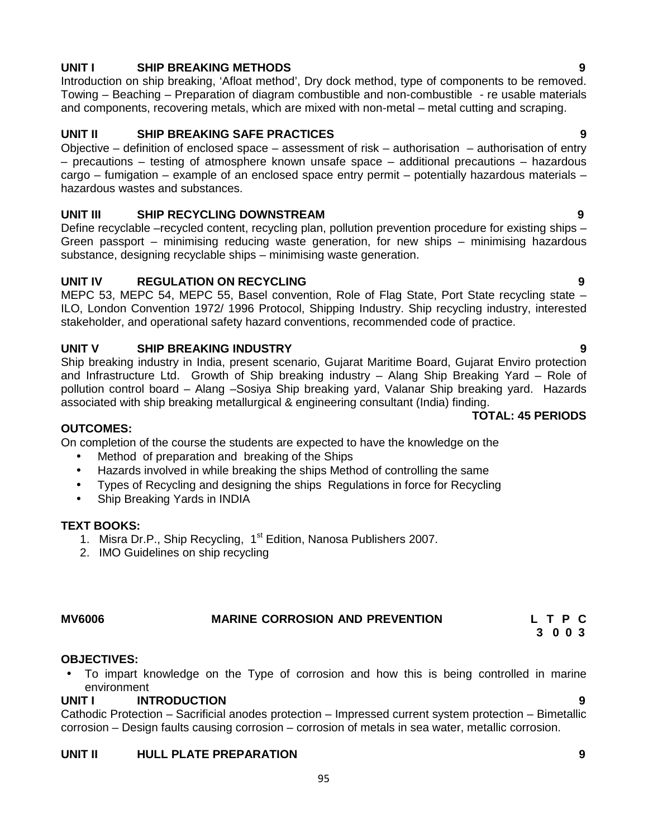# **UNIT I SHIP BREAKING METHODS 9**

Introduction on ship breaking, 'Afloat method', Dry dock method, type of components to be removed. Towing – Beaching – Preparation of diagram combustible and non-combustible - re usable materials and components, recovering metals, which are mixed with non-metal – metal cutting and scraping.

# **UNIT II SHIP BREAKING SAFE PRACTICES 9**

Objective – definition of enclosed space – assessment of risk – authorisation – authorisation of entry – precautions – testing of atmosphere known unsafe space – additional precautions – hazardous cargo – fumigation – example of an enclosed space entry permit – potentially hazardous materials – hazardous wastes and substances.

### **UNIT III SHIP RECYCLING DOWNSTREAM 9**

Define recyclable –recycled content, recycling plan, pollution prevention procedure for existing ships – Green passport – minimising reducing waste generation, for new ships – minimising hazardous substance, designing recyclable ships – minimising waste generation.

#### **UNIT IV REGULATION ON RECYCLING 9**

MEPC 53, MEPC 54, MEPC 55, Basel convention, Role of Flag State, Port State recycling state – ILO, London Convention 1972/ 1996 Protocol, Shipping Industry. Ship recycling industry, interested stakeholder, and operational safety hazard conventions, recommended code of practice.

#### **UNIT V SHIP BREAKING INDUSTRY 9**

Ship breaking industry in India, present scenario, Gujarat Maritime Board, Gujarat Enviro protection and Infrastructure Ltd. Growth of Ship breaking industry – Alang Ship Breaking Yard – Role of pollution control board – Alang –Sosiya Ship breaking yard, Valanar Ship breaking yard. Hazards associated with ship breaking metallurgical & engineering consultant (India) finding.

#### **OUTCOMES:**

On completion of the course the students are expected to have the knowledge on the

- Method of preparation and breaking of the Ships
- Hazards involved in while breaking the ships Method of controlling the same
- Types of Recycling and designing the ships Regulations in force for Recycling
- Ship Breaking Yards in INDIA

#### **TEXT BOOKS:**

- 1. Misra Dr.P., Ship Recycling, 1<sup>st</sup> Edition, Nanosa Publishers 2007.
- 2. IMO Guidelines on ship recycling

# **MV6006 MARINE CORROSION AND PREVENTION L T P C**

#### **OBJECTIVES:**

 To impart knowledge on the Type of corrosion and how this is being controlled in marine environment

#### **UNIT I INTRODUCTION 9**

Cathodic Protection – Sacrificial anodes protection – Impressed current system protection – Bimetallic corrosion – Design faults causing corrosion – corrosion of metals in sea water, metallic corrosion.

#### **UNIT II HULL PLATE PREPARATION 9**

**TOTAL: 45 PERIODS**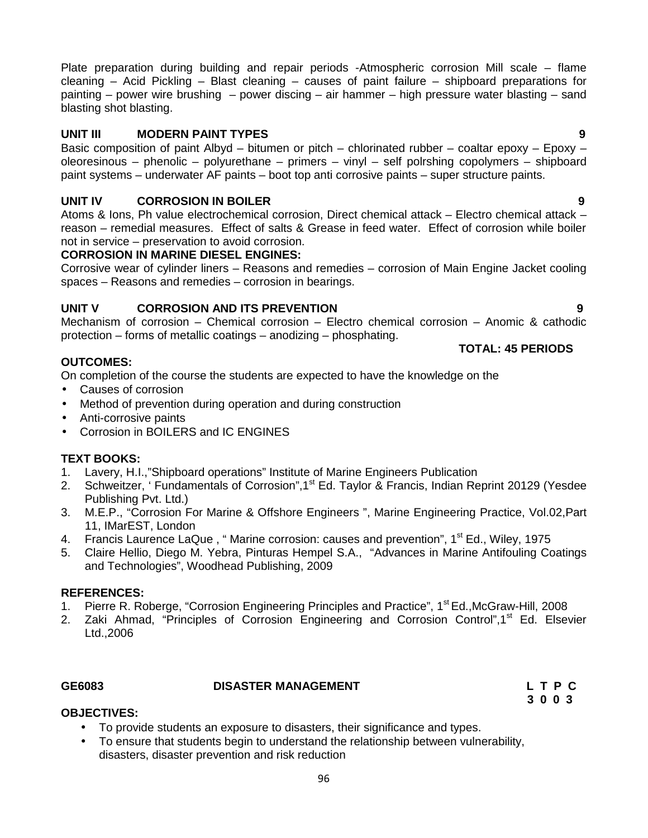96

Plate preparation during building and repair periods -Atmospheric corrosion Mill scale – flame cleaning – Acid Pickling – Blast cleaning – causes of paint failure – shipboard preparations for painting – power wire brushing – power discing – air hammer – high pressure water blasting – sand blasting shot blasting.

# **UNIT III MODERN PAINT TYPES 9**

Basic composition of paint Albyd – bitumen or pitch – chlorinated rubber – coaltar epoxy – Epoxy – oleoresinous – phenolic – polyurethane – primers – vinyl– self polrshing copolymers – shipboard paint systems – underwater AF paints – boot top anti corrosive paints – super structure paints.

# **UNIT IV CORROSION IN BOILER 9**

Atoms & Ions, Ph value electrochemical corrosion, Direct chemical attack – Electro chemical attack – reason – remedial measures. Effect of salts & Grease in feed water. Effect of corrosion while boiler not in service – preservation to avoid corrosion.

# **CORROSION IN MARINE DIESEL ENGINES:**

Corrosive wear of cylinder liners – Reasons and remedies – corrosion of Main Engine Jacket cooling spaces – Reasons and remedies – corrosion in bearings.

# **UNIT V CORROSION AND ITS PREVENTION 9**

Mechanism of corrosion – Chemical corrosion – Electro chemical corrosion – Anomic & cathodic protection – forms of metallic coatings – anodizing – phosphating.

# **OUTCOMES:**

On completion of the course the students are expected to have the knowledge on the

- Causes of corrosion
- Method of prevention during operation and during construction
- Anti-corrosive paints
- Corrosion in BOILERS and IC ENGINES

# **TEXT BOOKS:**

- 1. Lavery, H.I.,"Shipboard operations" Institute of Marine Engineers Publication
- 2. Schweitzer, ' Fundamentals of Corrosion", 1<sup>st</sup> Ed. Taylor & Francis, Indian Reprint 20129 (Yesdee Publishing Pvt. Ltd.)
- 3. M.E.P., "Corrosion For Marine & Offshore Engineers ", Marine Engineering Practice, Vol.02,Part 11, IMarEST, London
- 4. Francis Laurence LaQue, " Marine corrosion: causes and prevention", 1<sup>st</sup> Ed., Wiley, 1975<br>5. Claire Hellio. Diego M. Yebra. Pinturas Hempel S.A.. "Advances in Marine Antifouling Co
- 5. Claire Hellio, Diego M. Yebra, Pinturas Hempel S.A., "Advances in Marine Antifouling Coatings and Technologies", Woodhead Publishing, 2009

### **REFERENCES:**

- 1. Pierre R. Roberge, "Corrosion Engineering Principles and Practice", 1<sup>st</sup> Ed., McGraw-Hill, 2008
- 2. Zaki Ahmad, "Principles of Corrosion Engineering and Corrosion Control",1<sup>st</sup> Ed. Elsevier Ltd.,2006

**OBJECTIVES:**

### **GE6083 DISASTER MANAGEMENT L T P C**

- To provide students an exposure to disasters, their significance and types.
- To ensure that students begin to understand the relationship between vulnerability, disasters, disaster prevention and risk reduction

# **TOTAL: 45 PERIODS**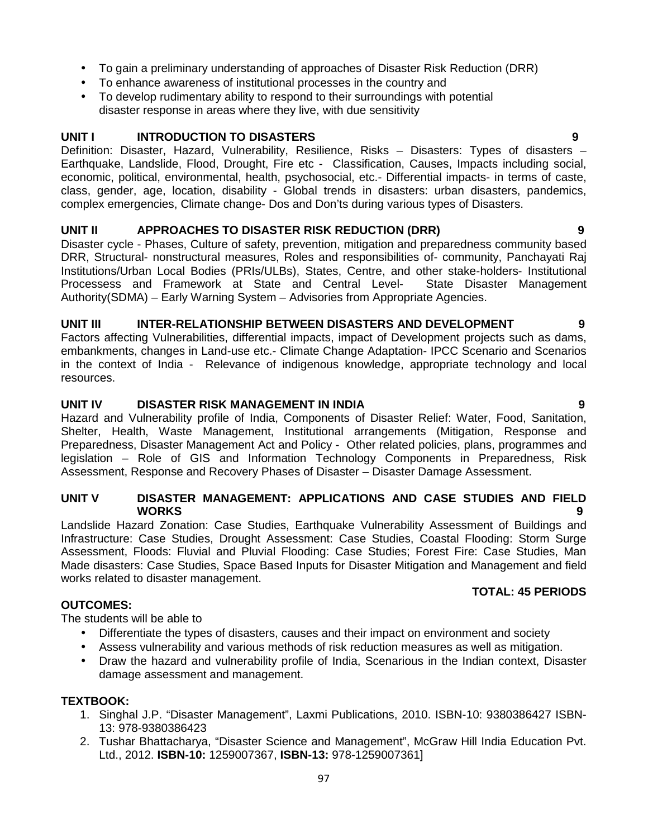- To gain a preliminary understanding of approaches of Disaster Risk Reduction (DRR)
- To enhance awareness of institutional processes in the country and
- To develop rudimentary ability to respond to their surroundings with potential disaster response in areas where they live, with due sensitivity

### **UNIT I INTRODUCTION TO DISASTERS 9**

Definition: Disaster, Hazard, Vulnerability, Resilience, Risks – Disasters: Types of disasters – Earthquake, Landslide, Flood, Drought, Fire etc - Classification, Causes, Impacts including social, economic, political, environmental, health, psychosocial, etc.- Differential impacts- in terms of caste, class, gender, age, location, disability - Global trends in disasters: urban disasters, pandemics, complex emergencies, Climate change- Dos and Don'ts during various types of Disasters.

### **UNIT II APPROACHES TO DISASTER RISK REDUCTION (DRR) 9**

Disaster cycle - Phases, Culture of safety, prevention, mitigation and preparedness community based DRR, Structural- nonstructural measures, Roles and responsibilities of- community, Panchayati Raj Institutions/Urban Local Bodies (PRIs/ULBs), States, Centre, and other stake-holders- Institutional Processess and Framework at State and Central Level- State Disaster Management Authority(SDMA) – Early Warning System – Advisories from Appropriate Agencies.

#### **UNIT III INTER-RELATIONSHIP BETWEEN DISASTERS AND DEVELOPMENT 9**

Factors affecting Vulnerabilities, differential impacts, impact of Development projects such as dams, embankments, changes in Land-use etc.- Climate Change Adaptation- IPCC Scenario and Scenarios in the context of India - Relevance of indigenous knowledge, appropriate technology and local resources.

#### **UNIT IV DISASTER RISK MANAGEMENT IN INDIA 9**

Hazard and Vulnerability profile of India, Components of Disaster Relief: Water, Food, Sanitation, Shelter, Health, Waste Management, Institutional arrangements (Mitigation, Response and Preparedness, Disaster Management Act and Policy - Other related policies, plans, programmes and legislation – Role of GIS and Information Technology Components in Preparedness, Risk Assessment, Response and Recovery Phases of Disaster – Disaster Damage Assessment.

#### **UNIT V DISASTER MANAGEMENT: APPLICATIONS AND CASE STUDIES AND FIELD WORKS 9**

Landslide Hazard Zonation: Case Studies, Earthquake Vulnerability Assessment of Buildings and Infrastructure: Case Studies, Drought Assessment: Case Studies, Coastal Flooding: Storm Surge Assessment, Floods: Fluvial and Pluvial Flooding: Case Studies; Forest Fire: Case Studies, Man Made disasters: Case Studies, Space Based Inputs for Disaster Mitigation and Management and field works related to disaster management.

### **TOTAL: 45 PERIODS**

The students will be able to

- Differentiate the types of disasters, causes and their impact on environment and society
- Assess vulnerability and various methods of risk reduction measures as well as mitigation.
- Draw the hazard and vulnerability profile of India, Scenarious in the Indian context, Disaster damage assessment and management.

### **TEXTBOOK:**

**OUTCOMES:**

- 1. Singhal J.P. "Disaster Management", Laxmi Publications, 2010. ISBN-10: 9380386427 ISBN- 13: 978-9380386423
- 2. Tushar Bhattacharya, "Disaster Science and Management", McGraw Hill India Education Pvt. Ltd., 2012. **ISBN-10:** 1259007367, **ISBN-13:** 978-1259007361]